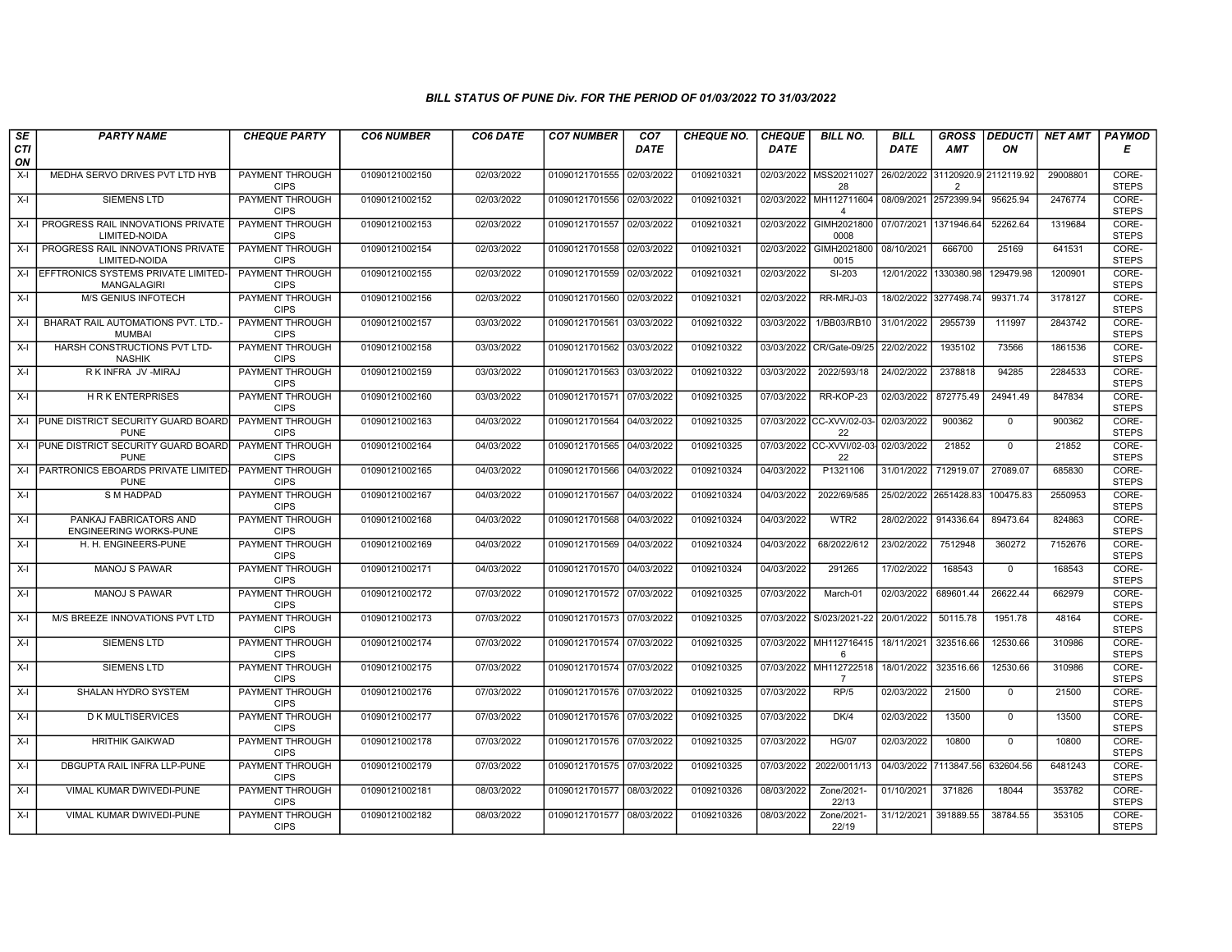| SE        | <b>PARTY NAME</b>                                       | <b>CHEQUE PARTY</b>                   | <b>CO6 NUMBER</b> | CO6 DATE   | <b>CO7 NUMBER</b>         | CO <sub>7</sub> | <b>CHEQUE NO.</b> | <b>CHEQUE</b> | <b>BILL NO.</b>                                                | <b>BILL</b>           | <b>GROSS</b>                           |             | <b>DEDUCTI</b> NET AMT | <b>PAYMOD</b>         |
|-----------|---------------------------------------------------------|---------------------------------------|-------------------|------------|---------------------------|-----------------|-------------------|---------------|----------------------------------------------------------------|-----------------------|----------------------------------------|-------------|------------------------|-----------------------|
| CTI<br>ON |                                                         |                                       |                   |            |                           | <b>DATE</b>     |                   | <b>DATE</b>   |                                                                | <b>DATE</b>           | <b>AMT</b>                             | ON          |                        | Е                     |
| $X-I$     | MEDHA SERVO DRIVES PVT LTD HYB                          | <b>PAYMENT THROUGH</b><br><b>CIPS</b> | 01090121002150    | 02/03/2022 | 01090121701555            | 02/03/2022      | 0109210321        |               | 02/03/2022 MSS20211027<br>28                                   |                       | 26/02/2022 31120920.9<br>$\mathcal{P}$ | 2112119.92  | 29008801               | CORE-<br><b>STEPS</b> |
| $X-I$     | <b>SIEMENS LTD</b>                                      | <b>PAYMENT THROUGH</b><br><b>CIPS</b> | 01090121002152    | 02/03/2022 | 01090121701556 02/03/2022 |                 | 0109210321        |               | 02/03/2022 MH112711604 08/09/2021 2572399.94<br>$\overline{4}$ |                       |                                        | 95625.94    | 2476774                | CORE-<br><b>STEPS</b> |
| $X-I$     | PROGRESS RAIL INNOVATIONS PRIVATE<br>LIMITED-NOIDA      | PAYMENT THROUGH<br><b>CIPS</b>        | 01090121002153    | 02/03/2022 | 01090121701557            | 02/03/2022      | 0109210321        | 02/03/2022    | GIMH2021800<br>0008                                            | 07/07/2021            | 1371946.64                             | 52262.64    | 1319684                | CORE-<br><b>STEPS</b> |
| $X-I$     | PROGRESS RAIL INNOVATIONS PRIVATE<br>LIMITED-NOIDA      | <b>PAYMENT THROUGH</b><br><b>CIPS</b> | 01090121002154    | 02/03/2022 | 01090121701558            | 02/03/2022      | 0109210321        | 02/03/2022    | GIMH2021800<br>0015                                            | 08/10/2021            | 666700                                 | 25169       | 641531                 | CORE-<br><b>STEPS</b> |
|           | X-I LEFFTRONICS SYSTEMS PRIVATE LIMITED-<br>MANGALAGIRI | <b>PAYMENT THROUGH</b><br><b>CIPS</b> | 01090121002155    | 02/03/2022 | 01090121701559 02/03/2022 |                 | 0109210321        | 02/03/2022    | $SI-203$                                                       |                       | 12/01/2022 1330380.98                  | 129479.98   | 1200901                | CORE-<br><b>STEPS</b> |
| $X-I$     | <b>M/S GENIUS INFOTECH</b>                              | <b>PAYMENT THROUGH</b><br><b>CIPS</b> | 01090121002156    | 02/03/2022 | 01090121701560            | 02/03/2022      | 0109210321        | 02/03/2022    | RR-MRJ-03                                                      |                       | 18/02/2022 3277498.74                  | 99371.74    | 3178127                | CORE-<br><b>STEPS</b> |
| $X-I$     | BHARAT RAIL AUTOMATIONS PVT. LTD.-<br><b>MUMBAI</b>     | PAYMENT THROUGH<br><b>CIPS</b>        | 01090121002157    | 03/03/2022 | 01090121701561            | 03/03/2022      | 0109210322        | 03/03/2022    | 1/BB03/RB10                                                    | 31/01/2022            | 2955739                                | 111997      | 2843742                | CORE-<br><b>STEPS</b> |
| $X-I$     | HARSH CONSTRUCTIONS PVT LTD-<br><b>NASHIK</b>           | <b>PAYMENT THROUGH</b><br><b>CIPS</b> | 01090121002158    | 03/03/2022 | 01090121701562            | 03/03/2022      | 0109210322        | 03/03/2022    | CR/Gate-09/25                                                  | 22/02/2022            | 1935102                                | 73566       | 1861536                | CORE-<br><b>STEPS</b> |
| X-I       | RKINFRA JV-MIRAJ                                        | <b>PAYMENT THROUGH</b><br><b>CIPS</b> | 01090121002159    | 03/03/2022 | 01090121701563 03/03/2022 |                 | 0109210322        | 03/03/2022    | 2022/593/18                                                    | 24/02/2022            | 2378818                                | 94285       | 2284533                | CORE-<br><b>STEPS</b> |
| $X-I$     | <b>HRK ENTERPRISES</b>                                  | <b>PAYMENT THROUGH</b><br><b>CIPS</b> | 01090121002160    | 03/03/2022 | 01090121701571            | 07/03/2022      | 0109210325        | 07/03/2022    | RR-KOP-23                                                      | 02/03/2022            | 872775.49                              | 24941.49    | 847834                 | CORE-<br><b>STEPS</b> |
|           | X-I PUNE DISTRICT SECURITY GUARD BOARD<br><b>PUNE</b>   | PAYMENT THROUGH<br><b>CIPS</b>        | 01090121002163    | 04/03/2022 | 01090121701564            | 04/03/2022      | 0109210325        |               | 07/03/2022 CC-XVV/02-03-<br>22                                 | 02/03/2022            | 900362                                 | $\mathbf 0$ | 900362                 | CORE-<br><b>STEPS</b> |
|           | X-I PUNE DISTRICT SECURITY GUARD BOARD<br><b>PUNE</b>   | PAYMENT THROUGH<br><b>CIPS</b>        | 01090121002164    | 04/03/2022 | 01090121701565 04/03/2022 |                 | 0109210325        |               | 07/03/2022 CC-XVVI/02-03- 02/03/2022<br>22                     |                       | 21852                                  | $\mathbf 0$ | 21852                  | CORE-<br><b>STEPS</b> |
|           | X-I PARTRONICS EBOARDS PRIVATE LIMITED-<br><b>PUNE</b>  | <b>PAYMENT THROUGH</b><br><b>CIPS</b> | 01090121002165    | 04/03/2022 | 01090121701566            | 04/03/2022      | 0109210324        | 04/03/2022    | P1321106                                                       | 31/01/2022            | 712919.07                              | 27089.07    | 685830                 | CORE-<br><b>STEPS</b> |
| X-I       | <b>S M HADPAD</b>                                       | <b>PAYMENT THROUGH</b><br><b>CIPS</b> | 01090121002167    | 04/03/2022 | 01090121701567            | 04/03/2022      | 0109210324        | 04/03/2022    | 2022/69/585                                                    | 25/02/2022 2651428.83 |                                        | 100475.83   | 2550953                | CORE-<br><b>STEPS</b> |
| $X-I$     | PANKAJ FABRICATORS AND<br><b>ENGINEERING WORKS-PUNE</b> | PAYMENT THROUGH<br><b>CIPS</b>        | 01090121002168    | 04/03/2022 | 01090121701568            | 04/03/2022      | 0109210324        | 04/03/2022    | WTR <sub>2</sub>                                               | 28/02/2022            | 914336.64                              | 89473.64    | 824863                 | CORE-<br><b>STEPS</b> |
| $X-I$     | H. H. ENGINEERS-PUNE                                    | PAYMENT THROUGH<br><b>CIPS</b>        | 01090121002169    | 04/03/2022 | 01090121701569            | 04/03/2022      | 0109210324        | 04/03/2022    | 68/2022/612                                                    | 23/02/2022            | 7512948                                | 360272      | 7152676                | CORE-<br><b>STEPS</b> |
| $X-I$     | <b>MANOJ S PAWAR</b>                                    | PAYMENT THROUGH<br><b>CIPS</b>        | 01090121002171    | 04/03/2022 | 01090121701570            | 04/03/2022      | 0109210324        | 04/03/2022    | 291265                                                         | 17/02/2022            | 168543                                 | $\mathbf 0$ | 168543                 | CORE-<br><b>STEPS</b> |
| X-I       | <b>MANOJ S PAWAR</b>                                    | <b>PAYMENT THROUGH</b><br><b>CIPS</b> | 01090121002172    | 07/03/2022 | 01090121701572            | 07/03/2022      | 0109210325        | 07/03/2022    | March-01                                                       | 02/03/2022            | 689601.44                              | 26622.44    | 662979                 | CORE-<br><b>STEPS</b> |
| $X-I$     | M/S BREEZE INNOVATIONS PVT LTD                          | PAYMENT THROUGH<br><b>CIPS</b>        | 01090121002173    | 07/03/2022 | 01090121701573 07/03/2022 |                 | 0109210325        |               | 07/03/2022 S/023/2021-22                                       | 20/01/2022            | 50115.78                               | 1951.78     | 48164                  | CORE-<br><b>STEPS</b> |
| $X-I$     | <b>SIEMENS LTD</b>                                      | PAYMENT THROUGH<br><b>CIPS</b>        | 01090121002174    | 07/03/2022 | 01090121701574            | 07/03/2022      | 0109210325        | 07/03/2022    | MH112716415<br>6                                               | 18/11/2021            | 323516.66                              | 12530.66    | 310986                 | CORE-<br><b>STEPS</b> |
| $X-I$     | <b>SIEMENS LTD</b>                                      | PAYMENT THROUGH<br><b>CIPS</b>        | 01090121002175    | 07/03/2022 | 01090121701574 07/03/2022 |                 | 0109210325        |               | 07/03/2022 MH112722518<br>7                                    | 18/01/2022            | 323516.66                              | 12530.66    | 310986                 | CORE-<br><b>STEPS</b> |
| X-I       | SHALAN HYDRO SYSTEM                                     | <b>PAYMENT THROUGH</b><br><b>CIPS</b> | 01090121002176    | 07/03/2022 | 01090121701576 07/03/2022 |                 | 0109210325        | 07/03/2022    | RP/5                                                           | 02/03/2022            | 21500                                  | $\mathbf 0$ | 21500                  | CORE-<br><b>STEPS</b> |
| $X-I$     | <b>D K MULTISERVICES</b>                                | PAYMENT THROUGH<br><b>CIPS</b>        | 01090121002177    | 07/03/2022 | 01090121701576            | 07/03/2022      | 0109210325        | 07/03/2022    | DK/4                                                           | 02/03/2022            | 13500                                  | $\mathbf 0$ | 13500                  | CORE-<br><b>STEPS</b> |
| $X-I$     | <b>HRITHIK GAIKWAD</b>                                  | PAYMENT THROUGH<br><b>CIPS</b>        | 01090121002178    | 07/03/2022 | 01090121701576 07/03/2022 |                 | 0109210325        | 07/03/2022    | <b>HG/07</b>                                                   | 02/03/2022            | 10800                                  | $\Omega$    | 10800                  | CORE-<br><b>STEPS</b> |
| $X-I$     | DBGUPTA RAIL INFRA LLP-PUNE                             | PAYMENT THROUGH<br><b>CIPS</b>        | 01090121002179    | 07/03/2022 | 01090121701575 07/03/2022 |                 | 0109210325        | 07/03/2022    | 2022/0011/13                                                   | 04/03/2022            | 7113847.56                             | 632604.56   | 6481243                | CORE-<br><b>STEPS</b> |
| $X-I$     | VIMAL KUMAR DWIVEDI-PUNE                                | <b>PAYMENT THROUGH</b><br><b>CIPS</b> | 01090121002181    | 08/03/2022 | 01090121701577 08/03/2022 |                 | 0109210326        | 08/03/2022    | Zone/2021-<br>22/13                                            | 01/10/2021            | 371826                                 | 18044       | 353782                 | CORE-<br><b>STEPS</b> |
| $X-I$     | VIMAL KUMAR DWIVEDI-PUNE                                | PAYMENT THROUGH<br><b>CIPS</b>        | 01090121002182    | 08/03/2022 | 01090121701577            | 08/03/2022      | 0109210326        | 08/03/2022    | Zone/2021-<br>22/19                                            |                       | 31/12/2021 391889.55                   | 38784.55    | 353105                 | CORE-<br><b>STEPS</b> |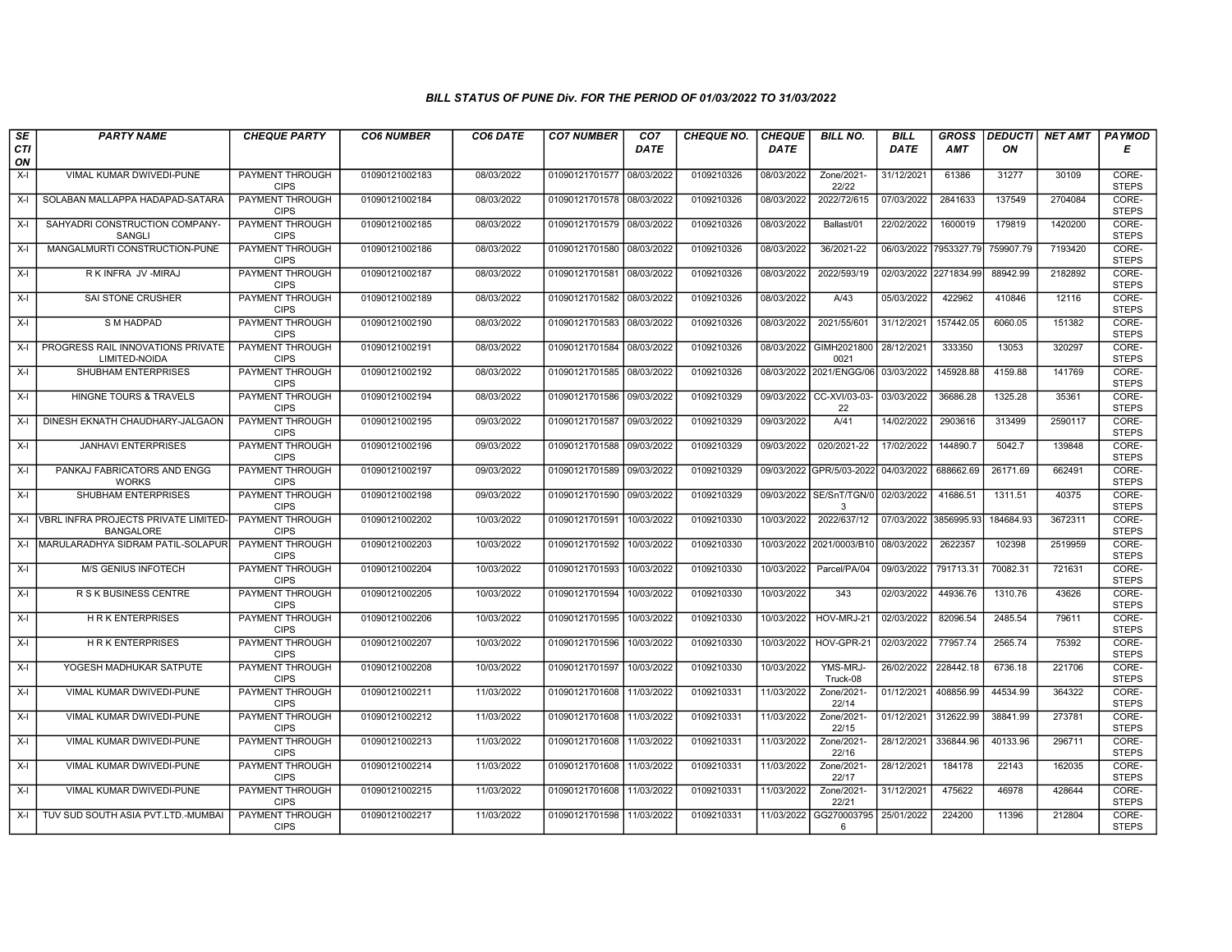| SE        | <b>PARTY NAME</b>                                            | <b>CHEQUE PARTY</b>                   | <b>CO6 NUMBER</b> | CO6 DATE   | <b>CO7 NUMBER</b>         | CO <sub>7</sub> | <b>CHEQUE NO.</b> | <b>CHEQUE</b> | <b>BILL NO.</b>                | <b>BILL</b> | <b>GROSS</b> |           | <b>DEDUCTI NET AMT</b> | PAYMOD                |
|-----------|--------------------------------------------------------------|---------------------------------------|-------------------|------------|---------------------------|-----------------|-------------------|---------------|--------------------------------|-------------|--------------|-----------|------------------------|-----------------------|
| CTI<br>ON |                                                              |                                       |                   |            |                           | <b>DATE</b>     |                   | <b>DATE</b>   |                                | <b>DATE</b> | <b>AMT</b>   | ON        |                        | Е                     |
| $X-I$     | VIMAL KUMAR DWIVEDI-PUNE                                     | PAYMENT THROUGH<br><b>CIPS</b>        | 01090121002183    | 08/03/2022 | 01090121701577 08/03/2022 |                 | 0109210326        | 08/03/2022    | Zone/2021-<br>22/22            | 31/12/2021  | 61386        | 31277     | 30109                  | CORE-<br><b>STEPS</b> |
| X-I       | SOLABAN MALLAPPA HADAPAD-SATARA                              | <b>PAYMENT THROUGH</b><br><b>CIPS</b> | 01090121002184    | 08/03/2022 | 01090121701578 08/03/2022 |                 | 0109210326        | 08/03/2022    | 2022/72/615                    | 07/03/2022  | 2841633      | 137549    | 2704084                | CORE-<br><b>STEPS</b> |
| X-I       | SAHYADRI CONSTRUCTION COMPANY-<br>SANGLI                     | PAYMENT THROUGH<br><b>CIPS</b>        | 01090121002185    | 08/03/2022 | 01090121701579 08/03/2022 |                 | 0109210326        | 08/03/2022    | Ballast/01                     | 22/02/2022  | 1600019      | 179819    | 1420200                | CORE-<br><b>STEPS</b> |
| X-I       | MANGALMURTI CONSTRUCTION-PUNE                                | <b>PAYMENT THROUGH</b><br><b>CIPS</b> | 01090121002186    | 08/03/2022 | 01090121701580 08/03/2022 |                 | 0109210326        | 08/03/2022    | 36/2021-22                     | 06/03/2022  | 7953327.79   | 759907.79 | 7193420                | CORE-<br><b>STEPS</b> |
| $X-I$     | R K INFRA JV -MIRAJ                                          | <b>PAYMENT THROUGH</b><br><b>CIPS</b> | 01090121002187    | 08/03/2022 | 01090121701581 08/03/2022 |                 | 0109210326        | 08/03/2022    | 2022/593/19                    | 02/03/2022  | 2271834.99   | 88942.99  | 2182892                | CORE-<br><b>STEPS</b> |
| $X-I$     | <b>SAI STONE CRUSHER</b>                                     | <b>PAYMENT THROUGH</b><br><b>CIPS</b> | 01090121002189    | 08/03/2022 | 01090121701582 08/03/2022 |                 | 0109210326        | 08/03/2022    | A/43                           | 05/03/2022  | 422962       | 410846    | 12116                  | CORE-<br><b>STEPS</b> |
| X-I       | S M HADPAD                                                   | PAYMENT THROUGH<br><b>CIPS</b>        | 01090121002190    | 08/03/2022 | 01090121701583 08/03/2022 |                 | 0109210326        | 08/03/2022    | 2021/55/601                    | 31/12/2021  | 157442.05    | 6060.05   | 151382                 | CORE-<br><b>STEPS</b> |
| $X-I$     | PROGRESS RAIL INNOVATIONS PRIVATE<br>LIMITED-NOIDA           | <b>PAYMENT THROUGH</b><br><b>CIPS</b> | 01090121002191    | 08/03/2022 | 01090121701584 08/03/2022 |                 | 0109210326        | 08/03/2022    | GIMH2021800<br>0021            | 28/12/2021  | 333350       | 13053     | 320297                 | CORE-<br><b>STEPS</b> |
| $X-I$     | SHUBHAM ENTERPRISES                                          | <b>PAYMENT THROUGH</b><br><b>CIPS</b> | 01090121002192    | 08/03/2022 | 01090121701585 08/03/2022 |                 | 0109210326        |               | 08/03/2022 2021/ENGG/06        | 03/03/2022  | 145928.88    | 4159.88   | 141769                 | CORE-<br><b>STEPS</b> |
| X-I       | HINGNE TOURS & TRAVELS                                       | <b>PAYMENT THROUGH</b><br><b>CIPS</b> | 01090121002194    | 08/03/2022 | 01090121701586 09/03/2022 |                 | 0109210329        |               | 09/03/2022 CC-XVI/03-03-<br>22 | 03/03/2022  | 36686.28     | 1325.28   | 35361                  | CORE-<br><b>STEPS</b> |
| $X-I$     | DINESH EKNATH CHAUDHARY-JALGAON                              | PAYMENT THROUGH<br><b>CIPS</b>        | 01090121002195    | 09/03/2022 | 01090121701587 09/03/2022 |                 | 0109210329        | 09/03/2022    | A/41                           | 14/02/2022  | 2903616      | 313499    | 2590117                | CORE-<br><b>STEPS</b> |
| X-I       | <b>JANHAVI ENTERPRISES</b>                                   | PAYMENT THROUGH<br><b>CIPS</b>        | 01090121002196    | 09/03/2022 | 01090121701588            | 09/03/2022      | 0109210329        | 09/03/2022    | 020/2021-22                    | 17/02/2022  | 144890.7     | 5042.7    | 139848                 | CORE-<br><b>STEPS</b> |
| X-I       | PANKAJ FABRICATORS AND ENGG<br><b>WORKS</b>                  | <b>PAYMENT THROUGH</b><br><b>CIPS</b> | 01090121002197    | 09/03/2022 | 01090121701589 09/03/2022 |                 | 0109210329        | 09/03/2022    | GPR/5/03-2022                  | 04/03/2022  | 688662.69    | 26171.69  | 662491                 | CORE-<br><b>STEPS</b> |
| X-I       | SHUBHAM ENTERPRISES                                          | <b>PAYMENT THROUGH</b><br><b>CIPS</b> | 01090121002198    | 09/03/2022 | 01090121701590 09/03/2022 |                 | 0109210329        | 09/03/2022    | SE/SnT/TGN/0 02/03/2022<br>3   |             | 41686.51     | 1311.51   | 40375                  | CORE-<br><b>STEPS</b> |
|           | X-I VBRL INFRA PROJECTS PRIVATE LIMITED-<br><b>BANGALORE</b> | <b>PAYMENT THROUGH</b><br><b>CIPS</b> | 01090121002202    | 10/03/2022 | 01090121701591            | 10/03/2022      | 0109210330        | 10/03/2022    | 2022/637/12                    | 07/03/2022  | 3856995.93   | 184684.93 | 3672311                | CORE-<br><b>STEPS</b> |
| X-I       | MARULARADHYA SIDRAM PATIL-SOLAPUR                            | PAYMENT THROUGH<br><b>CIPS</b>        | 01090121002203    | 10/03/2022 | 01090121701592            | 10/03/2022      | 0109210330        |               | 10/03/2022 2021/0003/B10       | 08/03/2022  | 2622357      | 102398    | 2519959                | CORE-<br><b>STEPS</b> |
| X-I       | <b>M/S GENIUS INFOTECH</b>                                   | PAYMENT THROUGH<br><b>CIPS</b>        | 01090121002204    | 10/03/2022 | 01090121701593            | 10/03/2022      | 0109210330        | 10/03/2022    | Parcel/PA/04                   | 09/03/2022  | 791713.31    | 70082.31  | 721631                 | CORE-<br><b>STEPS</b> |
| X-I       | <b>R S K BUSINESS CENTRE</b>                                 | <b>PAYMENT THROUGH</b><br><b>CIPS</b> | 01090121002205    | 10/03/2022 | 01090121701594            | 10/03/2022      | 0109210330        | 10/03/2022    | 343                            | 02/03/2022  | 44936.76     | 1310.76   | 43626                  | CORE-<br><b>STEPS</b> |
| $X-I$     | <b>HRK ENTERPRISES</b>                                       | PAYMENT THROUGH<br><b>CIPS</b>        | 01090121002206    | 10/03/2022 | 01090121701595            | 10/03/2022      | 0109210330        | 10/03/2022    | HOV-MRJ-21                     | 02/03/2022  | 82096.54     | 2485.54   | 79611                  | CORE-<br><b>STEPS</b> |
| X-I       | <b>HRK ENTERPRISES</b>                                       | PAYMENT THROUGH<br><b>CIPS</b>        | 01090121002207    | 10/03/2022 | 01090121701596            | 10/03/2022      | 0109210330        | 10/03/2022    | HOV-GPR-21                     | 02/03/2022  | 77957.74     | 2565.74   | 75392                  | CORE-<br><b>STEPS</b> |
| X-I       | YOGESH MADHUKAR SATPUTE                                      | PAYMENT THROUGH<br><b>CIPS</b>        | 01090121002208    | 10/03/2022 | 01090121701597            | 10/03/2022      | 0109210330        | 10/03/2022    | YMS-MRJ-<br>Truck-08           | 26/02/2022  | 228442.18    | 6736.18   | 221706                 | CORE-<br><b>STEPS</b> |
| X-I       | VIMAL KUMAR DWIVEDI-PUNE                                     | PAYMENT THROUGH<br><b>CIPS</b>        | 01090121002211    | 11/03/2022 | 01090121701608            | 11/03/2022      | 0109210331        | 11/03/2022    | Zone/2021-<br>22/14            | 01/12/2021  | 408856.99    | 44534.99  | 364322                 | CORE-<br><b>STEPS</b> |
| $X-I$     | VIMAL KUMAR DWIVEDI-PUNE                                     | PAYMENT THROUGH<br><b>CIPS</b>        | 01090121002212    | 11/03/2022 | 01090121701608            | 11/03/2022      | 0109210331        | 11/03/2022    | Zone/2021<br>22/15             | 01/12/2021  | 312622.99    | 38841.99  | 273781                 | CORE-<br><b>STEPS</b> |
| $X-I$     | VIMAL KUMAR DWIVEDI-PUNE                                     | PAYMENT THROUGH<br><b>CIPS</b>        | 01090121002213    | 11/03/2022 | 01090121701608            | 11/03/2022      | 0109210331        | 11/03/2022    | Zone/2021-<br>22/16            | 28/12/2021  | 336844.96    | 40133.96  | 296711                 | CORE-<br><b>STEPS</b> |
| $X-I$     | VIMAL KUMAR DWIVEDI-PUNE                                     | PAYMENT THROUGH<br><b>CIPS</b>        | 01090121002214    | 11/03/2022 | 01090121701608            | 11/03/2022      | 0109210331        | 11/03/2022    | Zone/2021<br>22/17             | 28/12/2021  | 184178       | 22143     | 162035                 | CORE-<br><b>STEPS</b> |
| X-I       | VIMAL KUMAR DWIVEDI-PUNE                                     | <b>PAYMENT THROUGH</b><br><b>CIPS</b> | 01090121002215    | 11/03/2022 | 01090121701608            | 11/03/2022      | 0109210331        | 11/03/2022    | Zone/2021<br>22/21             | 31/12/2021  | 475622       | 46978     | 428644                 | CORE-<br><b>STEPS</b> |
|           | X-I   TUV SUD SOUTH ASIA PVT.LTD.-MUMBAI                     | PAYMENT THROUGH<br><b>CIPS</b>        | 01090121002217    | 11/03/2022 | 01090121701598 11/03/2022 |                 | 0109210331        | 11/03/2022    | GG270003795<br>6               | 25/01/2022  | 224200       | 11396     | 212804                 | CORE-<br><b>STEPS</b> |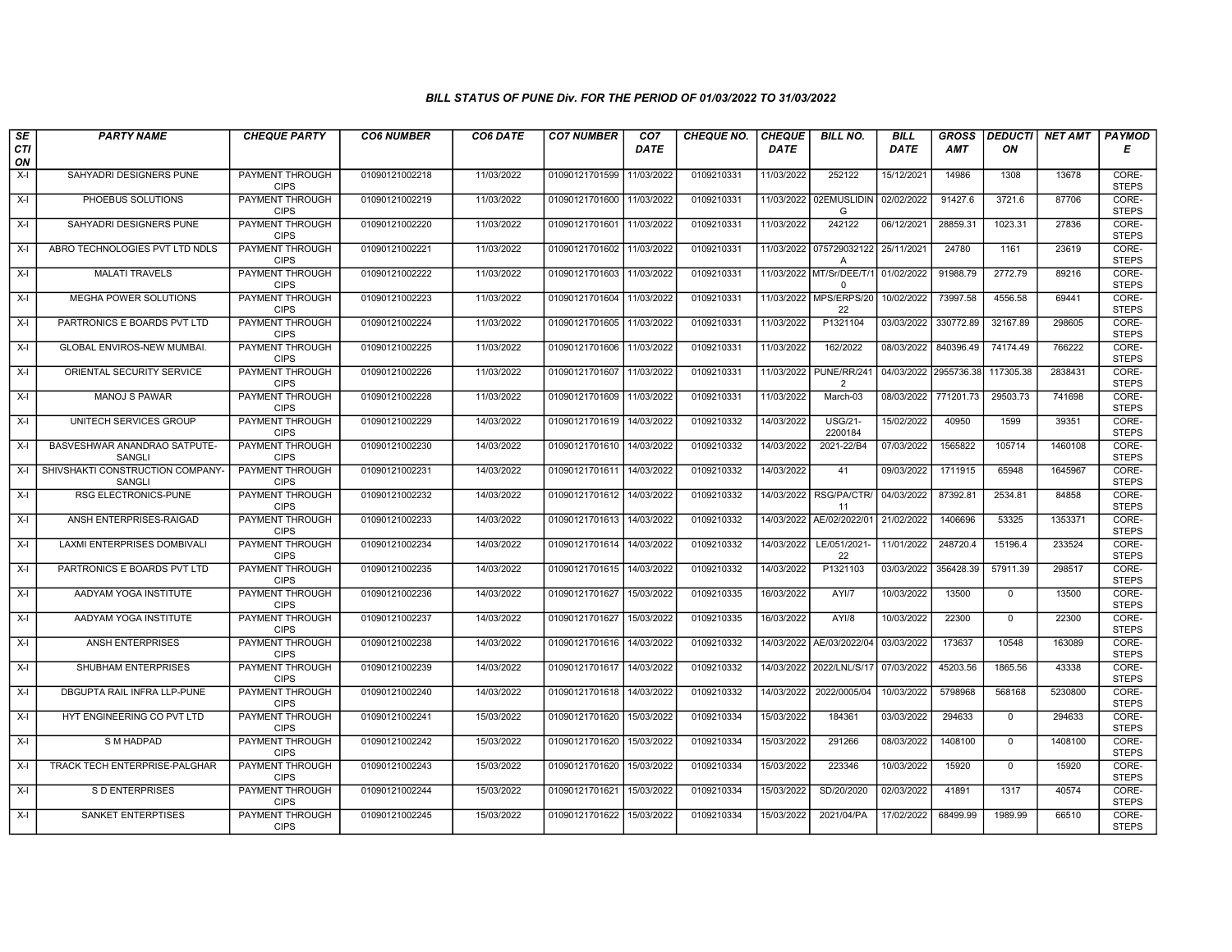| SE<br><b>CTI</b> | <b>PARTY NAME</b>                         | <b>CHEQUE PARTY</b>                   | <b>CO6 NUMBER</b> | CO6 DATE   | <b>CO7 NUMBER</b> | CO <sub>7</sub><br><b>DATE</b> | <b>CHEQUE NO.</b> | <b>CHEQUE</b><br><b>DATE</b> | <b>BILL NO.</b>                      | <b>BILL</b><br><b>DATE</b> | <b>GROSS</b><br><b>AMT</b> | <b>DEDUCTI</b><br>ON | NET AMT | PAYMOD<br>Е           |
|------------------|-------------------------------------------|---------------------------------------|-------------------|------------|-------------------|--------------------------------|-------------------|------------------------------|--------------------------------------|----------------------------|----------------------------|----------------------|---------|-----------------------|
| ON               |                                           |                                       |                   |            |                   |                                |                   |                              |                                      |                            |                            |                      |         |                       |
| $X-I$            | SAHYADRI DESIGNERS PUNE                   | <b>PAYMENT THROUGH</b><br><b>CIPS</b> | 01090121002218    | 11/03/2022 | 01090121701599    | 11/03/2022                     | 0109210331        | 11/03/2022                   | 252122                               | 15/12/2021                 | 14986                      | 1308                 | 13678   | CORE-<br><b>STEPS</b> |
| $X-I$            | PHOEBUS SOLUTIONS                         | PAYMENT THROUGH<br><b>CIPS</b>        | 01090121002219    | 11/03/2022 | 01090121701600    | 11/03/2022                     | 0109210331        |                              | 11/03/2022 02EMUSLIDIN<br>G          | 02/02/2022                 | 91427.6                    | 3721.6               | 87706   | CORE-<br><b>STEPS</b> |
| X-I              | SAHYADRI DESIGNERS PUNE                   | PAYMENT THROUGH<br><b>CIPS</b>        | 01090121002220    | 11/03/2022 | 01090121701601    | 11/03/2022                     | 0109210331        | 11/03/2022                   | 242122                               | 06/12/2021                 | 28859.31                   | 1023.31              | 27836   | CORE-<br><b>STEPS</b> |
| X-I              | ABRO TECHNOLOGIES PVT LTD NDLS            | PAYMENT THROUGH<br><b>CIPS</b>        | 01090121002221    | 11/03/2022 | 01090121701602    | 11/03/2022                     | 0109210331        | 11/03/2022                   | 075729032122<br>Α                    | 25/11/2021                 | 24780                      | 1161                 | 23619   | CORE-<br><b>STEPS</b> |
| $X-I$            | <b>MALATI TRAVELS</b>                     | <b>PAYMENT THROUGH</b><br><b>CIPS</b> | 01090121002222    | 11/03/2022 | 01090121701603    | 11/03/2022                     | 0109210331        |                              | 11/03/2022 MT/Sr/DEE/T/1<br>$\Omega$ | 01/02/2022                 | 91988.79                   | 2772.79              | 89216   | CORE-<br><b>STEPS</b> |
| X-I              | <b>MEGHA POWER SOLUTIONS</b>              | <b>PAYMENT THROUGH</b><br><b>CIPS</b> | 01090121002223    | 11/03/2022 | 01090121701604    | 11/03/2022                     | 0109210331        |                              | 11/03/2022 MPS/ERPS/20<br>22         | 10/02/2022                 | 73997.58                   | 4556.58              | 69441   | CORE-<br><b>STEPS</b> |
| $X-I$            | PARTRONICS E BOARDS PVT LTD               | PAYMENT THROUGH<br><b>CIPS</b>        | 01090121002224    | 11/03/2022 | 01090121701605    | 11/03/2022                     | 0109210331        | 11/03/2022                   | P1321104                             | 03/03/2022                 | 330772.89                  | 32167.89             | 298605  | CORE-<br><b>STEPS</b> |
| $X-I$            | GLOBAL ENVIROS-NEW MUMBAI.                | PAYMENT THROUGH<br><b>CIPS</b>        | 01090121002225    | 11/03/2022 | 01090121701606    | 11/03/2022                     | 0109210331        | 11/03/2022                   | 162/2022                             | 08/03/2022                 | 840396.49                  | 74174.49             | 766222  | CORE-<br><b>STEPS</b> |
| X-I              | ORIENTAL SECURITY SERVICE                 | <b>PAYMENT THROUGH</b><br><b>CIPS</b> | 01090121002226    | 11/03/2022 | 01090121701607    | 11/03/2022                     | 0109210331        | 11/03/2022                   | PUNE/RR/241<br>2                     |                            | 04/03/2022 2955736.38      | 117305.38            | 2838431 | CORE-<br><b>STEPS</b> |
| X-I              | <b>MANOJ S PAWAR</b>                      | <b>PAYMENT THROUGH</b><br><b>CIPS</b> | 01090121002228    | 11/03/2022 | 01090121701609    | 11/03/2022                     | 0109210331        | 11/03/2022                   | March-03                             | 08/03/2022                 | 771201.73                  | 29503.73             | 741698  | CORE-<br><b>STEPS</b> |
| X-I              | UNITECH SERVICES GROUP                    | PAYMENT THROUGH<br><b>CIPS</b>        | 01090121002229    | 14/03/2022 | 01090121701619    | 14/03/2022                     | 0109210332        | 14/03/2022                   | <b>USG/21-</b><br>2200184            | 15/02/2022                 | 40950                      | 1599                 | 39351   | CORE-<br><b>STEPS</b> |
| X-I              | BASVESHWAR ANANDRAO SATPUTE-<br>SANGLI    | PAYMENT THROUGH<br><b>CIPS</b>        | 01090121002230    | 14/03/2022 | 01090121701610    | 14/03/2022                     | 0109210332        | 14/03/2022                   | 2021-22/B4                           | 07/03/2022                 | 1565822                    | 105714               | 1460108 | CORE-<br><b>STEPS</b> |
| X-I              | SHIVSHAKTI CONSTRUCTION COMPANY-<br>SANGL | <b>PAYMENT THROUGH</b><br><b>CIPS</b> | 01090121002231    | 14/03/2022 | 01090121701611    | 14/03/2022                     | 0109210332        | 14/03/2022                   | 41                                   | 09/03/2022                 | 1711915                    | 65948                | 1645967 | CORE-<br><b>STEPS</b> |
| X-I              | <b>RSG ELECTRONICS-PUNE</b>               | <b>PAYMENT THROUGH</b><br><b>CIPS</b> | 01090121002232    | 14/03/2022 | 01090121701612    | 14/03/2022                     | 0109210332        | 14/03/2022                   | RSG/PA/CTR/<br>11                    | 04/03/2022                 | 87392.81                   | 2534.81              | 84858   | CORE-<br><b>STEPS</b> |
| $X-I$            | ANSH ENTERPRISES-RAIGAD                   | PAYMENT THROUGH<br><b>CIPS</b>        | 01090121002233    | 14/03/2022 | 01090121701613    | 14/03/2022                     | 0109210332        |                              | 14/03/2022 AE/02/2022/01             | 21/02/2022                 | 1406696                    | 53325                | 1353371 | CORE-<br><b>STEPS</b> |
| X-I              | LAXMI ENTERPRISES DOMBIVALI               | PAYMENT THROUGH<br><b>CIPS</b>        | 01090121002234    | 14/03/2022 | 01090121701614    | 14/03/2022                     | 0109210332        | 14/03/2022                   | LE/051/2021-<br>22                   | 11/01/2022                 | 248720.4                   | 15196.4              | 233524  | CORE-<br><b>STEPS</b> |
| X-I              | PARTRONICS E BOARDS PVT LTD               | PAYMENT THROUGH<br><b>CIPS</b>        | 01090121002235    | 14/03/2022 | 01090121701615    | 14/03/2022                     | 0109210332        | 14/03/2022                   | P1321103                             | 03/03/2022                 | 356428.39                  | 57911.39             | 298517  | CORE-<br><b>STEPS</b> |
| X-I              | AADYAM YOGA INSTITUTE                     | <b>PAYMENT THROUGH</b><br><b>CIPS</b> | 01090121002236    | 14/03/2022 | 01090121701627    | 15/03/2022                     | 0109210335        | 16/03/2022                   | AYI/7                                | 10/03/2022                 | 13500                      | $\mathbf 0$          | 13500   | CORE-<br><b>STEPS</b> |
| X-I              | AADYAM YOGA INSTITUTE                     | PAYMENT THROUGH<br><b>CIPS</b>        | 01090121002237    | 14/03/2022 | 01090121701627    | 15/03/2022                     | 0109210335        | 16/03/2022                   | AYI/8                                | 10/03/2022                 | 22300                      | $\mathbf 0$          | 22300   | CORE-<br><b>STEPS</b> |
| $X-I$            | <b>ANSH ENTERPRISES</b>                   | PAYMENT THROUGH<br><b>CIPS</b>        | 01090121002238    | 14/03/2022 | 01090121701616    | 14/03/2022                     | 0109210332        | 14/03/2022                   | AE/03/2022/04                        | 03/03/2022                 | 173637                     | 10548                | 163089  | CORE-<br><b>STEPS</b> |
| X-I              | SHUBHAM ENTERPRISES                       | PAYMENT THROUGH<br><b>CIPS</b>        | 01090121002239    | 14/03/2022 | 01090121701617    | 14/03/2022                     | 0109210332        |                              | 14/03/2022 2022/LNL/S/17             | 07/03/2022                 | 45203.56                   | 1865.56              | 43338   | CORE-<br><b>STEPS</b> |
| X-I              | DBGUPTA RAIL INFRA LLP-PUNE               | <b>PAYMENT THROUGH</b><br><b>CIPS</b> | 01090121002240    | 14/03/2022 | 01090121701618    | 14/03/2022                     | 0109210332        | 14/03/2022                   | 2022/0005/04                         | 10/03/2022                 | 5798968                    | 568168               | 5230800 | CORE-<br><b>STEPS</b> |
| X-I              | HYT ENGINEERING CO PVT LTD                | PAYMENT THROUGH<br><b>CIPS</b>        | 01090121002241    | 15/03/2022 | 01090121701620    | 15/03/2022                     | 0109210334        | 15/03/2022                   | 184361                               | 03/03/2022                 | 294633                     | 0                    | 294633  | CORE-<br><b>STEPS</b> |
| $X-I$            | S M HADPAD                                | PAYMENT THROUGH<br><b>CIPS</b>        | 01090121002242    | 15/03/2022 | 01090121701620    | 15/03/2022                     | 0109210334        | 15/03/2022                   | 291266                               | 08/03/2022                 | 1408100                    | $\mathbf 0$          | 1408100 | CORE-<br><b>STEPS</b> |
| X-I              | TRACK TECH ENTERPRISE-PALGHAR             | PAYMENT THROUGH<br><b>CIPS</b>        | 01090121002243    | 15/03/2022 | 01090121701620    | 15/03/2022                     | 0109210334        | 15/03/2022                   | 223346                               | 10/03/2022                 | 15920                      | $\Omega$             | 15920   | CORE-<br><b>STEPS</b> |
| $X-I$            | S D ENTERPRISES                           | <b>PAYMENT THROUGH</b><br><b>CIPS</b> | 01090121002244    | 15/03/2022 | 01090121701621    | 15/03/2022                     | 0109210334        | 15/03/2022                   | SD/20/2020                           | 02/03/2022                 | 41891                      | 1317                 | 40574   | CORE-<br><b>STEPS</b> |
| $X-I$            | SANKET ENTERPTISES                        | <b>PAYMENT THROUGH</b><br><b>CIPS</b> | 01090121002245    | 15/03/2022 | 01090121701622    | 15/03/2022                     | 0109210334        | 15/03/2022                   | 2021/04/PA                           | 17/02/2022                 | 68499.99                   | 1989.99              | 66510   | CORE-<br><b>STEPS</b> |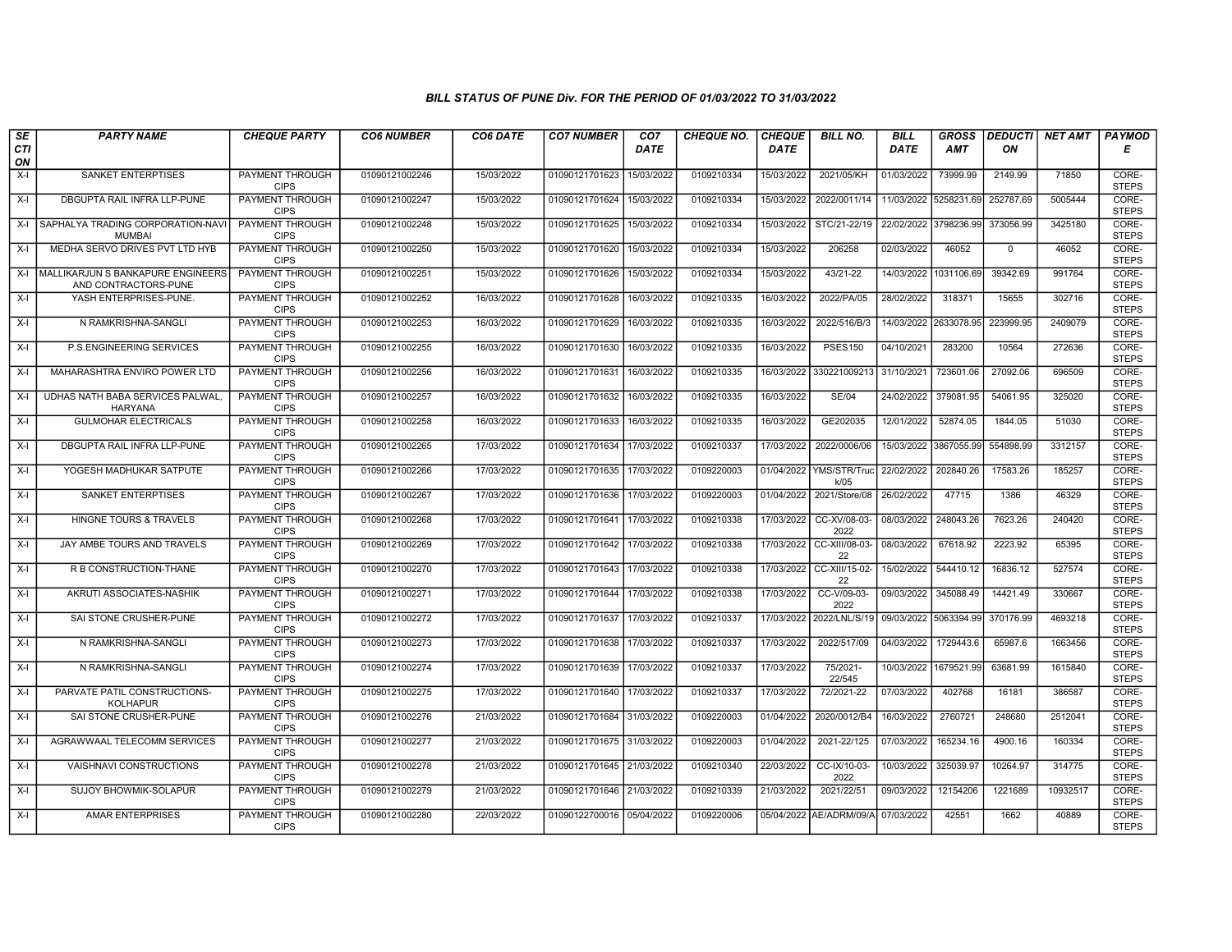| SE        | <b>PARTY NAME</b>                                         | <b>CHEQUE PARTY</b>                   | <b>CO6 NUMBER</b> | CO6 DATE   | <b>CO7 NUMBER</b>         | CO <sub>7</sub> | <b>CHEQUE NO.</b> | <b>CHEQUE</b> | <b>BILL NO.</b>          | <b>BILL</b>           | <b>GROSS</b>          |           | <b>DEDUCTI NET AMT</b> | <b>PAYMOD</b>         |
|-----------|-----------------------------------------------------------|---------------------------------------|-------------------|------------|---------------------------|-----------------|-------------------|---------------|--------------------------|-----------------------|-----------------------|-----------|------------------------|-----------------------|
| CTI<br>ON |                                                           |                                       |                   |            |                           | <b>DATE</b>     |                   | <b>DATE</b>   |                          | <b>DATE</b>           | <b>AMT</b>            | ON        |                        | Е                     |
| X-I       | SANKET ENTERPTISES                                        | PAYMENT THROUGH<br><b>CIPS</b>        | 01090121002246    | 15/03/2022 | 01090121701623            | 15/03/2022      | 0109210334        | 15/03/2022    | 2021/05/KH               | 01/03/2022            | 73999.99              | 2149.99   | 71850                  | CORE-<br><b>STEPS</b> |
| X-I       | DBGUPTA RAIL INFRA LLP-PUNE                               | <b>PAYMENT THROUGH</b><br><b>CIPS</b> | 01090121002247    | 15/03/2022 | 01090121701624            | 15/03/2022      | 0109210334        | 15/03/2022    | 2022/0011/14             | 11/03/2022 5258231.69 |                       | 252787.69 | 5005444                | CORE-<br><b>STEPS</b> |
| X-I       | SAPHALYA TRADING CORPORATION-NAV<br><b>MUMBAI</b>         | PAYMENT THROUGH<br><b>CIPS</b>        | 01090121002248    | 15/03/2022 | 01090121701625            | 15/03/2022      | 0109210334        | 15/03/2022    | STC/21-22/19             | 22/02/2022            | 3798236.99            | 373056.99 | 3425180                | CORE-<br><b>STEPS</b> |
| $X-I$     | MEDHA SERVO DRIVES PVT LTD HYB                            | <b>PAYMENT THROUGH</b><br><b>CIPS</b> | 01090121002250    | 15/03/2022 | 01090121701620            | 15/03/2022      | 0109210334        | 15/03/2022    | 206258                   | 02/03/2022            | 46052                 | 0         | 46052                  | CORE-<br><b>STEPS</b> |
| $X-I$     | MALLIKARJUN S BANKAPURE ENGINEERS<br>AND CONTRACTORS-PUNE | <b>PAYMENT THROUGH</b><br><b>CIPS</b> | 01090121002251    | 15/03/2022 | 01090121701626            | 15/03/2022      | 0109210334        | 15/03/2022    | 43/21-22                 |                       | 14/03/2022 1031106.69 | 39342.69  | 991764                 | CORE-<br><b>STEPS</b> |
| X-I       | YASH ENTERPRISES-PUNE                                     | <b>PAYMENT THROUGH</b><br><b>CIPS</b> | 01090121002252    | 16/03/2022 | 01090121701628            | 16/03/2022      | 0109210335        | 16/03/2022    | 2022/PA/05               | 28/02/2022            | 318371                | 15655     | 302716                 | CORE-<br><b>STEPS</b> |
| $X-I$     | N RAMKRISHNA-SANGLI                                       | <b>PAYMENT THROUGH</b><br><b>CIPS</b> | 01090121002253    | 16/03/2022 | 01090121701629            | 16/03/2022      | 0109210335        | 16/03/2022    | 2022/516/B/3             | 14/03/2022            | 2633078.95            | 223999.95 | 2409079                | CORE-<br><b>STEPS</b> |
| X-I       | P.S.ENGINEERING SERVICES                                  | PAYMENT THROUGH<br><b>CIPS</b>        | 01090121002255    | 16/03/2022 | 01090121701630            | 16/03/2022      | 0109210335        | 16/03/2022    | <b>PSES150</b>           | 04/10/2021            | 283200                | 10564     | 272636                 | CORE-<br><b>STEPS</b> |
| $X-I$     | MAHARASHTRA ENVIRO POWER LTD                              | PAYMENT THROUGH<br><b>CIPS</b>        | 01090121002256    | 16/03/2022 | 01090121701631            | 16/03/2022      | 0109210335        | 16/03/2022    | 330221009213             | 31/10/2021            | 723601.06             | 27092.06  | 696509                 | CORE-<br><b>STEPS</b> |
| $X-I$     | UDHAS NATH BABA SERVICES PALWAL<br><b>HARYANA</b>         | <b>PAYMENT THROUGH</b><br><b>CIPS</b> | 01090121002257    | 16/03/2022 | 01090121701632            | 16/03/2022      | 0109210335        | 16/03/2022    | <b>SE/04</b>             | 24/02/2022            | 379081.95             | 54061.95  | 325020                 | CORE-<br><b>STEPS</b> |
| $X-I$     | <b>GULMOHAR ELECTRICALS</b>                               | PAYMENT THROUGH<br><b>CIPS</b>        | 01090121002258    | 16/03/2022 | 01090121701633            | 16/03/2022      | 0109210335        | 16/03/2022    | GE202035                 | 12/01/2022            | 52874.05              | 1844.05   | 51030                  | CORE-<br><b>STEPS</b> |
| X-I       | DBGUPTA RAIL INFRA LLP-PUNE                               | PAYMENT THROUGH<br><b>CIPS</b>        | 01090121002265    | 17/03/2022 | 01090121701634 17/03/2022 |                 | 0109210337        | 17/03/2022    | 2022/0006/06             | 15/03/2022            | 3867055.99            | 554898.99 | 3312157                | CORE-<br><b>STEPS</b> |
| X-I       | YOGESH MADHUKAR SATPUTE                                   | <b>PAYMENT THROUGH</b><br><b>CIPS</b> | 01090121002266    | 17/03/2022 | 01090121701635            | 17/03/2022      | 0109220003        | 01/04/2022    | YMS/STR/Truc<br>k/05     | 22/02/2022            | 202840.26             | 17583.26  | 185257                 | CORE-<br><b>STEPS</b> |
| $X-I$     | <b>SANKET ENTERPTISES</b>                                 | PAYMENT THROUGH<br><b>CIPS</b>        | 01090121002267    | 17/03/2022 | 01090121701636            | 17/03/2022      | 0109220003        | 01/04/2022    | 2021/Store/08            | 26/02/2022            | 47715                 | 1386      | 46329                  | CORE-<br><b>STEPS</b> |
| $X-I$     | HINGNE TOURS & TRAVELS                                    | <b>PAYMENT THROUGH</b><br><b>CIPS</b> | 01090121002268    | 17/03/2022 | 01090121701641 17/03/2022 |                 | 0109210338        | 17/03/2022    | CC-XV/08-03<br>2022      | 08/03/2022            | 248043.26             | 7623.26   | 240420                 | CORE-<br><b>STEPS</b> |
| $X-I$     | JAY AMBE TOURS AND TRAVELS                                | <b>PAYMENT THROUGH</b><br><b>CIPS</b> | 01090121002269    | 17/03/2022 | 01090121701642            | 17/03/2022      | 0109210338        | 17/03/2022    | CC-XIII/08-03-<br>22     | 08/03/2022            | 67618.92              | 2223.92   | 65395                  | CORE-<br><b>STEPS</b> |
| X-I       | R B CONSTRUCTION-THANE                                    | <b>PAYMENT THROUGH</b><br><b>CIPS</b> | 01090121002270    | 17/03/2022 | 01090121701643 17/03/2022 |                 | 0109210338        | 17/03/2022    | CC-XIII/15-02-<br>22     | 15/02/2022            | 544410.12             | 16836.12  | 527574                 | CORE-<br><b>STEPS</b> |
| X-I       | AKRUTI ASSOCIATES-NASHIK                                  | <b>PAYMENT THROUGH</b><br><b>CIPS</b> | 01090121002271    | 17/03/2022 | 01090121701644            | 17/03/2022      | 0109210338        | 17/03/2022    | CC-V/09-03-<br>2022      | 09/03/2022            | 345088.49             | 14421.49  | 330667                 | CORE-<br><b>STEPS</b> |
| $X-I$     | SAI STONE CRUSHER-PUNE                                    | PAYMENT THROUGH<br><b>CIPS</b>        | 01090121002272    | 17/03/2022 | 01090121701637            | 17/03/2022      | 0109210337        |               | 17/03/2022 2022/LNL/S/19 | 09/03/2022 5063394.99 |                       | 370176.99 | 4693218                | CORE-<br><b>STEPS</b> |
| $X-I$     | N RAMKRISHNA-SANGLI                                       | <b>PAYMENT THROUGH</b><br><b>CIPS</b> | 01090121002273    | 17/03/2022 | 01090121701638            | 17/03/2022      | 0109210337        | 17/03/2022    | 2022/517/09              | 04/03/2022            | 1729443.6             | 65987.6   | 1663456                | CORE-<br><b>STEPS</b> |
| $X-I$     | N RAMKRISHNA-SANGLI                                       | <b>PAYMENT THROUGH</b><br><b>CIPS</b> | 01090121002274    | 17/03/2022 | 01090121701639            | 17/03/2022      | 0109210337        | 17/03/2022    | 75/2021-<br>22/545       | 10/03/2022            | 1679521.99            | 63681.99  | 1615840                | CORE-<br><b>STEPS</b> |
| $X-I$     | PARVATE PATIL CONSTRUCTIONS-<br><b>KOLHAPUR</b>           | PAYMENT THROUGH<br><b>CIPS</b>        | 01090121002275    | 17/03/2022 | 01090121701640 17/03/2022 |                 | 0109210337        | 17/03/2022    | 72/2021-22               | 07/03/2022            | 402768                | 16181     | 386587                 | CORE-<br><b>STEPS</b> |
| $X-I$     | SAI STONE CRUSHER-PUNE                                    | PAYMENT THROUGH<br><b>CIPS</b>        | 01090121002276    | 21/03/2022 | 01090121701684            | 31/03/2022      | 0109220003        | 01/04/2022    | 2020/0012/B4             | 16/03/2022            | 2760721               | 248680    | 2512041                | CORE-<br><b>STEPS</b> |
| $X-I$     | AGRAWWAAL TELECOMM SERVICES                               | PAYMENT THROUGH<br><b>CIPS</b>        | 01090121002277    | 21/03/2022 | 01090121701675            | 31/03/2022      | 0109220003        | 01/04/2022    | 2021-22/125              | 07/03/2022            | 165234.16             | 4900.16   | 160334                 | CORE-<br><b>STEPS</b> |
| X-I       | VAISHNAVI CONSTRUCTIONS                                   | <b>PAYMENT THROUGH</b><br><b>CIPS</b> | 01090121002278    | 21/03/2022 | 01090121701645 21/03/2022 |                 | 0109210340        | 22/03/2022    | CC-IX/10-03-<br>2022     | 10/03/2022            | 325039.97             | 10264.97  | 314775                 | CORE-<br><b>STEPS</b> |
| $X-I$     | <b>SUJOY BHOWMIK-SOLAPUR</b>                              | <b>PAYMENT THROUGH</b><br><b>CIPS</b> | 01090121002279    | 21/03/2022 | 01090121701646 21/03/2022 |                 | 0109210339        | 21/03/2022    | 2021/22/51               | 09/03/2022            | 12154206              | 1221689   | 10932517               | CORE-<br><b>STEPS</b> |
| X-I       | <b>AMAR ENTERPRISES</b>                                   | PAYMENT THROUGH<br><b>CIPS</b>        | 01090121002280    | 22/03/2022 | 01090122700016 05/04/2022 |                 | 0109220006        |               | 05/04/2022 AE/ADRM/09/A  | 07/03/2022            | 42551                 | 1662      | 40889                  | CORE-<br><b>STEPS</b> |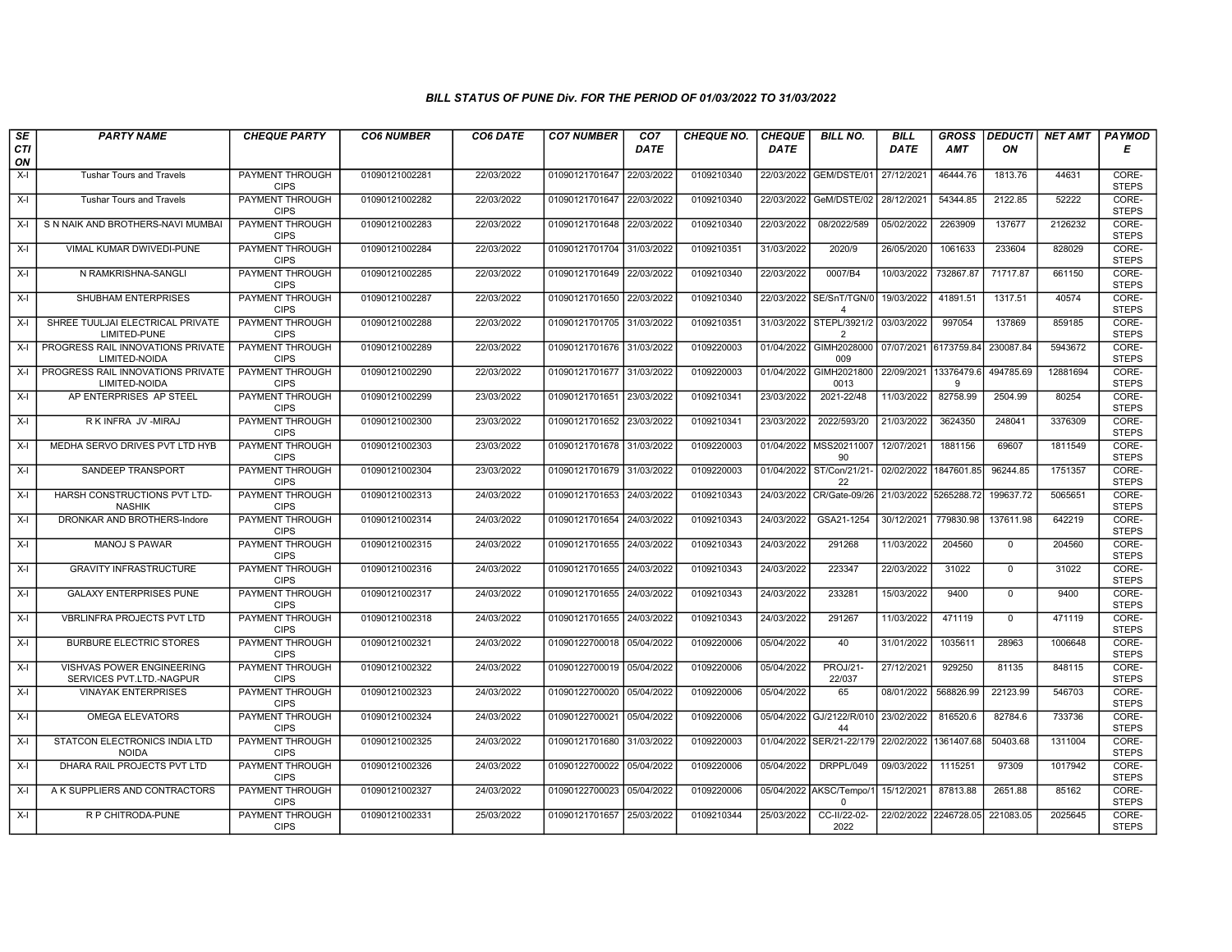| SE        | <b>PARTY NAME</b>                                     | <b>CHEQUE PARTY</b>                   | <b>CO6 NUMBER</b> | CO6 DATE   | <b>CO7 NUMBER</b>         | CO <sub>7</sub> | <b>CHEQUE NO.</b> | <b>CHEQUE</b> | <b>BILL NO.</b>                     | <b>BILL</b>           | <b>GROSS</b>          |              | <b>DEDUCTI NET AMT</b> | <b>PAYMOD</b>         |
|-----------|-------------------------------------------------------|---------------------------------------|-------------------|------------|---------------------------|-----------------|-------------------|---------------|-------------------------------------|-----------------------|-----------------------|--------------|------------------------|-----------------------|
| CTI<br>ON |                                                       |                                       |                   |            |                           | <b>DATE</b>     |                   | <b>DATE</b>   |                                     | <b>DATE</b>           | <b>AMT</b>            | ON           |                        | Е                     |
| $X-I$     | Tushar Tours and Travels                              | <b>PAYMENT THROUGH</b><br><b>CIPS</b> | 01090121002281    | 22/03/2022 | 01090121701647            | 22/03/2022      | 0109210340        | 22/03/2022    | GEM/DSTE/01                         | 27/12/2021            | 46444.76              | 1813.76      | 44631                  | CORE-<br><b>STEPS</b> |
| $X-I$     | <b>Tushar Tours and Travels</b>                       | <b>PAYMENT THROUGH</b><br><b>CIPS</b> | 01090121002282    | 22/03/2022 | 01090121701647 22/03/2022 |                 | 0109210340        | 22/03/2022    | GeM/DSTE/02                         | 28/12/2021            | 54344.85              | 2122.85      | 52222                  | CORE-<br><b>STEPS</b> |
| $X-I$     | S N NAIK AND BROTHERS-NAVI MUMBAI                     | PAYMENT THROUGH<br><b>CIPS</b>        | 01090121002283    | 22/03/2022 | 01090121701648 22/03/2022 |                 | 0109210340        | 22/03/2022    | 08/2022/589                         | 05/02/2022            | 2263909               | 137677       | 2126232                | CORE-<br><b>STEPS</b> |
| $X-I$     | VIMAL KUMAR DWIVEDI-PUNE                              | PAYMENT THROUGH<br><b>CIPS</b>        | 01090121002284    | 22/03/2022 | 01090121701704 31/03/2022 |                 | 0109210351        | 31/03/2022    | 2020/9                              | 26/05/2020            | 1061633               | 233604       | 828029                 | CORE-<br><b>STEPS</b> |
| $X-I$     | N RAMKRISHNA-SANGLI                                   | <b>PAYMENT THROUGH</b><br><b>CIPS</b> | 01090121002285    | 22/03/2022 | 01090121701649 22/03/2022 |                 | 0109210340        | 22/03/2022    | 0007/B4                             | 10/03/2022            | 732867.87             | 71717.87     | 661150                 | CORE-<br><b>STEPS</b> |
| $X-I$     | SHUBHAM ENTERPRISES                                   | <b>PAYMENT THROUGH</b><br><b>CIPS</b> | 01090121002287    | 22/03/2022 | 01090121701650 22/03/2022 |                 | 0109210340        | 22/03/2022    | SE/SnT/TGN/0<br>$\overline{4}$      | 19/03/2022            | 41891.51              | 1317.51      | 40574                  | CORE-<br><b>STEPS</b> |
| $X-I$     | SHREE TUULJAI ELECTRICAL PRIVATE<br>LIMITED-PUNE      | PAYMENT THROUGH<br><b>CIPS</b>        | 01090121002288    | 22/03/2022 | 01090121701705 31/03/2022 |                 | 0109210351        | 31/03/2022    | STEPL/3921/2<br>$\overline{2}$      | 03/03/2022            | 997054                | 137869       | 859185                 | CORE-<br><b>STEPS</b> |
| $X-I$     | PROGRESS RAIL INNOVATIONS PRIVATE<br>LIMITED-NOIDA    | PAYMENT THROUGH<br><b>CIPS</b>        | 01090121002289    | 22/03/2022 | 01090121701676 31/03/2022 |                 | 0109220003        | 01/04/2022    | GIMH2028000<br>009                  | 07/07/2021 6173759.84 |                       | 230087.84    | 5943672                | CORE-<br><b>STEPS</b> |
| $X-I$     | PROGRESS RAIL INNOVATIONS PRIVATE<br>LIMITED-NOIDA    | <b>PAYMENT THROUGH</b><br><b>CIPS</b> | 01090121002290    | 22/03/2022 | 01090121701677 31/03/2022 |                 | 0109220003        | 01/04/2022    | GIMH2021800<br>0013                 | 22/09/2021            | 13376479.6<br>9       | 494785.69    | 12881694               | CORE-<br><b>STEPS</b> |
| $X-I$     | AP ENTERPRISES AP STEEL                               | <b>PAYMENT THROUGH</b><br><b>CIPS</b> | 01090121002299    | 23/03/2022 | 01090121701651 23/03/2022 |                 | 0109210341        | 23/03/2022    | 2021-22/48                          | 11/03/2022            | 82758.99              | 2504.99      | 80254                  | CORE-<br><b>STEPS</b> |
| $X-I$     | R K INFRA JV - MIRAJ                                  | PAYMENT THROUGH<br><b>CIPS</b>        | 01090121002300    | 23/03/2022 | 01090121701652            | 23/03/2022      | 0109210341        | 23/03/2022    | 2022/593/20                         | 21/03/2022            | 3624350               | 248041       | 3376309                | CORE-<br><b>STEPS</b> |
| X-I       | MEDHA SERVO DRIVES PVT LTD HYB                        | PAYMENT THROUGH<br><b>CIPS</b>        | 01090121002303    | 23/03/2022 | 01090121701678 31/03/2022 |                 | 0109220003        | 01/04/2022    | MSS20211007<br>90                   | 12/07/2021            | 1881156               | 69607        | 1811549                | CORE-<br><b>STEPS</b> |
| $X-I$     | SANDEEP TRANSPORT                                     | <b>PAYMENT THROUGH</b><br><b>CIPS</b> | 01090121002304    | 23/03/2022 | 01090121701679 31/03/2022 |                 | 0109220003        | 01/04/2022    | ST/Con/21/21-<br>22                 | 02/02/2022            | 1847601.85            | 96244.85     | 1751357                | CORE-<br><b>STEPS</b> |
| $X-I$     | HARSH CONSTRUCTIONS PVT LTD-<br><b>NASHIK</b>         | <b>PAYMENT THROUGH</b><br><b>CIPS</b> | 01090121002313    | 24/03/2022 | 01090121701653 24/03/2022 |                 | 0109210343        | 24/03/2022    | CR/Gate-09/26                       | 21/03/2022 5265288.72 |                       | 199637.72    | 5065651                | CORE-<br><b>STEPS</b> |
| $X-I$     | DRONKAR AND BROTHERS-Indore                           | PAYMENT THROUGH<br><b>CIPS</b>        | 01090121002314    | 24/03/2022 | 01090121701654 24/03/2022 |                 | 0109210343        | 24/03/2022    | GSA21-1254                          | 30/12/2021            | 779830.98             | 137611.98    | 642219                 | CORE-<br><b>STEPS</b> |
| $X-I$     | <b>MANOJ S PAWAR</b>                                  | PAYMENT THROUGH<br><b>CIPS</b>        | 01090121002315    | 24/03/2022 | 01090121701655 24/03/2022 |                 | 0109210343        | 24/03/2022    | 291268                              | 11/03/2022            | 204560                | $\mathbf{0}$ | 204560                 | CORE-<br><b>STEPS</b> |
| $X-I$     | <b>GRAVITY INFRASTRUCTURE</b>                         | PAYMENT THROUGH<br><b>CIPS</b>        | 01090121002316    | 24/03/2022 | 01090121701655 24/03/2022 |                 | 0109210343        | 24/03/2022    | 223347                              | 22/03/2022            | 31022                 | $\mathbf 0$  | 31022                  | CORE-<br><b>STEPS</b> |
| $X-I$     | <b>GALAXY ENTERPRISES PUNE</b>                        | <b>PAYMENT THROUGH</b><br><b>CIPS</b> | 01090121002317    | 24/03/2022 | 01090121701655 24/03/2022 |                 | 0109210343        | 24/03/2022    | 233281                              | 15/03/2022            | 9400                  | $\mathbf 0$  | 9400                   | CORE-<br><b>STEPS</b> |
| $X-I$     | VBRLINFRA PROJECTS PVT LTD                            | PAYMENT THROUGH<br><b>CIPS</b>        | 01090121002318    | 24/03/2022 | 01090121701655 24/03/2022 |                 | 0109210343        | 24/03/2022    | 291267                              | 11/03/2022            | 471119                | $\mathbf{0}$ | 471119                 | CORE-<br><b>STEPS</b> |
| $X-I$     | <b>BURBURE ELECTRIC STORES</b>                        | PAYMENT THROUGH<br><b>CIPS</b>        | 01090121002321    | 24/03/2022 | 01090122700018 05/04/2022 |                 | 0109220006        | 05/04/2022    | 40                                  | 31/01/2022            | 1035611               | 28963        | 1006648                | CORE-<br><b>STEPS</b> |
| $X-I$     | VISHVAS POWER ENGINEERING<br>SERVICES PVT.LTD.-NAGPUR | PAYMENT THROUGH<br><b>CIPS</b>        | 01090121002322    | 24/03/2022 | 01090122700019 05/04/2022 |                 | 0109220006        | 05/04/2022    | PROJ/21-<br>22/037                  | 27/12/2021            | 929250                | 81135        | 848115                 | CORE-<br><b>STEPS</b> |
| $X-I$     | <b>VINAYAK ENTERPRISES</b>                            | PAYMENT THROUGH<br><b>CIPS</b>        | 01090121002323    | 24/03/2022 | 01090122700020 05/04/2022 |                 | 0109220006        | 05/04/2022    | 65                                  | 08/01/2022            | 568826.99             | 22123.99     | 546703                 | CORE-<br><b>STEPS</b> |
| $X-I$     | <b>OMEGA ELEVATORS</b>                                | PAYMENT THROUGH<br><b>CIPS</b>        | 01090121002324    | 24/03/2022 | 01090122700021            | 05/04/2022      | 0109220006        | 05/04/2022    | GJ/2122/R/010<br>44                 | 23/02/2022            | 816520.6              | 82784.6      | 733736                 | CORE-<br><b>STEPS</b> |
| $X-I$     | STATCON ELECTRONICS INDIA LTD<br><b>NOIDA</b>         | PAYMENT THROUGH<br><b>CIPS</b>        | 01090121002325    | 24/03/2022 | 01090121701680            | 31/03/2022      | 0109220003        | 01/04/2022    | SER/21-22/179                       | 22/02/2022            | 1361407.68            | 50403.68     | 1311004                | CORE-<br><b>STEPS</b> |
| $X-I$     | DHARA RAIL PROJECTS PVT LTD                           | PAYMENT THROUGH<br><b>CIPS</b>        | 01090121002326    | 24/03/2022 | 01090122700022 05/04/2022 |                 | 0109220006        | 05/04/2022    | DRPPL/049                           | 09/03/2022            | 1115251               | 97309        | 1017942                | CORE-<br><b>STEPS</b> |
| $X-I$     | A K SUPPLIERS AND CONTRACTORS                         | <b>PAYMENT THROUGH</b><br><b>CIPS</b> | 01090121002327    | 24/03/2022 | 01090122700023 05/04/2022 |                 | 0109220006        |               | 05/04/2022 AKSC/Tempo/1<br>$\Omega$ | 15/12/2021            | 87813.88              | 2651.88      | 85162                  | CORE-<br><b>STEPS</b> |
| $X-I$     | R P CHITRODA-PUNE                                     | PAYMENT THROUGH<br><b>CIPS</b>        | 01090121002331    | 25/03/2022 | 01090121701657 25/03/2022 |                 | 0109210344        | 25/03/2022    | CC-II/22-02-<br>2022                |                       | 22/02/2022 2246728.05 | 221083.05    | 2025645                | CORE-<br><b>STEPS</b> |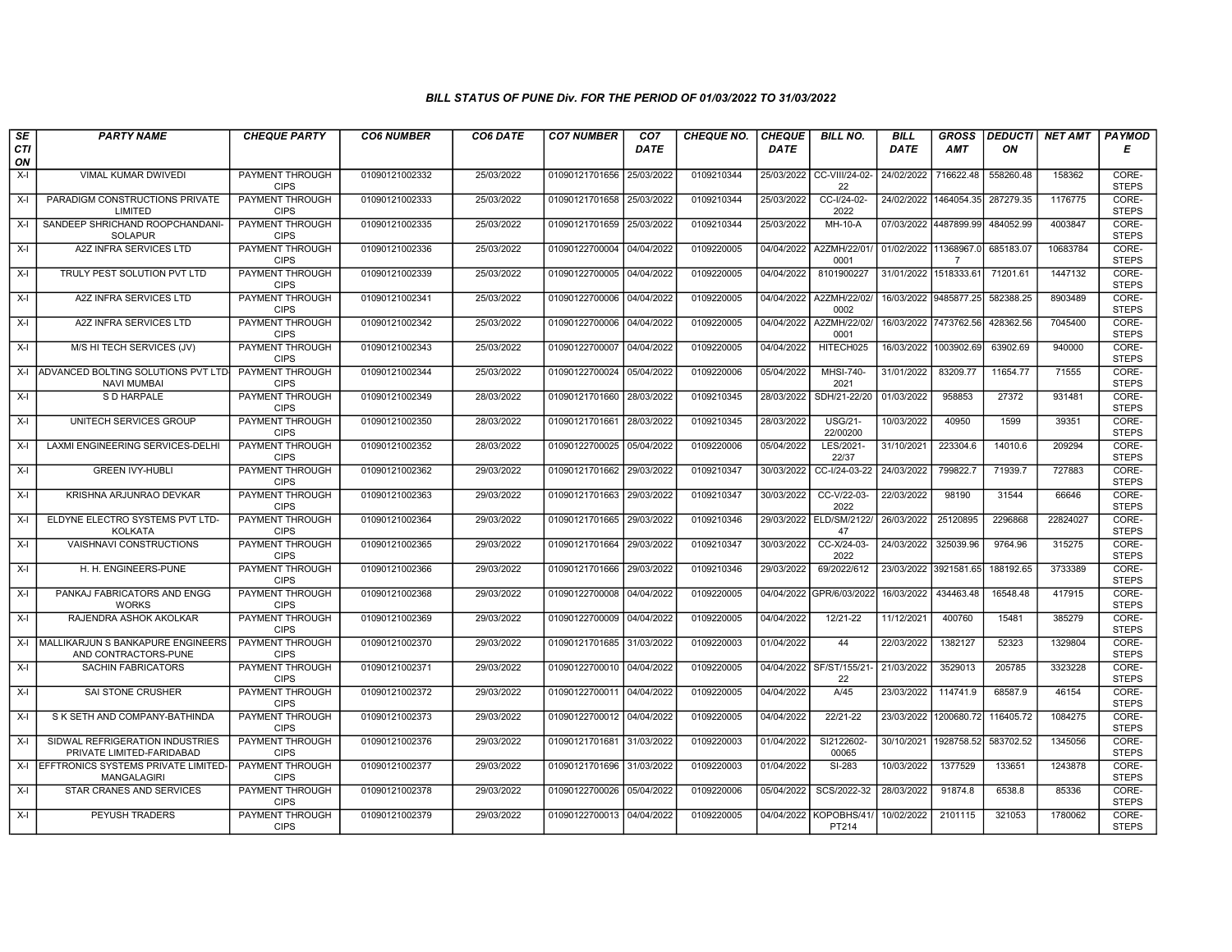| SE        | <b>PARTY NAME</b>                                            | <b>CHEQUE PARTY</b>                   | <b>CO6 NUMBER</b> | CO6 DATE   | <b>CO7 NUMBER</b>         | CO <sub>7</sub> | <b>CHEQUE NO.</b> | <b>CHEQUE</b> | <b>BILL NO.</b>                   | <b>BILL</b> | <b>GROSS</b>          |           | DEDUCTI NET AMT | <b>PAYMOD</b>         |
|-----------|--------------------------------------------------------------|---------------------------------------|-------------------|------------|---------------------------|-----------------|-------------------|---------------|-----------------------------------|-------------|-----------------------|-----------|-----------------|-----------------------|
| CTI<br>ON |                                                              |                                       |                   |            |                           | <b>DATE</b>     |                   | <b>DATE</b>   |                                   | <b>DATE</b> | <b>AMT</b>            | ON        |                 | Е                     |
| X-I       | VIMAL KUMAR DWIVEDI                                          | PAYMENT THROUGH<br><b>CIPS</b>        | 01090121002332    | 25/03/2022 | 01090121701656            | 25/03/2022      | 0109210344        | 25/03/2022    | CC-VIII/24-02-<br>22              | 24/02/2022  | 716622.48             | 558260.48 | 158362          | CORE-<br><b>STEPS</b> |
| $X-I$     | PARADIGM CONSTRUCTIONS PRIVATE<br>LIMITED                    | <b>PAYMENT THROUGH</b><br><b>CIPS</b> | 01090121002333    | 25/03/2022 | 01090121701658            | 25/03/2022      | 0109210344        | 25/03/2022    | CC-I/24-02-<br>2022               | 24/02/2022  | 1464054.35            | 287279.35 | 1176775         | CORE-<br><b>STEPS</b> |
| $X-I$     | SANDEEP SHRICHAND ROOPCHANDANI-<br><b>SOLAPUR</b>            | PAYMENT THROUGH<br><b>CIPS</b>        | 01090121002335    | 25/03/2022 | 01090121701659            | 25/03/2022      | 0109210344        | 25/03/2022    | MH-10-A                           | 07/03/2022  | 4487899.99            | 484052.99 | 4003847         | CORE-<br><b>STEPS</b> |
| $X-I$     | A2Z INFRA SERVICES LTD                                       | <b>PAYMENT THROUGH</b><br><b>CIPS</b> | 01090121002336    | 25/03/2022 | 01090122700004 04/04/2022 |                 | 0109220005        | 04/04/2022    | A2ZMH/22/01<br>0001               | 01/02/2022  | 11368967.0<br>7       | 685183.07 | 10683784        | CORE-<br><b>STEPS</b> |
| $X-I$     | TRULY PEST SOLUTION PVT LTD                                  | PAYMENT THROUGH<br><b>CIPS</b>        | 01090121002339    | 25/03/2022 | 01090122700005 04/04/2022 |                 | 0109220005        | 04/04/2022    | 8101900227                        |             | 31/01/2022 1518333.61 | 71201.61  | 1447132         | CORE-<br><b>STEPS</b> |
| X-I       | A2Z INFRA SERVICES LTD                                       | <b>PAYMENT THROUGH</b><br><b>CIPS</b> | 01090121002341    | 25/03/2022 | 01090122700006 04/04/2022 |                 | 0109220005        |               | 04/04/2022   A2ZMH/22/02/<br>0002 |             | 16/03/2022 9485877.25 | 582388.25 | 8903489         | CORE-<br><b>STEPS</b> |
| $X-I$     | A2Z INFRA SERVICES LTD                                       | PAYMENT THROUGH<br><b>CIPS</b>        | 01090121002342    | 25/03/2022 | 01090122700006 04/04/2022 |                 | 0109220005        | 04/04/2022    | A2ZMH/22/02/<br>0001              | 16/03/2022  | 7473762.56            | 428362.56 | 7045400         | CORE-<br><b>STEPS</b> |
| X-I       | M/S HI TECH SERVICES (JV)                                    | PAYMENT THROUGH<br><b>CIPS</b>        | 01090121002343    | 25/03/2022 | 01090122700007            | 04/04/2022      | 0109220005        | 04/04/2022    | HITECH025                         | 16/03/2022  | 1003902.69            | 63902.69  | 940000          | CORE-<br><b>STEPS</b> |
| $X-I$     | ADVANCED BOLTING SOLUTIONS PVT LTD-<br><b>NAVI MUMBAI</b>    | <b>PAYMENT THROUGH</b><br><b>CIPS</b> | 01090121002344    | 25/03/2022 | 01090122700024 05/04/2022 |                 | 0109220006        | 05/04/2022    | <b>MHSI-740-</b><br>2021          | 31/01/2022  | 83209.77              | 11654.77  | 71555           | CORE-<br><b>STEPS</b> |
| X-I       | S D HARPALE                                                  | <b>PAYMENT THROUGH</b><br><b>CIPS</b> | 01090121002349    | 28/03/2022 | 01090121701660 28/03/2022 |                 | 0109210345        | 28/03/2022    | SDH/21-22/20                      | 01/03/2022  | 958853                | 27372     | 931481          | CORE-<br><b>STEPS</b> |
| $X-I$     | UNITECH SERVICES GROUP                                       | PAYMENT THROUGH<br><b>CIPS</b>        | 01090121002350    | 28/03/2022 | 01090121701661 28/03/2022 |                 | 0109210345        | 28/03/2022    | <b>USG/21-</b><br>22/00200        | 10/03/2022  | 40950                 | 1599      | 39351           | CORE-<br><b>STEPS</b> |
| X-I       | LAXMI ENGINEERING SERVICES-DELHI                             | PAYMENT THROUGH<br><b>CIPS</b>        | 01090121002352    | 28/03/2022 | 01090122700025 05/04/2022 |                 | 0109220006        | 05/04/2022    | LES/2021-<br>22/37                | 31/10/2021  | 223304.6              | 14010.6   | 209294          | CORE-<br><b>STEPS</b> |
| X-I       | <b>GREEN IVY-HUBLI</b>                                       | <b>PAYMENT THROUGH</b><br><b>CIPS</b> | 01090121002362    | 29/03/2022 | 01090121701662            | 29/03/2022      | 0109210347        | 30/03/2022    | CC-I/24-03-22                     | 24/03/2022  | 799822.7              | 71939.7   | 727883          | CORE-<br><b>STEPS</b> |
| $X-I$     | KRISHNA ARJUNRAO DEVKAR                                      | <b>PAYMENT THROUGH</b><br><b>CIPS</b> | 01090121002363    | 29/03/2022 | 01090121701663            | 29/03/2022      | 0109210347        | 30/03/2022    | CC-V/22-03-<br>2022               | 22/03/2022  | 98190                 | 31544     | 66646           | CORE-<br><b>STEPS</b> |
| $X-I$     | ELDYNE ELECTRO SYSTEMS PVT LTD-<br><b>KOLKATA</b>            | PAYMENT THROUGH<br><b>CIPS</b>        | 01090121002364    | 29/03/2022 | 01090121701665            | 29/03/2022      | 0109210346        | 29/03/2022    | ELD/SM/2122/<br>47                | 26/03/2022  | 25120895              | 2296868   | 22824027        | CORE-<br><b>STEPS</b> |
| $X-I$     | <b>VAISHNAVI CONSTRUCTIONS</b>                               | <b>PAYMENT THROUGH</b><br><b>CIPS</b> | 01090121002365    | 29/03/2022 | 01090121701664 29/03/2022 |                 | 0109210347        | 30/03/2022    | CC-X/24-03-<br>2022               | 24/03/2022  | 325039.96             | 9764.96   | 315275          | CORE-<br><b>STEPS</b> |
| X-I       | H. H. ENGINEERS-PUNE                                         | <b>PAYMENT THROUGH</b><br><b>CIPS</b> | 01090121002366    | 29/03/2022 | 01090121701666 29/03/2022 |                 | 0109210346        | 29/03/2022    | 69/2022/612                       | 23/03/2022  | 3921581.65            | 188192.65 | 3733389         | CORE-<br><b>STEPS</b> |
| $X-I$     | PANKAJ FABRICATORS AND ENGG<br><b>WORKS</b>                  | <b>PAYMENT THROUGH</b><br><b>CIPS</b> | 01090121002368    | 29/03/2022 | 01090122700008            | 04/04/2022      | 0109220005        | 04/04/2022    | GPR/6/03/2022                     | 16/03/2022  | 434463.48             | 16548.48  | 417915          | CORE-<br><b>STEPS</b> |
| X-I       | RAJENDRA ASHOK AKOLKAR                                       | PAYMENT THROUGH<br><b>CIPS</b>        | 01090121002369    | 29/03/2022 | 01090122700009 04/04/2022 |                 | 0109220005        | 04/04/2022    | 12/21-22                          | 11/12/2021  | 400760                | 15481     | 385279          | CORE-<br><b>STEPS</b> |
| X-I       | MALLIKARJUN S BANKAPURE ENGINEERS<br>AND CONTRACTORS-PUNE    | <b>PAYMENT THROUGH</b><br><b>CIPS</b> | 01090121002370    | 29/03/2022 | 01090121701685            | 31/03/2022      | 0109220003        | 01/04/2022    | 44                                | 22/03/2022  | 1382127               | 52323     | 1329804         | CORE-<br><b>STEPS</b> |
| $X-I$     | <b>SACHIN FABRICATORS</b>                                    | <b>PAYMENT THROUGH</b><br><b>CIPS</b> | 01090121002371    | 29/03/2022 | 01090122700010 04/04/2022 |                 | 0109220005        | 04/04/2022    | SF/ST/155/21-<br>22               | 21/03/2022  | 3529013               | 205785    | 3323228         | CORE-<br><b>STEPS</b> |
| $X-I$     | <b>SAI STONE CRUSHER</b>                                     | PAYMENT THROUGH<br><b>CIPS</b>        | 01090121002372    | 29/03/2022 | 01090122700011 04/04/2022 |                 | 0109220005        | 04/04/2022    | A/45                              | 23/03/2022  | 114741.9              | 68587.9   | 46154           | CORE-<br><b>STEPS</b> |
| $X-I$     | S K SETH AND COMPANY-BATHINDA                                | PAYMENT THROUGH<br><b>CIPS</b>        | 01090121002373    | 29/03/2022 | 01090122700012 04/04/2022 |                 | 0109220005        | 04/04/2022    | 22/21-22                          | 23/03/2022  | 1200680.72            | 116405.72 | 1084275         | CORE-<br><b>STEPS</b> |
| $X-I$     | SIDWAL REFRIGERATION INDUSTRIES<br>PRIVATE LIMITED-FARIDABAD | PAYMENT THROUGH<br><b>CIPS</b>        | 01090121002376    | 29/03/2022 | 01090121701681 31/03/2022 |                 | 0109220003        | 01/04/2022    | SI2122602-<br>00065               | 30/10/2021  | 1928758.52            | 583702.52 | 1345056         | CORE-<br><b>STEPS</b> |
| X-I       | EFFTRONICS SYSTEMS PRIVATE LIMITED-<br><b>MANGALAGIRI</b>    | <b>PAYMENT THROUGH</b><br><b>CIPS</b> | 01090121002377    | 29/03/2022 | 01090121701696            | 31/03/2022      | 0109220003        | 01/04/2022    | SI-283                            | 10/03/2022  | 1377529               | 133651    | 1243878         | CORE-<br><b>STEPS</b> |
| $X-I$     | STAR CRANES AND SERVICES                                     | <b>PAYMENT THROUGH</b><br><b>CIPS</b> | 01090121002378    | 29/03/2022 | 01090122700026 05/04/2022 |                 | 0109220006        | 05/04/2022    | SCS/2022-32                       | 28/03/2022  | 91874.8               | 6538.8    | 85336           | CORE-<br><b>STEPS</b> |
| X-I       | PEYUSH TRADERS                                               | <b>PAYMENT THROUGH</b><br><b>CIPS</b> | 01090121002379    | 29/03/2022 | 01090122700013 04/04/2022 |                 | 0109220005        | 04/04/2022    | KOPOBHS/41/<br>PT214              | 10/02/2022  | 2101115               | 321053    | 1780062         | CORE-<br><b>STEPS</b> |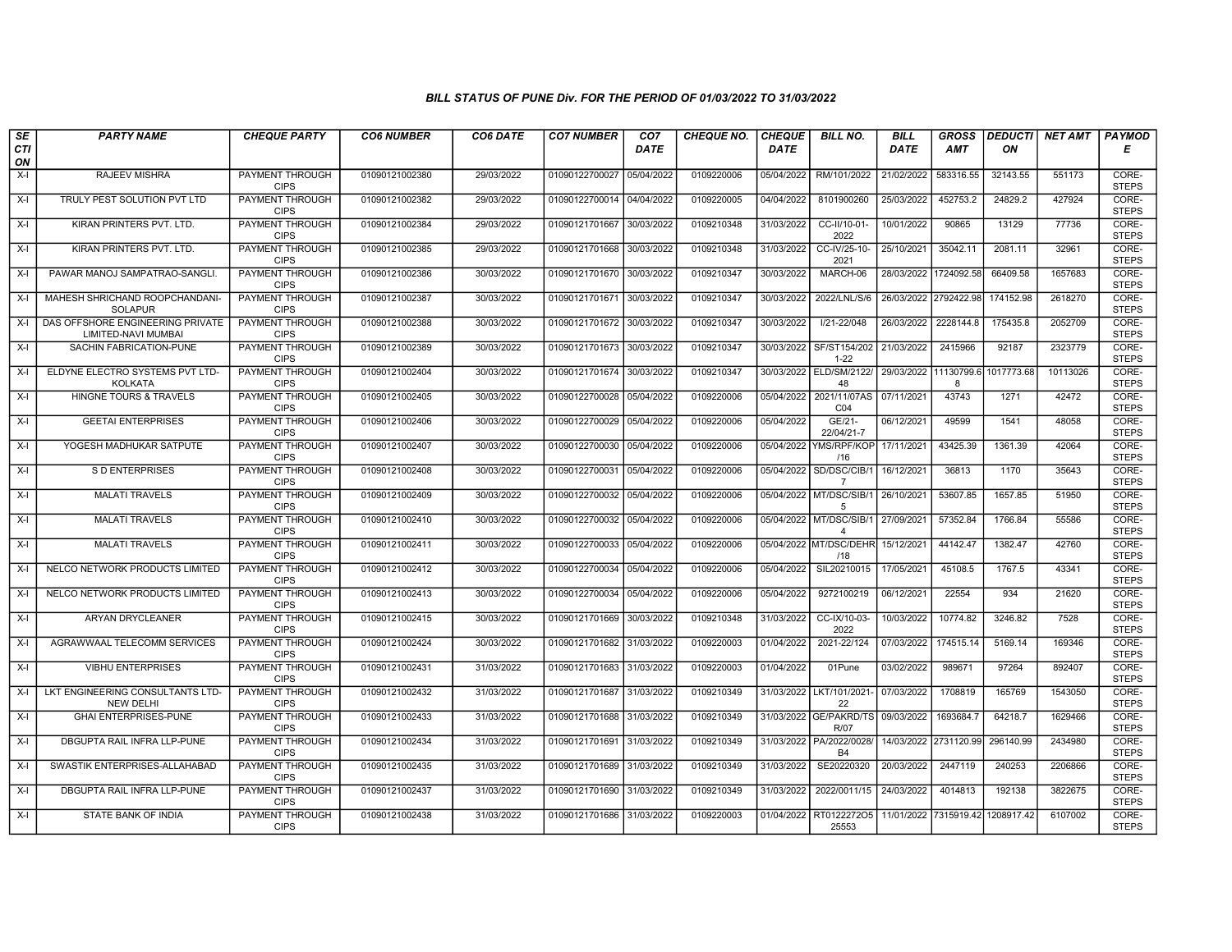| SE        | <b>PARTY NAME</b>                                       | <b>CHEQUE PARTY</b>                   | <b>CO6 NUMBER</b> | CO6 DATE   | <b>CO7 NUMBER</b>         | CO <sub>7</sub> | <b>CHEQUE NO.</b> | <b>CHEQUE</b> | <b>BILL NO.</b>                            | <b>BILL</b> | <b>GROSS</b>          |            | DEDUCTI NET AMT | <b>PAYMOD</b>         |
|-----------|---------------------------------------------------------|---------------------------------------|-------------------|------------|---------------------------|-----------------|-------------------|---------------|--------------------------------------------|-------------|-----------------------|------------|-----------------|-----------------------|
| CTI<br>ON |                                                         |                                       |                   |            |                           | <b>DATE</b>     |                   | <b>DATE</b>   |                                            | <b>DATE</b> | <b>AMT</b>            | ON         |                 | Е                     |
| X-I       | RAJEEV MISHRA                                           | PAYMENT THROUGH<br><b>CIPS</b>        | 01090121002380    | 29/03/2022 | 01090122700027 05/04/2022 |                 | 0109220006        | 05/04/2022    | RM/101/2022                                | 21/02/2022  | 583316.55             | 32143.55   | 551173          | CORE-<br><b>STEPS</b> |
| X-I       | TRULY PEST SOLUTION PVT LTD                             | <b>PAYMENT THROUGH</b><br><b>CIPS</b> | 01090121002382    | 29/03/2022 | 01090122700014 04/04/2022 |                 | 0109220005        | 04/04/2022    | 8101900260                                 | 25/03/2022  | 452753.2              | 24829.2    | 427924          | CORE-<br><b>STEPS</b> |
| X-I       | KIRAN PRINTERS PVT. LTD.                                | PAYMENT THROUGH<br><b>CIPS</b>        | 01090121002384    | 29/03/2022 | 01090121701667            | 30/03/2022      | 0109210348        | 31/03/2022    | CC-II/10-01-<br>2022                       | 10/01/2022  | 90865                 | 13129      | 77736           | CORE-<br><b>STEPS</b> |
| $X-I$     | KIRAN PRINTERS PVT. LTD.                                | PAYMENT THROUGH<br><b>CIPS</b>        | 01090121002385    | 29/03/2022 | 01090121701668            | 30/03/2022      | 0109210348        | 31/03/2022    | CC-IV/25-10-<br>2021                       | 25/10/2021  | 35042.11              | 2081.11    | 32961           | CORE-<br><b>STEPS</b> |
| $X-I$     | PAWAR MANOJ SAMPATRAO-SANGLI                            | <b>PAYMENT THROUGH</b><br><b>CIPS</b> | 01090121002386    | 30/03/2022 | 01090121701670 30/03/2022 |                 | 0109210347        | 30/03/2022    | MARCH-06                                   | 28/03/2022  | 1724092.58            | 66409.58   | 1657683         | CORE-<br><b>STEPS</b> |
| X-I       | MAHESH SHRICHAND ROOPCHANDANI-<br><b>SOLAPUR</b>        | <b>PAYMENT THROUGH</b><br><b>CIPS</b> | 01090121002387    | 30/03/2022 | 01090121701671 30/03/2022 |                 | 0109210347        | 30/03/2022    | 2022/LNL/S/6                               |             | 26/03/2022 2792422.98 | 174152.98  | 2618270         | CORE-<br><b>STEPS</b> |
| $X-I$     | DAS OFFSHORE ENGINEERING PRIVATE<br>LIMITED-NAVI MUMBAI | PAYMENT THROUGH<br><b>CIPS</b>        | 01090121002388    | 30/03/2022 | 01090121701672 30/03/2022 |                 | 0109210347        | 30/03/2022    | I/21-22/048                                | 26/03/2022  | 2228144.8             | 175435.8   | 2052709         | CORE-<br><b>STEPS</b> |
| X-I       | SACHIN FABRICATION-PUNE                                 | PAYMENT THROUGH<br><b>CIPS</b>        | 01090121002389    | 30/03/2022 | 01090121701673            | 30/03/2022      | 0109210347        | 30/03/2022    | SF/ST154/202<br>$1 - 22$                   | 21/03/2022  | 2415966               | 92187      | 2323779         | CORE-<br><b>STEPS</b> |
| $X-I$     | ELDYNE ELECTRO SYSTEMS PVT LTD-<br>KOLKATA              | <b>PAYMENT THROUGH</b><br><b>CIPS</b> | 01090121002404    | 30/03/2022 | 01090121701674 30/03/2022 |                 | 0109210347        |               | 30/03/2022 ELD/SM/2122/<br>48              | 29/03/2022  | 11130799.6<br>8       | 1017773.68 | 10113026        | CORE-<br><b>STEPS</b> |
| $X-I$     | <b>HINGNE TOURS &amp; TRAVELS</b>                       | <b>PAYMENT THROUGH</b><br><b>CIPS</b> | 01090121002405    | 30/03/2022 | 01090122700028 05/04/2022 |                 | 0109220006        |               | 05/04/2022 2021/11/07AS<br>CO <sub>4</sub> | 07/11/2021  | 43743                 | 1271       | 42472           | CORE-<br><b>STEPS</b> |
| $X-I$     | <b>GEETAI ENTERPRISES</b>                               | <b>PAYMENT THROUGH</b><br><b>CIPS</b> | 01090121002406    | 30/03/2022 | 01090122700029            | 05/04/2022      | 0109220006        | 05/04/2022    | GE/21-<br>22/04/21-7                       | 06/12/2021  | 49599                 | 1541       | 48058           | CORE-<br><b>STEPS</b> |
| X-I       | YOGESH MADHUKAR SATPUTE                                 | <b>PAYMENT THROUGH</b><br><b>CIPS</b> | 01090121002407    | 30/03/2022 | 01090122700030 05/04/2022 |                 | 0109220006        | 05/04/2022    | YMS/RPF/KOP<br>/16                         | 17/11/2021  | 43425.39              | 1361.39    | 42064           | CORE-<br><b>STEPS</b> |
| X-I       | S D ENTERPRISES                                         | <b>PAYMENT THROUGH</b><br><b>CIPS</b> | 01090121002408    | 30/03/2022 | 01090122700031 05/04/2022 |                 | 0109220006        | 05/04/2022    | SD/DSC/CIB/1<br>$\overline{7}$             | 16/12/2021  | 36813                 | 1170       | 35643           | CORE-<br><b>STEPS</b> |
| $X-I$     | <b>MALATI TRAVELS</b>                                   | PAYMENT THROUGH<br><b>CIPS</b>        | 01090121002409    | 30/03/2022 | 01090122700032 05/04/2022 |                 | 0109220006        | 05/04/2022    | MT/DSC/SIB/1<br>5                          | 26/10/2021  | 53607.85              | 1657.85    | 51950           | CORE-<br><b>STEPS</b> |
| X-I       | <b>MALATI TRAVELS</b>                                   | PAYMENT THROUGH<br><b>CIPS</b>        | 01090121002410    | 30/03/2022 | 01090122700032 05/04/2022 |                 | 0109220006        |               | 05/04/2022 MT/DSC/SIB/1<br>$\Delta$        | 27/09/2021  | 57352.84              | 1766.84    | 55586           | CORE-<br><b>STEPS</b> |
| $X-I$     | <b>MALATI TRAVELS</b>                                   | <b>PAYMENT THROUGH</b><br><b>CIPS</b> | 01090121002411    | 30/03/2022 | 01090122700033 05/04/2022 |                 | 0109220006        |               | 05/04/2022 MT/DSC/DEHR<br>/18              | 15/12/2021  | 44142.47              | 1382.47    | 42760           | CORE-<br><b>STEPS</b> |
| X-I       | NELCO NETWORK PRODUCTS LIMITED                          | <b>PAYMENT THROUGH</b><br><b>CIPS</b> | 01090121002412    | 30/03/2022 | 01090122700034 05/04/2022 |                 | 0109220006        | 05/04/2022    | SIL20210015                                | 17/05/2021  | 45108.5               | 1767.5     | 43341           | CORE-<br><b>STEPS</b> |
| X-I       | NELCO NETWORK PRODUCTS LIMITED                          | <b>PAYMENT THROUGH</b><br><b>CIPS</b> | 01090121002413    | 30/03/2022 | 01090122700034            | 05/04/2022      | 0109220006        | 05/04/2022    | 9272100219                                 | 06/12/2021  | 22554                 | 934        | 21620           | CORE-<br><b>STEPS</b> |
| $X-I$     | ARYAN DRYCLEANER                                        | PAYMENT THROUGH<br><b>CIPS</b>        | 01090121002415    | 30/03/2022 | 01090121701669 30/03/2022 |                 | 0109210348        | 31/03/2022    | CC-IX/10-03-<br>2022                       | 10/03/2022  | 10774.82              | 3246.82    | 7528            | CORE-<br><b>STEPS</b> |
| $X-I$     | AGRAWWAAL TELECOMM SERVICES                             | PAYMENT THROUGH<br><b>CIPS</b>        | 01090121002424    | 30/03/2022 | 01090121701682            | 31/03/2022      | 0109220003        | 01/04/2022    | 2021-22/124                                | 07/03/2022  | 174515.14             | 5169.14    | 169346          | CORE-<br><b>STEPS</b> |
| $X-I$     | <b>VIBHU ENTERPRISES</b>                                | <b>PAYMENT THROUGH</b><br><b>CIPS</b> | 01090121002431    | 31/03/2022 | 01090121701683            | 31/03/2022      | 0109220003        | 01/04/2022    | 01Pune                                     | 03/02/2022  | 989671                | 97264      | 892407          | CORE-<br><b>STEPS</b> |
| X-I       | LKT ENGINEERING CONSULTANTS LTD-<br><b>NEW DELHI</b>    | PAYMENT THROUGH<br><b>CIPS</b>        | 01090121002432    | 31/03/2022 | 01090121701687 31/03/2022 |                 | 0109210349        | 31/03/2022    | LKT/101/2021<br>22                         | 07/03/2022  | 1708819               | 165769     | 1543050         | CORE-<br><b>STEPS</b> |
| X-I       | <b>GHAI ENTERPRISES-PUNE</b>                            | PAYMENT THROUGH<br><b>CIPS</b>        | 01090121002433    | 31/03/2022 | 01090121701688            | 31/03/2022      | 0109210349        |               | 31/03/2022 GE/PAKRD/TS<br>R/07             | 09/03/2022  | 1693684.              | 64218.7    | 1629466         | CORE-<br><b>STEPS</b> |
| $X-I$     | DBGUPTA RAIL INFRA LLP-PUNE                             | PAYMENT THROUGH<br><b>CIPS</b>        | 01090121002434    | 31/03/2022 | 01090121701691 31/03/2022 |                 | 0109210349        |               | 31/03/2022 PA/2022/0028/<br><b>B4</b>      |             | 14/03/2022 2731120.99 | 296140.99  | 2434980         | CORE-<br><b>STEPS</b> |
| X-I       | SWASTIK ENTERPRISES-ALLAHABAD                           | <b>PAYMENT THROUGH</b><br><b>CIPS</b> | 01090121002435    | 31/03/2022 | 01090121701689            | 31/03/2022      | 0109210349        | 31/03/2022    | SE20220320                                 | 20/03/2022  | 2447119               | 240253     | 2206866         | CORE-<br><b>STEPS</b> |
| $X-I$     | DBGUPTA RAIL INFRA LLP-PUNE                             | <b>PAYMENT THROUGH</b><br><b>CIPS</b> | 01090121002437    | 31/03/2022 | 01090121701690 31/03/2022 |                 | 0109210349        | 31/03/2022    | 2022/0011/15                               | 24/03/2022  | 4014813               | 192138     | 3822675         | CORE-<br><b>STEPS</b> |
| X-I       | STATE BANK OF INDIA                                     | PAYMENT THROUGH<br><b>CIPS</b>        | 01090121002438    | 31/03/2022 | 01090121701686 31/03/2022 |                 | 0109220003        | 01/04/2022    | RT0122272O5<br>25553                       |             | 11/01/2022 7315919.42 | 1208917.42 | 6107002         | CORE-<br><b>STEPS</b> |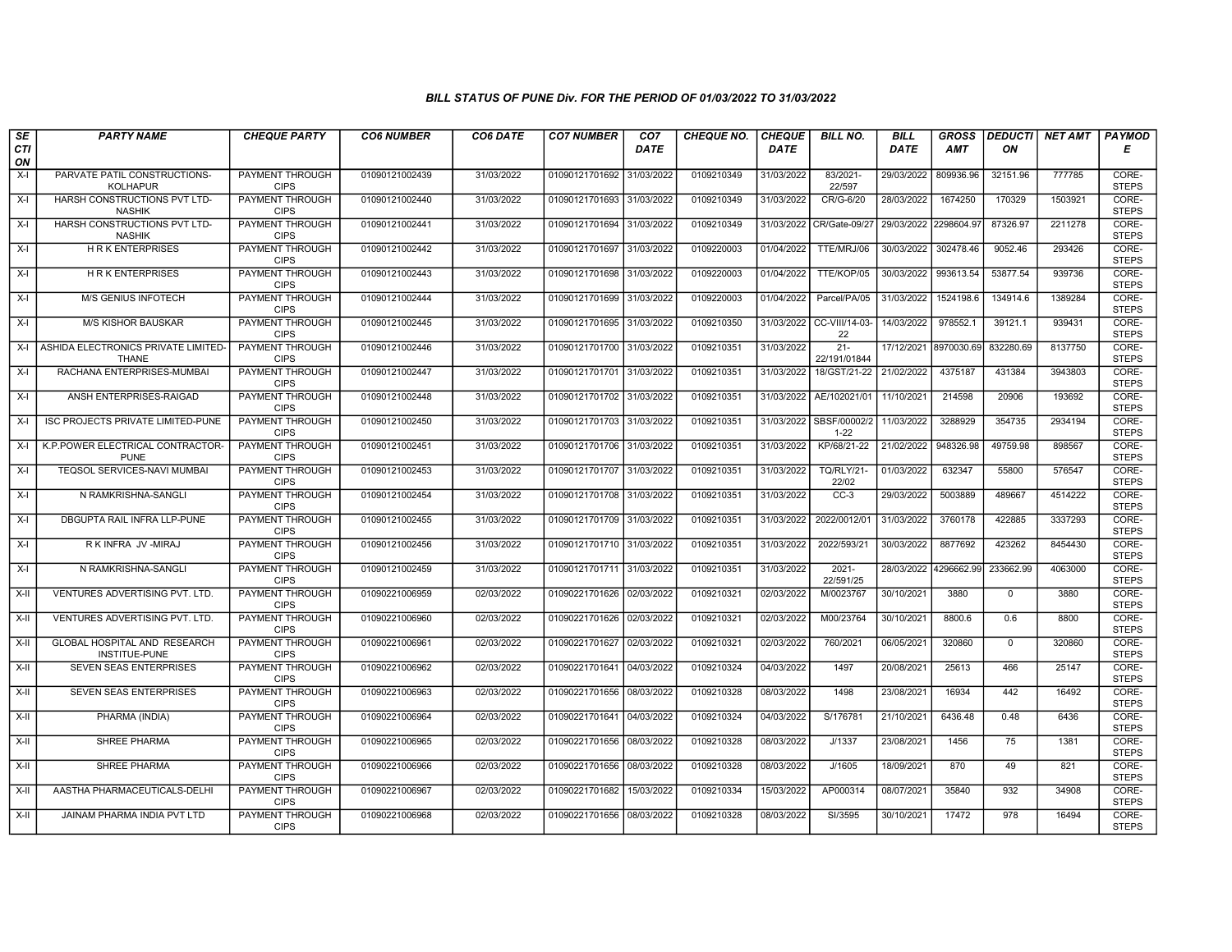| SE        | <b>PARTY NAME</b>                                       | <b>CHEQUE PARTY</b>                   | <b>CO6 NUMBER</b> | CO6 DATE   | <b>CO7 NUMBER</b>         | CO7         | <b>CHEQUE NO.</b> | <b>CHEQUE</b> | <b>BILL NO.</b>            | <b>BILL</b>           | <b>GROSS</b>          | <b>DEDUCTI</b> | NET AMT | <b>PAYMOD</b>         |
|-----------|---------------------------------------------------------|---------------------------------------|-------------------|------------|---------------------------|-------------|-------------------|---------------|----------------------------|-----------------------|-----------------------|----------------|---------|-----------------------|
| CTI<br>ON |                                                         |                                       |                   |            |                           | <b>DATE</b> |                   | <b>DATE</b>   |                            | <b>DATE</b>           | AMT                   | ON             |         | Е                     |
| X-I       | PARVATE PATIL CONSTRUCTIONS-<br><b>KOLHAPUR</b>         | PAYMENT THROUGH<br><b>CIPS</b>        | 01090121002439    | 31/03/2022 | 01090121701692            | 31/03/2022  | 0109210349        | 31/03/2022    | 83/2021-<br>22/597         | 29/03/2022            | 809936.96             | 32151.96       | 777785  | CORE-<br><b>STEPS</b> |
| $X-I$     | HARSH CONSTRUCTIONS PVT LTD-<br><b>NASHIK</b>           | <b>PAYMENT THROUGH</b><br><b>CIPS</b> | 01090121002440    | 31/03/2022 | 01090121701693 31/03/2022 |             | 0109210349        | 31/03/2022    | CR/G-6/20                  | 28/03/2022            | 1674250               | 170329         | 1503921 | CORE-<br><b>STEPS</b> |
| $X-I$     | HARSH CONSTRUCTIONS PVT LTD-<br><b>NASHIK</b>           | PAYMENT THROUGH<br><b>CIPS</b>        | 01090121002441    | 31/03/2022 | 01090121701694            | 31/03/2022  | 0109210349        | 31/03/2022    | CR/Gate-09/27              | 29/03/2022 2298604.97 |                       | 87326.97       | 2211278 | CORE-<br><b>STEPS</b> |
| $X-I$     | <b>HRKENTERPRISES</b>                                   | <b>PAYMENT THROUGH</b><br><b>CIPS</b> | 01090121002442    | 31/03/2022 | 01090121701697            | 31/03/2022  | 0109220003        | 01/04/2022    | TTE/MRJ/06                 | 30/03/2022            | 302478.46             | 9052.46        | 293426  | CORE-<br><b>STEPS</b> |
| $X-I$     | <b>HRK ENTERPRISES</b>                                  | <b>PAYMENT THROUGH</b><br><b>CIPS</b> | 01090121002443    | 31/03/2022 | 01090121701698 31/03/2022 |             | 0109220003        | 01/04/2022    | TTE/KOP/05                 | 30/03/2022            | 993613.54             | 53877.54       | 939736  | CORE-<br><b>STEPS</b> |
| X-I       | M/S GENIUS INFOTECH                                     | <b>PAYMENT THROUGH</b><br><b>CIPS</b> | 01090121002444    | 31/03/2022 | 01090121701699 31/03/2022 |             | 0109220003        | 01/04/2022    | Parcel/PA/05               | 31/03/2022            | 1524198.6             | 134914.6       | 1389284 | CORE-<br><b>STEPS</b> |
| X-I       | <b>M/S KISHOR BAUSKAR</b>                               | PAYMENT THROUGH<br><b>CIPS</b>        | 01090121002445    | 31/03/2022 | 01090121701695            | 31/03/2022  | 0109210350        | 31/03/2022    | CC-VIII/14-03-<br>22       | 14/03/2022            | 978552.1              | 39121.1        | 939431  | CORE-<br><b>STEPS</b> |
|           | X-I ASHIDA ELECTRONICS PRIVATE LIMITED-<br><b>THANE</b> | PAYMENT THROUGH<br><b>CIPS</b>        | 01090121002446    | 31/03/2022 | 01090121701700            | 31/03/2022  | 0109210351        | 31/03/2022    | $21 -$<br>22/191/01844     |                       | 17/12/2021 8970030.69 | 832280.69      | 8137750 | CORE-<br><b>STEPS</b> |
| $X-I$     | RACHANA ENTERPRISES-MUMBAI                              | <b>PAYMENT THROUGH</b><br><b>CIPS</b> | 01090121002447    | 31/03/2022 | 01090121701701            | 31/03/2022  | 0109210351        | 31/03/2022    | 18/GST/21-22               | 21/02/2022            | 4375187               | 431384         | 3943803 | CORE-<br><b>STEPS</b> |
| $X-I$     | ANSH ENTERPRISES-RAIGAD                                 | <b>PAYMENT THROUGH</b><br><b>CIPS</b> | 01090121002448    | 31/03/2022 | 01090121701702 31/03/2022 |             | 0109210351        | 31/03/2022    | AE/102021/01               | 11/10/2021            | 214598                | 20906          | 193692  | CORE-<br><b>STEPS</b> |
| X-I       | ISC PROJECTS PRIVATE LIMITED-PUNE                       | PAYMENT THROUGH<br><b>CIPS</b>        | 01090121002450    | 31/03/2022 | 01090121701703 31/03/2022 |             | 0109210351        | 31/03/2022    | SBSF/00002/2<br>$1 - 22$   | 11/03/2022            | 3288929               | 354735         | 2934194 | CORE-<br><b>STEPS</b> |
| $X-I$     | K.P. POWER ELECTRICAL CONTRACTOR-<br><b>PUNE</b>        | PAYMENT THROUGH<br><b>CIPS</b>        | 01090121002451    | 31/03/2022 | 01090121701706 31/03/2022 |             | 0109210351        | 31/03/2022    | KP/68/21-22                | 21/02/2022            | 948326.98             | 49759.98       | 898567  | CORE-<br><b>STEPS</b> |
| $X-I$     | TEQSOL SERVICES-NAVI MUMBAI                             | <b>PAYMENT THROUGH</b><br><b>CIPS</b> | 01090121002453    | 31/03/2022 | 01090121701707            | 31/03/2022  | 0109210351        | 31/03/2022    | <b>TQ/RLY/21-</b><br>22/02 | 01/03/2022            | 632347                | 55800          | 576547  | CORE-<br><b>STEPS</b> |
| $X-I$     | N RAMKRISHNA-SANGLI                                     | <b>PAYMENT THROUGH</b><br><b>CIPS</b> | 01090121002454    | 31/03/2022 | 01090121701708 31/03/2022 |             | 0109210351        | 31/03/2022    | $CC-3$                     | 29/03/2022            | 5003889               | 489667         | 4514222 | CORE-<br><b>STEPS</b> |
| $X-I$     | DBGUPTA RAIL INFRA LLP-PUNE                             | PAYMENT THROUGH<br><b>CIPS</b>        | 01090121002455    | 31/03/2022 | 01090121701709 31/03/2022 |             | 0109210351        | 31/03/2022    | 2022/0012/01               | 31/03/2022            | 3760178               | 422885         | 3337293 | CORE-<br><b>STEPS</b> |
| $X-I$     | R K INFRA JV - MIRAJ                                    | <b>PAYMENT THROUGH</b><br><b>CIPS</b> | 01090121002456    | 31/03/2022 | 01090121701710 31/03/2022 |             | 0109210351        | 31/03/2022    | 2022/593/21                | 30/03/2022            | 8877692               | 423262         | 8454430 | CORE-<br><b>STEPS</b> |
| X-I       | N RAMKRISHNA-SANGLI                                     | PAYMENT THROUGH<br><b>CIPS</b>        | 01090121002459    | 31/03/2022 | 01090121701711            | 31/03/2022  | 0109210351        | 31/03/2022    | $2021 -$<br>22/591/25      |                       | 28/03/2022 4296662.99 | 233662.99      | 4063000 | CORE-<br><b>STEPS</b> |
| X-II      | VENTURES ADVERTISING PVT. LTD                           | <b>PAYMENT THROUGH</b><br><b>CIPS</b> | 01090221006959    | 02/03/2022 | 01090221701626            | 02/03/2022  | 0109210321        | 02/03/2022    | M/0023767                  | 30/10/2021            | 3880                  | $\mathbf 0$    | 3880    | CORE-<br><b>STEPS</b> |
| X-II      | <b>VENTURES ADVERTISING PVT. LTD.</b>                   | PAYMENT THROUGH<br><b>CIPS</b>        | 01090221006960    | 02/03/2022 | 01090221701626 02/03/2022 |             | 0109210321        | 02/03/2022    | M00/23764                  | 30/10/2021            | 8800.6                | 0.6            | 8800    | CORE-<br><b>STEPS</b> |
| $X-H$     | GLOBAL HOSPITAL AND RESEARCH<br>INSTITUE-PUNE           | PAYMENT THROUGH<br><b>CIPS</b>        | 01090221006961    | 02/03/2022 | 01090221701627            | 02/03/2022  | 0109210321        | 02/03/2022    | 760/2021                   | 06/05/2021            | 320860                | $\mathbf 0$    | 320860  | CORE-<br><b>STEPS</b> |
| $X-H$     | <b>SEVEN SEAS ENTERPRISES</b>                           | <b>PAYMENT THROUGH</b><br><b>CIPS</b> | 01090221006962    | 02/03/2022 | 01090221701641            | 04/03/2022  | 0109210324        | 04/03/2022    | 1497                       | 20/08/2021            | 25613                 | 466            | 25147   | CORE-<br><b>STEPS</b> |
| X-II      | <b>SEVEN SEAS ENTERPRISES</b>                           | <b>PAYMENT THROUGH</b><br><b>CIPS</b> | 01090221006963    | 02/03/2022 | 01090221701656 08/03/2022 |             | 0109210328        | 08/03/2022    | 1498                       | 23/08/2021            | 16934                 | 442            | 16492   | CORE-<br><b>STEPS</b> |
| X-II      | PHARMA (INDIA)                                          | PAYMENT THROUGH<br><b>CIPS</b>        | 01090221006964    | 02/03/2022 | 01090221701641            | 04/03/2022  | 0109210324        | 04/03/2022    | S/176781                   | 21/10/2021            | 6436.48               | 0.48           | 6436    | CORE-<br><b>STEPS</b> |
| X-II      | SHREE PHARMA                                            | PAYMENT THROUGH<br><b>CIPS</b>        | 01090221006965    | 02/03/2022 | 01090221701656 08/03/2022 |             | 0109210328        | 08/03/2022    | J/1337                     | 23/08/2021            | 1456                  | 75             | 1381    | CORE-<br><b>STEPS</b> |
| X-II      | SHREE PHARMA                                            | PAYMENT THROUGH<br><b>CIPS</b>        | 01090221006966    | 02/03/2022 | 01090221701656            | 08/03/2022  | 0109210328        | 08/03/2022    | J/1605                     | 18/09/2021            | 870                   | 49             | 821     | CORE-<br><b>STEPS</b> |
| $X-H$     | AASTHA PHARMACEUTICALS-DELHI                            | <b>PAYMENT THROUGH</b><br><b>CIPS</b> | 01090221006967    | 02/03/2022 | 01090221701682            | 15/03/2022  | 0109210334        | 15/03/2022    | AP000314                   | 08/07/2021            | 35840                 | 932            | 34908   | CORE-<br><b>STEPS</b> |
| X-II      | JAINAM PHARMA INDIA PVT LTD                             | PAYMENT THROUGH<br><b>CIPS</b>        | 01090221006968    | 02/03/2022 | 01090221701656 08/03/2022 |             | 0109210328        | 08/03/2022    | SI/3595                    | 30/10/2021            | 17472                 | 978            | 16494   | CORE-<br><b>STEPS</b> |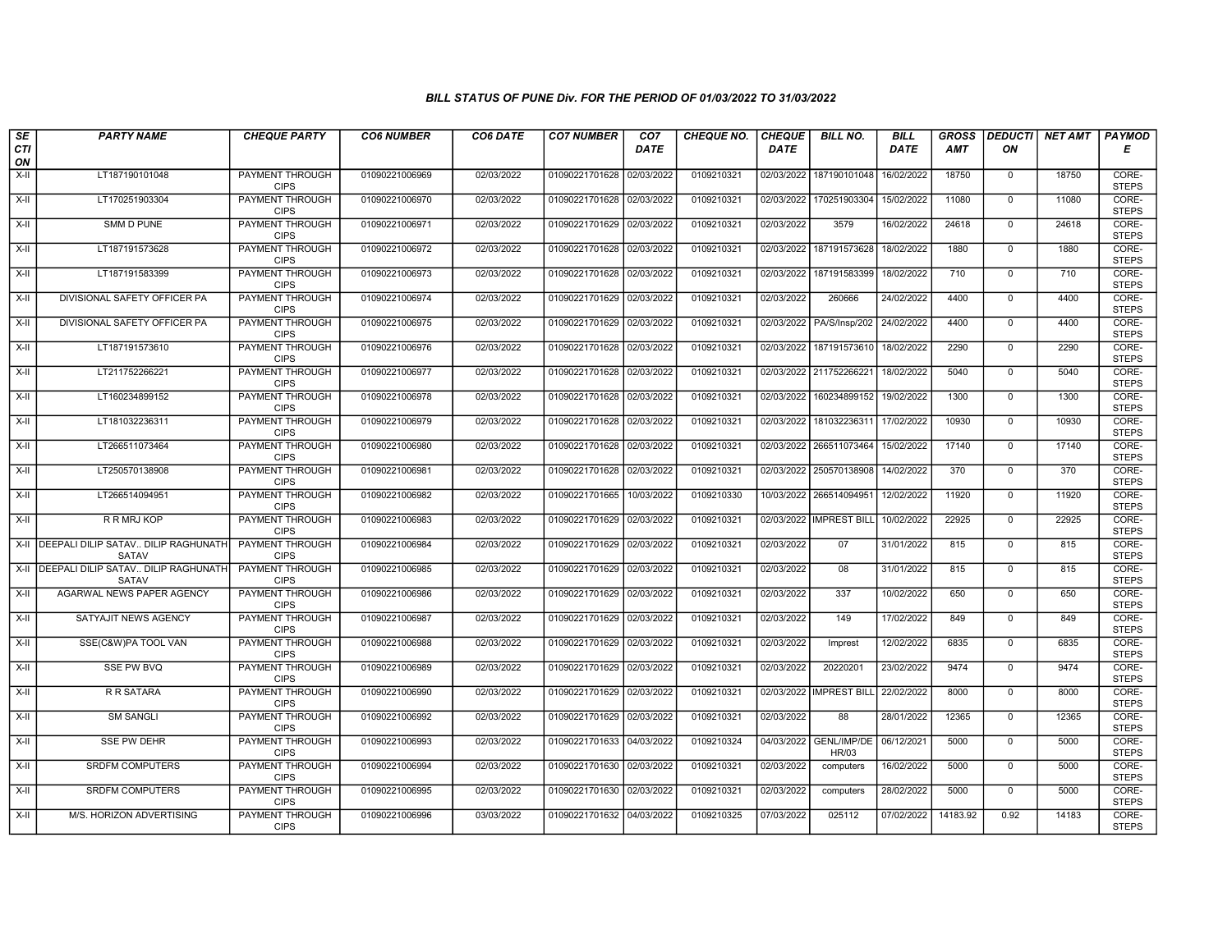| SE        | <b>PARTY NAME</b>                                   | <b>CHEQUE PARTY</b>                   | <b>CO6 NUMBER</b> | CO6 DATE   | <b>CO7 NUMBER</b>         | CO <sub>7</sub> | <b>CHEQUE NO.</b> | <b>CHEQUE</b> | <b>BILL NO.</b>          | <b>BILL</b> | <b>GROSS</b> |                | DEDUCTI NET AMT | <b>PAYMOD</b>         |
|-----------|-----------------------------------------------------|---------------------------------------|-------------------|------------|---------------------------|-----------------|-------------------|---------------|--------------------------|-------------|--------------|----------------|-----------------|-----------------------|
| CTI<br>ON |                                                     |                                       |                   |            |                           | <b>DATE</b>     |                   | <b>DATE</b>   |                          | <b>DATE</b> | AMT          | ON             |                 | Е                     |
| $X-H$     | LT187190101048                                      | <b>PAYMENT THROUGH</b><br><b>CIPS</b> | 01090221006969    | 02/03/2022 | 01090221701628            | 02/03/2022      | 0109210321        | 02/03/2022    | 187190101048             | 16/02/2022  | 18750        | $\mathbf 0$    | 18750           | CORE-<br><b>STEPS</b> |
| $X-H$     | LT170251903304                                      | <b>PAYMENT THROUGH</b><br><b>CIPS</b> | 01090221006970    | 02/03/2022 | 01090221701628 02/03/2022 |                 | 0109210321        |               | 02/03/2022 170251903304  | 15/02/2022  | 11080        | $\mathbf{0}$   | 11080           | CORE-<br><b>STEPS</b> |
| X-II      | SMM D PUNE                                          | PAYMENT THROUGH<br><b>CIPS</b>        | 01090221006971    | 02/03/2022 | 01090221701629 02/03/2022 |                 | 0109210321        | 02/03/2022    | 3579                     | 16/02/2022  | 24618        | $\mathbf 0$    | 24618           | CORE-<br><b>STEPS</b> |
| $X-II$    | LT187191573628                                      | PAYMENT THROUGH<br><b>CIPS</b>        | 01090221006972    | 02/03/2022 | 01090221701628 02/03/2022 |                 | 0109210321        | 02/03/2022    | 187191573628             | 18/02/2022  | 1880         | $\mathbf{0}$   | 1880            | CORE-<br><b>STEPS</b> |
| $X-H$     | LT187191583399                                      | <b>PAYMENT THROUGH</b><br><b>CIPS</b> | 01090221006973    | 02/03/2022 | 01090221701628 02/03/2022 |                 | 0109210321        |               | 02/03/2022 187191583399  | 18/02/2022  | 710          | $\mathbf 0$    | 710             | CORE-<br><b>STEPS</b> |
| $X-H$     | DIVISIONAL SAFETY OFFICER PA                        | <b>PAYMENT THROUGH</b><br><b>CIPS</b> | 01090221006974    | 02/03/2022 | 01090221701629 02/03/2022 |                 | 0109210321        | 02/03/2022    | 260666                   | 24/02/2022  | 4400         | $\overline{0}$ | 4400            | CORE-<br><b>STEPS</b> |
| X-II      | DIVISIONAL SAFETY OFFICER PA                        | <b>PAYMENT THROUGH</b><br><b>CIPS</b> | 01090221006975    | 02/03/2022 | 01090221701629 02/03/2022 |                 | 0109210321        |               | 02/03/2022 PA/S/Insp/202 | 24/02/2022  | 4400         | $\mathbf{0}$   | 4400            | CORE-<br><b>STEPS</b> |
| $X-H$     | LT187191573610                                      | PAYMENT THROUGH<br><b>CIPS</b>        | 01090221006976    | 02/03/2022 | 01090221701628 02/03/2022 |                 | 0109210321        |               | 02/03/2022 187191573610  | 18/02/2022  | 2290         | $\overline{0}$ | 2290            | CORE-<br><b>STEPS</b> |
| $X-H$     | LT211752266221                                      | <b>PAYMENT THROUGH</b><br><b>CIPS</b> | 01090221006977    | 02/03/2022 | 01090221701628 02/03/2022 |                 | 0109210321        |               | 02/03/2022 211752266221  | 18/02/2022  | 5040         | $\mathbf{0}$   | 5040            | CORE-<br><b>STEPS</b> |
| $X-H$     | LT160234899152                                      | PAYMENT THROUGH<br><b>CIPS</b>        | 01090221006978    | 02/03/2022 | 01090221701628 02/03/2022 |                 | 0109210321        |               | 02/03/2022 160234899152  | 19/02/2022  | 1300         | $^{\circ}$     | 1300            | CORE-<br><b>STEPS</b> |
| X-II      | LT181032236311                                      | <b>PAYMENT THROUGH</b><br><b>CIPS</b> | 01090221006979    | 02/03/2022 | 01090221701628 02/03/2022 |                 | 0109210321        | 02/03/2022    | 181032236311             | 17/02/2022  | 10930        | $\mathbf 0$    | 10930           | CORE-<br><b>STEPS</b> |
| X-II      | LT266511073464                                      | PAYMENT THROUGH<br><b>CIPS</b>        | 01090221006980    | 02/03/2022 | 01090221701628 02/03/2022 |                 | 0109210321        |               | 02/03/2022 266511073464  | 15/02/2022  | 17140        | $\mathbf 0$    | 17140           | CORE-<br><b>STEPS</b> |
| $X-H$     | LT250570138908                                      | <b>PAYMENT THROUGH</b><br><b>CIPS</b> | 01090221006981    | 02/03/2022 | 01090221701628 02/03/2022 |                 | 0109210321        | 02/03/2022    | 250570138908             | 14/02/2022  | 370          | $\overline{0}$ | 370             | CORE-<br><b>STEPS</b> |
| $X-H$     | LT266514094951                                      | PAYMENT THROUGH<br><b>CIPS</b>        | 01090221006982    | 02/03/2022 | 01090221701665 10/03/2022 |                 | 0109210330        |               | 10/03/2022 266514094951  | 12/02/2022  | 11920        | $\mathbf{0}$   | 11920           | CORE-<br><b>STEPS</b> |
| X-II      | R R MRJ KOP                                         | PAYMENT THROUGH<br><b>CIPS</b>        | 01090221006983    | 02/03/2022 | 01090221701629 02/03/2022 |                 | 0109210321        |               | 02/03/2022 IMPREST BILL  | 10/02/2022  | 22925        | $\mathbf 0$    | 22925           | CORE-<br><b>STEPS</b> |
|           | X-II   DEEPALI DILIP SATAV DILIP RAGHUNATH<br>SATAV | <b>PAYMENT THROUGH</b><br><b>CIPS</b> | 01090221006984    | 02/03/2022 | 01090221701629 02/03/2022 |                 | 0109210321        | 02/03/2022    | 07                       | 31/01/2022  | 815          | $\mathbf{0}$   | 815             | CORE-<br><b>STEPS</b> |
|           | X-II   DEEPALI DILIP SATAV DILIP RAGHUNATH<br>SATAV | PAYMENT THROUGH<br><b>CIPS</b>        | 01090221006985    | 02/03/2022 | 01090221701629 02/03/2022 |                 | 0109210321        | 02/03/2022    | 08                       | 31/01/2022  | 815          | $\overline{0}$ | 815             | CORE-<br><b>STEPS</b> |
| $X-H$     | AGARWAL NEWS PAPER AGENCY                           | <b>PAYMENT THROUGH</b><br><b>CIPS</b> | 01090221006986    | 02/03/2022 | 01090221701629            | 02/03/2022      | 0109210321        | 02/03/2022    | 337                      | 10/02/2022  | 650          | $\mathbf 0$    | 650             | CORE-<br><b>STEPS</b> |
| $X-H$     | SATYAJIT NEWS AGENCY                                | <b>PAYMENT THROUGH</b><br><b>CIPS</b> | 01090221006987    | 02/03/2022 | 01090221701629 02/03/2022 |                 | 0109210321        | 02/03/2022    | 149                      | 17/02/2022  | 849          | $\mathbf 0$    | 849             | CORE-<br><b>STEPS</b> |
| X-II      | SSE(C&W)PA TOOL VAN                                 | <b>PAYMENT THROUGH</b><br><b>CIPS</b> | 01090221006988    | 02/03/2022 | 01090221701629 02/03/2022 |                 | 0109210321        | 02/03/2022    | Imprest                  | 12/02/2022  | 6835         | $\overline{0}$ | 6835            | CORE-<br><b>STEPS</b> |
| X-II      | <b>SSE PW BVQ</b>                                   | PAYMENT THROUGH<br><b>CIPS</b>        | 01090221006989    | 02/03/2022 | 01090221701629 02/03/2022 |                 | 0109210321        | 02/03/2022    | 20220201                 | 23/02/2022  | 9474         | $\mathbf 0$    | 9474            | CORE-<br><b>STEPS</b> |
| X-II      | R R SATARA                                          | <b>PAYMENT THROUGH</b><br><b>CIPS</b> | 01090221006990    | 02/03/2022 | 01090221701629 02/03/2022 |                 | 0109210321        | 02/03/2022    | <b>IMPREST BILL</b>      | 22/02/2022  | 8000         | $\mathbf 0$    | 8000            | CORE-<br><b>STEPS</b> |
| $X-II$    | <b>SM SANGLI</b>                                    | PAYMENT THROUGH<br><b>CIPS</b>        | 01090221006992    | 02/03/2022 | 01090221701629 02/03/2022 |                 | 0109210321        | 02/03/2022    | 88                       | 28/01/2022  | 12365        | $\mathbf 0$    | 12365           | CORE-<br><b>STEPS</b> |
| X-II      | <b>SSE PW DEHR</b>                                  | PAYMENT THROUGH<br><b>CIPS</b>        | 01090221006993    | 02/03/2022 | 01090221701633 04/03/2022 |                 | 0109210324        | 04/03/2022    | GENL/IMP/DE<br>HR/03     | 06/12/2021  | 5000         | $\mathbf{0}$   | 5000            | CORE-<br><b>STEPS</b> |
| $X-H$     | <b>SRDFM COMPUTERS</b>                              | PAYMENT THROUGH<br><b>CIPS</b>        | 01090221006994    | 02/03/2022 | 01090221701630 02/03/2022 |                 | 0109210321        | 02/03/2022    | computers                | 16/02/2022  | 5000         | $\mathbf 0$    | 5000            | CORE-<br><b>STEPS</b> |
| $X-H$     | <b>SRDFM COMPUTERS</b>                              | PAYMENT THROUGH<br><b>CIPS</b>        | 01090221006995    | 02/03/2022 | 01090221701630 02/03/2022 |                 | 0109210321        | 02/03/2022    | computers                | 28/02/2022  | 5000         | $\mathbf 0$    | 5000            | CORE-<br><b>STEPS</b> |
| X-II      | M/S. HORIZON ADVERTISING                            | PAYMENT THROUGH<br><b>CIPS</b>        | 01090221006996    | 03/03/2022 | 01090221701632 04/03/2022 |                 | 0109210325        | 07/03/2022    | 025112                   | 07/02/2022  | 14183.92     | 0.92           | 14183           | CORE-<br><b>STEPS</b> |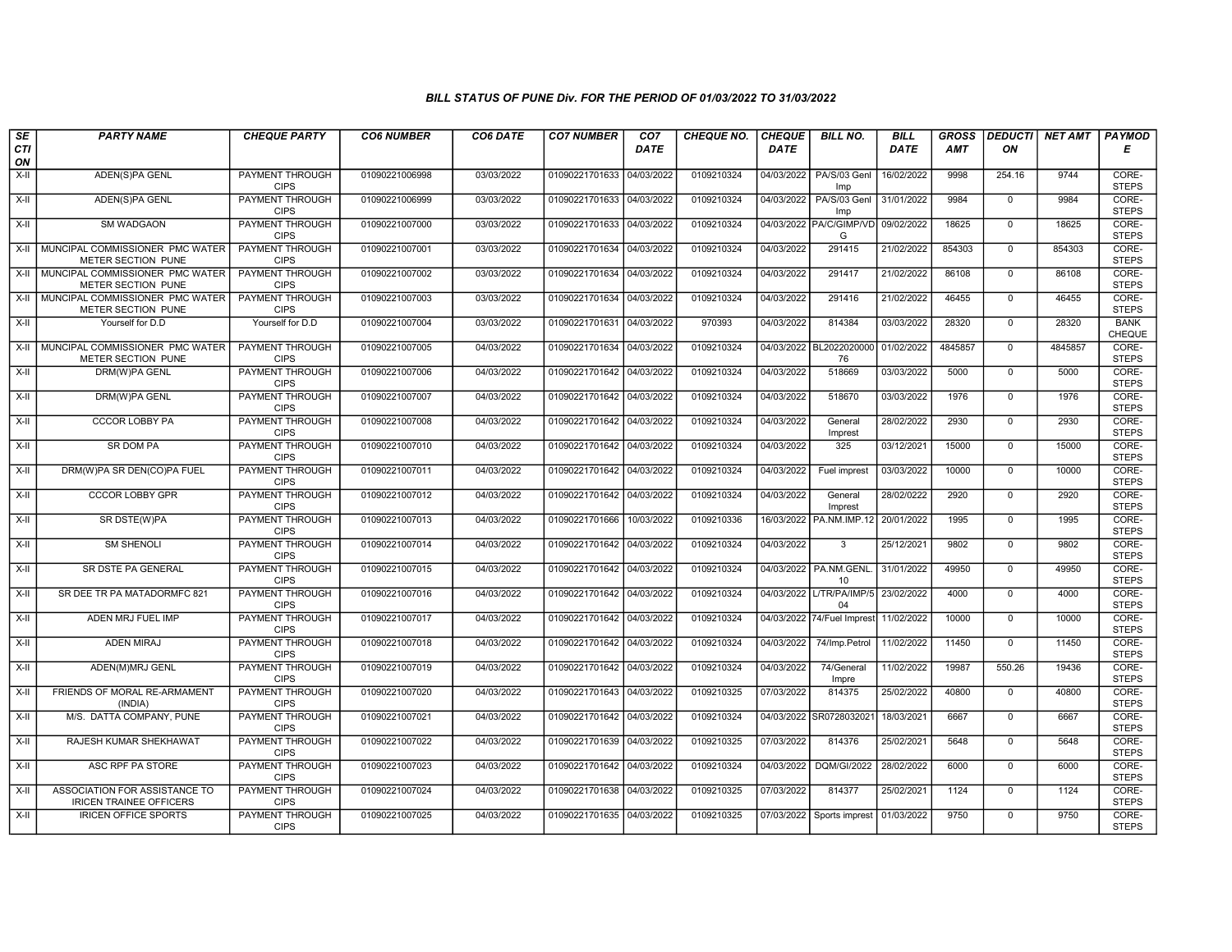| SE        | <b>PARTY NAME</b>                                               | <b>CHEQUE PARTY</b>                   | <b>CO6 NUMBER</b> | CO6 DATE   | <b>CO7 NUMBER</b>         | CO <sub>7</sub> | <b>CHEQUE NO.</b> | <b>CHEQUE</b> | <b>BILL NO.</b>               | <b>BILL</b> | <b>GROSS</b> | <b>DEDUCTI</b> | NET AMT | <b>PAYMOD</b>                |
|-----------|-----------------------------------------------------------------|---------------------------------------|-------------------|------------|---------------------------|-----------------|-------------------|---------------|-------------------------------|-------------|--------------|----------------|---------|------------------------------|
| CTI<br>ON |                                                                 |                                       |                   |            |                           | <b>DATE</b>     |                   | <b>DATE</b>   |                               | <b>DATE</b> | <b>AMT</b>   | ON             |         | Е                            |
| $X-H$     | ADEN(S)PA GENL                                                  | <b>PAYMENT THROUGH</b><br><b>CIPS</b> | 01090221006998    | 03/03/2022 | 01090221701633            | 04/03/2022      | 0109210324        | 04/03/2022    | PA/S/03 Genl<br>Imp           | 16/02/2022  | 9998         | 254.16         | 9744    | CORE-<br><b>STEPS</b>        |
| X-II      | ADEN(S)PA GENL                                                  | <b>PAYMENT THROUGH</b><br><b>CIPS</b> | 01090221006999    | 03/03/2022 | 01090221701633 04/03/2022 |                 | 0109210324        | 04/03/2022    | PA/S/03 Genl<br>Imp           | 31/01/2022  | 9984         | $\mathbf{0}$   | 9984    | CORE-<br><b>STEPS</b>        |
| X-II      | SM WADGAON                                                      | PAYMENT THROUGH<br><b>CIPS</b>        | 01090221007000    | 03/03/2022 | 01090221701633            | 04/03/2022      | 0109210324        | 04/03/2022    | PA/C/GIMP/VD 09/02/2022<br>G  |             | 18625        | $\mathbf 0$    | 18625   | CORE-<br><b>STEPS</b>        |
| $X-H$     | MUNCIPAL COMMISSIONER PMC WATER<br>METER SECTION PUNE           | <b>PAYMENT THROUGH</b><br><b>CIPS</b> | 01090221007001    | 03/03/2022 | 01090221701634            | 04/03/2022      | 0109210324        | 04/03/2022    | 291415                        | 21/02/2022  | 854303       | $\mathbf 0$    | 854303  | CORE-<br><b>STEPS</b>        |
|           | X-II MUNCIPAL COMMISSIONER PMC WATER<br>METER SECTION PUNE      | <b>PAYMENT THROUGH</b><br><b>CIPS</b> | 01090221007002    | 03/03/2022 | 01090221701634 04/03/2022 |                 | 0109210324        | 04/03/2022    | 291417                        | 21/02/2022  | 86108        | $\mathbf 0$    | 86108   | CORE-<br><b>STEPS</b>        |
| $X-H$     | MUNCIPAL COMMISSIONER PMC WATER<br>METER SECTION PUNE           | <b>PAYMENT THROUGH</b><br><b>CIPS</b> | 01090221007003    | 03/03/2022 | 01090221701634            | 04/03/2022      | 0109210324        | 04/03/2022    | 291416                        | 21/02/2022  | 46455        | $\Omega$       | 46455   | CORE-<br><b>STEPS</b>        |
| X-II      | Yourself for D.D                                                | Yourself for D.D                      | 01090221007004    | 03/03/2022 | 01090221701631            | 04/03/2022      | 970393            | 04/03/2022    | 814384                        | 03/03/2022  | 28320        | $\mathbf{0}$   | 28320   | <b>BANK</b><br><b>CHEQUE</b> |
| $X-H$     | MUNCIPAL COMMISSIONER PMC WATER<br>METER SECTION PUNE           | PAYMENT THROUGH<br><b>CIPS</b>        | 01090221007005    | 04/03/2022 | 01090221701634 04/03/2022 |                 | 0109210324        |               | 04/03/2022 BL2022020000<br>76 | 01/02/2022  | 4845857      | $\overline{0}$ | 4845857 | CORE-<br><b>STEPS</b>        |
| X-II      | DRM(W)PA GENL                                                   | <b>PAYMENT THROUGH</b><br><b>CIPS</b> | 01090221007006    | 04/03/2022 | 01090221701642 04/03/2022 |                 | 0109210324        | 04/03/2022    | 518669                        | 03/03/2022  | 5000         | $\mathbf{0}$   | 5000    | CORE-<br><b>STEPS</b>        |
| $X-H$     | DRM(W)PA GENL                                                   | <b>PAYMENT THROUGH</b><br><b>CIPS</b> | 01090221007007    | 04/03/2022 | 01090221701642 04/03/2022 |                 | 0109210324        | 04/03/2022    | 518670                        | 03/03/2022  | 1976         | $\mathbf 0$    | 1976    | CORE-<br><b>STEPS</b>        |
| X-II      | <b>CCCOR LOBBY PA</b>                                           | <b>PAYMENT THROUGH</b><br><b>CIPS</b> | 01090221007008    | 04/03/2022 | 01090221701642            | 04/03/2022      | 0109210324        | 04/03/2022    | General<br>Imprest            | 28/02/2022  | 2930         | $\mathbf 0$    | 2930    | CORE-<br><b>STEPS</b>        |
| X-II      | SR DOM PA                                                       | PAYMENT THROUGH<br><b>CIPS</b>        | 01090221007010    | 04/03/2022 | 01090221701642 04/03/2022 |                 | 0109210324        | 04/03/2022    | 325                           | 03/12/2021  | 15000        | $\mathbf 0$    | 15000   | CORE-<br><b>STEPS</b>        |
| $X-H$     | DRM(W)PA SR DEN(CO)PA FUEL                                      | PAYMENT THROUGH<br><b>CIPS</b>        | 01090221007011    | 04/03/2022 | 01090221701642 04/03/2022 |                 | 0109210324        | 04/03/2022    | Fuel imprest                  | 03/03/2022  | 10000        | $\Omega$       | 10000   | CORE-<br><b>STEPS</b>        |
| X-II      | <b>CCCOR LOBBY GPR</b>                                          | <b>PAYMENT THROUGH</b><br><b>CIPS</b> | 01090221007012    | 04/03/2022 | 01090221701642            | 04/03/2022      | 0109210324        | 04/03/2022    | General<br>Imprest            | 28/02/0222  | 2920         | $\mathbf{0}$   | 2920    | CORE-<br><b>STEPS</b>        |
| X-II      | SR DSTE(W)PA                                                    | PAYMENT THROUGH<br><b>CIPS</b>        | 01090221007013    | 04/03/2022 | 01090221701666            | 10/03/2022      | 0109210336        |               | 16/03/2022 PA.NM.IMP.12       | 20/01/2022  | 1995         | $\Omega$       | 1995    | CORE-<br><b>STEPS</b>        |
| X-II      | <b>SM SHENOLI</b>                                               | <b>PAYMENT THROUGH</b><br><b>CIPS</b> | 01090221007014    | 04/03/2022 | 01090221701642            | 04/03/2022      | 0109210324        | 04/03/2022    | 3                             | 25/12/2021  | 9802         | $\mathbf{0}$   | 9802    | CORE-<br><b>STEPS</b>        |
| X-II      | SR DSTE PA GENERAL                                              | <b>PAYMENT THROUGH</b><br><b>CIPS</b> | 01090221007015    | 04/03/2022 | 01090221701642            | 04/03/2022      | 0109210324        |               | 04/03/2022 PA.NM.GENL<br>10   | 31/01/2022  | 49950        | $\mathbf 0$    | 49950   | CORE-<br><b>STEPS</b>        |
| X-II      | SR DEE TR PA MATADORMFC 821                                     | <b>PAYMENT THROUGH</b><br><b>CIPS</b> | 01090221007016    | 04/03/2022 | 01090221701642            | 04/03/2022      | 0109210324        | 04/03/2022    | L/TR/PA/IMP/5<br>04           | 23/02/2022  | 4000         | $\mathbf 0$    | 4000    | CORE-<br><b>STEPS</b>        |
| X-II      | ADEN MRJ FUEL IMP                                               | PAYMENT THROUGH<br><b>CIPS</b>        | 01090221007017    | 04/03/2022 | 01090221701642 04/03/2022 |                 | 0109210324        |               | 04/03/2022 74/Fuel Imprest    | 11/02/2022  | 10000        | $\mathbf 0$    | 10000   | CORE-<br><b>STEPS</b>        |
| X-II      | <b>ADEN MIRAJ</b>                                               | PAYMENT THROUGH<br><b>CIPS</b>        | 01090221007018    | 04/03/2022 | 01090221701642            | 04/03/2022      | 0109210324        | 04/03/2022    | 74/Imp.Petrol                 | 11/02/2022  | 11450        | $\Omega$       | 11450   | CORE-<br><b>STEPS</b>        |
| X-II      | ADEN(M)MRJ GENL                                                 | PAYMENT THROUGH<br><b>CIPS</b>        | 01090221007019    | 04/03/2022 | 01090221701642 04/03/2022 |                 | 0109210324        | 04/03/2022    | 74/General<br>Impre           | 11/02/2022  | 19987        | 550.26         | 19436   | CORE-<br><b>STEPS</b>        |
| X-II      | FRIENDS OF MORAL RE-ARMAMENT<br>(INDIA)                         | <b>PAYMENT THROUGH</b><br><b>CIPS</b> | 01090221007020    | 04/03/2022 | 01090221701643 04/03/2022 |                 | 0109210325        | 07/03/2022    | 814375                        | 25/02/2022  | 40800        | $\Omega$       | 40800   | CORE-<br><b>STEPS</b>        |
| $X-II$    | M/S. DATTA COMPANY, PUNE                                        | PAYMENT THROUGH<br><b>CIPS</b>        | 01090221007021    | 04/03/2022 | 01090221701642            | 04/03/2022      | 0109210324        | 04/03/2022    | SR072803202                   | 18/03/2021  | 6667         | $\mathbf 0$    | 6667    | CORE-<br><b>STEPS</b>        |
| $X-II$    | RAJESH KUMAR SHEKHAWAT                                          | PAYMENT THROUGH<br><b>CIPS</b>        | 01090221007022    | 04/03/2022 | 01090221701639            | 04/03/2022      | 0109210325        | 07/03/2022    | 814376                        | 25/02/2021  | 5648         | $\Omega$       | 5648    | CORE-<br><b>STEPS</b>        |
| X-II      | ASC RPF PA STORE                                                | PAYMENT THROUGH<br><b>CIPS</b>        | 01090221007023    | 04/03/2022 | 01090221701642 04/03/2022 |                 | 0109210324        | 04/03/2022    | <b>DQM/GI/2022</b>            | 28/02/2022  | 6000         | $\Omega$       | 6000    | CORE-<br><b>STEPS</b>        |
| X-II      | ASSOCIATION FOR ASSISTANCE TO<br><b>IRICEN TRAINEE OFFICERS</b> | <b>PAYMENT THROUGH</b><br><b>CIPS</b> | 01090221007024    | 04/03/2022 | 01090221701638 04/03/2022 |                 | 0109210325        | 07/03/2022    | 814377                        | 25/02/2021  | 1124         | $\mathbf 0$    | 1124    | CORE-<br><b>STEPS</b>        |
| X-II      | <b>IRICEN OFFICE SPORTS</b>                                     | PAYMENT THROUGH<br><b>CIPS</b>        | 01090221007025    | 04/03/2022 | 01090221701635 04/03/2022 |                 | 0109210325        | 07/03/2022    | Sports imprest                | 01/03/2022  | 9750         | $\mathbf 0$    | 9750    | CORE-<br><b>STEPS</b>        |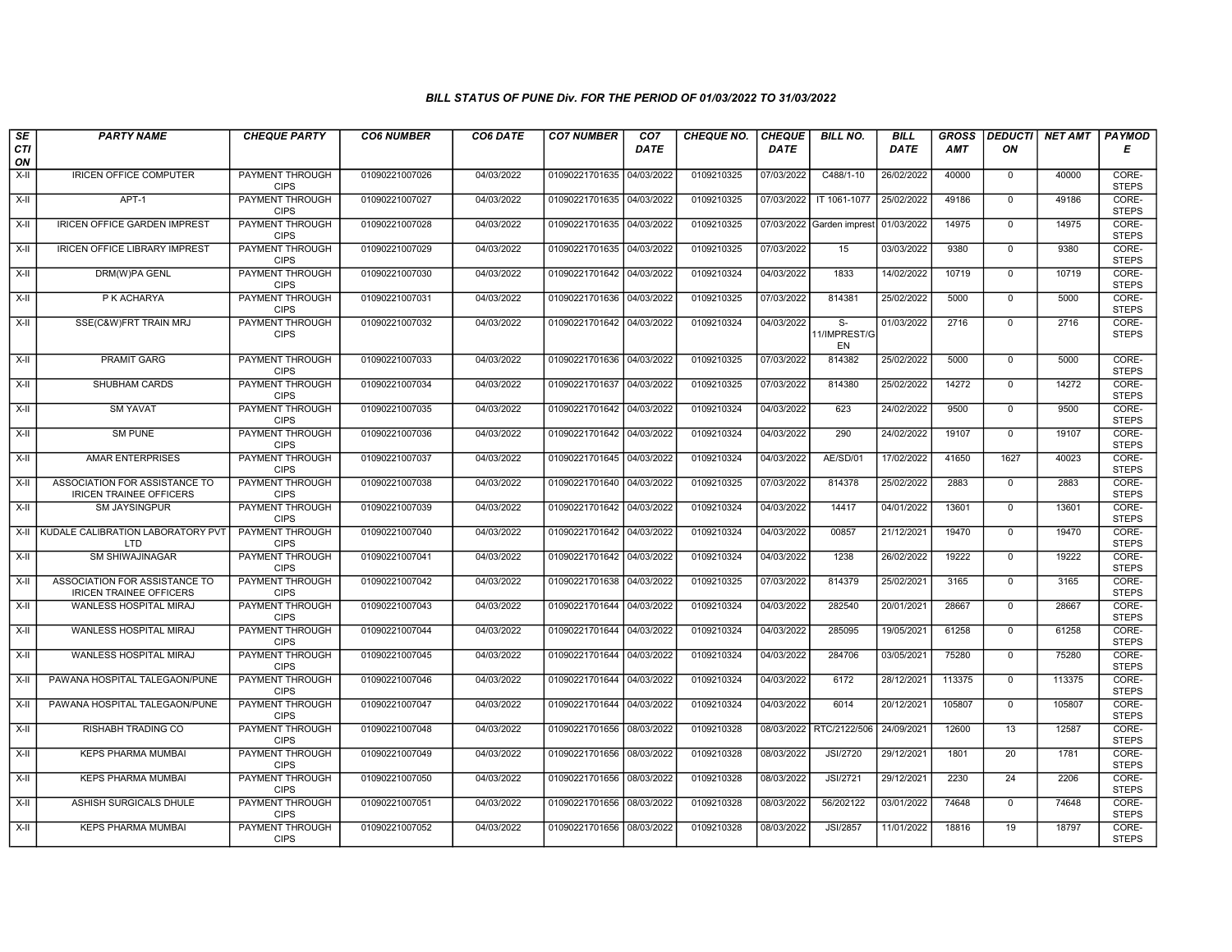| SE<br>CTI | <b>PARTY NAME</b>                                               | <b>CHEQUE PARTY</b>                   | <b>CO6 NUMBER</b> | CO6 DATE   | <b>CO7 NUMBER</b>         | CO <sub>7</sub><br><b>DATE</b> | <b>CHEQUE NO.</b> | <b>CHEQUE</b><br><b>DATE</b> | <b>BILL NO.</b>          | <b>BILL</b><br><b>DATE</b> | <b>GROSS</b><br><b>AMT</b> | ON           | <b>DEDUCTI</b> NET AMT | <b>PAYMOD</b><br>Е    |
|-----------|-----------------------------------------------------------------|---------------------------------------|-------------------|------------|---------------------------|--------------------------------|-------------------|------------------------------|--------------------------|----------------------------|----------------------------|--------------|------------------------|-----------------------|
| ON        |                                                                 |                                       |                   |            |                           |                                |                   |                              |                          |                            |                            |              |                        |                       |
| $X-H$     | <b>IRICEN OFFICE COMPUTER</b>                                   | <b>PAYMENT THROUGH</b><br><b>CIPS</b> | 01090221007026    | 04/03/2022 | 01090221701635 04/03/2022 |                                | 0109210325        | 07/03/2022                   | C488/1-10                | 26/02/2022                 | 40000                      | $\mathbf 0$  | 40000                  | CORE-<br><b>STEPS</b> |
| $X-H$     | $APT-1$                                                         | <b>PAYMENT THROUGH</b><br><b>CIPS</b> | 01090221007027    | 04/03/2022 | 01090221701635 04/03/2022 |                                | 0109210325        | 07/03/2022                   | IT 1061-1077             | 25/02/2022                 | 49186                      | $\Omega$     | 49186                  | CORE-<br><b>STEPS</b> |
| $X-H$     | <b>IRICEN OFFICE GARDEN IMPREST</b>                             | <b>PAYMENT THROUGH</b><br><b>CIPS</b> | 01090221007028    | 04/03/2022 | 01090221701635            | 04/03/2022                     | 0109210325        | 07/03/2022                   | Garden imprest           | 01/03/2022                 | 14975                      | $\mathbf 0$  | 14975                  | CORE-<br><b>STEPS</b> |
| $X-II$    | <b>IRICEN OFFICE LIBRARY IMPREST</b>                            | <b>PAYMENT THROUGH</b><br><b>CIPS</b> | 01090221007029    | 04/03/2022 | 01090221701635 04/03/2022 |                                | 0109210325        | 07/03/2022                   | 15                       | 03/03/2022                 | 9380                       | $\mathbf{0}$ | 9380                   | CORE-<br><b>STEPS</b> |
| X-II      | <b>DRM(W)PA GENL</b>                                            | <b>PAYMENT THROUGH</b><br><b>CIPS</b> | 01090221007030    | 04/03/2022 | 01090221701642 04/03/2022 |                                | 0109210324        | 04/03/2022                   | 1833                     | 14/02/2022                 | 10719                      | $\mathbf 0$  | 10719                  | CORE-<br><b>STEPS</b> |
| X-II      | P K ACHARYA                                                     | <b>PAYMENT THROUGH</b><br><b>CIPS</b> | 01090221007031    | 04/03/2022 | 01090221701636 04/03/2022 |                                | 0109210325        | 07/03/2022                   | 814381                   | 25/02/2022                 | 5000                       | $\Omega$     | 5000                   | CORE-<br><b>STEPS</b> |
| $X-II$    | SSE(C&W)FRT TRAIN MRJ                                           | <b>PAYMENT THROUGH</b><br><b>CIPS</b> | 01090221007032    | 04/03/2022 | 01090221701642            | 04/03/2022                     | 0109210324        | 04/03/2022                   | S-<br>11/IMPREST/G<br>EN | 01/03/2022                 | 2716                       | $\mathbf 0$  | 2716                   | CORE-<br><b>STEPS</b> |
| $X-H$     | <b>PRAMIT GARG</b>                                              | <b>PAYMENT THROUGH</b><br><b>CIPS</b> | 01090221007033    | 04/03/2022 | 01090221701636 04/03/2022 |                                | 0109210325        | 07/03/2022                   | 814382                   | 25/02/2022                 | 5000                       | $\mathbf 0$  | 5000                   | CORE-<br><b>STEPS</b> |
| X-II      | SHUBHAM CARDS                                                   | PAYMENT THROUGH<br><b>CIPS</b>        | 01090221007034    | 04/03/2022 | 01090221701637 04/03/2022 |                                | 0109210325        | 07/03/2022                   | 814380                   | 25/02/2022                 | 14272                      | $\mathbf 0$  | 14272                  | CORE-<br><b>STEPS</b> |
| $X-II$    | <b>SM YAVAT</b>                                                 | PAYMENT THROUGH<br><b>CIPS</b>        | 01090221007035    | 04/03/2022 | 01090221701642            | 04/03/2022                     | 0109210324        | 04/03/2022                   | 623                      | 24/02/2022                 | 9500                       | $\mathbf 0$  | 9500                   | CORE-<br><b>STEPS</b> |
| X-II      | <b>SM PUNE</b>                                                  | <b>PAYMENT THROUGH</b><br><b>CIPS</b> | 01090221007036    | 04/03/2022 | 01090221701642 04/03/2022 |                                | 0109210324        | 04/03/2022                   | 290                      | 24/02/2022                 | 19107                      | $\mathbf{0}$ | 19107                  | CORE-<br><b>STEPS</b> |
| $X-H$     | <b>AMAR ENTERPRISES</b>                                         | <b>PAYMENT THROUGH</b><br><b>CIPS</b> | 01090221007037    | 04/03/2022 | 01090221701645 04/03/2022 |                                | 0109210324        | 04/03/2022                   | AE/SD/01                 | 17/02/2022                 | 41650                      | 1627         | 40023                  | CORE-<br><b>STEPS</b> |
| X-II      | ASSOCIATION FOR ASSISTANCE TO<br><b>IRICEN TRAINEE OFFICERS</b> | PAYMENT THROUGH<br><b>CIPS</b>        | 01090221007038    | 04/03/2022 | 01090221701640 04/03/2022 |                                | 0109210325        | 07/03/2022                   | 814378                   | 25/02/2022                 | 2883                       | $\mathbf{0}$ | 2883                   | CORE-<br><b>STEPS</b> |
| X-II      | <b>SM JAYSINGPUR</b>                                            | PAYMENT THROUGH<br><b>CIPS</b>        | 01090221007039    | 04/03/2022 | 01090221701642 04/03/2022 |                                | 0109210324        | 04/03/2022                   | 14417                    | 04/01/2022                 | 13601                      | $\Omega$     | 13601                  | CORE-<br><b>STEPS</b> |
|           | X-II KUDALE CALIBRATION LABORATORY PVT<br>LTD                   | PAYMENT THROUGH<br><b>CIPS</b>        | 01090221007040    | 04/03/2022 | 01090221701642 04/03/2022 |                                | 0109210324        | 04/03/2022                   | 00857                    | 21/12/2021                 | 19470                      | $\Omega$     | 19470                  | CORE-<br><b>STEPS</b> |
| $X-H$     | <b>SM SHIWAJINAGAR</b>                                          | <b>PAYMENT THROUGH</b><br><b>CIPS</b> | 01090221007041    | 04/03/2022 | 01090221701642            | 04/03/2022                     | 0109210324        | 04/03/2022                   | 1238                     | 26/02/2022                 | 19222                      | $\mathbf{0}$ | 19222                  | CORE-<br><b>STEPS</b> |
| X-II      | ASSOCIATION FOR ASSISTANCE TO<br><b>IRICEN TRAINEE OFFICERS</b> | PAYMENT THROUGH<br><b>CIPS</b>        | 01090221007042    | 04/03/2022 | 01090221701638 04/03/2022 |                                | 0109210325        | 07/03/2022                   | 814379                   | 25/02/2021                 | 3165                       | $\mathbf 0$  | 3165                   | CORE-<br><b>STEPS</b> |
| X-II      | <b>WANLESS HOSPITAL MIRAJ</b>                                   | PAYMENT THROUGH<br><b>CIPS</b>        | 01090221007043    | 04/03/2022 | 01090221701644 04/03/2022 |                                | 0109210324        | 04/03/2022                   | 282540                   | 20/01/2021                 | 28667                      | $\Omega$     | 28667                  | CORE-<br><b>STEPS</b> |
| $X-H$     | WANLESS HOSPITAL MIRAJ                                          | <b>PAYMENT THROUGH</b><br><b>CIPS</b> | 01090221007044    | 04/03/2022 | 01090221701644            | 04/03/2022                     | 0109210324        | 04/03/2022                   | 285095                   | 19/05/2021                 | 61258                      | $\mathbf 0$  | 61258                  | CORE-<br><b>STEPS</b> |
| $X-H$     | WANLESS HOSPITAL MIRAJ                                          | <b>PAYMENT THROUGH</b><br><b>CIPS</b> | 01090221007045    | 04/03/2022 | 01090221701644 04/03/2022 |                                | 0109210324        | 04/03/2022                   | 284706                   | 03/05/2021                 | 75280                      | $\mathbf{0}$ | 75280                  | CORE-<br><b>STEPS</b> |
| X-II      | PAWANA HOSPITAL TALEGAON/PUNE                                   | <b>PAYMENT THROUGH</b><br><b>CIPS</b> | 01090221007046    | 04/03/2022 | 01090221701644 04/03/2022 |                                | 0109210324        | 04/03/2022                   | 6172                     | 28/12/2021                 | 113375                     | $\mathbf 0$  | 113375                 | CORE-<br><b>STEPS</b> |
| X-II      | PAWANA HOSPITAL TALEGAON/PUNE                                   | PAYMENT THROUGH<br><b>CIPS</b>        | 01090221007047    | 04/03/2022 | 01090221701644            | 04/03/2022                     | 0109210324        | 04/03/2022                   | 6014                     | 20/12/2021                 | 105807                     | $\Omega$     | 105807                 | CORE-<br><b>STEPS</b> |
| $X-H$     | RISHABH TRADING CO                                              | PAYMENT THROUGH<br><b>CIPS</b>        | 01090221007048    | 04/03/2022 | 01090221701656            | 08/03/2022                     | 0109210328        | 08/03/2022                   | RTC/2122/506             | 24/09/2021                 | 12600                      | 13           | 12587                  | CORE-<br><b>STEPS</b> |
| $X-H$     | <b>KEPS PHARMA MUMBAI</b>                                       | <b>PAYMENT THROUGH</b><br><b>CIPS</b> | 01090221007049    | 04/03/2022 | 01090221701656 08/03/2022 |                                | 0109210328        | 08/03/2022                   | <b>JSI/2720</b>          | 29/12/2021                 | 1801                       | 20           | 1781                   | CORE-<br><b>STEPS</b> |
| X-II      | <b>KEPS PHARMA MUMBAI</b>                                       | PAYMENT THROUGH<br><b>CIPS</b>        | 01090221007050    | 04/03/2022 | 01090221701656 08/03/2022 |                                | 0109210328        | 08/03/2022                   | <b>JSI/2721</b>          | 29/12/2021                 | 2230                       | 24           | 2206                   | CORE-<br><b>STEPS</b> |
| X-II      | ASHISH SURGICALS DHULE                                          | PAYMENT THROUGH<br><b>CIPS</b>        | 01090221007051    | 04/03/2022 | 01090221701656 08/03/2022 |                                | 0109210328        | 08/03/2022                   | 56/202122                | 03/01/2022                 | 74648                      | $\mathbf 0$  | 74648                  | CORE-<br><b>STEPS</b> |
| $X-II$    | <b>KEPS PHARMA MUMBAI</b>                                       | PAYMENT THROUGH<br><b>CIPS</b>        | 01090221007052    | 04/03/2022 | 01090221701656 08/03/2022 |                                | 0109210328        | 08/03/2022                   | JSI/2857                 | 11/01/2022                 | 18816                      | 19           | 18797                  | CORE-<br><b>STEPS</b> |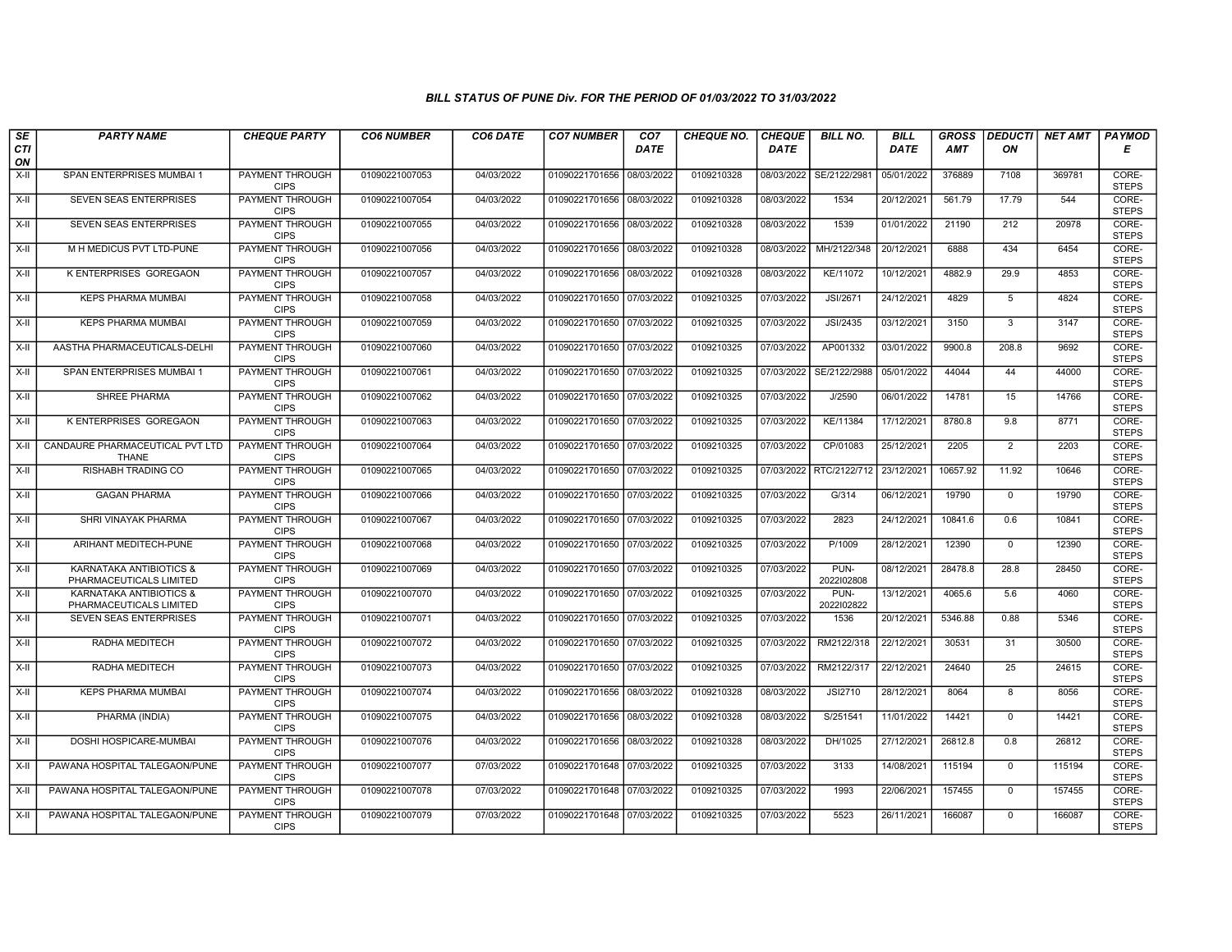| $\sqrt{SE}$<br>CTI | <b>PARTY NAME</b>                                  | <b>CHEQUE PARTY</b>                   | <b>CO6 NUMBER</b> | CO6 DATE   | <b>CO7 NUMBER</b>         | CO <sub>7</sub><br><b>DATE</b> | <b>CHEQUE NO.</b> | <b>CHEQUE</b><br><b>DATE</b> | <b>BILL NO.</b>    | <b>BILL</b><br><b>DATE</b> | <b>GROSS</b><br>AMT | <b>DEDUCTI</b><br>ON | NET AMT | <b>PAYMOD</b><br>Е    |
|--------------------|----------------------------------------------------|---------------------------------------|-------------------|------------|---------------------------|--------------------------------|-------------------|------------------------------|--------------------|----------------------------|---------------------|----------------------|---------|-----------------------|
| ON                 |                                                    |                                       |                   |            |                           |                                |                   |                              |                    |                            |                     |                      |         |                       |
| $X-H$              | SPAN ENTERPRISES MUMBAI 1                          | <b>PAYMENT THROUGH</b><br><b>CIPS</b> | 01090221007053    | 04/03/2022 | 01090221701656 08/03/2022 |                                | 0109210328        | 08/03/2022                   | SE/2122/2981       | 05/01/2022                 | 376889              | 7108                 | 369781  | CORE-<br><b>STEPS</b> |
| X-II               | <b>SEVEN SEAS ENTERPRISES</b>                      | <b>PAYMENT THROUGH</b><br><b>CIPS</b> | 01090221007054    | 04/03/2022 | 01090221701656 08/03/2022 |                                | 0109210328        | 08/03/2022                   | 1534               | 20/12/2021                 | 561.79              | 17.79                | 544     | CORE-<br><b>STEPS</b> |
| X-II               | <b>SEVEN SEAS ENTERPRISES</b>                      | PAYMENT THROUGH<br><b>CIPS</b>        | 01090221007055    | 04/03/2022 | 01090221701656 08/03/2022 |                                | 0109210328        | 08/03/2022                   | 1539               | 01/01/2022                 | 21190               | 212                  | 20978   | CORE-<br><b>STEPS</b> |
| X-II               | M H MEDICUS PVT LTD-PUNE                           | <b>PAYMENT THROUGH</b><br><b>CIPS</b> | 01090221007056    | 04/03/2022 | 01090221701656            | 08/03/2022                     | 0109210328        | 08/03/2022                   | MH/2122/348        | 20/12/2021                 | 6888                | 434                  | 6454    | CORE-<br><b>STEPS</b> |
| X-II               | <b>K ENTERPRISES GOREGAON</b>                      | <b>PAYMENT THROUGH</b><br><b>CIPS</b> | 01090221007057    | 04/03/2022 | 01090221701656 08/03/2022 |                                | 0109210328        | 08/03/2022                   | KE/11072           | 10/12/2021                 | 4882.9              | 29.9                 | 4853    | CORE-<br><b>STEPS</b> |
| X-II               | <b>KEPS PHARMA MUMBAI</b>                          | <b>PAYMENT THROUGH</b><br><b>CIPS</b> | 01090221007058    | 04/03/2022 | 01090221701650 07/03/2022 |                                | 0109210325        | 07/03/2022                   | <b>JSI/2671</b>    | 24/12/2021                 | 4829                | 5                    | 4824    | CORE-<br><b>STEPS</b> |
| X-II               | <b>KEPS PHARMA MUMBAI</b>                          | PAYMENT THROUGH<br><b>CIPS</b>        | 01090221007059    | 04/03/2022 | 01090221701650 07/03/2022 |                                | 0109210325        | 07/03/2022                   | JSI/2435           | 03/12/2021                 | 3150                | $\mathbf{3}$         | 3147    | CORE-<br><b>STEPS</b> |
| X-II               | AASTHA PHARMACEUTICALS-DELHI                       | PAYMENT THROUGH<br><b>CIPS</b>        | 01090221007060    | 04/03/2022 | 01090221701650 07/03/2022 |                                | 0109210325        | 07/03/2022                   | AP001332           | 03/01/2022                 | 9900.8              | 208.8                | 9692    | CORE-<br><b>STEPS</b> |
| X-II               | SPAN ENTERPRISES MUMBAI 1                          | <b>PAYMENT THROUGH</b><br><b>CIPS</b> | 01090221007061    | 04/03/2022 | 01090221701650 07/03/2022 |                                | 0109210325        | 07/03/2022                   | SE/2122/2988       | 05/01/2022                 | 44044               | 44                   | 44000   | CORE-<br><b>STEPS</b> |
| X-II               | <b>SHREE PHARMA</b>                                | <b>PAYMENT THROUGH</b><br><b>CIPS</b> | 01090221007062    | 04/03/2022 | 01090221701650 07/03/2022 |                                | 0109210325        | 07/03/2022                   | J/2590             | 06/01/2022                 | 14781               | 15                   | 14766   | CORE-<br><b>STEPS</b> |
| X-II               | K ENTERPRISES GOREGAON                             | PAYMENT THROUGH<br><b>CIPS</b>        | 01090221007063    | 04/03/2022 | 01090221701650 07/03/2022 |                                | 0109210325        | 07/03/2022                   | KE/11384           | 17/12/2021                 | 8780.8              | 9.8                  | 8771    | CORE-<br><b>STEPS</b> |
| X-II               | CANDAURE PHARMACEUTICAL PVT LTD<br><b>THANE</b>    | PAYMENT THROUGH<br><b>CIPS</b>        | 01090221007064    | 04/03/2022 | 01090221701650 07/03/2022 |                                | 0109210325        | 07/03/2022                   | CP/01083           | 25/12/2021                 | 2205                | 2                    | 2203    | CORE-<br><b>STEPS</b> |
| X-II               | <b>RISHABH TRADING CO</b>                          | <b>PAYMENT THROUGH</b><br><b>CIPS</b> | 01090221007065    | 04/03/2022 | 01090221701650 07/03/2022 |                                | 0109210325        | 07/03/2022                   | RTC/2122/712       | 23/12/2021                 | 10657.92            | 11.92                | 10646   | CORE-<br><b>STEPS</b> |
| X-II               | <b>GAGAN PHARMA</b>                                | <b>PAYMENT THROUGH</b><br><b>CIPS</b> | 01090221007066    | 04/03/2022 | 01090221701650 07/03/2022 |                                | 0109210325        | 07/03/2022                   | G/314              | 06/12/2021                 | 19790               | $\mathbf 0$          | 19790   | CORE-<br><b>STEPS</b> |
| X-II               | SHRI VINAYAK PHARMA                                | PAYMENT THROUGH<br><b>CIPS</b>        | 01090221007067    | 04/03/2022 | 01090221701650 07/03/2022 |                                | 0109210325        | 07/03/2022                   | 2823               | 24/12/2021                 | 10841.6             | 0.6                  | 10841   | CORE-<br><b>STEPS</b> |
| X-II               | ARIHANT MEDITECH-PUNE                              | PAYMENT THROUGH<br><b>CIPS</b>        | 01090221007068    | 04/03/2022 | 01090221701650 07/03/2022 |                                | 0109210325        | 07/03/2022                   | P/1009             | 28/12/2021                 | 12390               | $\mathbf{0}$         | 12390   | CORE-<br><b>STEPS</b> |
| X-II               | KARNATAKA ANTIBIOTICS &<br>PHARMACEUTICALS LIMITED | <b>PAYMENT THROUGH</b><br><b>CIPS</b> | 01090221007069    | 04/03/2022 | 01090221701650 07/03/2022 |                                | 0109210325        | 07/03/2022                   | PUN-<br>2022102808 | 08/12/2021                 | 28478.8             | 28.8                 | 28450   | CORE-<br><b>STEPS</b> |
| X-II               | KARNATAKA ANTIBIOTICS &<br>PHARMACEUTICALS LIMITED | <b>PAYMENT THROUGH</b><br><b>CIPS</b> | 01090221007070    | 04/03/2022 | 01090221701650 07/03/2022 |                                | 0109210325        | 07/03/2022                   | PUN-<br>2022102822 | 13/12/2021                 | 4065.6              | 5.6                  | 4060    | CORE-<br><b>STEPS</b> |
| X-II               | <b>SEVEN SEAS ENTERPRISES</b>                      | <b>PAYMENT THROUGH</b><br><b>CIPS</b> | 01090221007071    | 04/03/2022 | 01090221701650 07/03/2022 |                                | 0109210325        | 07/03/2022                   | 1536               | 20/12/2021                 | 5346.88             | 0.88                 | 5346    | CORE-<br><b>STEPS</b> |
| X-II               | RADHA MEDITECH                                     | PAYMENT THROUGH<br><b>CIPS</b>        | 01090221007072    | 04/03/2022 | 01090221701650 07/03/2022 |                                | 0109210325        | 07/03/2022                   | RM2122/318         | 22/12/2021                 | 30531               | 31                   | 30500   | CORE-<br><b>STEPS</b> |
| X-II               | RADHA MEDITECH                                     | <b>PAYMENT THROUGH</b><br><b>CIPS</b> | 01090221007073    | 04/03/2022 | 01090221701650 07/03/2022 |                                | 0109210325        | 07/03/2022                   | RM2122/317         | 22/12/2021                 | 24640               | 25                   | 24615   | CORE-<br><b>STEPS</b> |
| X-II               | <b>KEPS PHARMA MUMBAI</b>                          | <b>PAYMENT THROUGH</b><br><b>CIPS</b> | 01090221007074    | 04/03/2022 | 01090221701656 08/03/2022 |                                | 0109210328        | 08/03/2022                   | <b>JSI2710</b>     | 28/12/2021                 | 8064                | 8                    | 8056    | CORE-<br><b>STEPS</b> |
| X-II               | PHARMA (INDIA)                                     | PAYMENT THROUGH<br><b>CIPS</b>        | 01090221007075    | 04/03/2022 | 01090221701656 08/03/2022 |                                | 0109210328        | 08/03/2022                   | S/251541           | 11/01/2022                 | 14421               | $^{\circ}$           | 14421   | CORE-<br><b>STEPS</b> |
| X-II               | DOSHI HOSPICARE-MUMBAI                             | PAYMENT THROUGH<br><b>CIPS</b>        | 01090221007076    | 04/03/2022 | 01090221701656 08/03/2022 |                                | 0109210328        | 08/03/2022                   | DH/1025            | 27/12/2021                 | 26812.8             | 0.8                  | 26812   | CORE-<br><b>STEPS</b> |
| X-II               | PAWANA HOSPITAL TALEGAON/PUNE                      | PAYMENT THROUGH<br><b>CIPS</b>        | 01090221007077    | 07/03/2022 | 01090221701648 07/03/2022 |                                | 0109210325        | 07/03/2022                   | 3133               | 14/08/2021                 | 115194              | $\Omega$             | 115194  | CORE-<br><b>STEPS</b> |
| X-II               | PAWANA HOSPITAL TALEGAON/PUNE                      | <b>PAYMENT THROUGH</b><br><b>CIPS</b> | 01090221007078    | 07/03/2022 | 01090221701648 07/03/2022 |                                | 0109210325        | 07/03/2022                   | 1993               | 22/06/2021                 | 157455              | $\mathbf 0$          | 157455  | CORE-<br><b>STEPS</b> |
| X-II               | PAWANA HOSPITAL TALEGAON/PUNE                      | PAYMENT THROUGH<br><b>CIPS</b>        | 01090221007079    | 07/03/2022 | 01090221701648 07/03/2022 |                                | 0109210325        | 07/03/2022                   | 5523               | 26/11/2021                 | 166087              | $\mathbf 0$          | 166087  | CORE-<br><b>STEPS</b> |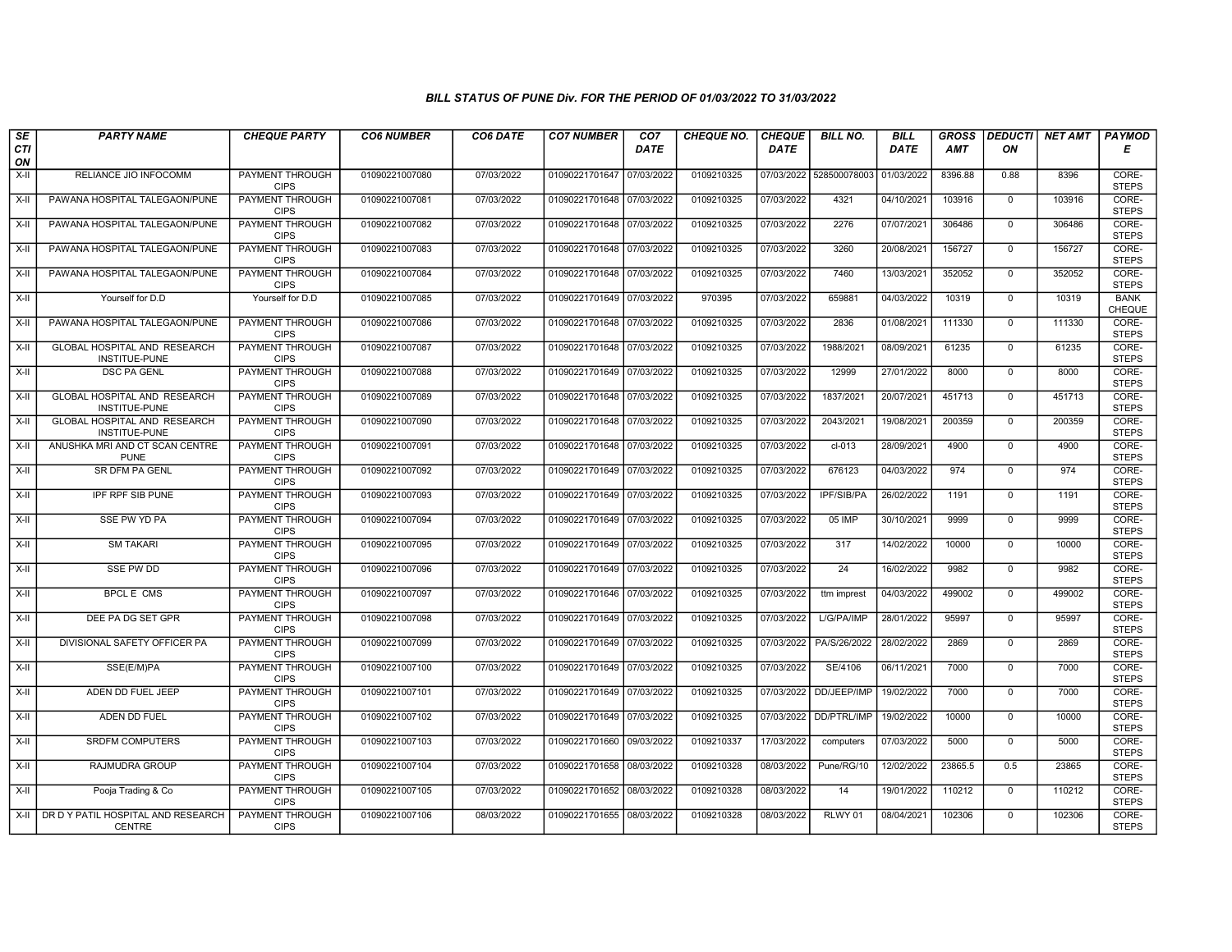| $s_E$            | <b>PARTY NAME</b>                                          | <b>CHEQUE PARTY</b>                   | <b>CO6 NUMBER</b> | CO6 DATE   | <b>CO7 NUMBER</b>         | CO <sub>7</sub> | <b>CHEQUE NO.</b> | <b>CHEQUE</b> | <b>BILL NO.</b>         | <b>BILL</b> | <b>GROSS</b> | <b>DEDUCTI</b> | <b>NET AMT</b> | <b>PAYMOD</b>                |
|------------------|------------------------------------------------------------|---------------------------------------|-------------------|------------|---------------------------|-----------------|-------------------|---------------|-------------------------|-------------|--------------|----------------|----------------|------------------------------|
| <b>CTI</b><br>ON |                                                            |                                       |                   |            |                           | <b>DATE</b>     |                   | <b>DATE</b>   |                         | DATE        | <b>AMT</b>   | ΟN             |                | Е                            |
| X-II             | RELIANCE JIO INFOCOMM                                      | PAYMENT THROUGH<br><b>CIPS</b>        | 01090221007080    | 07/03/2022 | 01090221701647 07/03/2022 |                 | 0109210325        |               | 07/03/2022 528500078003 | 01/03/2022  | 8396.88      | 0.88           | 8396           | CORE-<br><b>STEPS</b>        |
| X-II             | PAWANA HOSPITAL TALEGAON/PUNE                              | <b>PAYMENT THROUGH</b><br><b>CIPS</b> | 01090221007081    | 07/03/2022 | 01090221701648 07/03/2022 |                 | 0109210325        | 07/03/2022    | 4321                    | 04/10/2021  | 103916       | $\mathbf{0}$   | 103916         | CORE-<br><b>STEPS</b>        |
| X-II             | PAWANA HOSPITAL TALEGAON/PUNE                              | PAYMENT THROUGH<br><b>CIPS</b>        | 01090221007082    | 07/03/2022 | 01090221701648 07/03/2022 |                 | 0109210325        | 07/03/2022    | 2276                    | 07/07/2021  | 306486       | $\mathbf 0$    | 306486         | CORE-<br><b>STEPS</b>        |
| $X-II$           | PAWANA HOSPITAL TALEGAON/PUNE                              | PAYMENT THROUGH<br><b>CIPS</b>        | 01090221007083    | 07/03/2022 | 01090221701648            | 07/03/2022      | 0109210325        | 07/03/2022    | 3260                    | 20/08/2021  | 156727       | $\mathbf 0$    | 156727         | CORE-<br><b>STEPS</b>        |
| X-II             | PAWANA HOSPITAL TALEGAON/PUNE                              | PAYMENT THROUGH<br><b>CIPS</b>        | 01090221007084    | 07/03/2022 | 01090221701648 07/03/2022 |                 | 0109210325        | 07/03/2022    | 7460                    | 13/03/2021  | 352052       | $\mathbf 0$    | 352052         | CORE-<br><b>STEPS</b>        |
| $X-II$           | Yourself for D.D                                           | Yourself for D.D                      | 01090221007085    | 07/03/2022 | 01090221701649 07/03/2022 |                 | 970395            | 07/03/2022    | 659881                  | 04/03/2022  | 10319        | $\mathbf{0}$   | 10319          | <b>BANK</b><br><b>CHEQUE</b> |
| X-II             | PAWANA HOSPITAL TALEGAON/PUNE                              | PAYMENT THROUGH<br><b>CIPS</b>        | 01090221007086    | 07/03/2022 | 01090221701648 07/03/2022 |                 | 0109210325        | 07/03/2022    | 2836                    | 01/08/2021  | 111330       | $\mathbf 0$    | 111330         | CORE-<br><b>STEPS</b>        |
| X-II             | GLOBAL HOSPITAL AND RESEARCH<br>INSTITUE-PUNE              | <b>PAYMENT THROUGH</b><br><b>CIPS</b> | 01090221007087    | 07/03/2022 | 01090221701648            | 07/03/2022      | 0109210325        | 07/03/2022    | 1988/2021               | 08/09/2021  | 61235        | $\mathbf 0$    | 61235          | CORE-<br><b>STEPS</b>        |
| $X-H$            | <b>DSC PA GENL</b>                                         | <b>PAYMENT THROUGH</b><br><b>CIPS</b> | 01090221007088    | 07/03/2022 | 01090221701649 07/03/2022 |                 | 0109210325        | 07/03/2022    | 12999                   | 27/01/2022  | 8000         | $\mathbf 0$    | 8000           | CORE-<br><b>STEPS</b>        |
| X-II             | GLOBAL HOSPITAL AND RESEARCH<br><b>INSTITUE-PUNE</b>       | <b>PAYMENT THROUGH</b><br><b>CIPS</b> | 01090221007089    | 07/03/2022 | 01090221701648 07/03/2022 |                 | 0109210325        | 07/03/2022    | 1837/2021               | 20/07/2021  | 451713       | $\mathbf 0$    | 451713         | CORE-<br><b>STEPS</b>        |
| X-II             | GLOBAL HOSPITAL AND RESEARCH<br>INSTITUE-PUNE              | PAYMENT THROUGH<br><b>CIPS</b>        | 01090221007090    | 07/03/2022 | 01090221701648 07/03/2022 |                 | 0109210325        | 07/03/2022    | 2043/2021               | 19/08/2021  | 200359       | $\mathbf 0$    | 200359         | CORE-<br><b>STEPS</b>        |
| X-II             | ANUSHKA MRI AND CT SCAN CENTRE<br><b>PUNE</b>              | <b>PAYMENT THROUGH</b><br><b>CIPS</b> | 01090221007091    | 07/03/2022 | 01090221701648 07/03/2022 |                 | 0109210325        | 07/03/2022    | $cl-013$                | 28/09/2021  | 4900         | $\mathbf 0$    | 4900           | CORE-<br><b>STEPS</b>        |
| $X-II$           | SR DFM PA GENL                                             | <b>PAYMENT THROUGH</b><br><b>CIPS</b> | 01090221007092    | 07/03/2022 | 01090221701649 07/03/2022 |                 | 0109210325        | 07/03/2022    | 676123                  | 04/03/2022  | 974          | $\mathbf 0$    | 974            | CORE-<br><b>STEPS</b>        |
| $X-H$            | <b>IPF RPF SIB PUNE</b>                                    | PAYMENT THROUGH<br><b>CIPS</b>        | 01090221007093    | 07/03/2022 | 01090221701649 07/03/2022 |                 | 0109210325        | 07/03/2022    | <b>IPF/SIB/PA</b>       | 26/02/2022  | 1191         | $\mathbf 0$    | 1191           | CORE-<br><b>STEPS</b>        |
| X-II             | SSE PW YD PA                                               | PAYMENT THROUGH<br><b>CIPS</b>        | 01090221007094    | 07/03/2022 | 01090221701649 07/03/2022 |                 | 0109210325        | 07/03/2022    | 05 IMP                  | 30/10/2021  | 9999         | $\Omega$       | 9999           | CORE-<br><b>STEPS</b>        |
| $X-H$            | <b>SM TAKARI</b>                                           | PAYMENT THROUGH<br><b>CIPS</b>        | 01090221007095    | 07/03/2022 | 01090221701649 07/03/2022 |                 | 0109210325        | 07/03/2022    | 317                     | 14/02/2022  | 10000        | $\mathbf{0}$   | 10000          | CORE-<br><b>STEPS</b>        |
| X-II             | <b>SSE PW DD</b>                                           | PAYMENT THROUGH<br><b>CIPS</b>        | 01090221007096    | 07/03/2022 | 01090221701649 07/03/2022 |                 | 0109210325        | 07/03/2022    | 24                      | 16/02/2022  | 9982         | $\mathbf{0}$   | 9982           | CORE-<br><b>STEPS</b>        |
| X-II             | <b>BPCL E CMS</b>                                          | <b>PAYMENT THROUGH</b><br><b>CIPS</b> | 01090221007097    | 07/03/2022 | 01090221701646 07/03/2022 |                 | 0109210325        | 07/03/2022    | ttm imprest             | 04/03/2022  | 499002       | $\mathbf 0$    | 499002         | CORE-<br><b>STEPS</b>        |
| $X-II$           | DEE PA DG SET GPR                                          | PAYMENT THROUGH<br><b>CIPS</b>        | 01090221007098    | 07/03/2022 | 01090221701649 07/03/2022 |                 | 0109210325        | 07/03/2022    | L/G/PA/IMP              | 28/01/2022  | 95997        | $\Omega$       | 95997          | CORE-<br><b>STEPS</b>        |
| X-II             | DIVISIONAL SAFETY OFFICER PA                               | PAYMENT THROUGH<br><b>CIPS</b>        | 01090221007099    | 07/03/2022 | 01090221701649 07/03/2022 |                 | 0109210325        | 07/03/2022    | PA/S/26/2022            | 28/02/2022  | 2869         | $\mathbf{0}$   | 2869           | CORE-<br><b>STEPS</b>        |
| $X-H$            | SSE(E/M)PA                                                 | <b>PAYMENT THROUGH</b><br><b>CIPS</b> | 01090221007100    | 07/03/2022 | 01090221701649 07/03/2022 |                 | 0109210325        | 07/03/2022    | SE/4106                 | 06/11/2021  | 7000         | $\mathbf 0$    | 7000           | CORE-<br><b>STEPS</b>        |
| X-II             | ADEN DD FUEL JEEP                                          | <b>PAYMENT THROUGH</b><br><b>CIPS</b> | 01090221007101    | 07/03/2022 | 01090221701649 07/03/2022 |                 | 0109210325        | 07/03/2022    | DD/JEEP/IMP             | 19/02/2022  | 7000         | $\mathbf{0}$   | 7000           | CORE-<br><b>STEPS</b>        |
| X-II             | ADEN DD FUEL                                               | PAYMENT THROUGH<br><b>CIPS</b>        | 01090221007102    | 07/03/2022 | 01090221701649            | 07/03/2022      | 0109210325        | 07/03/2022    | DD/PTRL/IMP             | 19/02/2022  | 10000        | 0              | 10000          | CORE-<br><b>STEPS</b>        |
| $X-H$            | <b>SRDFM COMPUTERS</b>                                     | PAYMENT THROUGH<br><b>CIPS</b>        | 01090221007103    | 07/03/2022 | 01090221701660 09/03/2022 |                 | 0109210337        | 17/03/2022    | computers               | 07/03/2022  | 5000         | $\mathbf{0}$   | 5000           | CORE-<br><b>STEPS</b>        |
| X-II             | RAJMUDRA GROUP                                             | PAYMENT THROUGH<br><b>CIPS</b>        | 01090221007104    | 07/03/2022 | 01090221701658            | 08/03/2022      | 0109210328        | 08/03/2022    | Pune/RG/10              | 12/02/2022  | 23865.5      | 0.5            | 23865          | CORE-<br><b>STEPS</b>        |
| $X-H$            | Pooja Trading & Co                                         | <b>PAYMENT THROUGH</b><br><b>CIPS</b> | 01090221007105    | 07/03/2022 | 01090221701652 08/03/2022 |                 | 0109210328        | 08/03/2022    | 14                      | 19/01/2022  | 110212       | $\mathbf 0$    | 110212         | CORE-<br><b>STEPS</b>        |
|                  | X-II   DR D Y PATIL HOSPITAL AND RESEARCH<br><b>CENTRE</b> | PAYMENT THROUGH<br><b>CIPS</b>        | 01090221007106    | 08/03/2022 | 01090221701655 08/03/2022 |                 | 0109210328        | 08/03/2022    | RLWY 01                 | 08/04/2021  | 102306       | $\mathbf{0}$   | 102306         | CORE-<br><b>STEPS</b>        |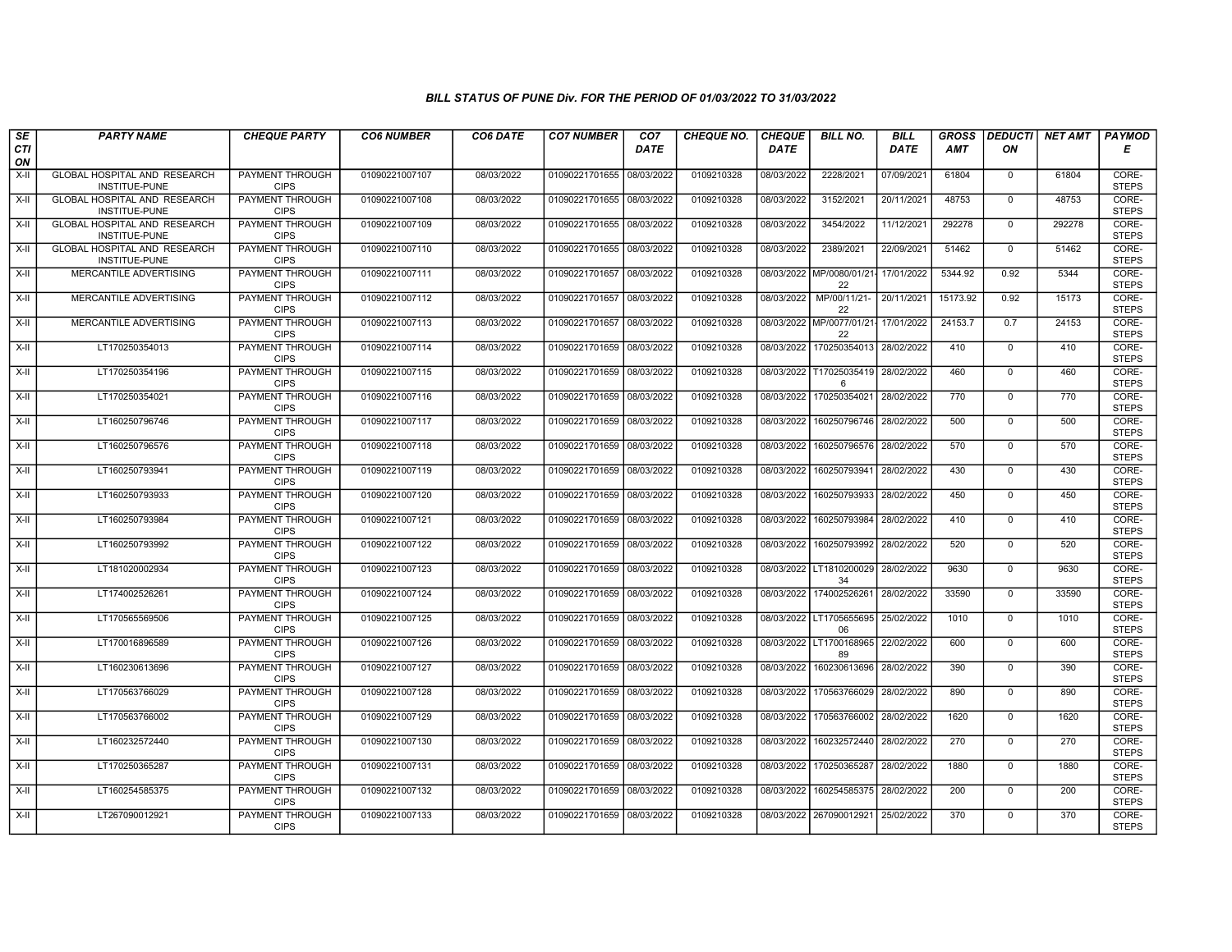| SE               | <b>PARTY NAME</b>                             | <b>CHEQUE PARTY</b>                   | <b>CO6 NUMBER</b> | CO6 DATE   | <b>CO7 NUMBER</b>         | CO <sub>7</sub> | CHEQUE NO. | <b>CHEQUE</b> | <b>BILL NO.</b>                           | <b>BILL</b> | <b>GROSS</b> |                | DEDUCTI NET AMT | <b>PAYMOD</b>         |
|------------------|-----------------------------------------------|---------------------------------------|-------------------|------------|---------------------------|-----------------|------------|---------------|-------------------------------------------|-------------|--------------|----------------|-----------------|-----------------------|
| <b>CTI</b><br>ON |                                               |                                       |                   |            |                           | <b>DATE</b>     |            | <b>DATE</b>   |                                           | <b>DATE</b> | <b>AMT</b>   | ON             |                 | Е                     |
| $X-H$            | GLOBAL HOSPITAL AND RESEARCH<br>INSTITUE-PUNE | <b>PAYMENT THROUGH</b><br><b>CIPS</b> | 01090221007107    | 08/03/2022 | 01090221701655 08/03/2022 |                 | 0109210328 | 08/03/2022    | 2228/2021                                 | 07/09/2021  | 61804        | $\overline{0}$ | 61804           | CORE-<br><b>STEPS</b> |
| $X-H$            | GLOBAL HOSPITAL AND RESEARCH<br>INSTITUE-PUNE | <b>PAYMENT THROUGH</b><br><b>CIPS</b> | 01090221007108    | 08/03/2022 | 01090221701655 08/03/2022 |                 | 0109210328 | 08/03/2022    | 3152/2021                                 | 20/11/2021  | 48753        | $\overline{0}$ | 48753           | CORE-<br><b>STEPS</b> |
| X-II             | GLOBAL HOSPITAL AND RESEARCH<br>INSTITUE-PUNE | PAYMENT THROUGH<br><b>CIPS</b>        | 01090221007109    | 08/03/2022 | 01090221701655 08/03/2022 |                 | 0109210328 | 08/03/2022    | 3454/2022                                 | 11/12/2021  | 292278       | $\mathbf 0$    | 292278          | CORE-<br><b>STEPS</b> |
| $X-II$           | GLOBAL HOSPITAL AND RESEARCH<br>INSTITUE-PUNE | PAYMENT THROUGH<br><b>CIPS</b>        | 01090221007110    | 08/03/2022 | 01090221701655 08/03/2022 |                 | 0109210328 | 08/03/2022    | 2389/2021                                 | 22/09/2021  | 51462        | $\mathbf{0}$   | 51462           | CORE-<br><b>STEPS</b> |
| $X-H$            | MERCANTILE ADVERTISING                        | <b>PAYMENT THROUGH</b><br><b>CIPS</b> | 01090221007111    | 08/03/2022 | 01090221701657 08/03/2022 |                 | 0109210328 |               | 08/03/2022 MP/0080/01/21-<br>22           | 17/01/2022  | 5344.92      | 0.92           | 5344            | CORE-<br><b>STEPS</b> |
| $X-H$            | MERCANTILE ADVERTISING                        | <b>PAYMENT THROUGH</b><br><b>CIPS</b> | 01090221007112    | 08/03/2022 | 01090221701657 08/03/2022 |                 | 0109210328 | 08/03/2022    | MP/00/11/21-<br>22                        | 20/11/2021  | 15173.92     | 0.92           | 15173           | CORE-<br><b>STEPS</b> |
| X-II             | MERCANTILE ADVERTISING                        | PAYMENT THROUGH<br><b>CIPS</b>        | 01090221007113    | 08/03/2022 | 01090221701657 08/03/2022 |                 | 0109210328 |               | 08/03/2022 MP/0077/01/21-17/01/2022<br>22 |             | 24153.7      | 0.7            | 24153           | CORE-<br><b>STEPS</b> |
| $X-H$            | LT170250354013                                | <b>PAYMENT THROUGH</b><br><b>CIPS</b> | 01090221007114    | 08/03/2022 | 01090221701659 08/03/2022 |                 | 0109210328 | 08/03/2022    | 170250354013                              | 28/02/2022  | 410          | $\overline{0}$ | 410             | CORE-<br><b>STEPS</b> |
| $X-H$            | LT170250354196                                | <b>PAYMENT THROUGH</b><br><b>CIPS</b> | 01090221007115    | 08/03/2022 | 01090221701659 08/03/2022 |                 | 0109210328 | 08/03/2022    | T17025035419<br>6                         | 28/02/2022  | 460          | $\mathbf 0$    | 460             | CORE-<br><b>STEPS</b> |
| $X-H$            | LT170250354021                                | <b>PAYMENT THROUGH</b><br><b>CIPS</b> | 01090221007116    | 08/03/2022 | 01090221701659 08/03/2022 |                 | 0109210328 |               | 08/03/2022 170250354021                   | 28/02/2022  | 770          | $\mathbf 0$    | 770             | CORE-<br><b>STEPS</b> |
| X-II             | LT160250796746                                | <b>PAYMENT THROUGH</b><br><b>CIPS</b> | 01090221007117    | 08/03/2022 | 01090221701659 08/03/2022 |                 | 0109210328 | 08/03/2022    | 160250796746                              | 28/02/2022  | 500          | $\mathbf 0$    | 500             | CORE-<br><b>STEPS</b> |
| X-II             | LT160250796576                                | PAYMENT THROUGH<br><b>CIPS</b>        | 01090221007118    | 08/03/2022 | 01090221701659 08/03/2022 |                 | 0109210328 | 08/03/2022    | 160250796576                              | 28/02/2022  | 570          | $\mathbf 0$    | 570             | CORE-<br><b>STEPS</b> |
| $X-H$            | LT160250793941                                | <b>PAYMENT THROUGH</b><br><b>CIPS</b> | 01090221007119    | 08/03/2022 | 01090221701659 08/03/2022 |                 | 0109210328 | 08/03/2022    | 160250793941                              | 28/02/2022  | 430          | $\overline{0}$ | 430             | CORE-<br><b>STEPS</b> |
| $X-H$            | LT160250793933                                | <b>PAYMENT THROUGH</b><br><b>CIPS</b> | 01090221007120    | 08/03/2022 | 01090221701659 08/03/2022 |                 | 0109210328 | 08/03/2022    | 160250793933                              | 28/02/2022  | 450          | $\mathbf 0$    | 450             | CORE-<br><b>STEPS</b> |
| X-II             | LT160250793984                                | <b>PAYMENT THROUGH</b><br><b>CIPS</b> | 01090221007121    | 08/03/2022 | 01090221701659 08/03/2022 |                 | 0109210328 | 08/03/2022    | 160250793984                              | 28/02/2022  | 410          | $\Omega$       | 410             | CORE-<br><b>STEPS</b> |
| X-II             | LT160250793992                                | PAYMENT THROUGH<br><b>CIPS</b>        | 01090221007122    | 08/03/2022 | 01090221701659 08/03/2022 |                 | 0109210328 | 08/03/2022    | 160250793992                              | 28/02/2022  | 520          | $\mathbf 0$    | 520             | CORE-<br><b>STEPS</b> |
| X-II             | LT181020002934                                | <b>PAYMENT THROUGH</b><br><b>CIPS</b> | 01090221007123    | 08/03/2022 | 01090221701659 08/03/2022 |                 | 0109210328 |               | 08/03/2022 LT1810200029<br>34             | 28/02/2022  | 9630         | $\overline{0}$ | 9630            | CORE-<br><b>STEPS</b> |
| $X-H$            | LT174002526261                                | PAYMENT THROUGH<br><b>CIPS</b>        | 01090221007124    | 08/03/2022 | 01090221701659            | 08/03/2022      | 0109210328 | 08/03/2022    | 174002526261                              | 28/02/2022  | 33590        | $\overline{0}$ | 33590           | CORE-<br><b>STEPS</b> |
| $X-II$           | LT170565569506                                | <b>PAYMENT THROUGH</b><br><b>CIPS</b> | 01090221007125    | 08/03/2022 | 01090221701659 08/03/2022 |                 | 0109210328 |               | 08/03/2022 LT1705655695<br>06             | 25/02/2022  | 1010         | $\mathbf 0$    | 1010            | CORE-<br><b>STEPS</b> |
| X-II             | LT170016896589                                | <b>PAYMENT THROUGH</b><br><b>CIPS</b> | 01090221007126    | 08/03/2022 | 01090221701659 08/03/2022 |                 | 0109210328 |               | 08/03/2022 LT1700168965<br>89             | 22/02/2022  | 600          | $\overline{0}$ | 600             | CORE-<br><b>STEPS</b> |
| $X-H$            | LT160230613696                                | <b>PAYMENT THROUGH</b><br><b>CIPS</b> | 01090221007127    | 08/03/2022 | 01090221701659 08/03/2022 |                 | 0109210328 | 08/03/2022    | 160230613696                              | 28/02/2022  | 390          | $\mathbf{0}$   | 390             | CORE-<br><b>STEPS</b> |
| X-II             | LT170563766029                                | <b>PAYMENT THROUGH</b><br><b>CIPS</b> | 01090221007128    | 08/03/2022 | 01090221701659 08/03/2022 |                 | 0109210328 | 08/03/2022    | 170563766029                              | 28/02/2022  | 890          | $\Omega$       | 890             | CORE-<br><b>STEPS</b> |
| X-II             | LT170563766002                                | PAYMENT THROUGH<br><b>CIPS</b>        | 01090221007129    | 08/03/2022 | 01090221701659 08/03/2022 |                 | 0109210328 | 08/03/2022    | 170563766002                              | 28/02/2022  | 1620         | $\mathbf 0$    | 1620            | CORE-<br><b>STEPS</b> |
| $X-II$           | LT160232572440                                | PAYMENT THROUGH<br><b>CIPS</b>        | 01090221007130    | 08/03/2022 | 01090221701659 08/03/2022 |                 | 0109210328 | 08/03/2022    | 160232572440                              | 28/02/2022  | 270          | $\Omega$       | 270             | CORE-<br><b>STEPS</b> |
| $X-II$           | LT170250365287                                | PAYMENT THROUGH<br><b>CIPS</b>        | 01090221007131    | 08/03/2022 | 01090221701659 08/03/2022 |                 | 0109210328 | 08/03/2022    | 170250365287                              | 28/02/2022  | 1880         | $\mathbf 0$    | 1880            | CORE-<br><b>STEPS</b> |
| $X-H$            | LT160254585375                                | <b>PAYMENT THROUGH</b><br><b>CIPS</b> | 01090221007132    | 08/03/2022 | 01090221701659 08/03/2022 |                 | 0109210328 | 08/03/2022    | 160254585375 28/02/2022                   |             | 200          | 0              | 200             | CORE-<br><b>STEPS</b> |
| X-II             | LT267090012921                                | PAYMENT THROUGH<br><b>CIPS</b>        | 01090221007133    | 08/03/2022 | 01090221701659 08/03/2022 |                 | 0109210328 |               | 08/03/2022 267090012921                   | 25/02/2022  | 370          | $\mathbf 0$    | 370             | CORE-<br><b>STEPS</b> |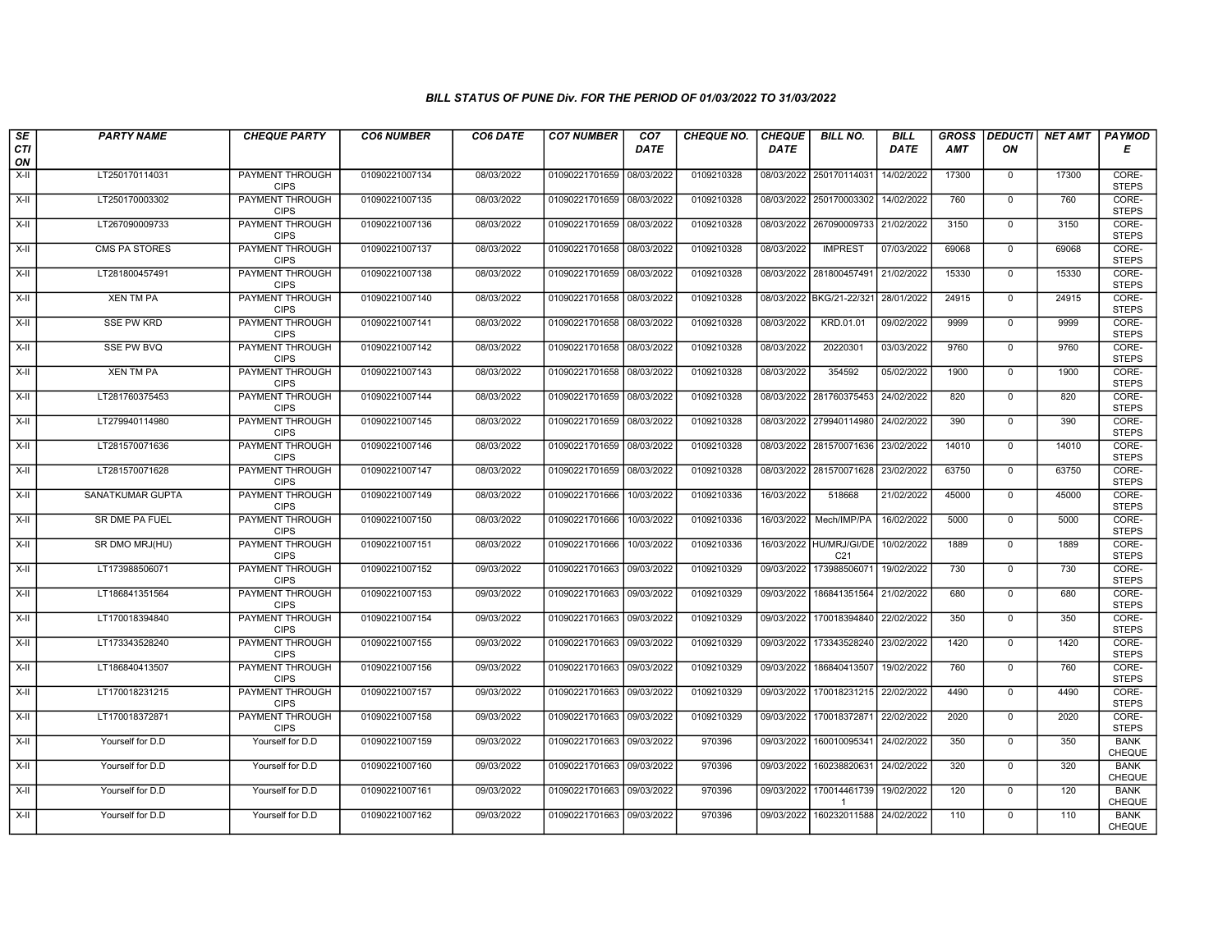| SE                 | <b>PARTY NAME</b> | <b>CHEQUE PARTY</b>                   | <b>CO6 NUMBER</b> | CO6 DATE   | <b>CO7 NUMBER</b>         | CO <sub>7</sub> | <b>CHEQUE NO.</b> | <b>CHEQUE</b> | <b>BILL NO.</b>                            | <b>BILL</b> | <b>GROSS</b> |                | DEDUCTI NET AMT | <b>PAYMOD</b>                |
|--------------------|-------------------|---------------------------------------|-------------------|------------|---------------------------|-----------------|-------------------|---------------|--------------------------------------------|-------------|--------------|----------------|-----------------|------------------------------|
| <b>CTI</b><br>ON   |                   |                                       |                   |            |                           | <b>DATE</b>     |                   | <b>DATE</b>   |                                            | <b>DATE</b> | <b>AMT</b>   | ON             |                 | Е                            |
| $X-H$              | LT250170114031    | <b>PAYMENT THROUGH</b><br><b>CIPS</b> | 01090221007134    | 08/03/2022 | 01090221701659 08/03/2022 |                 | 0109210328        |               | 08/03/2022 250170114031                    | 14/02/2022  | 17300        | $\overline{0}$ | 17300           | CORE-<br><b>STEPS</b>        |
| $X-H$              | LT250170003302    | <b>PAYMENT THROUGH</b><br><b>CIPS</b> | 01090221007135    | 08/03/2022 | 01090221701659 08/03/2022 |                 | 0109210328        |               | 08/03/2022 250170003302                    | 14/02/2022  | 760          | $\mathbf{0}$   | 760             | CORE-<br><b>STEPS</b>        |
| $X-II$             | LT267090009733    | PAYMENT THROUGH<br><b>CIPS</b>        | 01090221007136    | 08/03/2022 | 01090221701659 08/03/2022 |                 | 0109210328        | 08/03/2022    | 267090009733                               | 21/02/2022  | 3150         | $\mathbf 0$    | 3150            | CORE-<br><b>STEPS</b>        |
| $X-H$              | CMS PA STORES     | <b>PAYMENT THROUGH</b><br><b>CIPS</b> | 01090221007137    | 08/03/2022 | 01090221701658 08/03/2022 |                 | 0109210328        | 08/03/2022    | <b>IMPREST</b>                             | 07/03/2022  | 69068        | $\mathbf 0$    | 69068           | CORE-<br><b>STEPS</b>        |
| $X-H$              | LT281800457491    | <b>PAYMENT THROUGH</b><br><b>CIPS</b> | 01090221007138    | 08/03/2022 | 01090221701659 08/03/2022 |                 | 0109210328        |               | 08/03/2022 281800457491                    | 21/02/2022  | 15330        | $\mathbf 0$    | 15330           | CORE-<br><b>STEPS</b>        |
| $X-H$              | <b>XEN TM PA</b>  | <b>PAYMENT THROUGH</b><br><b>CIPS</b> | 01090221007140    | 08/03/2022 | 01090221701658 08/03/2022 |                 | 0109210328        |               | 08/03/2022 BKG/21-22/321                   | 28/01/2022  | 24915        | $\mathbf 0$    | 24915           | CORE-<br><b>STEPS</b>        |
| $X-H$              | <b>SSE PW KRD</b> | PAYMENT THROUGH<br><b>CIPS</b>        | 01090221007141    | 08/03/2022 | 01090221701658 08/03/2022 |                 | 0109210328        | 08/03/2022    | KRD.01.01                                  | 09/02/2022  | 9999         | $\mathbf 0$    | 9999            | CORE-<br><b>STEPS</b>        |
| $X-H$              | <b>SSE PW BVQ</b> | <b>PAYMENT THROUGH</b><br><b>CIPS</b> | 01090221007142    | 08/03/2022 | 01090221701658 08/03/2022 |                 | 0109210328        | 08/03/2022    | 20220301                                   | 03/03/2022  | 9760         | $\overline{0}$ | 9760            | CORE-<br><b>STEPS</b>        |
| X-II               | <b>XEN TM PA</b>  | PAYMENT THROUGH<br><b>CIPS</b>        | 01090221007143    | 08/03/2022 | 01090221701658 08/03/2022 |                 | 0109210328        | 08/03/2022    | 354592                                     | 05/02/2022  | 1900         | $\mathbf{0}$   | 1900            | CORE-<br><b>STEPS</b>        |
| $\overline{X}$ -II | LT281760375453    | <b>PAYMENT THROUGH</b><br><b>CIPS</b> | 01090221007144    | 08/03/2022 | 01090221701659 08/03/2022 |                 | 0109210328        |               | 08/03/2022 281760375453                    | 24/02/2022  | 820          | $\overline{0}$ | 820             | CORE-<br><b>STEPS</b>        |
| $X-II$             | LT279940114980    | PAYMENT THROUGH<br><b>CIPS</b>        | 01090221007145    | 08/03/2022 | 01090221701659            | 08/03/2022      | 0109210328        |               | 08/03/2022 279940114980                    | 24/02/2022  | 390          | $\mathbf 0$    | 390             | CORE-<br><b>STEPS</b>        |
| $X-H$              | LT281570071636    | PAYMENT THROUGH<br><b>CIPS</b>        | 01090221007146    | 08/03/2022 | 01090221701659 08/03/2022 |                 | 0109210328        |               | 08/03/2022 281570071636                    | 23/02/2022  | 14010        | $\mathbf 0$    | 14010           | CORE-<br><b>STEPS</b>        |
| $X-H$              | LT281570071628    | <b>PAYMENT THROUGH</b><br><b>CIPS</b> | 01090221007147    | 08/03/2022 | 01090221701659 08/03/2022 |                 | 0109210328        |               | 08/03/2022 281570071628                    | 23/02/2022  | 63750        | $\overline{0}$ | 63750           | CORE-<br><b>STEPS</b>        |
| X-II               | SANATKUMAR GUPTA  | <b>PAYMENT THROUGH</b><br><b>CIPS</b> | 01090221007149    | 08/03/2022 | 01090221701666            | 10/03/2022      | 0109210336        | 16/03/2022    | 518668                                     | 21/02/2022  | 45000        | $\mathbf 0$    | 45000           | CORE-<br><b>STEPS</b>        |
| $X-H$              | SR DME PA FUEL    | PAYMENT THROUGH<br><b>CIPS</b>        | 01090221007150    | 08/03/2022 | 01090221701666            | 10/03/2022      | 0109210336        | 16/03/2022    | Mech/IMP/PA                                | 16/02/2022  | 5000         | $\mathbf 0$    | 5000            | CORE-<br><b>STEPS</b>        |
| $X-II$             | SR DMO MRJ(HU)    | PAYMENT THROUGH<br><b>CIPS</b>        | 01090221007151    | 08/03/2022 | 01090221701666            | 10/03/2022      | 0109210336        |               | 16/03/2022 HU/MRJ/GI/DE<br>C <sub>21</sub> | 10/02/2022  | 1889         | $\mathbf{0}$   | 1889            | CORE-<br><b>STEPS</b>        |
| $X-H$              | LT173988506071    | PAYMENT THROUGH<br><b>CIPS</b>        | 01090221007152    | 09/03/2022 | 01090221701663            | 09/03/2022      | 0109210329        | 09/03/2022    | 173988506071                               | 19/02/2022  | 730          | $\overline{0}$ | 730             | CORE-<br><b>STEPS</b>        |
| $X-H$              | LT186841351564    | <b>PAYMENT THROUGH</b><br><b>CIPS</b> | 01090221007153    | 09/03/2022 | 01090221701663 09/03/2022 |                 | 0109210329        | 09/03/2022    | 186841351564                               | 21/02/2022  | 680          | $\mathbf 0$    | 680             | CORE-<br><b>STEPS</b>        |
| $X-H$              | LT170018394840    | PAYMENT THROUGH<br><b>CIPS</b>        | 01090221007154    | 09/03/2022 | 01090221701663 09/03/2022 |                 | 0109210329        |               | 09/03/2022 170018394840                    | 22/02/2022  | 350          | $\mathbf 0$    | 350             | CORE-<br><b>STEPS</b>        |
| $X-H$              | LT173343528240    | PAYMENT THROUGH<br><b>CIPS</b>        | 01090221007155    | 09/03/2022 | 01090221701663 09/03/2022 |                 | 0109210329        | 09/03/2022    | 173343528240                               | 23/02/2022  | 1420         | $\overline{0}$ | 1420            | CORE-<br><b>STEPS</b>        |
| $X-H$              | LT186840413507    | <b>PAYMENT THROUGH</b><br><b>CIPS</b> | 01090221007156    | 09/03/2022 | 01090221701663 09/03/2022 |                 | 0109210329        | 09/03/2022    | 186840413507                               | 19/02/2022  | 760          | $\mathsf{O}$   | 760             | CORE-<br><b>STEPS</b>        |
| X-II               | LT170018231215    | <b>PAYMENT THROUGH</b><br><b>CIPS</b> | 01090221007157    | 09/03/2022 | 01090221701663 09/03/2022 |                 | 0109210329        | 09/03/2022    | 170018231215                               | 22/02/2022  | 4490         | $\mathbf 0$    | 4490            | CORE-<br><b>STEPS</b>        |
| $X-II$             | LT170018372871    | PAYMENT THROUGH<br><b>CIPS</b>        | 01090221007158    | 09/03/2022 | 01090221701663 09/03/2022 |                 | 0109210329        | 09/03/2022    | 170018372871                               | 22/02/2022  | 2020         | $\mathbf 0$    | 2020            | CORE-<br><b>STEPS</b>        |
| $X-II$             | Yourself for D.D  | Yourself for D.D                      | 01090221007159    | 09/03/2022 | 01090221701663 09/03/2022 |                 | 970396            | 09/03/2022    | 160010095341                               | 24/02/2022  | 350          | $\Omega$       | 350             | <b>BANK</b><br><b>CHEQUE</b> |
| $X-H$              | Yourself for D.D  | Yourself for D.D                      | 01090221007160    | 09/03/2022 | 01090221701663 09/03/2022 |                 | 970396            | 09/03/2022    | 160238820631                               | 24/02/2022  | 320          | $\mathbf 0$    | 320             | <b>BANK</b><br>CHEQUE        |
| $X-H$              | Yourself for D.D  | Yourself for D.D                      | 01090221007161    | 09/03/2022 | 01090221701663 09/03/2022 |                 | 970396            | 09/03/2022    | 170014461739 19/02/2022                    |             | 120          | $\overline{0}$ | 120             | <b>BANK</b><br>CHEQUE        |
| $X-H$              | Yourself for D.D  | Yourself for D.D                      | 01090221007162    | 09/03/2022 | 01090221701663 09/03/2022 |                 | 970396            | 09/03/2022    | 160232011588 24/02/2022                    |             | 110          | $\mathsf{O}$   | 110             | <b>BANK</b><br>CHEQUE        |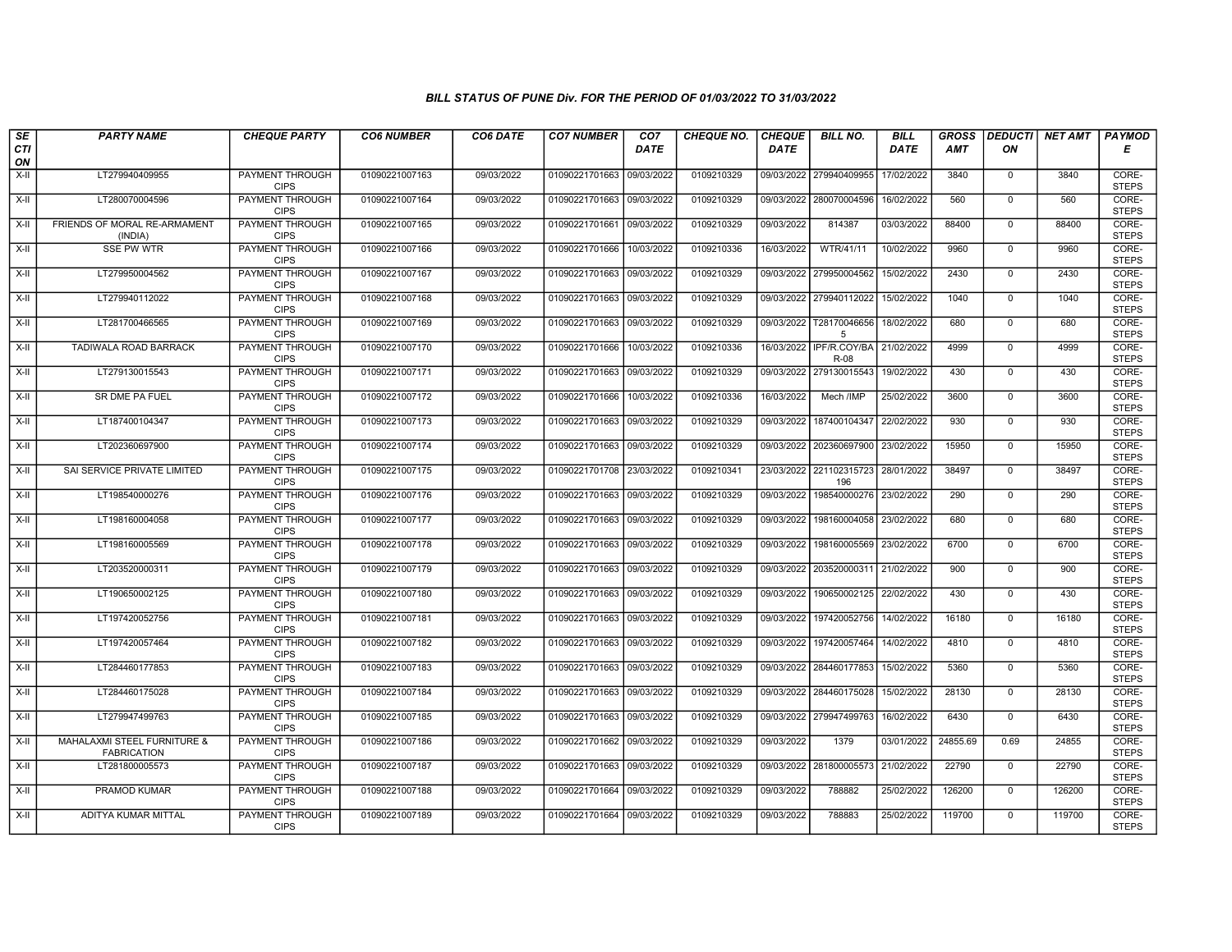| SE               | <b>PARTY NAME</b>                                 | <b>CHEQUE PARTY</b>                   | <b>CO6 NUMBER</b> | CO6 DATE   | <b>CO7 NUMBER</b>         | CO <sub>7</sub> | <b>CHEQUE NO.</b> | <b>CHEQUE</b> | <b>BILL NO.</b>                 | <b>BILL</b> | <b>GROSS</b> |                | DEDUCTI NET AMT | <b>PAYMOD</b>         |
|------------------|---------------------------------------------------|---------------------------------------|-------------------|------------|---------------------------|-----------------|-------------------|---------------|---------------------------------|-------------|--------------|----------------|-----------------|-----------------------|
| <b>CTI</b><br>ON |                                                   |                                       |                   |            |                           | <b>DATE</b>     |                   | <b>DATE</b>   |                                 | <b>DATE</b> | <b>AMT</b>   | ON             |                 | Е                     |
| $X-H$            | LT279940409955                                    | PAYMENT THROUGH<br><b>CIPS</b>        | 01090221007163    | 09/03/2022 | 01090221701663 09/03/2022 |                 | 0109210329        |               | 09/03/2022 279940409955         | 17/02/2022  | 3840         | $\mathbf 0$    | 3840            | CORE-<br><b>STEPS</b> |
| $X-H$            | LT280070004596                                    | <b>PAYMENT THROUGH</b><br><b>CIPS</b> | 01090221007164    | 09/03/2022 | 01090221701663 09/03/2022 |                 | 0109210329        |               | 09/03/2022 280070004596         | 16/02/2022  | 560          | $\overline{0}$ | 560             | CORE-<br><b>STEPS</b> |
| X-II             | FRIENDS OF MORAL RE-ARMAMENT<br>(INDIA)           | PAYMENT THROUGH<br><b>CIPS</b>        | 01090221007165    | 09/03/2022 | 01090221701661            | 09/03/2022      | 0109210329        | 09/03/2022    | 814387                          | 03/03/2022  | 88400        | $\mathbf 0$    | 88400           | CORE-<br><b>STEPS</b> |
| $X-H$            | <b>SSE PW WTR</b>                                 | PAYMENT THROUGH<br><b>CIPS</b>        | 01090221007166    | 09/03/2022 | 01090221701666            | 10/03/2022      | 0109210336        | 16/03/2022    | WTR/41/11                       | 10/02/2022  | 9960         | $\mathbf 0$    | 9960            | CORE-<br><b>STEPS</b> |
| $X-H$            | LT279950004562                                    | <b>PAYMENT THROUGH</b><br><b>CIPS</b> | 01090221007167    | 09/03/2022 | 01090221701663 09/03/2022 |                 | 0109210329        |               | 09/03/2022 279950004562         | 15/02/2022  | 2430         | $\mathbf 0$    | 2430            | CORE-<br><b>STEPS</b> |
| $X-H$            | LT279940112022                                    | <b>PAYMENT THROUGH</b><br><b>CIPS</b> | 01090221007168    | 09/03/2022 | 01090221701663 09/03/2022 |                 | 0109210329        |               | 09/03/2022 279940112022         | 15/02/2022  | 1040         | $\overline{0}$ | 1040            | CORE-<br><b>STEPS</b> |
| X-II             | LT281700466565                                    | PAYMENT THROUGH<br><b>CIPS</b>        | 01090221007169    | 09/03/2022 | 01090221701663 09/03/2022 |                 | 0109210329        | 09/03/2022    | T28170046656<br>5               | 18/02/2022  | 680          | $\mathbf 0$    | 680             | CORE-<br><b>STEPS</b> |
| X-II             | TADIWALA ROAD BARRACK                             | PAYMENT THROUGH<br><b>CIPS</b>        | 01090221007170    | 09/03/2022 | 01090221701666 10/03/2022 |                 | 0109210336        |               | 16/03/2022 IPF/R.COY/BA<br>R-08 | 21/02/2022  | 4999         | $\mathbf 0$    | 4999            | CORE-<br><b>STEPS</b> |
| $X-H$            | LT279130015543                                    | <b>PAYMENT THROUGH</b><br><b>CIPS</b> | 01090221007171    | 09/03/2022 | 01090221701663 09/03/2022 |                 | 0109210329        | 09/03/2022    | 279130015543                    | 19/02/2022  | 430          | $\mathbf 0$    | 430             | CORE-<br><b>STEPS</b> |
| $X-H$            | SR DME PA FUEL                                    | <b>PAYMENT THROUGH</b><br><b>CIPS</b> | 01090221007172    | 09/03/2022 | 01090221701666            | 10/03/2022      | 0109210336        | 16/03/2022    | Mech /IMP                       | 25/02/2022  | 3600         | $\mathbf 0$    | 3600            | CORE-<br><b>STEPS</b> |
| $X-H$            | LT187400104347                                    | PAYMENT THROUGH<br><b>CIPS</b>        | 01090221007173    | 09/03/2022 | 01090221701663            | 09/03/2022      | 0109210329        | 09/03/2022    | 187400104347                    | 22/02/2022  | 930          | $\mathbf 0$    | 930             | CORE-<br><b>STEPS</b> |
| $X-II$           | LT202360697900                                    | <b>PAYMENT THROUGH</b><br><b>CIPS</b> | 01090221007174    | 09/03/2022 | 01090221701663 09/03/2022 |                 | 0109210329        |               | 09/03/2022 202360697900         | 23/02/2022  | 15950        | $\mathbf{0}$   | 15950           | CORE-<br><b>STEPS</b> |
| X-II             | SAI SERVICE PRIVATE LIMITED                       | <b>PAYMENT THROUGH</b><br><b>CIPS</b> | 01090221007175    | 09/03/2022 | 01090221701708 23/03/2022 |                 | 0109210341        |               | 23/03/2022 221102315723<br>196  | 28/01/2022  | 38497        | $\mathbf 0$    | 38497           | CORE-<br><b>STEPS</b> |
| $X-H$            | LT198540000276                                    | <b>PAYMENT THROUGH</b><br><b>CIPS</b> | 01090221007176    | 09/03/2022 | 01090221701663 09/03/2022 |                 | 0109210329        | 09/03/2022    | 198540000276                    | 23/02/2022  | 290          | $\mathbf{0}$   | 290             | CORE-<br><b>STEPS</b> |
| X-II             | LT198160004058                                    | PAYMENT THROUGH<br><b>CIPS</b>        | 01090221007177    | 09/03/2022 | 01090221701663 09/03/2022 |                 | 0109210329        | 09/03/2022    | 198160004058                    | 23/02/2022  | 680          | $\mathbf{0}$   | 680             | CORE-<br><b>STEPS</b> |
| $X-II$           | LT198160005569                                    | <b>PAYMENT THROUGH</b><br><b>CIPS</b> | 01090221007178    | 09/03/2022 | 01090221701663 09/03/2022 |                 | 0109210329        | 09/03/2022    | 198160005569                    | 23/02/2022  | 6700         | $\overline{0}$ | 6700            | CORE-<br><b>STEPS</b> |
| $X-H$            | LT203520000311                                    | PAYMENT THROUGH<br><b>CIPS</b>        | 01090221007179    | 09/03/2022 | 01090221701663            | 09/03/2022      | 0109210329        |               | 09/03/2022 203520000311         | 21/02/2022  | 900          | $\mathbf{0}$   | 900             | CORE-<br><b>STEPS</b> |
| X-II             | LT190650002125                                    | <b>PAYMENT THROUGH</b><br><b>CIPS</b> | 01090221007180    | 09/03/2022 | 01090221701663 09/03/2022 |                 | 0109210329        | 09/03/2022    | 190650002125                    | 22/02/2022  | 430          | $\mathbf 0$    | 430             | CORE-<br><b>STEPS</b> |
| X-II             | LT197420052756                                    | PAYMENT THROUGH<br><b>CIPS</b>        | 01090221007181    | 09/03/2022 | 01090221701663 09/03/2022 |                 | 0109210329        | 09/03/2022    | 197420052756                    | 14/02/2022  | 16180        | $\mathbf 0$    | 16180           | CORE-<br><b>STEPS</b> |
| X-II             | LT197420057464                                    | PAYMENT THROUGH<br><b>CIPS</b>        | 01090221007182    | 09/03/2022 | 01090221701663 09/03/2022 |                 | 0109210329        | 09/03/2022    | 197420057464                    | 14/02/2022  | 4810         | $\mathbf{0}$   | 4810            | CORE-<br><b>STEPS</b> |
| $X-H$            | LT284460177853                                    | PAYMENT THROUGH<br><b>CIPS</b>        | 01090221007183    | 09/03/2022 | 01090221701663 09/03/2022 |                 | 0109210329        | 09/03/2022    | 284460177853                    | 15/02/2022  | 5360         | $\overline{0}$ | 5360            | CORE-<br><b>STEPS</b> |
| $X-H$            | LT284460175028                                    | <b>PAYMENT THROUGH</b><br><b>CIPS</b> | 01090221007184    | 09/03/2022 | 01090221701663 09/03/2022 |                 | 0109210329        |               | 09/03/2022 284460175028         | 15/02/2022  | 28130        | $\mathbf 0$    | 28130           | CORE-<br><b>STEPS</b> |
| X-II             | LT279947499763                                    | PAYMENT THROUGH<br><b>CIPS</b>        | 01090221007185    | 09/03/2022 | 01090221701663 09/03/2022 |                 | 0109210329        | 09/03/2022    | 279947499763                    | 16/02/2022  | 6430         | $\mathbf 0$    | 6430            | CORE-<br><b>STEPS</b> |
| X-II             | MAHALAXMI STEEL FURNITURE &<br><b>FABRICATION</b> | PAYMENT THROUGH<br><b>CIPS</b>        | 01090221007186    | 09/03/2022 | 01090221701662 09/03/2022 |                 | 0109210329        | 09/03/2022    | 1379                            | 03/01/2022  | 24855.69     | 0.69           | 24855           | CORE-<br><b>STEPS</b> |
| $X-H$            | LT281800005573                                    | PAYMENT THROUGH<br><b>CIPS</b>        | 01090221007187    | 09/03/2022 | 01090221701663 09/03/2022 |                 | 0109210329        |               | 09/03/2022 281800005573         | 21/02/2022  | 22790        | $\mathbf{0}$   | 22790           | CORE-<br><b>STEPS</b> |
| X-II             | PRAMOD KUMAR                                      | PAYMENT THROUGH<br><b>CIPS</b>        | 01090221007188    | 09/03/2022 | 01090221701664 09/03/2022 |                 | 0109210329        | 09/03/2022    | 788882                          | 25/02/2022  | 126200       | $\mathbf 0$    | 126200          | CORE-<br><b>STEPS</b> |
| X-II             | ADITYA KUMAR MITTAL                               | <b>PAYMENT THROUGH</b><br><b>CIPS</b> | 01090221007189    | 09/03/2022 | 01090221701664 09/03/2022 |                 | 0109210329        | 09/03/2022    | 788883                          | 25/02/2022  | 119700       | $\mathbf 0$    | 119700          | CORE-<br><b>STEPS</b> |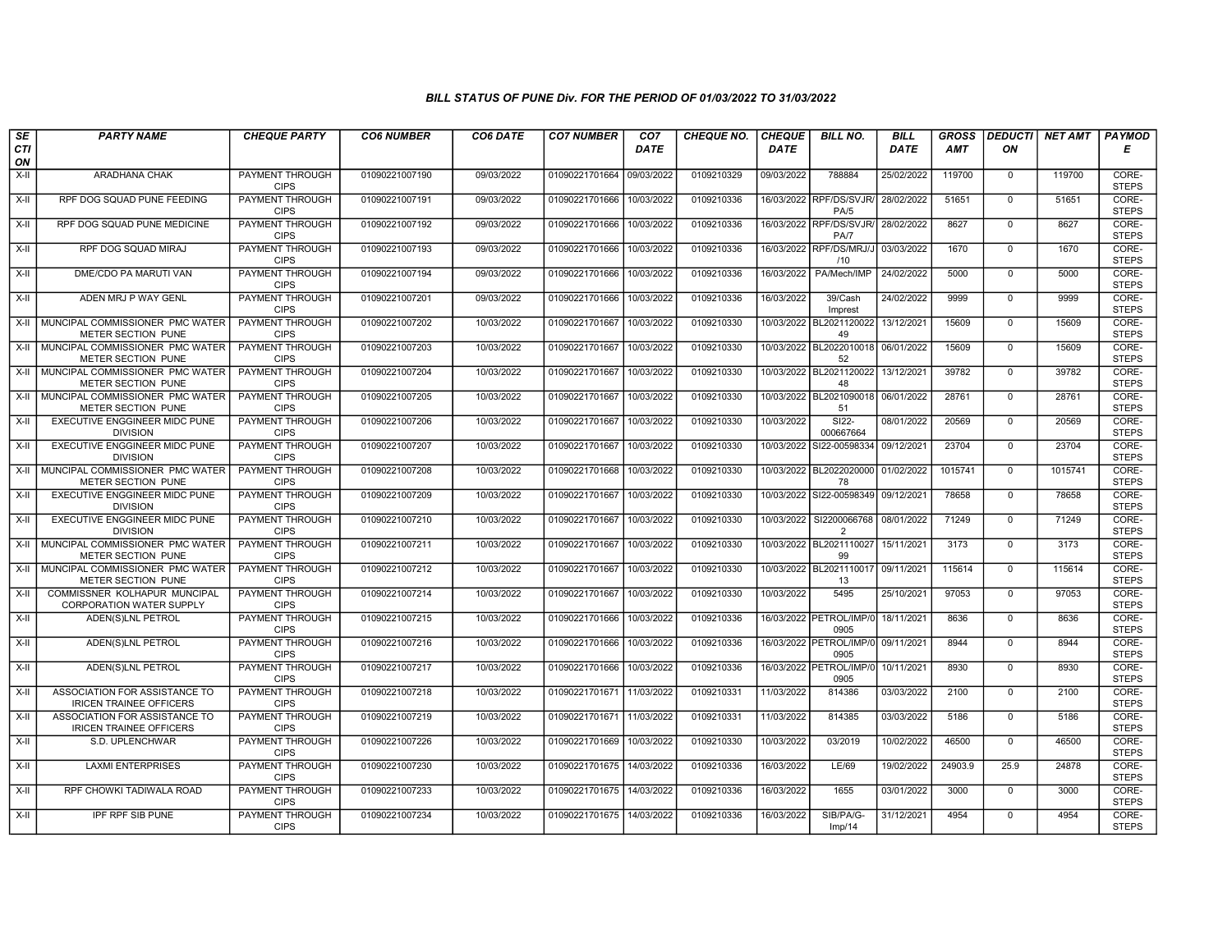| SE        | <b>PARTY NAME</b>                                               | <b>CHEQUE PARTY</b>                   | <b>CO6 NUMBER</b> | CO6 DATE   | <b>CO7 NUMBER</b>         | CO <sub>7</sub> | <b>CHEQUE NO.</b> | <b>CHEQUE</b> | <b>BILL NO.</b>                            | <b>BILL</b> | <b>GROSS</b> |              | <b>DEDUCTI</b> NET AMT | <b>PAYMOD</b>         |
|-----------|-----------------------------------------------------------------|---------------------------------------|-------------------|------------|---------------------------|-----------------|-------------------|---------------|--------------------------------------------|-------------|--------------|--------------|------------------------|-----------------------|
| CTI<br>ON |                                                                 |                                       |                   |            |                           | <b>DATE</b>     |                   | <b>DATE</b>   |                                            | DATE        | <b>AMT</b>   | ON           |                        | Е                     |
| $X-II$    | <b>ARADHANA CHAK</b>                                            | <b>PAYMENT THROUGH</b><br><b>CIPS</b> | 01090221007190    | 09/03/2022 | 01090221701664 09/03/2022 |                 | 0109210329        | 09/03/2022    | 788884                                     | 25/02/2022  | 119700       | $\Omega$     | 119700                 | CORE-<br><b>STEPS</b> |
| X-II      | RPF DOG SQUAD PUNE FEEDING                                      | <b>PAYMENT THROUGH</b><br><b>CIPS</b> | 01090221007191    | 09/03/2022 | 01090221701666            | 10/03/2022      | 0109210336        |               | 16/03/2022 RPF/DS/SVJR<br>PA/5             | 28/02/2022  | 51651        | $\Omega$     | 51651                  | CORE-<br><b>STEPS</b> |
| $X-H$     | RPF DOG SQUAD PUNE MEDICINE                                     | PAYMENT THROUGH<br><b>CIPS</b>        | 01090221007192    | 09/03/2022 | 01090221701666            | 10/03/2022      | 0109210336        |               | 16/03/2022 RPF/DS/SVJR/<br>PA/7            | 28/02/2022  | 8627         | $\Omega$     | 8627                   | CORE-<br><b>STEPS</b> |
| X-II      | RPF DOG SQUAD MIRAJ                                             | PAYMENT THROUGH<br><b>CIPS</b>        | 01090221007193    | 09/03/2022 | 01090221701666            | 10/03/2022      | 0109210336        | 16/03/2022    | RPF/DS/MRJ/J 03/03/2022<br>/10             |             | 1670         | $\mathbf 0$  | 1670                   | CORE-<br><b>STEPS</b> |
| $X-H$     | DME/CDO PA MARUTI VAN                                           | <b>PAYMENT THROUGH</b><br><b>CIPS</b> | 01090221007194    | 09/03/2022 | 01090221701666            | 10/03/2022      | 0109210336        | 16/03/2022    | PA/Mech/IMP                                | 24/02/2022  | 5000         | $\Omega$     | 5000                   | CORE-<br><b>STEPS</b> |
| X-II      | ADEN MRJ P WAY GENL                                             | <b>PAYMENT THROUGH</b><br><b>CIPS</b> | 01090221007201    | 09/03/2022 | 01090221701666            | 10/03/2022      | 0109210336        | 16/03/2022    | 39/Cash<br>Imprest                         | 24/02/2022  | 9999         | $\mathbf{0}$ | 9999                   | CORE-<br><b>STEPS</b> |
| $X-H$     | MUNCIPAL COMMISSIONER PMC WATER<br>METER SECTION PUNE           | PAYMENT THROUGH<br><b>CIPS</b>        | 01090221007202    | 10/03/2022 | 01090221701667            | 10/03/2022      | 0109210330        | 10/03/2022    | BL2021120022<br>49                         | 13/12/2021  | 15609        | $\Omega$     | 15609                  | CORE-<br><b>STEPS</b> |
| X-II      | MUNCIPAL COMMISSIONER PMC WATER<br><b>METER SECTION PUNE</b>    | PAYMENT THROUGH<br><b>CIPS</b>        | 01090221007203    | 10/03/2022 | 01090221701667            | 10/03/2022      | 0109210330        |               | 10/03/2022 BL2022010018<br>52              | 06/01/2022  | 15609        | $\mathbf{0}$ | 15609                  | CORE-<br><b>STEPS</b> |
| $X-H$     | MUNCIPAL COMMISSIONER PMC WATER<br>METER SECTION PUNE           | PAYMENT THROUGH<br><b>CIPS</b>        | 01090221007204    | 10/03/2022 | 01090221701667            | 10/03/2022      | 0109210330        | 10/03/2022    | BL2021120022<br>48                         | 13/12/2021  | 39782        | $\Omega$     | 39782                  | CORE-<br><b>STEPS</b> |
| X-II      | MUNCIPAL COMMISSIONER PMC WATER<br>METER SECTION PUNE           | <b>PAYMENT THROUGH</b><br><b>CIPS</b> | 01090221007205    | 10/03/2022 | 01090221701667            | 10/03/2022      | 0109210330        |               | 10/03/2022 BL2021090018 06/01/2022<br>51   |             | 28761        | $\mathbf 0$  | 28761                  | CORE-<br><b>STEPS</b> |
| $X-II$    | <b>EXECUTIVE ENGGINEER MIDC PUNE</b><br><b>DIVISION</b>         | PAYMENT THROUGH<br><b>CIPS</b>        | 01090221007206    | 10/03/2022 | 01090221701667            | 10/03/2022      | 0109210330        | 10/03/2022    | SI22-<br>000667664                         | 08/01/2022  | 20569        | $\Omega$     | 20569                  | CORE-<br><b>STEPS</b> |
| X-II      | EXECUTIVE ENGGINEER MIDC PUNE<br><b>DIVISION</b>                | PAYMENT THROUGH<br><b>CIPS</b>        | 01090221007207    | 10/03/2022 | 01090221701667            | 10/03/2022      | 0109210330        | 10/03/2022    | SI22-00598334                              | 09/12/2021  | 23704        | $\mathbf{0}$ | 23704                  | CORE-<br><b>STEPS</b> |
| $X-H$     | MUNCIPAL COMMISSIONER PMC WATER<br>METER SECTION PUNE           | <b>PAYMENT THROUGH</b><br><b>CIPS</b> | 01090221007208    | 10/03/2022 | 01090221701668 10/03/2022 |                 | 0109210330        |               | 10/03/2022 BL2022020000<br>78              | 01/02/2022  | 1015741      | $\Omega$     | 1015741                | CORE-<br><b>STEPS</b> |
| $X-II$    | <b>EXECUTIVE ENGGINEER MIDC PUNE</b><br><b>DIVISION</b>         | <b>PAYMENT THROUGH</b><br><b>CIPS</b> | 01090221007209    | 10/03/2022 | 01090221701667            | 10/03/2022      | 0109210330        | 10/03/2022    | SI22-00598349                              | 09/12/2021  | 78658        | $\mathbf 0$  | 78658                  | CORE-<br><b>STEPS</b> |
| $X-H$     | EXECUTIVE ENGGINEER MIDC PUNE<br><b>DIVISION</b>                | <b>PAYMENT THROUGH</b><br><b>CIPS</b> | 01090221007210    | 10/03/2022 | 01090221701667            | 10/03/2022      | 0109210330        | 10/03/2022    | SI2200066768<br>$\overline{2}$             | 08/01/2022  | 71249        | $\Omega$     | 71249                  | CORE-<br><b>STEPS</b> |
| X-II      | MUNCIPAL COMMISSIONER PMC WATER<br>METER SECTION PUNE           | PAYMENT THROUGH<br><b>CIPS</b>        | 01090221007211    | 10/03/2022 | 01090221701667            | 10/03/2022      | 0109210330        |               | 10/03/2022 BL2021110027<br>99              | 15/11/2021  | 3173         | $\mathbf 0$  | 3173                   | CORE-<br><b>STEPS</b> |
| $X-H$     | MUNCIPAL COMMISSIONER PMC WATER<br>METER SECTION PUNE           | PAYMENT THROUGH<br><b>CIPS</b>        | 01090221007212    | 10/03/2022 | 01090221701667            | 10/03/2022      | 0109210330        |               | 10/03/2022 BL2021110017<br>13              | 09/11/2021  | 115614       | $\Omega$     | 115614                 | CORE-<br><b>STEPS</b> |
| X-II      | COMMISSNER KOLHAPUR MUNCIPAL<br><b>CORPORATION WATER SUPPLY</b> | <b>PAYMENT THROUGH</b><br><b>CIPS</b> | 01090221007214    | 10/03/2022 | 01090221701667            | 10/03/2022      | 0109210330        | 10/03/2022    | 5495                                       | 25/10/2021  | 97053        | $\mathbf 0$  | 97053                  | CORE-<br><b>STEPS</b> |
| $X-II$    | ADEN(S)LNL PETROL                                               | <b>PAYMENT THROUGH</b><br><b>CIPS</b> | 01090221007215    | 10/03/2022 | 01090221701666            | 10/03/2022      | 0109210336        |               | 16/03/2022 PETROL/IMP/0<br>0905            | 18/11/2021  | 8636         | $\Omega$     | 8636                   | CORE-<br><b>STEPS</b> |
| X-II      | ADEN(S)LNL PETROL                                               | PAYMENT THROUGH<br><b>CIPS</b>        | 01090221007216    | 10/03/2022 | 01090221701666            | 10/03/2022      | 0109210336        |               | 16/03/2022 PETROL/IMP/0 09/11/2021<br>0905 |             | 8944         | $\mathbf 0$  | 8944                   | CORE-<br><b>STEPS</b> |
| X-II      | ADEN(S)LNL PETROL                                               | PAYMENT THROUGH<br><b>CIPS</b>        | 01090221007217    | 10/03/2022 | 01090221701666            | 10/03/2022      | 0109210336        |               | 16/03/2022 PETROL/IMP/0<br>0905            | 10/11/2021  | 8930         | $\mathbf{0}$ | 8930                   | CORE-<br><b>STEPS</b> |
| X-II      | ASSOCIATION FOR ASSISTANCE TO<br><b>IRICEN TRAINEE OFFICERS</b> | PAYMENT THROUGH<br><b>CIPS</b>        | 01090221007218    | 10/03/2022 | 01090221701671 11/03/2022 |                 | 0109210331        | 11/03/2022    | 814386                                     | 03/03/2022  | 2100         | $\mathbf 0$  | 2100                   | CORE-<br><b>STEPS</b> |
| X-II      | ASSOCIATION FOR ASSISTANCE TO<br><b>IRICEN TRAINEE OFFICERS</b> | <b>PAYMENT THROUGH</b><br><b>CIPS</b> | 01090221007219    | 10/03/2022 | 01090221701671 11/03/2022 |                 | 0109210331        | 11/03/2022    | 814385                                     | 03/03/2022  | 5186         | $\mathbf 0$  | 5186                   | CORE-<br><b>STEPS</b> |
| X-II      | S.D. UPLENCHWAR                                                 | <b>PAYMENT THROUGH</b><br><b>CIPS</b> | 01090221007226    | 10/03/2022 | 01090221701669            | 10/03/2022      | 0109210330        | 10/03/2022    | 03/2019                                    | 10/02/2022  | 46500        | $\mathbf 0$  | 46500                  | CORE-<br><b>STEPS</b> |
| $X-II$    | <b>LAXMI ENTERPRISES</b>                                        | PAYMENT THROUGH<br><b>CIPS</b>        | 01090221007230    | 10/03/2022 | 01090221701675            | 14/03/2022      | 0109210336        | 16/03/2022    | LE/69                                      | 19/02/2022  | 24903.9      | 25.9         | 24878                  | CORE-<br><b>STEPS</b> |
| X-II      | RPF CHOWKI TADIWALA ROAD                                        | <b>PAYMENT THROUGH</b><br><b>CIPS</b> | 01090221007233    | 10/03/2022 | 01090221701675 14/03/2022 |                 | 0109210336        | 16/03/2022    | 1655                                       | 03/01/2022  | 3000         | $\mathbf{0}$ | 3000                   | CORE-<br><b>STEPS</b> |
| X-II      | <b>IPF RPF SIB PUNE</b>                                         | PAYMENT THROUGH<br><b>CIPS</b>        | 01090221007234    | 10/03/2022 | 01090221701675 14/03/2022 |                 | 0109210336        | 16/03/2022    | SIB/PA/G-<br>Imp/14                        | 31/12/2021  | 4954         | $\Omega$     | 4954                   | CORE-<br><b>STEPS</b> |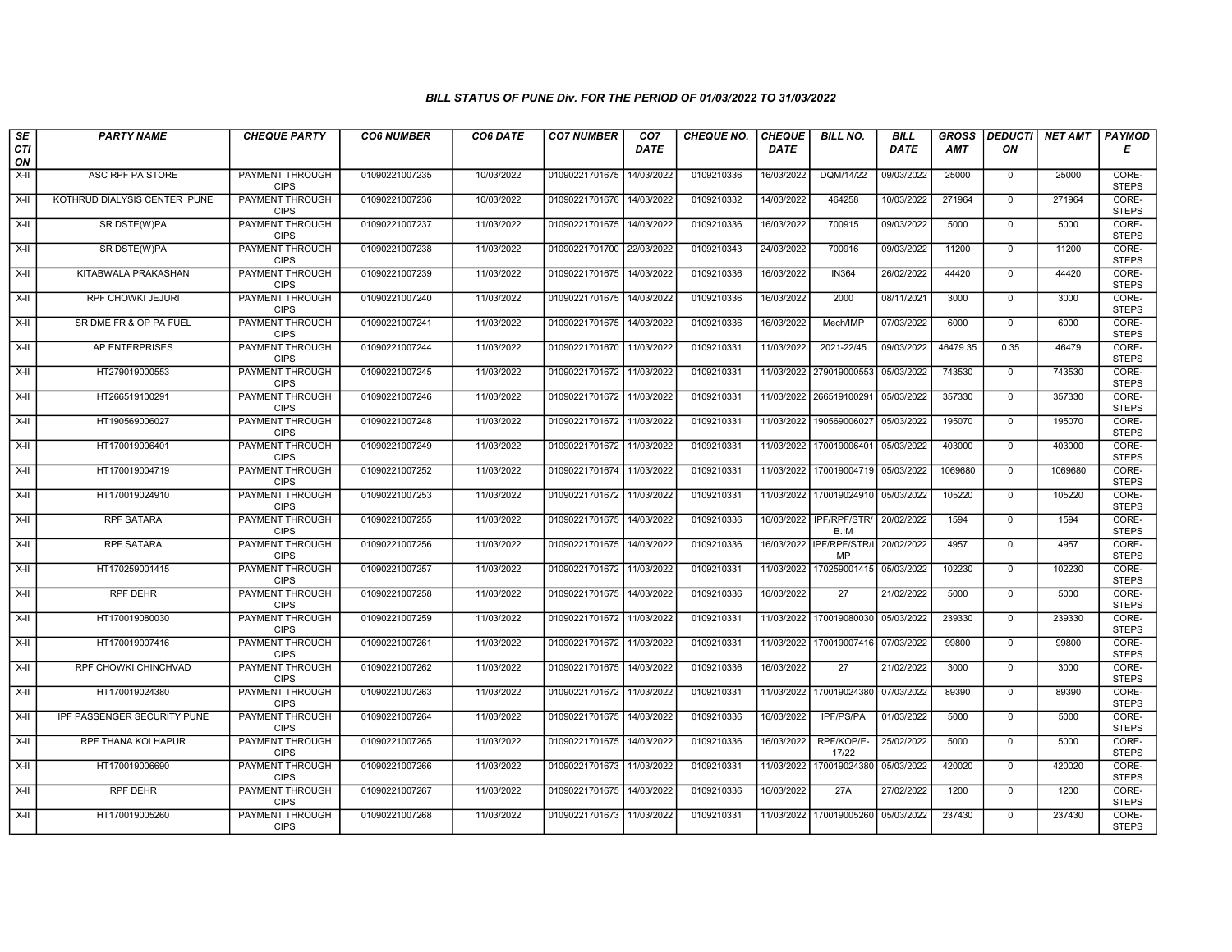| SE        | <b>PARTY NAME</b>            | <b>CHEQUE PARTY</b>                   | <b>CO6 NUMBER</b> | CO6 DATE   | <b>CO7 NUMBER</b>         | CO <sub>7</sub> | <b>CHEQUE NO.</b> | <b>CHEQUE</b> | <b>BILL NO.</b>                | <b>BILL</b> | <b>GROSS</b> | <b>DEDUCTI</b> | NET AMT | <b>PAYMOD</b>         |
|-----------|------------------------------|---------------------------------------|-------------------|------------|---------------------------|-----------------|-------------------|---------------|--------------------------------|-------------|--------------|----------------|---------|-----------------------|
| CTI<br>ON |                              |                                       |                   |            |                           | <b>DATE</b>     |                   | <b>DATE</b>   |                                | DATE        | <b>AMT</b>   | ON             |         | Е                     |
| $X-H$     | ASC RPF PA STORE             | <b>PAYMENT THROUGH</b><br><b>CIPS</b> | 01090221007235    | 10/03/2022 | 01090221701675            | 14/03/2022      | 0109210336        | 16/03/2022    | DQM/14/22                      | 09/03/2022  | 25000        | 0              | 25000   | CORE-<br><b>STEPS</b> |
| $X-H$     | KOTHRUD DIALYSIS CENTER PUNE | <b>PAYMENT THROUGH</b><br><b>CIPS</b> | 01090221007236    | 10/03/2022 | 01090221701676            | 14/03/2022      | 0109210332        | 14/03/2022    | 464258                         | 10/03/2022  | 271964       | $\mathbf{0}$   | 271964  | CORE-<br><b>STEPS</b> |
| X-II      | SR DSTE(W)PA                 | PAYMENT THROUGH<br><b>CIPS</b>        | 01090221007237    | 11/03/2022 | 01090221701675            | 14/03/2022      | 0109210336        | 16/03/2022    | 700915                         | 09/03/2022  | 5000         | $\mathbf 0$    | 5000    | CORE-<br><b>STEPS</b> |
| $X-H$     | SR DSTE(W)PA                 | <b>PAYMENT THROUGH</b><br><b>CIPS</b> | 01090221007238    | 11/03/2022 | 01090221701700            | 22/03/2022      | 0109210343        | 24/03/2022    | 700916                         | 09/03/2022  | 11200        | $\overline{0}$ | 11200   | CORE-<br><b>STEPS</b> |
| X-II      | KITABWALA PRAKASHAN          | <b>PAYMENT THROUGH</b><br><b>CIPS</b> | 01090221007239    | 11/03/2022 | 01090221701675            | 14/03/2022      | 0109210336        | 16/03/2022    | <b>IN364</b>                   | 26/02/2022  | 44420        | $\mathbf 0$    | 44420   | CORE-<br><b>STEPS</b> |
| X-II      | RPF CHOWKI JEJURI            | <b>PAYMENT THROUGH</b><br><b>CIPS</b> | 01090221007240    | 11/03/2022 | 01090221701675            | 14/03/2022      | 0109210336        | 16/03/2022    | 2000                           | 08/11/2021  | 3000         | $\mathbf{0}$   | 3000    | CORE-<br><b>STEPS</b> |
| X-II      | SR DME FR & OP PA FUEL       | PAYMENT THROUGH<br><b>CIPS</b>        | 01090221007241    | 11/03/2022 | 01090221701675            | 14/03/2022      | 0109210336        | 16/03/2022    | Mech/IMP                       | 07/03/2022  | 6000         | $\mathbf 0$    | 6000    | CORE-<br><b>STEPS</b> |
| $X-II$    | AP ENTERPRISES               | <b>PAYMENT THROUGH</b><br><b>CIPS</b> | 01090221007244    | 11/03/2022 | 01090221701670            | 11/03/2022      | 0109210331        | 11/03/2022    | 2021-22/45                     | 09/03/2022  | 46479.35     | 0.35           | 46479   | CORE-<br><b>STEPS</b> |
| $X-H$     | HT279019000553               | <b>PAYMENT THROUGH</b><br><b>CIPS</b> | 01090221007245    | 11/03/2022 | 01090221701672            | 11/03/2022      | 0109210331        | 11/03/2022    | 279019000553                   | 05/03/2022  | 743530       | $\mathbf{0}$   | 743530  | CORE-<br><b>STEPS</b> |
| $X-H$     | HT266519100291               | <b>PAYMENT THROUGH</b><br><b>CIPS</b> | 01090221007246    | 11/03/2022 | 01090221701672 11/03/2022 |                 | 0109210331        |               | 11/03/2022 266519100291        | 05/03/2022  | 357330       | $\mathbf 0$    | 357330  | CORE-<br><b>STEPS</b> |
| X-II      | HT190569006027               | PAYMENT THROUGH<br><b>CIPS</b>        | 01090221007248    | 11/03/2022 | 01090221701672            | 11/03/2022      | 0109210331        | 11/03/2022    | 190569006027                   | 05/03/2022  | 195070       | $\mathbf 0$    | 195070  | CORE-<br><b>STEPS</b> |
| X-II      | HT170019006401               | PAYMENT THROUGH<br><b>CIPS</b>        | 01090221007249    | 11/03/2022 | 01090221701672 11/03/2022 |                 | 0109210331        | 11/03/2022    | 170019006401                   | 05/03/2022  | 403000       | $\Omega$       | 403000  | CORE-<br><b>STEPS</b> |
| X-II      | HT170019004719               | <b>PAYMENT THROUGH</b><br><b>CIPS</b> | 01090221007252    | 11/03/2022 | 01090221701674            | 11/03/2022      | 0109210331        | 11/03/2022    | 170019004719                   | 05/03/2022  | 1069680      | $\mathbf 0$    | 1069680 | CORE-<br><b>STEPS</b> |
| $X-H$     | HT170019024910               | <b>PAYMENT THROUGH</b><br><b>CIPS</b> | 01090221007253    | 11/03/2022 | 01090221701672            | 11/03/2022      | 0109210331        | 11/03/2022    | 170019024910                   | 05/03/2022  | 105220       | $\mathbf 0$    | 105220  | CORE-<br><b>STEPS</b> |
| X-II      | <b>RPF SATARA</b>            | PAYMENT THROUGH<br><b>CIPS</b>        | 01090221007255    | 11/03/2022 | 01090221701675            | 14/03/2022      | 0109210336        | 16/03/2022    | IPF/RPF/STR/<br>B.IM           | 20/02/2022  | 1594         | $\mathbf 0$    | 1594    | CORE-<br><b>STEPS</b> |
| $X-II$    | <b>RPF SATARA</b>            | <b>PAYMENT THROUGH</b><br><b>CIPS</b> | 01090221007256    | 11/03/2022 | 01090221701675            | 14/03/2022      | 0109210336        |               | 16/03/2022 IPF/RPF/STR/I<br>MP | 20/02/2022  | 4957         | $\mathbf 0$    | 4957    | CORE-<br><b>STEPS</b> |
| X-II      | HT170259001415               | <b>PAYMENT THROUGH</b><br><b>CIPS</b> | 01090221007257    | 11/03/2022 | 01090221701672 11/03/2022 |                 | 0109210331        | 11/03/2022    | 170259001415                   | 05/03/2022  | 102230       | $\mathbf 0$    | 102230  | CORE-<br><b>STEPS</b> |
| X-II      | <b>RPF DEHR</b>              | <b>PAYMENT THROUGH</b><br><b>CIPS</b> | 01090221007258    | 11/03/2022 | 01090221701675            | 14/03/2022      | 0109210336        | 16/03/2022    | $\overline{27}$                | 21/02/2022  | 5000         | $\mathbf 0$    | 5000    | CORE-<br><b>STEPS</b> |
| X-II      | HT170019080030               | PAYMENT THROUGH<br><b>CIPS</b>        | 01090221007259    | 11/03/2022 | 01090221701672 11/03/2022 |                 | 0109210331        |               | 11/03/2022 170019080030        | 05/03/2022  | 239330       | $\Omega$       | 239330  | CORE-<br><b>STEPS</b> |
| X-II      | HT170019007416               | PAYMENT THROUGH<br><b>CIPS</b>        | 01090221007261    | 11/03/2022 | 01090221701672            | 11/03/2022      | 0109210331        | 11/03/2022    | 170019007416                   | 07/03/2022  | 99800        | $\mathbf 0$    | 99800   | CORE-<br><b>STEPS</b> |
| $X-H$     | RPF CHOWKI CHINCHVAD         | <b>PAYMENT THROUGH</b><br><b>CIPS</b> | 01090221007262    | 11/03/2022 | 01090221701675            | 14/03/2022      | 0109210336        | 16/03/2022    | $\overline{27}$                | 21/02/2022  | 3000         | $\overline{0}$ | 3000    | CORE-<br><b>STEPS</b> |
| X-II      | HT170019024380               | <b>PAYMENT THROUGH</b><br><b>CIPS</b> | 01090221007263    | 11/03/2022 | 01090221701672 11/03/2022 |                 | 0109210331        | 11/03/2022    | 170019024380                   | 07/03/2022  | 89390        | $\mathbf 0$    | 89390   | CORE-<br><b>STEPS</b> |
| $X-H$     | IPF PASSENGER SECURITY PUNE  | PAYMENT THROUGH<br><b>CIPS</b>        | 01090221007264    | 11/03/2022 | 01090221701675            | 14/03/2022      | 0109210336        | 16/03/2022    | IPF/PS/PA                      | 01/03/2022  | 5000         | 0              | 5000    | CORE-<br><b>STEPS</b> |
| X-II      | RPF THANA KOLHAPUR           | PAYMENT THROUGH<br><b>CIPS</b>        | 01090221007265    | 11/03/2022 | 01090221701675            | 14/03/2022      | 0109210336        | 16/03/2022    | RPF/KOP/E-<br>17/22            | 25/02/2022  | 5000         | $\Omega$       | 5000    | CORE-<br><b>STEPS</b> |
| X-II      | HT170019006690               | PAYMENT THROUGH<br><b>CIPS</b>        | 01090221007266    | 11/03/2022 | 01090221701673            | 11/03/2022      | 0109210331        | 11/03/2022    | 170019024380                   | 05/03/2022  | 420020       | $\mathbf 0$    | 420020  | CORE-<br><b>STEPS</b> |
| $X-H$     | <b>RPF DEHR</b>              | <b>PAYMENT THROUGH</b><br><b>CIPS</b> | 01090221007267    | 11/03/2022 | 01090221701675            | 14/03/2022      | 0109210336        | 16/03/2022    | 27A                            | 27/02/2022  | 1200         | $\mathbf 0$    | 1200    | CORE-<br><b>STEPS</b> |
| X-II      | HT170019005260               | PAYMENT THROUGH<br><b>CIPS</b>        | 01090221007268    | 11/03/2022 | 01090221701673 11/03/2022 |                 | 0109210331        | 11/03/2022    | 170019005260                   | 05/03/2022  | 237430       | $\mathbf 0$    | 237430  | CORE-<br><b>STEPS</b> |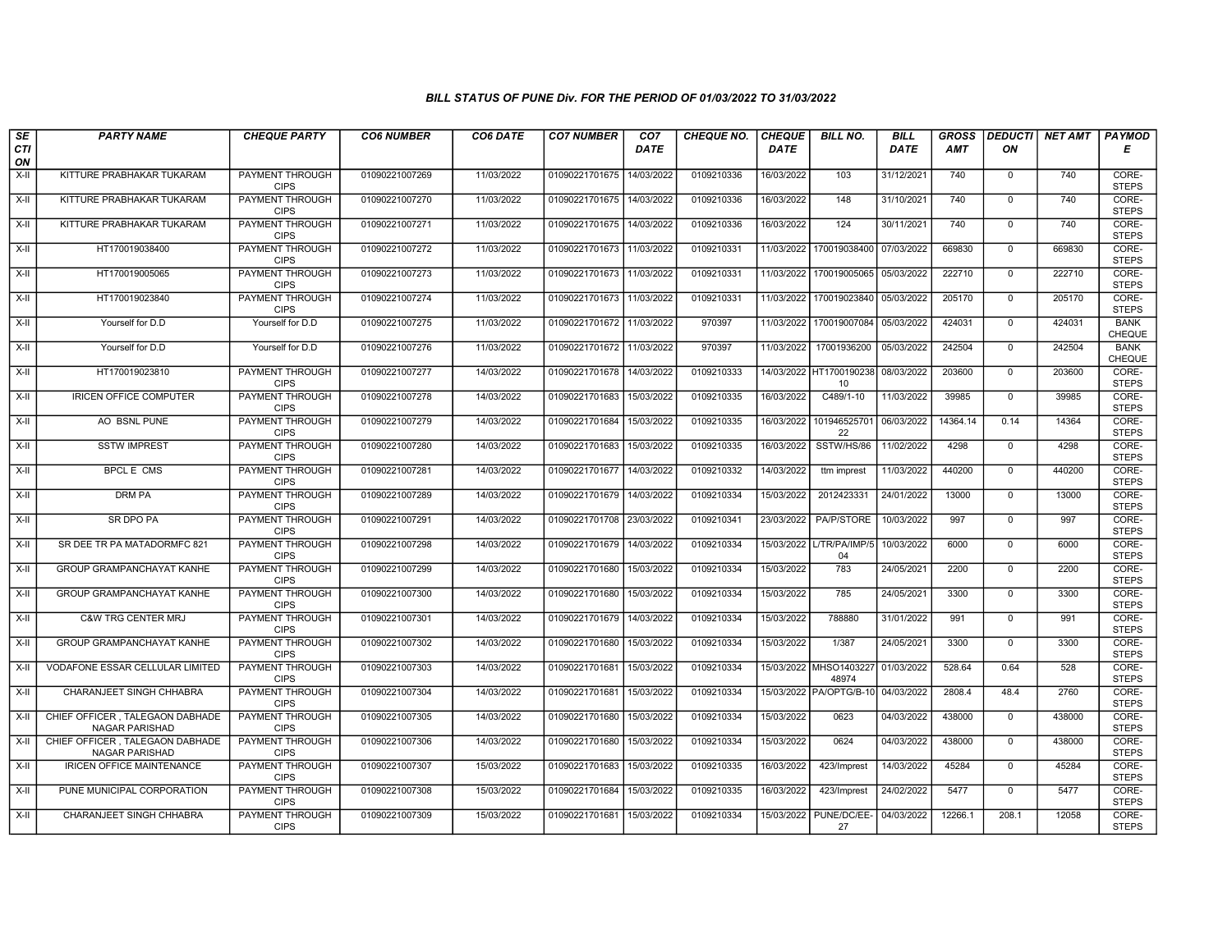| $s_E$              | <b>PARTY NAME</b>                                  | <b>CHEQUE PARTY</b>                   | <b>CO6 NUMBER</b> | CO6 DATE   | <b>CO7 NUMBER</b>         | CO <sub>7</sub> | <b>CHEQUE NO.</b> | <b>CHEQUE</b> | <b>BILL NO.</b>                    | <b>BILL</b> | <b>GROSS</b> |                | DEDUCTI  NET AMT | PAYMOD                       |
|--------------------|----------------------------------------------------|---------------------------------------|-------------------|------------|---------------------------|-----------------|-------------------|---------------|------------------------------------|-------------|--------------|----------------|------------------|------------------------------|
| <b>CTI</b><br>ON   |                                                    |                                       |                   |            |                           | <b>DATE</b>     |                   | <b>DATE</b>   |                                    | <b>DATE</b> | <b>AMT</b>   | ON             |                  | Е                            |
| $X-H$              | KITTURE PRABHAKAR TUKARAM                          | PAYMENT THROUGH<br><b>CIPS</b>        | 01090221007269    | 11/03/2022 | 01090221701675            | 14/03/2022      | 0109210336        | 16/03/2022    | 103                                | 31/12/2021  | 740          | $\mathbf{0}$   | 740              | CORE-<br><b>STEPS</b>        |
| $X-H$              | KITTURE PRABHAKAR TUKARAM                          | <b>PAYMENT THROUGH</b><br><b>CIPS</b> | 01090221007270    | 11/03/2022 | 01090221701675            | 14/03/2022      | 0109210336        | 16/03/2022    | 148                                | 31/10/2021  | 740          | $\mathbf 0$    | 740              | CORE-<br><b>STEPS</b>        |
| X-II               | KITTURE PRABHAKAR TUKARAM                          | PAYMENT THROUGH<br><b>CIPS</b>        | 01090221007271    | 11/03/2022 | 01090221701675            | 14/03/2022      | 0109210336        | 16/03/2022    | 124                                | 30/11/2021  | 740          | $\mathbf 0$    | 740              | CORE-<br><b>STEPS</b>        |
| $X-H$              | HT170019038400                                     | <b>PAYMENT THROUGH</b><br><b>CIPS</b> | 01090221007272    | 11/03/2022 | 01090221701673            | 11/03/2022      | 0109210331        | 11/03/2022    | 170019038400                       | 07/03/2022  | 669830       | $\mathsf{O}$   | 669830           | CORE-<br><b>STEPS</b>        |
| $X-H$              | HT170019005065                                     | <b>PAYMENT THROUGH</b><br><b>CIPS</b> | 01090221007273    | 11/03/2022 | 01090221701673            | 11/03/2022      | 0109210331        | 11/03/2022    | 170019005065                       | 05/03/2022  | 222710       | $\mathbf 0$    | 222710           | CORE-<br><b>STEPS</b>        |
| $X-II$             | HT170019023840                                     | <b>PAYMENT THROUGH</b><br><b>CIPS</b> | 01090221007274    | 11/03/2022 | 01090221701673 11/03/2022 |                 | 0109210331        | 11/03/2022    | 170019023840                       | 05/03/2022  | 205170       | $\mathbf{0}$   | 205170           | CORE-<br><b>STEPS</b>        |
| X-II               | Yourself for D.D                                   | Yourself for D.D                      | 01090221007275    | 11/03/2022 | 01090221701672            | 11/03/2022      | 970397            | 11/03/2022    | 170019007084                       | 05/03/2022  | 424031       | $\mathbf 0$    | 424031           | <b>BANK</b><br>CHEQUE        |
| X-II               | Yourself for D.D                                   | Yourself for D.D                      | 01090221007276    | 11/03/2022 | 01090221701672            | 11/03/2022      | 970397            | 11/03/2022    | 17001936200                        | 05/03/2022  | 242504       | $\mathbf 0$    | 242504           | <b>BANK</b><br><b>CHEQUE</b> |
| $X-H$              | HT170019023810                                     | <b>PAYMENT THROUGH</b><br><b>CIPS</b> | 01090221007277    | 14/03/2022 | 01090221701678            | 14/03/2022      | 0109210333        |               | 14/03/2022 HT1700190238<br>10      | 08/03/2022  | 203600       | $\overline{0}$ | 203600           | CORE-<br><b>STEPS</b>        |
| $X-H$              | <b>IRICEN OFFICE COMPUTER</b>                      | <b>PAYMENT THROUGH</b><br><b>CIPS</b> | 01090221007278    | 14/03/2022 | 01090221701683            | 15/03/2022      | 0109210335        | 16/03/2022    | C489/1-10                          | 11/03/2022  | 39985        | $\mathbf 0$    | 39985            | CORE-<br><b>STEPS</b>        |
| $X-II$             | AO BSNL PUNE                                       | PAYMENT THROUGH<br><b>CIPS</b>        | 01090221007279    | 14/03/2022 | 01090221701684            | 15/03/2022      | 0109210335        | 16/03/2022    | 101946525701<br>22                 | 06/03/2022  | 14364.14     | 0.14           | 14364            | CORE-<br><b>STEPS</b>        |
| X-II               | <b>SSTW IMPREST</b>                                | PAYMENT THROUGH<br><b>CIPS</b>        | 01090221007280    | 14/03/2022 | 01090221701683            | 15/03/2022      | 0109210335        | 16/03/2022    | SSTW/HS/86                         | 11/02/2022  | 4298         | $\mathbf 0$    | 4298             | CORE-<br><b>STEPS</b>        |
| $X-II$             | <b>BPCL E CMS</b>                                  | <b>PAYMENT THROUGH</b><br><b>CIPS</b> | 01090221007281    | 14/03/2022 | 01090221701677            | 14/03/2022      | 0109210332        | 14/03/2022    | ttm imprest                        | 11/03/2022  | 440200       | $\mathbf 0$    | 440200           | CORE-<br><b>STEPS</b>        |
| $X-H$              | <b>DRM PA</b>                                      | PAYMENT THROUGH<br><b>CIPS</b>        | 01090221007289    | 14/03/2022 | 01090221701679            | 14/03/2022      | 0109210334        | 15/03/2022    | 2012423331                         | 24/01/2022  | 13000        | $\mathbf{0}$   | 13000            | CORE-<br><b>STEPS</b>        |
| X-II               | SR DPO PA                                          | PAYMENT THROUGH<br><b>CIPS</b>        | 01090221007291    | 14/03/2022 | 01090221701708            | 23/03/2022      | 0109210341        | 23/03/2022    | PA/P/STORE                         | 10/03/2022  | 997          | $\mathbf 0$    | 997              | CORE-<br><b>STEPS</b>        |
| $X-H$              | SR DEE TR PA MATADORMFC 821                        | PAYMENT THROUGH<br><b>CIPS</b>        | 01090221007298    | 14/03/2022 | 01090221701679            | 14/03/2022      | 0109210334        |               | 15/03/2022 L/TR/PA/IMP/5<br>04     | 10/03/2022  | 6000         | $\overline{0}$ | 6000             | CORE-<br><b>STEPS</b>        |
| X-II               | GROUP GRAMPANCHAYAT KANHE                          | <b>PAYMENT THROUGH</b><br><b>CIPS</b> | 01090221007299    | 14/03/2022 | 01090221701680            | 15/03/2022      | 0109210334        | 15/03/2022    | 783                                | 24/05/2021  | 2200         | $\mathbf 0$    | 2200             | CORE-<br><b>STEPS</b>        |
| X-II               | GROUP GRAMPANCHAYAT KANHE                          | <b>PAYMENT THROUGH</b><br><b>CIPS</b> | 01090221007300    | 14/03/2022 | 01090221701680            | 15/03/2022      | 0109210334        | 15/03/2022    | 785                                | 24/05/2021  | 3300         | $\mathbf 0$    | 3300             | CORE-<br><b>STEPS</b>        |
| X-II               | <b>C&amp;W TRG CENTER MRJ</b>                      | PAYMENT THROUGH<br><b>CIPS</b>        | 01090221007301    | 14/03/2022 | 01090221701679            | 14/03/2022      | 0109210334        | 15/03/2022    | 788880                             | 31/01/2022  | 991          | $\Omega$       | 991              | CORE-<br><b>STEPS</b>        |
| X-II               | GROUP GRAMPANCHAYAT KANHE                          | PAYMENT THROUGH<br><b>CIPS</b>        | 01090221007302    | 14/03/2022 | 01090221701680            | 15/03/2022      | 0109210334        | 15/03/2022    | 1/387                              | 24/05/2021  | 3300         | $\mathbf 0$    | 3300             | CORE-<br><b>STEPS</b>        |
| $X-H$              | VODAFONE ESSAR CELLULAR LIMITED                    | <b>PAYMENT THROUGH</b><br><b>CIPS</b> | 01090221007303    | 14/03/2022 | 01090221701681            | 15/03/2022      | 0109210334        |               | 15/03/2022 MHSO1403227<br>48974    | 01/03/2022  | 528.64       | 0.64           | 528              | CORE-<br><b>STEPS</b>        |
| X-II               | <b>CHARANJEET SINGH CHHABRA</b>                    | PAYMENT THROUGH<br><b>CIPS</b>        | 01090221007304    | 14/03/2022 | 01090221701681 15/03/2022 |                 | 0109210334        |               | 15/03/2022 PA/OPTG/B-10 04/03/2022 |             | 2808.4       | 48.4           | 2760             | CORE-<br><b>STEPS</b>        |
| X-II               | CHIEF OFFICER, TALEGAON DABHADE<br>NAGAR PARISHAD  | PAYMENT THROUGH<br><b>CIPS</b>        | 01090221007305    | 14/03/2022 | 01090221701680            | 15/03/2022      | 0109210334        | 15/03/2022    | 0623                               | 04/03/2022  | 438000       | $\mathbf{0}$   | 438000           | CORE-<br><b>STEPS</b>        |
| X-II               | CHIEF OFFICER . TALEGAON DABHADE<br>NAGAR PARISHAD | PAYMENT THROUGH<br><b>CIPS</b>        | 01090221007306    | 14/03/2022 | 01090221701680            | 15/03/2022      | 0109210334        | 15/03/2022    | 0624                               | 04/03/2022  | 438000       | $\mathbf{0}$   | 438000           | CORE-<br><b>STEPS</b>        |
| X-II               | <b>IRICEN OFFICE MAINTENANCE</b>                   | PAYMENT THROUGH<br><b>CIPS</b>        | 01090221007307    | 15/03/2022 | 01090221701683            | 15/03/2022      | 0109210335        | 16/03/2022    | 423/Imprest                        | 14/03/2022  | 45284        | $\mathbf 0$    | 45284            | CORE-<br><b>STEPS</b>        |
| $\overline{x}$ -II | PUNE MUNICIPAL CORPORATION                         | <b>PAYMENT THROUGH</b><br><b>CIPS</b> | 01090221007308    | 15/03/2022 | 01090221701684            | 15/03/2022      | 0109210335        | 16/03/2022    | 423/Imprest                        | 24/02/2022  | 5477         | $\mathbf 0$    | 5477             | CORE-<br><b>STEPS</b>        |
| X-II               | CHARANJEET SINGH CHHABRA                           | PAYMENT THROUGH<br><b>CIPS</b>        | 01090221007309    | 15/03/2022 | 01090221701681 15/03/2022 |                 | 0109210334        | 15/03/2022    | PUNE/DC/EE-<br>27                  | 04/03/2022  | 12266.1      | 208.1          | 12058            | CORE-<br><b>STEPS</b>        |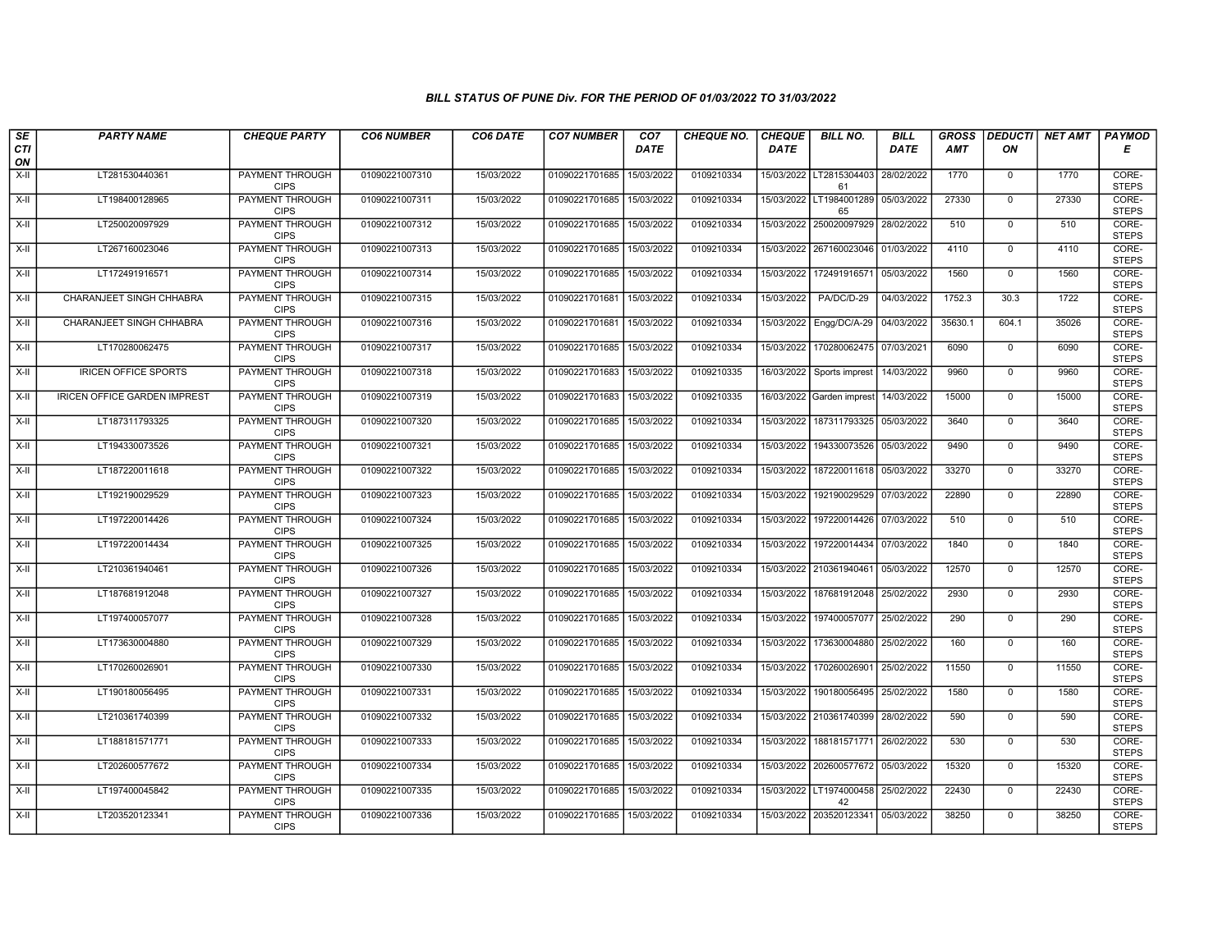| SE                 | <b>PARTY NAME</b>                   | <b>CHEQUE PARTY</b>                   | <b>CO6 NUMBER</b> | CO6 DATE   | <b>CO7 NUMBER</b>         | CO <sub>7</sub> | <b>CHEQUE NO.</b> | <b>CHEQUE</b> | <b>BILL NO.</b>                          | <b>BILL</b> | <b>GROSS</b> |                | DEDUCTI NET AMT | <b>PAYMOD</b>         |
|--------------------|-------------------------------------|---------------------------------------|-------------------|------------|---------------------------|-----------------|-------------------|---------------|------------------------------------------|-------------|--------------|----------------|-----------------|-----------------------|
| <b>CTI</b><br>ON   |                                     |                                       |                   |            |                           | <b>DATE</b>     |                   | <b>DATE</b>   |                                          | <b>DATE</b> | <b>AMT</b>   | ON             |                 | Е                     |
| $X-H$              | LT281530440361                      | <b>PAYMENT THROUGH</b><br><b>CIPS</b> | 01090221007310    | 15/03/2022 | 01090221701685            | 15/03/2022      | 0109210334        |               | 15/03/2022 LT2815304403<br>61            | 28/02/2022  | 1770         | $\overline{0}$ | 1770            | CORE-<br><b>STEPS</b> |
| $X-H$              | LT198400128965                      | <b>PAYMENT THROUGH</b><br><b>CIPS</b> | 01090221007311    | 15/03/2022 | 01090221701685            | 15/03/2022      | 0109210334        |               | 15/03/2022 LT1984001289<br>65            | 05/03/2022  | 27330        | $\mathbf{0}$   | 27330           | CORE-<br><b>STEPS</b> |
| $X-II$             | LT250020097929                      | PAYMENT THROUGH<br><b>CIPS</b>        | 01090221007312    | 15/03/2022 | 01090221701685            | 15/03/2022      | 0109210334        | 15/03/2022    | 250020097929                             | 28/02/2022  | 510          | $\mathbf 0$    | 510             | CORE-<br><b>STEPS</b> |
| X-II               | LT267160023046                      | <b>PAYMENT THROUGH</b><br><b>CIPS</b> | 01090221007313    | 15/03/2022 | 01090221701685            | 15/03/2022      | 0109210334        | 15/03/2022    | 267160023046                             | 01/03/2022  | 4110         | $\mathbf 0$    | 4110            | CORE-<br><b>STEPS</b> |
| $X-H$              | LT172491916571                      | <b>PAYMENT THROUGH</b><br><b>CIPS</b> | 01090221007314    | 15/03/2022 | 01090221701685            | 15/03/2022      | 0109210334        | 15/03/2022    | 172491916571                             | 05/03/2022  | 1560         | $\mathbf{0}$   | 1560            | CORE-<br><b>STEPS</b> |
| $X-H$              | CHARANJEET SINGH CHHABRA            | <b>PAYMENT THROUGH</b><br><b>CIPS</b> | 01090221007315    | 15/03/2022 | 01090221701681            | 15/03/2022      | 0109210334        | 15/03/2022    | PA/DC/D-29                               | 04/03/2022  | 1752.3       | 30.3           | 1722            | CORE-<br><b>STEPS</b> |
| X-II               | CHARANJEET SINGH CHHABRA            | PAYMENT THROUGH<br><b>CIPS</b>        | 01090221007316    | 15/03/2022 | 01090221701681            | 15/03/2022      | 0109210334        | 15/03/2022    | Engg/DC/A-29                             | 04/03/2022  | 35630.1      | 604.1          | 35026           | CORE-<br><b>STEPS</b> |
| $X-H$              | LT170280062475                      | <b>PAYMENT THROUGH</b><br><b>CIPS</b> | 01090221007317    | 15/03/2022 | 01090221701685            | 15/03/2022      | 0109210334        | 15/03/2022    | 170280062475 07/03/2021                  |             | 6090         | $\overline{0}$ | 6090            | CORE-<br><b>STEPS</b> |
| X-II               | <b>IRICEN OFFICE SPORTS</b>         | PAYMENT THROUGH<br><b>CIPS</b>        | 01090221007318    | 15/03/2022 | 01090221701683            | 15/03/2022      | 0109210335        | 16/03/2022    | Sports imprest                           | 14/03/2022  | 9960         | $\mathbf{0}$   | 9960            | CORE-<br><b>STEPS</b> |
| $\overline{x}$ -II | <b>IRICEN OFFICE GARDEN IMPREST</b> | <b>PAYMENT THROUGH</b><br><b>CIPS</b> | 01090221007319    | 15/03/2022 | 01090221701683            | 15/03/2022      | 0109210335        | 16/03/2022    | Garden imprest                           | 14/03/2022  | 15000        | $\overline{0}$ | 15000           | CORE-<br><b>STEPS</b> |
| $X-II$             | LT187311793325                      | PAYMENT THROUGH<br><b>CIPS</b>        | 01090221007320    | 15/03/2022 | 01090221701685            | 15/03/2022      | 0109210334        | 15/03/2022    | 187311793325                             | 05/03/2022  | 3640         | $\mathbf 0$    | 3640            | CORE-<br><b>STEPS</b> |
| $X-II$             | LT194330073526                      | PAYMENT THROUGH<br><b>CIPS</b>        | 01090221007321    | 15/03/2022 | 01090221701685            | 15/03/2022      | 0109210334        | 15/03/2022    | 194330073526                             | 05/03/2022  | 9490         | $\mathbf 0$    | 9490            | CORE-<br><b>STEPS</b> |
| $X-H$              | LT187220011618                      | <b>PAYMENT THROUGH</b><br><b>CIPS</b> | 01090221007322    | 15/03/2022 | 01090221701685            | 15/03/2022      | 0109210334        | 15/03/2022    | 187220011618 05/03/2022                  |             | 33270        | $\overline{0}$ | 33270           | CORE-<br><b>STEPS</b> |
| X-II               | LT192190029529                      | <b>PAYMENT THROUGH</b><br><b>CIPS</b> | 01090221007323    | 15/03/2022 | 01090221701685            | 15/03/2022      | 0109210334        | 15/03/2022    | 192190029529                             | 07/03/2022  | 22890        | $\mathbf 0$    | 22890           | CORE-<br><b>STEPS</b> |
| $\overline{X}$ -II | LT197220014426                      | PAYMENT THROUGH<br><b>CIPS</b>        | 01090221007324    | 15/03/2022 | 01090221701685            | 15/03/2022      | 0109210334        | 15/03/2022    | 197220014426                             | 07/03/2022  | 510          | $\mathbf 0$    | 510             | CORE-<br><b>STEPS</b> |
| $X-II$             | LT197220014434                      | PAYMENT THROUGH<br><b>CIPS</b>        | 01090221007325    | 15/03/2022 | 01090221701685            | 15/03/2022      | 0109210334        | 15/03/2022    | 197220014434                             | 07/03/2022  | 1840         | $\mathbf 0$    | 1840            | CORE-<br><b>STEPS</b> |
| $X-H$              | LT210361940461                      | PAYMENT THROUGH<br><b>CIPS</b>        | 01090221007326    | 15/03/2022 | 01090221701685            | 15/03/2022      | 0109210334        | 15/03/2022    | 210361940461                             | 05/03/2022  | 12570        | $\mathsf{O}$   | 12570           | CORE-<br><b>STEPS</b> |
| $X-H$              | LT187681912048                      | <b>PAYMENT THROUGH</b><br><b>CIPS</b> | 01090221007327    | 15/03/2022 | 01090221701685            | 15/03/2022      | 0109210334        | 15/03/2022    | 187681912048                             | 25/02/2022  | 2930         | $\mathbf 0$    | 2930            | CORE-<br><b>STEPS</b> |
| $X-H$              | LT197400057077                      | PAYMENT THROUGH<br><b>CIPS</b>        | 01090221007328    | 15/03/2022 | 01090221701685            | 15/03/2022      | 0109210334        | 15/03/2022    | 197400057077                             | 25/02/2022  | 290          | $\mathbf 0$    | 290             | CORE-<br><b>STEPS</b> |
| $X-H$              | LT173630004880                      | PAYMENT THROUGH<br><b>CIPS</b>        | 01090221007329    | 15/03/2022 | 01090221701685            | 15/03/2022      | 0109210334        | 15/03/2022    | 173630004880                             | 25/02/2022  | 160          | $\overline{0}$ | 160             | CORE-<br><b>STEPS</b> |
| $X-H$              | LT170260026901                      | <b>PAYMENT THROUGH</b><br><b>CIPS</b> | 01090221007330    | 15/03/2022 | 01090221701685            | 15/03/2022      | 0109210334        | 15/03/2022    | 170260026901                             | 25/02/2022  | 11550        | $\mathsf{O}$   | 11550           | CORE-<br><b>STEPS</b> |
| X-II               | LT190180056495                      | <b>PAYMENT THROUGH</b><br><b>CIPS</b> | 01090221007331    | 15/03/2022 | 01090221701685 15/03/2022 |                 | 0109210334        | 15/03/2022    | 190180056495                             | 25/02/2022  | 1580         | $\mathbf 0$    | 1580            | CORE-<br><b>STEPS</b> |
| $X-II$             | LT210361740399                      | PAYMENT THROUGH<br><b>CIPS</b>        | 01090221007332    | 15/03/2022 | 01090221701685            | 15/03/2022      | 0109210334        | 15/03/2022    | 210361740399                             | 28/02/2022  | 590          | $\mathbf 0$    | 590             | CORE-<br><b>STEPS</b> |
| $X-H$              | LT188181571771                      | PAYMENT THROUGH<br><b>CIPS</b>        | 01090221007333    | 15/03/2022 | 01090221701685            | 15/03/2022      | 0109210334        | 15/03/2022    | 188181571771                             | 26/02/2022  | 530          | $\Omega$       | 530             | CORE-<br><b>STEPS</b> |
| $X-H$              | LT202600577672                      | PAYMENT THROUGH<br><b>CIPS</b>        | 01090221007334    | 15/03/2022 | 01090221701685            | 15/03/2022      | 0109210334        | 15/03/2022    | 202600577672                             | 05/03/2022  | 15320        | $\mathbf 0$    | 15320           | CORE-<br><b>STEPS</b> |
| $X-H$              | LT197400045842                      | <b>PAYMENT THROUGH</b><br><b>CIPS</b> | 01090221007335    | 15/03/2022 | 01090221701685            | 15/03/2022      | 0109210334        |               | 15/03/2022 LT1974000458 25/02/2022<br>42 |             | 22430        | $\mathbf 0$    | 22430           | CORE-<br><b>STEPS</b> |
| $X-H$              | LT203520123341                      | PAYMENT THROUGH<br><b>CIPS</b>        | 01090221007336    | 15/03/2022 | 01090221701685 15/03/2022 |                 | 0109210334        | 15/03/2022    | 203520123341 05/03/2022                  |             | 38250        | $\mathbf 0$    | 38250           | CORE-<br><b>STEPS</b> |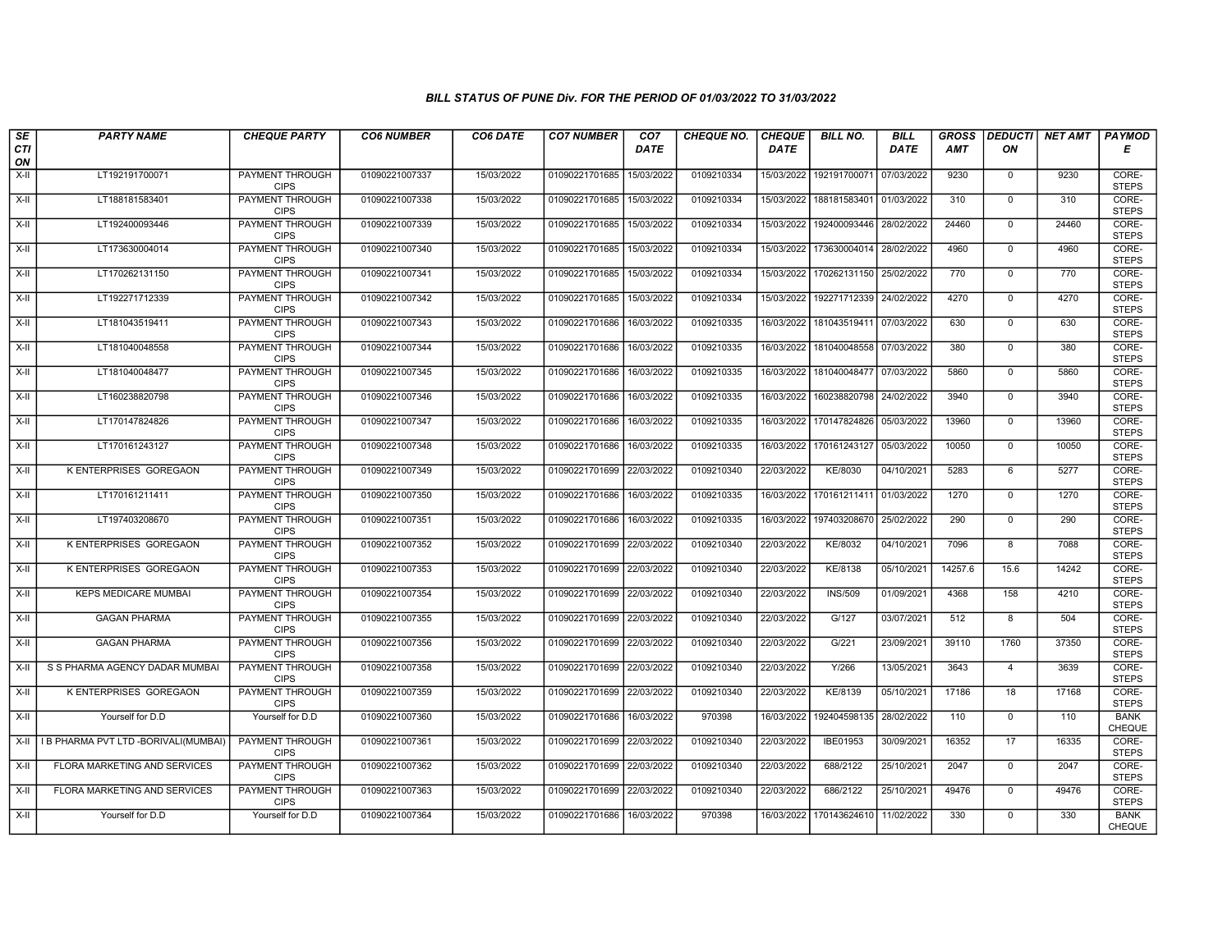| SE               | <b>PARTY NAME</b>                    | <b>CHEQUE PARTY</b>                   | <b>CO6 NUMBER</b> | CO6 DATE   | <b>CO7 NUMBER</b>         | CO <sub>7</sub> | <b>CHEQUE NO.</b> | <b>CHEQUE</b> | <b>BILL NO.</b> | <b>BILL</b> | <b>GROSS</b> |                  | DEDUCTI  NET AMT | <b>PAYMOD</b>                |
|------------------|--------------------------------------|---------------------------------------|-------------------|------------|---------------------------|-----------------|-------------------|---------------|-----------------|-------------|--------------|------------------|------------------|------------------------------|
| <b>CTI</b><br>ON |                                      |                                       |                   |            |                           | <b>DATE</b>     |                   | <b>DATE</b>   |                 | <b>DATE</b> | <b>AMT</b>   | ON               |                  | Е                            |
| $X-H$            | LT192191700071                       | <b>PAYMENT THROUGH</b><br><b>CIPS</b> | 01090221007337    | 15/03/2022 | 01090221701685            | 15/03/2022      | 0109210334        | 15/03/2022    | 192191700071    | 07/03/2022  | 9230         | $\mathbf 0$      | 9230             | CORE-<br><b>STEPS</b>        |
| $X-H$            | LT188181583401                       | <b>PAYMENT THROUGH</b><br><b>CIPS</b> | 01090221007338    | 15/03/2022 | 01090221701685            | 15/03/2022      | 0109210334        | 15/03/2022    | 188181583401    | 01/03/2022  | 310          | $\mathbf 0$      | 310              | CORE-<br><b>STEPS</b>        |
| $X-II$           | LT192400093446                       | PAYMENT THROUGH<br><b>CIPS</b>        | 01090221007339    | 15/03/2022 | 01090221701685            | 15/03/2022      | 0109210334        | 15/03/2022    | 192400093446    | 28/02/2022  | 24460        | $\mathbf 0$      | 24460            | CORE-<br><b>STEPS</b>        |
| $X-H$            | LT173630004014                       | <b>PAYMENT THROUGH</b><br><b>CIPS</b> | 01090221007340    | 15/03/2022 | 01090221701685            | 15/03/2022      | 0109210334        | 15/03/2022    | 173630004014    | 28/02/2022  | 4960         | $\mathbf 0$      | 4960             | CORE-<br><b>STEPS</b>        |
| $X-H$            | LT170262131150                       | <b>PAYMENT THROUGH</b><br><b>CIPS</b> | 01090221007341    | 15/03/2022 | 01090221701685            | 15/03/2022      | 0109210334        | 15/03/2022    | 170262131150    | 25/02/2022  | 770          | $\mathbf 0$      | 770              | CORE-<br><b>STEPS</b>        |
| $X-II$           | LT192271712339                       | <b>PAYMENT THROUGH</b><br><b>CIPS</b> | 01090221007342    | 15/03/2022 | 01090221701685            | 15/03/2022      | 0109210334        | 15/03/2022    | 192271712339    | 24/02/2022  | 4270         | $\mathbf{0}$     | 4270             | CORE-<br><b>STEPS</b>        |
| $X-II$           | LT181043519411                       | PAYMENT THROUGH<br><b>CIPS</b>        | 01090221007343    | 15/03/2022 | 01090221701686            | 16/03/2022      | 0109210335        | 16/03/2022    | 181043519411    | 07/03/2022  | 630          | $\mathbf 0$      | 630              | CORE-<br><b>STEPS</b>        |
| $X-H$            | LT181040048558                       | <b>PAYMENT THROUGH</b><br><b>CIPS</b> | 01090221007344    | 15/03/2022 | 01090221701686            | 16/03/2022      | 0109210335        | 16/03/2022    | 181040048558    | 07/03/2022  | 380          | $\mathbf 0$      | 380              | CORE-<br><b>STEPS</b>        |
| $X-I$            | LT181040048477                       | <b>PAYMENT THROUGH</b><br><b>CIPS</b> | 01090221007345    | 15/03/2022 | 01090221701686            | 16/03/2022      | 0109210335        | 16/03/2022    | 181040048477    | 07/03/2022  | 5860         | $\Omega$         | 5860             | CORE-<br><b>STEPS</b>        |
| $X-H$            | LT160238820798                       | <b>PAYMENT THROUGH</b><br><b>CIPS</b> | 01090221007346    | 15/03/2022 | 01090221701686            | 16/03/2022      | 0109210335        | 16/03/2022    | 160238820798    | 24/02/2022  | 3940         | $\mathbf 0$      | 3940             | CORE-<br><b>STEPS</b>        |
| $X-II$           | LT170147824826                       | PAYMENT THROUGH<br><b>CIPS</b>        | 01090221007347    | 15/03/2022 | 01090221701686            | 16/03/2022      | 0109210335        | 16/03/2022    | 170147824826    | 05/03/2022  | 13960        | $\mathbf 0$      | 13960            | CORE-<br><b>STEPS</b>        |
| X-II             | LT170161243127                       | PAYMENT THROUGH<br><b>CIPS</b>        | 01090221007348    | 15/03/2022 | 01090221701686            | 16/03/2022      | 0109210335        | 16/03/2022    | 170161243127    | 05/03/2022  | 10050        | $\mathbf 0$      | 10050            | CORE-<br><b>STEPS</b>        |
| X-II             | K ENTERPRISES GOREGAON               | <b>PAYMENT THROUGH</b><br><b>CIPS</b> | 01090221007349    | 15/03/2022 | 01090221701699            | 22/03/2022      | 0109210340        | 22/03/2022    | KE/8030         | 04/10/2021  | 5283         | 6                | 5277             | CORE-<br><b>STEPS</b>        |
| $X-H$            | LT170161211411                       | <b>PAYMENT THROUGH</b><br><b>CIPS</b> | 01090221007350    | 15/03/2022 | 01090221701686            | 16/03/2022      | 0109210335        | 16/03/2022    | 170161211411    | 01/03/2022  | 1270         | $\mathbf{0}$     | 1270             | CORE-<br><b>STEPS</b>        |
| X-II             | LT197403208670                       | PAYMENT THROUGH<br><b>CIPS</b>        | 01090221007351    | 15/03/2022 | 01090221701686            | 16/03/2022      | 0109210335        | 16/03/2022    | 197403208670    | 25/02/2022  | 290          | $\mathbf 0$      | 290              | CORE-<br><b>STEPS</b>        |
| $X-H$            | K ENTERPRISES GOREGAON               | <b>PAYMENT THROUGH</b><br><b>CIPS</b> | 01090221007352    | 15/03/2022 | 01090221701699            | 22/03/2022      | 0109210340        | 22/03/2022    | KE/8032         | 04/10/2021  | 7096         | $\boldsymbol{8}$ | 7088             | CORE-<br><b>STEPS</b>        |
| X-II             | K ENTERPRISES GOREGAON               | <b>PAYMENT THROUGH</b><br><b>CIPS</b> | 01090221007353    | 15/03/2022 | 01090221701699 22/03/2022 |                 | 0109210340        | 22/03/2022    | KE/8138         | 05/10/2021  | 14257.6      | 15.6             | 14242            | CORE-<br><b>STEPS</b>        |
| $X-II$           | <b>KEPS MEDICARE MUMBAI</b>          | <b>PAYMENT THROUGH</b><br><b>CIPS</b> | 01090221007354    | 15/03/2022 | 01090221701699            | 22/03/2022      | 0109210340        | 22/03/2022    | <b>INS/509</b>  | 01/09/2021  | 4368         | 158              | 4210             | CORE-<br><b>STEPS</b>        |
| $X-H$            | <b>GAGAN PHARMA</b>                  | PAYMENT THROUGH<br><b>CIPS</b>        | 01090221007355    | 15/03/2022 | 01090221701699            | 22/03/2022      | 0109210340        | 22/03/2022    | G/127           | 03/07/2021  | 512          | 8                | 504              | CORE-<br><b>STEPS</b>        |
| X-II             | <b>GAGAN PHARMA</b>                  | PAYMENT THROUGH<br><b>CIPS</b>        | 01090221007356    | 15/03/2022 | 01090221701699            | 22/03/2022      | 0109210340        | 22/03/2022    | G/221           | 23/09/2021  | 39110        | 1760             | 37350            | CORE-<br><b>STEPS</b>        |
| $X-H$            | S S PHARMA AGENCY DADAR MUMBAI       | <b>PAYMENT THROUGH</b><br><b>CIPS</b> | 01090221007358    | 15/03/2022 | 01090221701699            | 22/03/2022      | 0109210340        | 22/03/2022    | Y/266           | 13/05/2021  | 3643         | $\overline{4}$   | 3639             | CORE-<br><b>STEPS</b>        |
| X-II             | <b>K ENTERPRISES GOREGAON</b>        | PAYMENT THROUGH<br><b>CIPS</b>        | 01090221007359    | 15/03/2022 | 01090221701699 22/03/2022 |                 | 0109210340        | 22/03/2022    | KE/8139         | 05/10/2021  | 17186        | 18               | 17168            | CORE-<br><b>STEPS</b>        |
| X-II             | Yourself for D.D                     | Yourself for D.D                      | 01090221007360    | 15/03/2022 | 01090221701686            | 16/03/2022      | 970398            | 16/03/2022    | 192404598135    | 28/02/2022  | 110          | $\mathbf{0}$     | 110              | <b>BANK</b><br><b>CHEQUE</b> |
| $X-H$            | I B PHARMA PVT LTD -BORIVALI(MUMBAI) | PAYMENT THROUGH<br><b>CIPS</b>        | 01090221007361    | 15/03/2022 | 01090221701699            | 22/03/2022      | 0109210340        | 22/03/2022    | IBE01953        | 30/09/2021  | 16352        | 17               | 16335            | CORE-<br><b>STEPS</b>        |
| X-II             | FLORA MARKETING AND SERVICES         | PAYMENT THROUGH<br><b>CIPS</b>        | 01090221007362    | 15/03/2022 | 01090221701699            | 22/03/2022      | 0109210340        | 22/03/2022    | 688/2122        | 25/10/2021  | 2047         | $\mathbf 0$      | 2047             | CORE-<br><b>STEPS</b>        |
| $X-H$            | FLORA MARKETING AND SERVICES         | <b>PAYMENT THROUGH</b><br><b>CIPS</b> | 01090221007363    | 15/03/2022 | 01090221701699 22/03/2022 |                 | 0109210340        | 22/03/2022    | 686/2122        | 25/10/2021  | 49476        | $\mathbf 0$      | 49476            | CORE-<br><b>STEPS</b>        |
| $X-H$            | Yourself for D.D                     | Yourself for D.D                      | 01090221007364    | 15/03/2022 | 01090221701686 16/03/2022 |                 | 970398            | 16/03/2022    | 170143624610    | 11/02/2022  | 330          | $\mathbf 0$      | 330              | <b>BANK</b><br>CHEQUE        |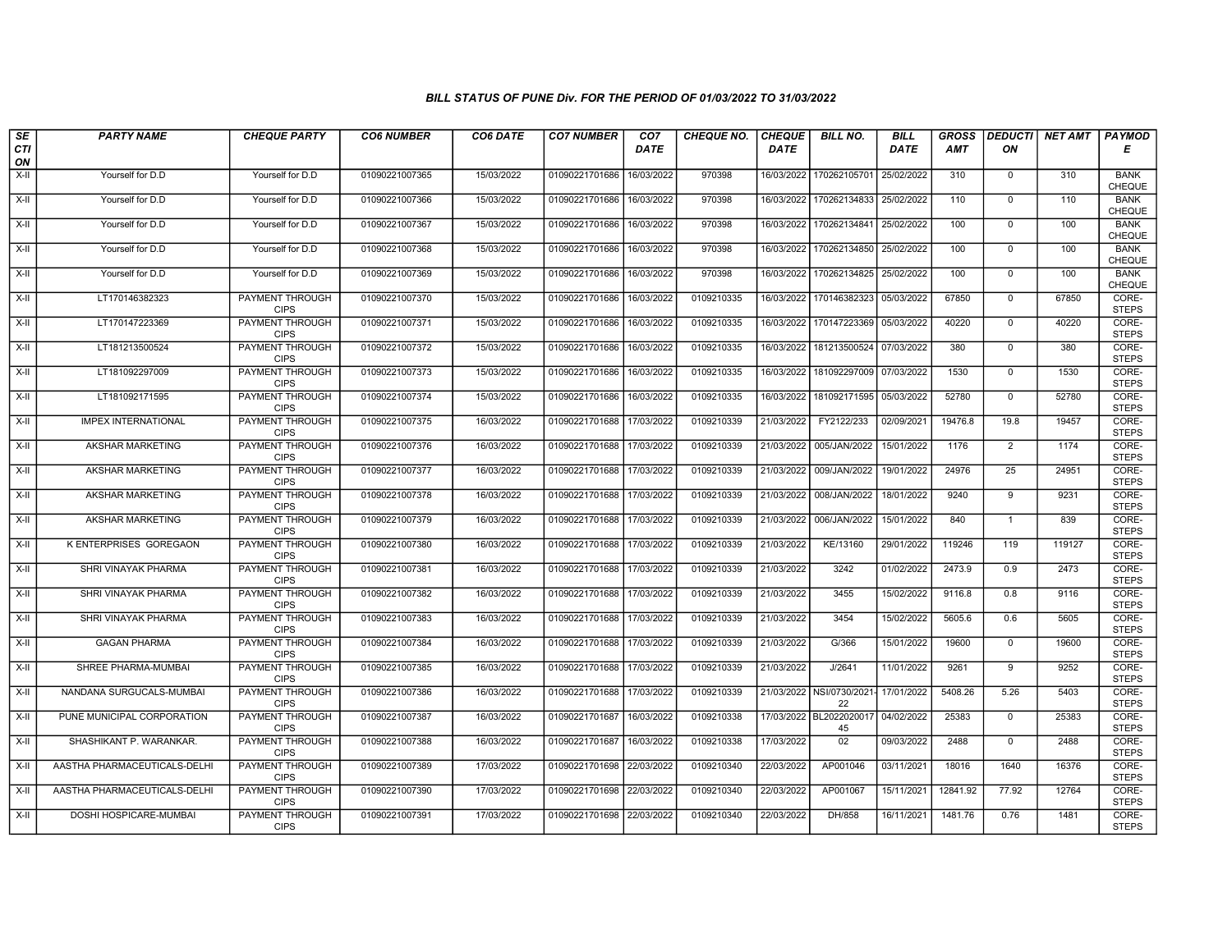| SE        | <b>PARTY NAME</b>            | <b>CHEQUE PARTY</b>                   | <b>CO6 NUMBER</b> | CO6 DATE   | <b>CO7 NUMBER</b>         | CO <sub>7</sub> | <b>CHEQUE NO.</b> | <b>CHEQUE</b> | <b>BILL NO.</b>              | <b>BILL</b> | <b>GROSS</b> |                | <b>DEDUCTI NET AMT</b> | PAYMOD                       |
|-----------|------------------------------|---------------------------------------|-------------------|------------|---------------------------|-----------------|-------------------|---------------|------------------------------|-------------|--------------|----------------|------------------------|------------------------------|
| CTI<br>ON |                              |                                       |                   |            |                           | <b>DATE</b>     |                   | <b>DATE</b>   |                              | <b>DATE</b> | <b>AMT</b>   | ON             |                        | Е                            |
| $X-H$     | Yourself for D.D             | Yourself for D.D                      | 01090221007365    | 15/03/2022 | 01090221701686            | 16/03/2022      | 970398            | 16/03/2022    | 170262105701                 | 25/02/2022  | 310          | $\mathbf 0$    | 310                    | <b>BANK</b><br>CHEQUE        |
| $X-H$     | Yourself for D.D             | Yourself for D.D                      | 01090221007366    | 15/03/2022 | 01090221701686            | 16/03/2022      | 970398            | 16/03/2022    | 170262134833                 | 25/02/2022  | 110          | $\mathbf{0}$   | 110                    | <b>BANK</b><br>CHEQUE        |
| X-II      | Yourself for D.D             | Yourself for D.D                      | 01090221007367    | 15/03/2022 | 01090221701686            | 16/03/2022      | 970398            | 16/03/2022    | 170262134841                 | 25/02/2022  | 100          | $\mathbf 0$    | 100                    | <b>BANK</b><br><b>CHEQUE</b> |
| X-II      | Yourself for D.D             | Yourself for D.D                      | 01090221007368    | 15/03/2022 | 01090221701686            | 16/03/2022      | 970398            | 16/03/2022    | 170262134850                 | 25/02/2022  | 100          | $\mathbf 0$    | 100                    | <b>BANK</b><br>CHEQUE        |
| $X-H$     | Yourself for D.D             | Yourself for D.D                      | 01090221007369    | 15/03/2022 | 01090221701686            | 16/03/2022      | 970398            | 16/03/2022    | 170262134825                 | 25/02/2022  | 100          | $\mathbf 0$    | 100                    | <b>BANK</b><br><b>CHEQUE</b> |
| $X-H$     | LT170146382323               | <b>PAYMENT THROUGH</b><br><b>CIPS</b> | 01090221007370    | 15/03/2022 | 01090221701686            | 16/03/2022      | 0109210335        | 16/03/2022    | 170146382323                 | 05/03/2022  | 67850        | $\mathbf 0$    | 67850                  | CORE-<br><b>STEPS</b>        |
| X-II      | LT170147223369               | PAYMENT THROUGH<br><b>CIPS</b>        | 01090221007371    | 15/03/2022 | 01090221701686            | 16/03/2022      | 0109210335        | 16/03/2022    | 170147223369                 | 05/03/2022  | 40220        | $\mathbf{0}$   | 40220                  | CORE-<br><b>STEPS</b>        |
| $X-H$     | LT181213500524               | PAYMENT THROUGH<br><b>CIPS</b>        | 01090221007372    | 15/03/2022 | 01090221701686            | 16/03/2022      | 0109210335        | 16/03/2022    | 181213500524                 | 07/03/2022  | 380          | $\overline{0}$ | 380                    | CORE-<br><b>STEPS</b>        |
| X-II      | LT181092297009               | <b>PAYMENT THROUGH</b><br><b>CIPS</b> | 01090221007373    | 15/03/2022 | 01090221701686            | 16/03/2022      | 0109210335        | 16/03/2022    | 181092297009                 | 07/03/2022  | 1530         | $\mathbf 0$    | 1530                   | CORE-<br><b>STEPS</b>        |
| $X-H$     | LT181092171595               | PAYMENT THROUGH<br><b>CIPS</b>        | 01090221007374    | 15/03/2022 | 01090221701686            | 16/03/2022      | 0109210335        | 16/03/2022    | 181092171595                 | 05/03/2022  | 52780        | 0              | 52780                  | CORE-<br><b>STEPS</b>        |
| X-II      | <b>IMPEX INTERNATIONAL</b>   | <b>PAYMENT THROUGH</b><br><b>CIPS</b> | 01090221007375    | 16/03/2022 | 01090221701688            | 17/03/2022      | 0109210339        | 21/03/2022    | FY2122/233                   | 02/09/2021  | 19476.8      | 19.8           | 19457                  | CORE-<br><b>STEPS</b>        |
| X-II      | AKSHAR MARKETING             | PAYMENT THROUGH<br><b>CIPS</b>        | 01090221007376    | 16/03/2022 | 01090221701688            | 17/03/2022      | 0109210339        | 21/03/2022    | 005/JAN/2022                 | 15/01/2022  | 1176         | $\overline{2}$ | 1174                   | CORE-<br><b>STEPS</b>        |
| $X-H$     | <b>AKSHAR MARKETING</b>      | <b>PAYMENT THROUGH</b><br><b>CIPS</b> | 01090221007377    | 16/03/2022 | 01090221701688            | 17/03/2022      | 0109210339        | 21/03/2022    | 009/JAN/2022                 | 19/01/2022  | 24976        | 25             | 24951                  | CORE-<br><b>STEPS</b>        |
| $X-H$     | AKSHAR MARKETING             | <b>PAYMENT THROUGH</b><br><b>CIPS</b> | 01090221007378    | 16/03/2022 | 01090221701688            | 17/03/2022      | 0109210339        | 21/03/2022    | 008/JAN/2022                 | 18/01/2022  | 9240         | 9              | 9231                   | CORE-<br><b>STEPS</b>        |
| X-II      | AKSHAR MARKETING             | PAYMENT THROUGH<br><b>CIPS</b>        | 01090221007379    | 16/03/2022 | 01090221701688            | 17/03/2022      | 0109210339        | 21/03/2022    | 006/JAN/2022                 | 15/01/2022  | 840          | $\mathbf{1}$   | 839                    | CORE-<br><b>STEPS</b>        |
| X-II      | K ENTERPRISES GOREGAON       | PAYMENT THROUGH<br><b>CIPS</b>        | 01090221007380    | 16/03/2022 | 01090221701688            | 17/03/2022      | 0109210339        | 21/03/2022    | KE/13160                     | 29/01/2022  | 119246       | 119            | 119127                 | CORE-<br><b>STEPS</b>        |
| X-II      | SHRI VINAYAK PHARMA          | PAYMENT THROUGH<br><b>CIPS</b>        | 01090221007381    | 16/03/2022 | 01090221701688            | 17/03/2022      | 0109210339        | 21/03/2022    | 3242                         | 01/02/2022  | 2473.9       | 0.9            | 2473                   | CORE-<br><b>STEPS</b>        |
| X-II      | SHRI VINAYAK PHARMA          | <b>PAYMENT THROUGH</b><br><b>CIPS</b> | 01090221007382    | 16/03/2022 | 01090221701688            | 17/03/2022      | 0109210339        | 21/03/2022    | 3455                         | 15/02/2022  | 9116.8       | 0.8            | 9116                   | CORE-<br><b>STEPS</b>        |
| X-II      | SHRI VINAYAK PHARMA          | PAYMENT THROUGH<br><b>CIPS</b>        | 01090221007383    | 16/03/2022 | 01090221701688            | 17/03/2022      | 0109210339        | 21/03/2022    | 3454                         | 15/02/2022  | 5605.6       | 0.6            | 5605                   | CORE-<br><b>STEPS</b>        |
| X-II      | <b>GAGAN PHARMA</b>          | PAYMENT THROUGH<br><b>CIPS</b>        | 01090221007384    | 16/03/2022 | 01090221701688            | 17/03/2022      | 0109210339        | 21/03/2022    | G/366                        | 15/01/2022  | 19600        | $\mathbf{0}$   | 19600                  | CORE-<br><b>STEPS</b>        |
| X-II      | SHREE PHARMA-MUMBAI          | PAYMENT THROUGH<br><b>CIPS</b>        | 01090221007385    | 16/03/2022 | 01090221701688            | 17/03/2022      | 0109210339        | 21/03/2022    | J/2641                       | 11/01/2022  | 9261         | 9              | 9252                   | CORE-<br><b>STEPS</b>        |
| X-II      | NANDANA SURGUCALS-MUMBAI     | PAYMENT THROUGH<br><b>CIPS</b>        | 01090221007386    | 16/03/2022 | 01090221701688            | 17/03/2022      | 0109210339        | 21/03/2022    | NSI/0730/2021<br>22          | 17/01/2022  | 5408.26      | 5.26           | 5403                   | CORE-<br><b>STEPS</b>        |
| $X-H$     | PUNE MUNICIPAL CORPORATION   | PAYMENT THROUGH<br><b>CIPS</b>        | 01090221007387    | 16/03/2022 | 01090221701687            | 16/03/2022      | 0109210338        |               | 17/03/2022 BL202202001<br>45 | 04/02/2022  | 25383        | 0              | 25383                  | CORE-<br><b>STEPS</b>        |
| X-II      | SHASHIKANT P. WARANKAR.      | PAYMENT THROUGH<br><b>CIPS</b>        | 01090221007388    | 16/03/2022 | 01090221701687            | 16/03/2022      | 0109210338        | 17/03/2022    | 02                           | 09/03/2022  | 2488         | $\mathbf{0}$   | 2488                   | CORE-<br><b>STEPS</b>        |
| X-II      | AASTHA PHARMACEUTICALS-DELHI | PAYMENT THROUGH<br><b>CIPS</b>        | 01090221007389    | 17/03/2022 | 01090221701698            | 22/03/2022      | 0109210340        | 22/03/2022    | AP001046                     | 03/11/2021  | 18016        | 1640           | 16376                  | CORE-<br><b>STEPS</b>        |
| $X-H$     | AASTHA PHARMACEUTICALS-DELHI | <b>PAYMENT THROUGH</b><br><b>CIPS</b> | 01090221007390    | 17/03/2022 | 01090221701698 22/03/2022 |                 | 0109210340        | 22/03/2022    | AP001067                     | 15/11/2021  | 12841.92     | 77.92          | 12764                  | CORE-<br><b>STEPS</b>        |
| X-II      | DOSHI HOSPICARE-MUMBAI       | PAYMENT THROUGH<br><b>CIPS</b>        | 01090221007391    | 17/03/2022 | 01090221701698 22/03/2022 |                 | 0109210340        | 22/03/2022    | DH/858                       | 16/11/2021  | 1481.76      | 0.76           | 1481                   | CORE-<br><b>STEPS</b>        |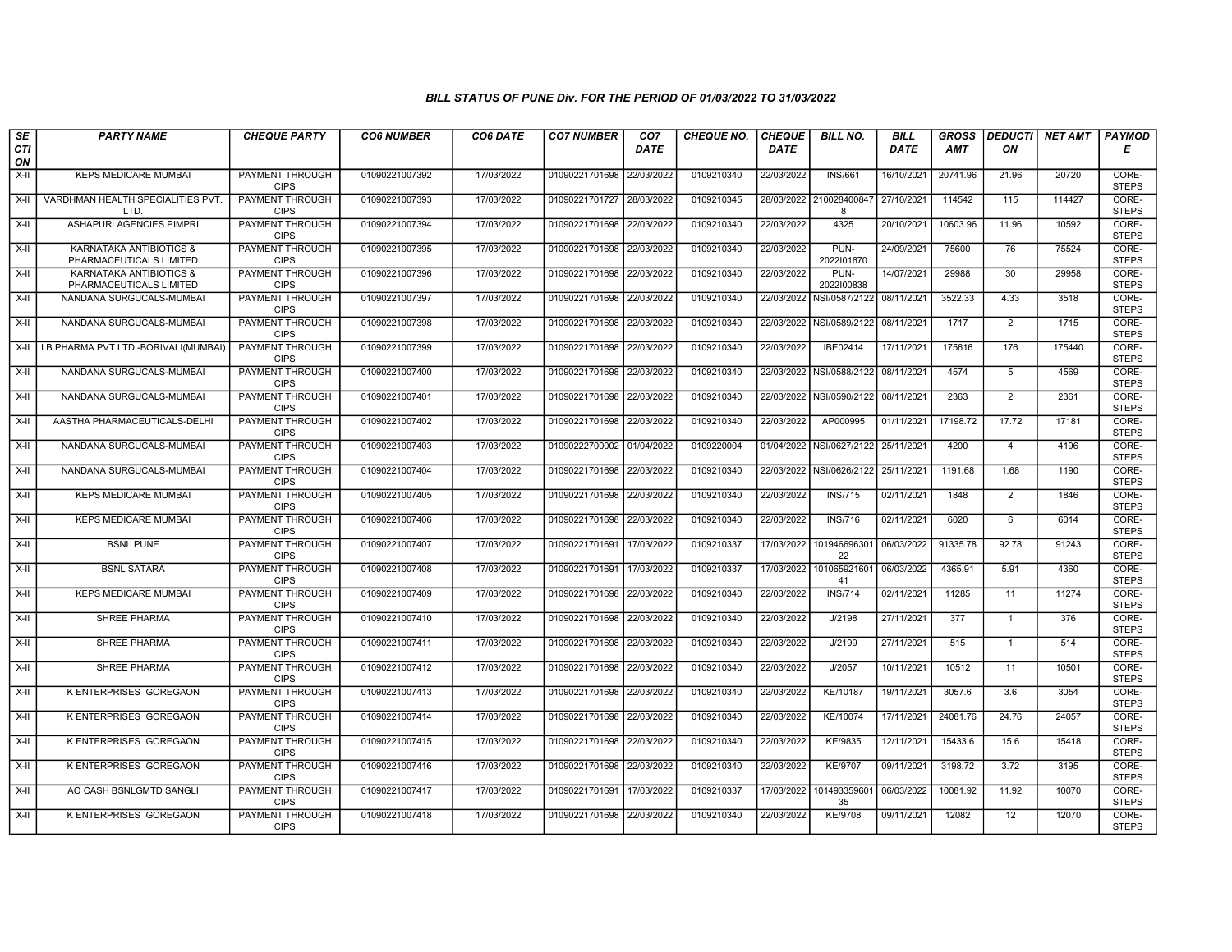| SE               | <b>PARTY NAME</b>                                  | <b>CHEQUE PARTY</b>                   | <b>CO6 NUMBER</b> | CO6 DATE   | <b>CO7 NUMBER</b>         | CO <sub>7</sub> | <b>CHEQUE NO.</b> | <b>CHEQUE</b> | <b>BILL NO.</b>          | <b>BILL</b> | <b>GROSS</b> | <b>DEDUCTI</b> | <b>NET AMT</b> | <b>PAYMOD</b>         |
|------------------|----------------------------------------------------|---------------------------------------|-------------------|------------|---------------------------|-----------------|-------------------|---------------|--------------------------|-------------|--------------|----------------|----------------|-----------------------|
| <b>CTI</b><br>ON |                                                    |                                       |                   |            |                           | <b>DATE</b>     |                   | <b>DATE</b>   |                          | <b>DATE</b> | <b>AMT</b>   | ΟN             |                | Е                     |
| X-II             | <b>KEPS MEDICARE MUMBAI</b>                        | PAYMENT THROUGH<br><b>CIPS</b>        | 01090221007392    | 17/03/2022 | 01090221701698            | 22/03/2022      | 0109210340        | 22/03/2022    | <b>INS/661</b>           | 16/10/2021  | 20741.96     | 21.96          | 20720          | CORE-<br><b>STEPS</b> |
| $X-H$            | VARDHMAN HEALTH SPECIALITIES PVT.<br>LTD.          | <b>PAYMENT THROUGH</b><br><b>CIPS</b> | 01090221007393    | 17/03/2022 | 01090221701727 28/03/2022 |                 | 0109210345        | 28/03/2022    | 210028400847<br>8        | 27/10/2021  | 114542       | 115            | 114427         | CORE-<br><b>STEPS</b> |
| X-II             | ASHAPURI AGENCIES PIMPRI                           | PAYMENT THROUGH<br><b>CIPS</b>        | 01090221007394    | 17/03/2022 | 01090221701698            | 22/03/2022      | 0109210340        | 22/03/2022    | 4325                     | 20/10/2021  | 10603.96     | 11.96          | 10592          | CORE-<br><b>STEPS</b> |
| $X-H$            | KARNATAKA ANTIBIOTICS &<br>PHARMACEUTICALS LIMITED | <b>PAYMENT THROUGH</b><br><b>CIPS</b> | 01090221007395    | 17/03/2022 | 01090221701698            | 22/03/2022      | 0109210340        | 22/03/2022    | PUN-<br>2022101670       | 24/09/2021  | 75600        | 76             | 75524          | CORE-<br><b>STEPS</b> |
| X-II             | KARNATAKA ANTIBIOTICS &<br>PHARMACEUTICALS LIMITED | <b>PAYMENT THROUGH</b><br><b>CIPS</b> | 01090221007396    | 17/03/2022 | 01090221701698            | 22/03/2022      | 0109210340        | 22/03/2022    | PUN-<br>2022100838       | 14/07/2021  | 29988        | 30             | 29958          | CORE-<br><b>STEPS</b> |
| X-II             | NANDANA SURGUCALS-MUMBAI                           | PAYMENT THROUGH<br><b>CIPS</b>        | 01090221007397    | 17/03/2022 | 01090221701698            | 22/03/2022      | 0109210340        |               | 22/03/2022 NSI/0587/2122 | 08/11/2021  | 3522.33      | 4.33           | 3518           | CORE-<br><b>STEPS</b> |
| X-II             | NANDANA SURGUCALS-MUMBAI                           | PAYMENT THROUGH<br><b>CIPS</b>        | 01090221007398    | 17/03/2022 | 01090221701698            | 22/03/2022      | 0109210340        | 22/03/2022    | NSI/0589/2122            | 08/11/2021  | 1717         | 2              | 1715           | CORE-<br><b>STEPS</b> |
| X-II             | I B PHARMA PVT LTD -BORIVALI(MUMBAI)               | <b>PAYMENT THROUGH</b><br><b>CIPS</b> | 01090221007399    | 17/03/2022 | 01090221701698            | 22/03/2022      | 0109210340        | 22/03/2022    | IBE02414                 | 17/11/2021  | 175616       | 176            | 175440         | CORE-<br><b>STEPS</b> |
| $X-H$            | NANDANA SURGUCALS-MUMBAI                           | <b>PAYMENT THROUGH</b><br><b>CIPS</b> | 01090221007400    | 17/03/2022 | 01090221701698            | 22/03/2022      | 0109210340        |               | 22/03/2022 NSI/0588/2122 | 08/11/2021  | 4574         | 5              | 4569           | CORE-<br><b>STEPS</b> |
| X-II             | NANDANA SURGUCALS-MUMBAI                           | <b>PAYMENT THROUGH</b><br><b>CIPS</b> | 01090221007401    | 17/03/2022 | 01090221701698            | 22/03/2022      | 0109210340        |               | 22/03/2022 NSI/0590/2122 | 08/11/2021  | 2363         | $\overline{2}$ | 2361           | CORE-<br><b>STEPS</b> |
| X-II             | AASTHA PHARMACEUTICALS-DELHI                       | PAYMENT THROUGH<br><b>CIPS</b>        | 01090221007402    | 17/03/2022 | 01090221701698            | 22/03/2022      | 0109210340        | 22/03/2022    | AP000995                 | 01/11/2021  | 17198.72     | 17.72          | 17181          | CORE-<br><b>STEPS</b> |
| X-II             | NANDANA SURGUCALS-MUMBAI                           | PAYMENT THROUGH<br><b>CIPS</b>        | 01090221007403    | 17/03/2022 | 01090222700002 01/04/2022 |                 | 0109220004        | 01/04/2022    | NSI/0627/2122            | 25/11/2021  | 4200         | $\overline{4}$ | 4196           | CORE-<br><b>STEPS</b> |
| X-II             | NANDANA SURGUCALS-MUMBAI                           | <b>PAYMENT THROUGH</b><br><b>CIPS</b> | 01090221007404    | 17/03/2022 | 01090221701698            | 22/03/2022      | 0109210340        | 22/03/2022    | NSI/0626/2122            | 25/11/2021  | 1191.68      | 1.68           | 1190           | CORE-<br><b>STEPS</b> |
| $X-H$            | <b>KEPS MEDICARE MUMBAL</b>                        | <b>PAYMENT THROUGH</b><br><b>CIPS</b> | 01090221007405    | 17/03/2022 | 01090221701698            | 22/03/2022      | 0109210340        | 22/03/2022    | <b>INS/715</b>           | 02/11/2021  | 1848         | 2              | 1846           | CORE-<br><b>STEPS</b> |
| X-II             | <b>KEPS MEDICARE MUMBAI</b>                        | <b>PAYMENT THROUGH</b><br><b>CIPS</b> | 01090221007406    | 17/03/2022 | 01090221701698            | 22/03/2022      | 0109210340        | 22/03/2022    | <b>INS/716</b>           | 02/11/2021  | 6020         | 6              | 6014           | CORE-<br><b>STEPS</b> |
| $X-H$            | <b>BSNL PUNE</b>                                   | PAYMENT THROUGH<br><b>CIPS</b>        | 01090221007407    | 17/03/2022 | 01090221701691            | 17/03/2022      | 0109210337        | 17/03/2022    | 101946696301<br>22       | 06/03/2022  | 91335.78     | 92.78          | 91243          | CORE-<br><b>STEPS</b> |
| X-II             | <b>BSNL SATARA</b>                                 | PAYMENT THROUGH<br><b>CIPS</b>        | 01090221007408    | 17/03/2022 | 01090221701691            | 17/03/2022      | 0109210337        | 17/03/2022    | 101065921601<br>41       | 06/03/2022  | 4365.91      | 5.91           | 4360           | CORE-<br><b>STEPS</b> |
| X-II             | <b>KEPS MEDICARE MUMBAI</b>                        | <b>PAYMENT THROUGH</b><br><b>CIPS</b> | 01090221007409    | 17/03/2022 | 01090221701698            | 22/03/2022      | 0109210340        | 22/03/2022    | <b>INS/714</b>           | 02/11/2021  | 11285        | 11             | 11274          | CORE-<br><b>STEPS</b> |
| $X-II$           | <b>SHREE PHARMA</b>                                | PAYMENT THROUGH<br><b>CIPS</b>        | 01090221007410    | 17/03/2022 | 01090221701698            | 22/03/2022      | 0109210340        | 22/03/2022    | J/2198                   | 27/11/2021  | 377          | $\mathbf{1}$   | 376            | CORE-<br><b>STEPS</b> |
| X-II             | SHREE PHARMA                                       | PAYMENT THROUGH<br><b>CIPS</b>        | 01090221007411    | 17/03/2022 | 01090221701698            | 22/03/2022      | 0109210340        | 22/03/2022    | J/2199                   | 27/11/2021  | 515          | $\mathbf{1}$   | 514            | CORE-<br><b>STEPS</b> |
| $X-H$            | <b>SHREE PHARMA</b>                                | <b>PAYMENT THROUGH</b><br><b>CIPS</b> | 01090221007412    | 17/03/2022 | 01090221701698            | 22/03/2022      | 0109210340        | 22/03/2022    | J/2057                   | 10/11/2021  | 10512        | 11             | 10501          | CORE-<br><b>STEPS</b> |
| X-II             | <b>K ENTERPRISES GOREGAON</b>                      | PAYMENT THROUGH<br><b>CIPS</b>        | 01090221007413    | 17/03/2022 | 01090221701698 22/03/2022 |                 | 0109210340        | 22/03/2022    | KE/10187                 | 19/11/2021  | 3057.6       | 3.6            | 3054           | CORE-<br><b>STEPS</b> |
| X-II             | K ENTERPRISES GOREGAON                             | PAYMENT THROUGH<br><b>CIPS</b>        | 01090221007414    | 17/03/2022 | 01090221701698            | 22/03/2022      | 0109210340        | 22/03/2022    | KE/10074                 | 17/11/2021  | 24081.76     | 24.76          | 24057          | CORE-<br><b>STEPS</b> |
| $X-II$           | K ENTERPRISES GOREGAON                             | PAYMENT THROUGH<br><b>CIPS</b>        | 01090221007415    | 17/03/2022 | 01090221701698            | 22/03/2022      | 0109210340        | 22/03/2022    | KE/9835                  | 12/11/2021  | 15433.6      | 15.6           | 15418          | CORE-<br><b>STEPS</b> |
| X-II             | K ENTERPRISES GOREGAON                             | PAYMENT THROUGH<br><b>CIPS</b>        | 01090221007416    | 17/03/2022 | 01090221701698            | 22/03/2022      | 0109210340        | 22/03/2022    | <b>KE/9707</b>           | 09/11/2021  | 3198.72      | 3.72           | 3195           | CORE-<br><b>STEPS</b> |
| $X-H$            | AO CASH BSNLGMTD SANGLI                            | <b>PAYMENT THROUGH</b><br><b>CIPS</b> | 01090221007417    | 17/03/2022 | 01090221701691            | 17/03/2022      | 0109210337        | 17/03/2022    | 101493359601<br>35       | 06/03/2022  | 10081.92     | 11.92          | 10070          | CORE-<br><b>STEPS</b> |
| X-II             | K ENTERPRISES GOREGAON                             | PAYMENT THROUGH<br><b>CIPS</b>        | 01090221007418    | 17/03/2022 | 01090221701698 22/03/2022 |                 | 0109210340        | 22/03/2022    | KE/9708                  | 09/11/2021  | 12082        | 12             | 12070          | CORE-<br><b>STEPS</b> |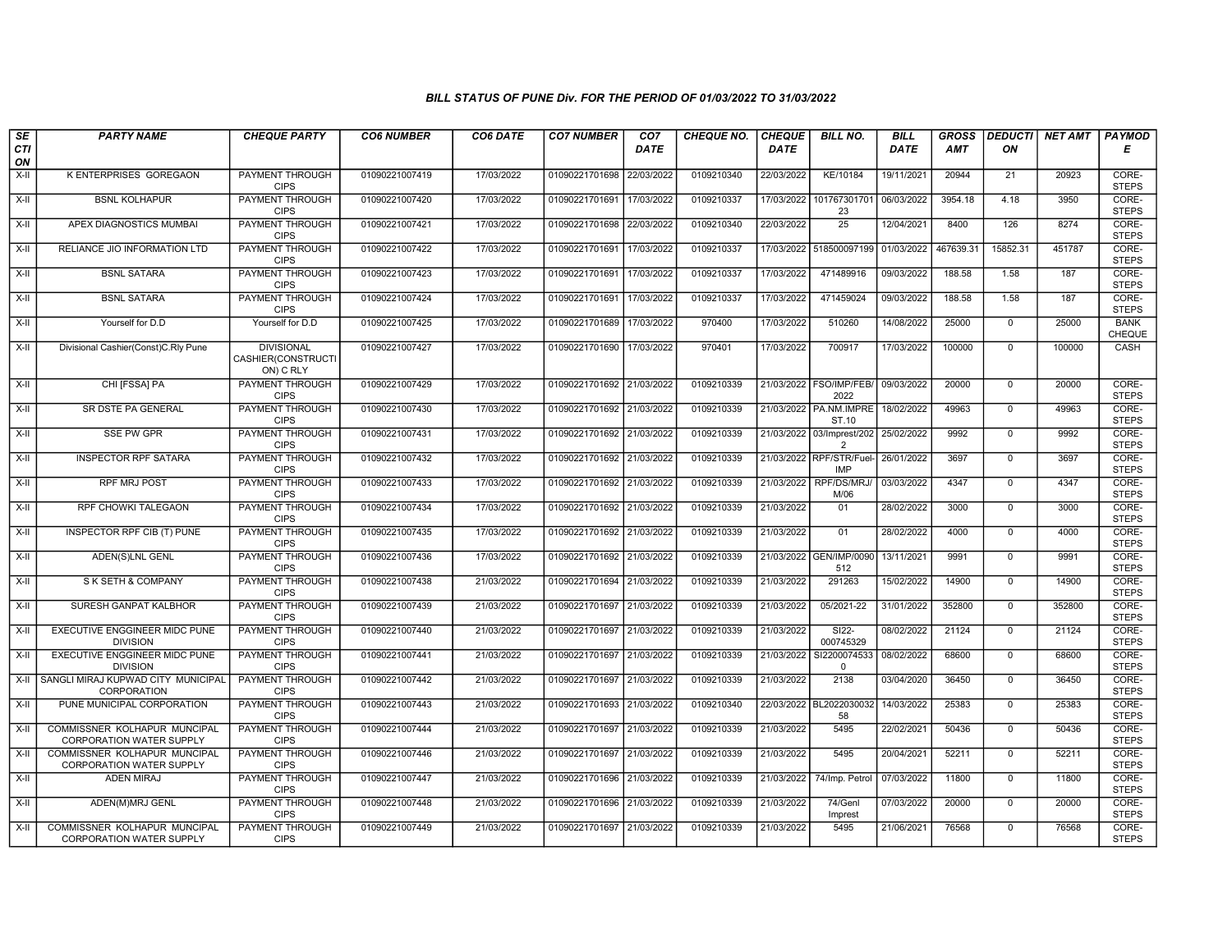| SE        | <b>PARTY NAME</b>                                               | <b>CHEQUE PARTY</b>                                  | <b>CO6 NUMBER</b> | CO6 DATE   | <b>CO7 NUMBER</b>         | CO <sub>7</sub> | <b>CHEQUE NO.</b> | <b>CHEQUE</b> | <b>BILL NO.</b>                  | <b>BILL</b> | <b>GROSS</b> | <b>DEDUCTI</b> | NET AMT | <b>PAYMOD</b>         |
|-----------|-----------------------------------------------------------------|------------------------------------------------------|-------------------|------------|---------------------------|-----------------|-------------------|---------------|----------------------------------|-------------|--------------|----------------|---------|-----------------------|
| CTI<br>ON |                                                                 |                                                      |                   |            |                           | DATE            |                   | <b>DATE</b>   |                                  | DATE        | AMT          | ON             |         | E                     |
| $X-H$     | K ENTERPRISES GOREGAON                                          | <b>PAYMENT THROUGH</b><br><b>CIPS</b>                | 01090221007419    | 17/03/2022 | 01090221701698            | 22/03/2022      | 0109210340        | 22/03/2022    | KE/10184                         | 19/11/2021  | 20944        | 21             | 20923   | CORE-<br><b>STEPS</b> |
| $X-H$     | <b>BSNL KOLHAPUR</b>                                            | PAYMENT THROUGH<br><b>CIPS</b>                       | 01090221007420    | 17/03/2022 | 01090221701691            | 17/03/2022      | 0109210337        | 17/03/2022    | 101767301701<br>23               | 06/03/2022  | 3954.18      | 4.18           | 3950    | CORE-<br><b>STEPS</b> |
| X-II      | APEX DIAGNOSTICS MUMBAI                                         | PAYMENT THROUGH<br><b>CIPS</b>                       | 01090221007421    | 17/03/2022 | 01090221701698            | 22/03/2022      | 0109210340        | 22/03/2022    | 25                               | 12/04/2021  | 8400         | 126            | 8274    | CORE-<br><b>STEPS</b> |
| $X-II$    | RELIANCE JIO INFORMATION LTD                                    | <b>PAYMENT THROUGH</b><br><b>CIPS</b>                | 01090221007422    | 17/03/2022 | 01090221701691            | 17/03/2022      | 0109210337        | 17/03/2022    | 518500097199                     | 01/03/2022  | 467639.3     | 15852.31       | 451787  | CORE-<br><b>STEPS</b> |
| $X-H$     | <b>BSNL SATARA</b>                                              | <b>PAYMENT THROUGH</b><br><b>CIPS</b>                | 01090221007423    | 17/03/2022 | 01090221701691 17/03/2022 |                 | 0109210337        | 17/03/2022    | 471489916                        | 09/03/2022  | 188.58       | 1.58           | 187     | CORE-<br><b>STEPS</b> |
| X-II      | <b>BSNL SATARA</b>                                              | <b>PAYMENT THROUGH</b><br><b>CIPS</b>                | 01090221007424    | 17/03/2022 | 01090221701691 17/03/2022 |                 | 0109210337        | 17/03/2022    | 471459024                        | 09/03/2022  | 188.58       | 1.58           | 187     | CORE-<br><b>STEPS</b> |
| X-II      | Yourself for D.D                                                | Yourself for D.D                                     | 01090221007425    | 17/03/2022 | 01090221701689            | 17/03/2022      | 970400            | 17/03/2022    | 510260                           | 14/08/2022  | 25000        | $\mathbf 0$    | 25000   | <b>BANK</b><br>CHEQUE |
| X-II      | Divisional Cashier(Const)C.Rly Pune                             | <b>DIVISIONAL</b><br>CASHIER(CONSTRUCTI<br>ON) C RLY | 01090221007427    | 17/03/2022 | 01090221701690            | 17/03/2022      | 970401            | 17/03/2022    | 700917                           | 17/03/2022  | 100000       | $\mathbf 0$    | 100000  | CASH                  |
| X-II      | CHI [FSSA] PA                                                   | <b>PAYMENT THROUGH</b><br><b>CIPS</b>                | 01090221007429    | 17/03/2022 | 01090221701692 21/03/2022 |                 | 0109210339        |               | 21/03/2022 FSO/IMP/FEB/<br>2022  | 09/03/2022  | 20000        | $\mathbf{0}$   | 20000   | CORE-<br><b>STEPS</b> |
| X-II      | SR DSTE PA GENERAL                                              | <b>PAYMENT THROUGH</b><br><b>CIPS</b>                | 01090221007430    | 17/03/2022 | 01090221701692            | 21/03/2022      | 0109210339        | 21/03/2022    | PA.NM.IMPRE<br>ST.10             | 18/02/2022  | 49963        | $\mathbf 0$    | 49963   | CORE-<br><b>STEPS</b> |
| $X-H$     | <b>SSE PW GPR</b>                                               | <b>PAYMENT THROUGH</b><br><b>CIPS</b>                | 01090221007431    | 17/03/2022 | 01090221701692 21/03/2022 |                 | 0109210339        | 21/03/2022    | 03/Imprest/202<br>$\overline{2}$ | 25/02/2022  | 9992         | $\mathbf 0$    | 9992    | CORE-<br><b>STEPS</b> |
| X-II      | <b>INSPECTOR RPF SATARA</b>                                     | <b>PAYMENT THROUGH</b><br><b>CIPS</b>                | 01090221007432    | 17/03/2022 | 01090221701692            | 21/03/2022      | 0109210339        | 21/03/2022    | RPF/STR/Fuel-<br><b>IMP</b>      | 26/01/2022  | 3697         | $\mathbf 0$    | 3697    | CORE-<br><b>STEPS</b> |
| X-II      | <b>RPF MRJ POST</b>                                             | PAYMENT THROUGH<br><b>CIPS</b>                       | 01090221007433    | 17/03/2022 | 01090221701692            | 21/03/2022      | 0109210339        | 21/03/2022    | RPF/DS/MRJ/<br>M/06              | 03/03/2022  | 4347         | $\mathbf 0$    | 4347    | CORE-<br><b>STEPS</b> |
| X-II      | <b>RPF CHOWKI TALEGAON</b>                                      | <b>PAYMENT THROUGH</b><br><b>CIPS</b>                | 01090221007434    | 17/03/2022 | 01090221701692            | 21/03/2022      | 0109210339        | 21/03/2022    | 01                               | 28/02/2022  | 3000         | $\mathbf{0}$   | 3000    | CORE-<br><b>STEPS</b> |
| X-II      | INSPECTOR RPF CIB (T) PUNE                                      | <b>PAYMENT THROUGH</b><br><b>CIPS</b>                | 01090221007435    | 17/03/2022 | 01090221701692 21/03/2022 |                 | 0109210339        | 21/03/2022    | 01                               | 28/02/2022  | 4000         | $\mathbf 0$    | 4000    | CORE-<br><b>STEPS</b> |
| X-II      | <b>ADEN(S)LNL GENL</b>                                          | PAYMENT THROUGH<br><b>CIPS</b>                       | 01090221007436    | 17/03/2022 | 01090221701692            | 21/03/2022      | 0109210339        | 21/03/2022    | <b>GEN/IMP/0090</b><br>512       | 13/11/2021  | 9991         | $\mathbf 0$    | 9991    | CORE-<br><b>STEPS</b> |
| $X-H$     | S K SETH & COMPANY                                              | <b>PAYMENT THROUGH</b><br><b>CIPS</b>                | 01090221007438    | 21/03/2022 | 01090221701694            | 21/03/2022      | 0109210339        | 21/03/2022    | 291263                           | 15/02/2022  | 14900        | $\mathbf 0$    | 14900   | CORE-<br><b>STEPS</b> |
| X-II      | SURESH GANPAT KALBHOR                                           | <b>PAYMENT THROUGH</b><br><b>CIPS</b>                | 01090221007439    | 21/03/2022 | 01090221701697            | 21/03/2022      | 0109210339        | 21/03/2022    | 05/2021-22                       | 31/01/2022  | 352800       | $\mathbf 0$    | 352800  | CORE-<br><b>STEPS</b> |
| X-II      | EXECUTIVE ENGGINEER MIDC PUNE<br><b>DIVISION</b>                | <b>PAYMENT THROUGH</b><br><b>CIPS</b>                | 01090221007440    | 21/03/2022 | 01090221701697 21/03/2022 |                 | 0109210339        | 21/03/2022    | SI22-<br>000745329               | 08/02/2022  | 21124        | $\mathbf 0$    | 21124   | CORE-<br><b>STEPS</b> |
| X-II      | <b>EXECUTIVE ENGGINEER MIDC PUNE</b><br><b>DIVISION</b>         | <b>PAYMENT THROUGH</b><br><b>CIPS</b>                | 01090221007441    | 21/03/2022 | 01090221701697            | 21/03/2022      | 0109210339        | 21/03/2022    | SI2200074533<br>0                | 08/02/2022  | 68600        | $\Omega$       | 68600   | CORE-<br><b>STEPS</b> |
| $X-H$     | SANGLI MIRAJ KUPWAD CITY MUNICIPAL<br>CORPORATION               | <b>PAYMENT THROUGH</b><br><b>CIPS</b>                | 01090221007442    | 21/03/2022 | 01090221701697            | 21/03/2022      | 0109210339        | 21/03/2022    | 2138                             | 03/04/2020  | 36450        | $\mathbf 0$    | 36450   | CORE-<br><b>STEPS</b> |
| X-II      | PUNE MUNICIPAL CORPORATION                                      | PAYMENT THROUGH<br><b>CIPS</b>                       | 01090221007443    | 21/03/2022 | 01090221701693            | 21/03/2022      | 0109210340        |               | 22/03/2022 BL2022030032<br>58    | 14/03/2022  | 25383        | $\mathbf 0$    | 25383   | CORE-<br><b>STEPS</b> |
| X-II      | COMMISSNER KOLHAPUR MUNCIPAL<br><b>CORPORATION WATER SUPPLY</b> | <b>PAYMENT THROUGH</b><br><b>CIPS</b>                | 01090221007444    | 21/03/2022 | 01090221701697 21/03/2022 |                 | 0109210339        | 21/03/2022    | 5495                             | 22/02/2021  | 50436        | $\Omega$       | 50436   | CORE-<br><b>STEPS</b> |
| X-II      | COMMISSNER KOLHAPUR MUNCIPAL<br>CORPORATION WATER SUPPLY        | <b>PAYMENT THROUGH</b><br><b>CIPS</b>                | 01090221007446    | 21/03/2022 | 01090221701697 21/03/2022 |                 | 0109210339        | 21/03/2022    | 5495                             | 20/04/2021  | 52211        | $\mathbf 0$    | 52211   | CORE-<br><b>STEPS</b> |
| X-II      | <b>ADEN MIRAJ</b>                                               | <b>PAYMENT THROUGH</b><br><b>CIPS</b>                | 01090221007447    | 21/03/2022 | 01090221701696 21/03/2022 |                 | 0109210339        | 21/03/2022    | 74/Imp. Petrol                   | 07/03/2022  | 11800        | $\mathbf{0}$   | 11800   | CORE-<br><b>STEPS</b> |
| X-II      | ADEN(M)MRJ GENL                                                 | PAYMENT THROUGH<br><b>CIPS</b>                       | 01090221007448    | 21/03/2022 | 01090221701696 21/03/2022 |                 | 0109210339        | 21/03/2022    | 74/Genl<br>Imprest               | 07/03/2022  | 20000        | $\mathbf 0$    | 20000   | CORE-<br><b>STEPS</b> |
| X-II      | COMMISSNER KOLHAPUR MUNCIPAL<br><b>CORPORATION WATER SUPPLY</b> | PAYMENT THROUGH<br><b>CIPS</b>                       | 01090221007449    | 21/03/2022 | 01090221701697 21/03/2022 |                 | 0109210339        | 21/03/2022    | 5495                             | 21/06/2021  | 76568        | $\mathbf 0$    | 76568   | CORE-<br><b>STEPS</b> |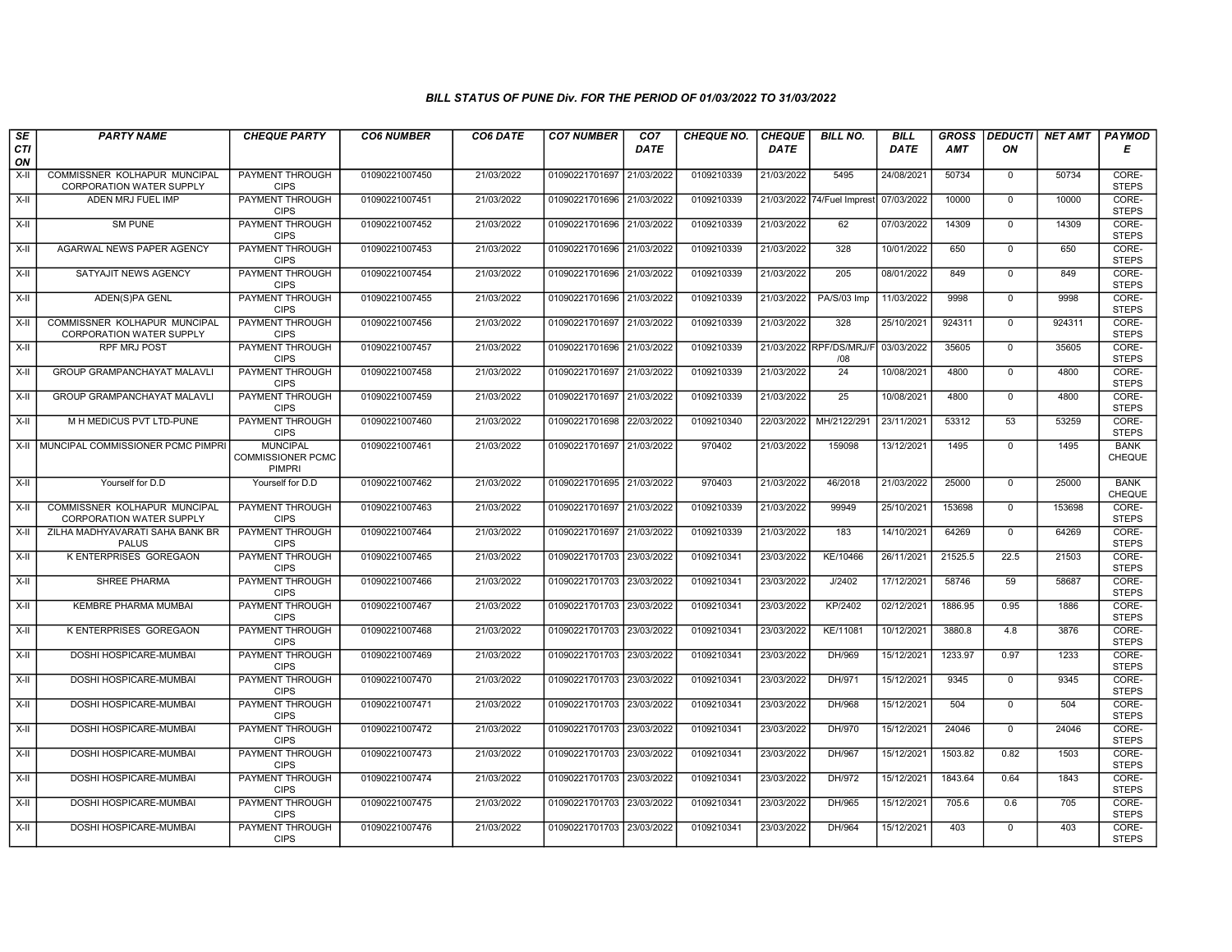| SE<br>CTI | <b>PARTY NAME</b>                                               | <b>CHEQUE PARTY</b>                                          | <b>CO6 NUMBER</b> | <b>CO6 DATE</b> | <b>CO7 NUMBER</b>         | CO <sub>7</sub><br><b>DATE</b> | <b>CHEQUE NO.</b> | <b>CHEQUE</b><br><b>DATE</b> | <b>BILL NO.</b>                       | <b>BILL</b><br><b>DATE</b> | <b>GROSS</b><br><b>AMT</b> | <b>DEDUCTI</b><br>ON | NET AMT | <b>PAYMOD</b><br>Е           |
|-----------|-----------------------------------------------------------------|--------------------------------------------------------------|-------------------|-----------------|---------------------------|--------------------------------|-------------------|------------------------------|---------------------------------------|----------------------------|----------------------------|----------------------|---------|------------------------------|
| ON        |                                                                 |                                                              |                   |                 |                           |                                |                   |                              |                                       |                            |                            |                      |         |                              |
| X-II      | COMMISSNER KOLHAPUR MUNCIPAL<br><b>CORPORATION WATER SUPPLY</b> | PAYMENT THROUGH<br><b>CIPS</b>                               | 01090221007450    | 21/03/2022      | 01090221701697            | 21/03/2022                     | 0109210339        | 21/03/2022                   | 5495                                  | 24/08/2021                 | 50734                      | $\mathbf{0}$         | 50734   | CORE-<br><b>STEPS</b>        |
| X-II      | ADEN MRJ FUEL IMP                                               | <b>PAYMENT THROUGH</b><br><b>CIPS</b>                        | 01090221007451    | 21/03/2022      | 01090221701696 21/03/2022 |                                | 0109210339        |                              | 21/03/2022 74/Fuel Imprest 07/03/2022 |                            | 10000                      | $\Omega$             | 10000   | CORE-<br><b>STEPS</b>        |
| $X-II$    | <b>SM PUNE</b>                                                  | PAYMENT THROUGH<br><b>CIPS</b>                               | 01090221007452    | 21/03/2022      | 01090221701696            | 21/03/2022                     | 0109210339        | 21/03/2022                   | 62                                    | 07/03/2022                 | 14309                      | $\mathbf 0$          | 14309   | CORE-<br><b>STEPS</b>        |
| X-II      | AGARWAL NEWS PAPER AGENCY                                       | PAYMENT THROUGH<br><b>CIPS</b>                               | 01090221007453    | 21/03/2022      | 01090221701696            | 21/03/2022                     | 0109210339        | 21/03/2022                   | 328                                   | 10/01/2022                 | 650                        | $\mathbf{0}$         | 650     | CORE-<br><b>STEPS</b>        |
| X-II      | SATYAJIT NEWS AGENCY                                            | <b>PAYMENT THROUGH</b><br><b>CIPS</b>                        | 01090221007454    | 21/03/2022      | 01090221701696 21/03/2022 |                                | 0109210339        | 21/03/2022                   | 205                                   | 08/01/2022                 | 849                        | $\mathbf 0$          | 849     | CORE-<br><b>STEPS</b>        |
| X-II      | ADEN(S)PA GENL                                                  | <b>PAYMENT THROUGH</b><br><b>CIPS</b>                        | 01090221007455    | 21/03/2022      | 01090221701696 21/03/2022 |                                | 0109210339        | 21/03/2022                   | PA/S/03 Imp                           | 11/03/2022                 | 9998                       | $\Omega$             | 9998    | CORE-<br><b>STEPS</b>        |
| X-II      | COMMISSNER KOLHAPUR MUNCIPAL<br><b>CORPORATION WATER SUPPLY</b> | PAYMENT THROUGH<br><b>CIPS</b>                               | 01090221007456    | 21/03/2022      | 01090221701697            | 21/03/2022                     | 0109210339        | 21/03/2022                   | 328                                   | 25/10/2021                 | 924311                     | $\mathbf 0$          | 924311  | CORE-<br><b>STEPS</b>        |
| X-II      | <b>RPF MRJ POST</b>                                             | PAYMENT THROUGH<br><b>CIPS</b>                               | 01090221007457    | 21/03/2022      | 01090221701696            | 21/03/2022                     | 0109210339        |                              | 21/03/2022 RPF/DS/MRJ/F<br>/08        | 03/03/2022                 | 35605                      | $\mathbf{0}$         | 35605   | CORE-<br><b>STEPS</b>        |
| $X-H$     | <b>GROUP GRAMPANCHAYAT MALAVLI</b>                              | <b>PAYMENT THROUGH</b><br><b>CIPS</b>                        | 01090221007458    | 21/03/2022      | 01090221701697            | 21/03/2022                     | 0109210339        | 21/03/2022                   | 24                                    | 10/08/2021                 | 4800                       | $\mathbf 0$          | 4800    | CORE-<br><b>STEPS</b>        |
| X-II      | GROUP GRAMPANCHAYAT MALAVLI                                     | <b>PAYMENT THROUGH</b><br><b>CIPS</b>                        | 01090221007459    | 21/03/2022      | 01090221701697            | 21/03/2022                     | 0109210339        | 21/03/2022                   | $\overline{25}$                       | 10/08/2021                 | 4800                       | $\Omega$             | 4800    | CORE-<br><b>STEPS</b>        |
| X-II      | M H MEDICUS PVT LTD-PUNE                                        | <b>PAYMENT THROUGH</b><br><b>CIPS</b>                        | 01090221007460    | 21/03/2022      | 01090221701698            | 22/03/2022                     | 0109210340        | 22/03/2022                   | MH/2122/291                           | 23/11/2021                 | 53312                      | 53                   | 53259   | CORE-<br><b>STEPS</b>        |
|           | X-II   MUNCIPAL COMMISSIONER PCMC PIMPRI                        | <b>MUNCIPAL</b><br><b>COMMISSIONER PCMC</b><br><b>PIMPRI</b> | 01090221007461    | 21/03/2022      | 01090221701697            | 21/03/2022                     | 970402            | 21/03/2022                   | 159098                                | 13/12/2021                 | 1495                       | $\mathbf{0}$         | 1495    | <b>BANK</b><br><b>CHEQUE</b> |
| X-II      | Yourself for D.D                                                | Yourself for D.D                                             | 01090221007462    | 21/03/2022      | 01090221701695 21/03/2022 |                                | 970403            | 21/03/2022                   | 46/2018                               | 21/03/2022                 | 25000                      | $\mathbf{0}$         | 25000   | <b>BANK</b><br><b>CHEQUE</b> |
| X-II      | COMMISSNER KOLHAPUR MUNCIPAL<br>CORPORATION WATER SUPPLY        | PAYMENT THROUGH<br><b>CIPS</b>                               | 01090221007463    | 21/03/2022      | 01090221701697            | 21/03/2022                     | 0109210339        | 21/03/2022                   | 99949                                 | 25/10/2021                 | 153698                     | $\Omega$             | 153698  | CORE-<br><b>STEPS</b>        |
| $X-H$     | ZILHA MADHYAVARATI SAHA BANK BR<br><b>PALUS</b>                 | PAYMENT THROUGH<br><b>CIPS</b>                               | 01090221007464    | 21/03/2022      | 01090221701697            | 21/03/2022                     | 0109210339        | 21/03/2022                   | 183                                   | 14/10/2021                 | 64269                      | $\Omega$             | 64269   | CORE-<br><b>STEPS</b>        |
| $X-H$     | K ENTERPRISES GOREGAON                                          | <b>PAYMENT THROUGH</b><br><b>CIPS</b>                        | 01090221007465    | 21/03/2022      | 01090221701703            | 23/03/2022                     | 0109210341        | 23/03/2022                   | KE/10466                              | 26/11/2021                 | 21525.5                    | 22.5                 | 21503   | CORE-<br><b>STEPS</b>        |
| X-II      | <b>SHREE PHARMA</b>                                             | <b>PAYMENT THROUGH</b><br><b>CIPS</b>                        | 01090221007466    | 21/03/2022      | 01090221701703            | 23/03/2022                     | 0109210341        | 23/03/2022                   | J/2402                                | 17/12/2021                 | 58746                      | 59                   | 58687   | CORE-<br><b>STEPS</b>        |
| X-II      | <b>KEMBRE PHARMA MUMBAI</b>                                     | PAYMENT THROUGH<br><b>CIPS</b>                               | 01090221007467    | 21/03/2022      | 01090221701703            | 23/03/2022                     | 0109210341        | 23/03/2022                   | KP/2402                               | 02/12/2021                 | 1886.95                    | 0.95                 | 1886    | CORE-<br><b>STEPS</b>        |
| $X-II$    | K ENTERPRISES GOREGAON                                          | PAYMENT THROUGH<br><b>CIPS</b>                               | 01090221007468    | 21/03/2022      | 01090221701703            | 23/03/2022                     | 0109210341        | 23/03/2022                   | KE/11081                              | 10/12/2021                 | 3880.8                     | 4.8                  | 3876    | CORE-<br><b>STEPS</b>        |
| $X-H$     | DOSHI HOSPICARE-MUMBAI                                          | <b>PAYMENT THROUGH</b><br><b>CIPS</b>                        | 01090221007469    | 21/03/2022      | 01090221701703 23/03/2022 |                                | 0109210341        | 23/03/2022                   | DH/969                                | 15/12/2021                 | 1233.97                    | 0.97                 | 1233    | CORE-<br><b>STEPS</b>        |
| X-II      | DOSHI HOSPICARE-MUMBAI                                          | <b>PAYMENT THROUGH</b><br><b>CIPS</b>                        | 01090221007470    | 21/03/2022      | 01090221701703 23/03/2022 |                                | 0109210341        | 23/03/2022                   | DH/971                                | 15/12/2021                 | 9345                       | $\mathbf 0$          | 9345    | CORE-<br><b>STEPS</b>        |
| X-II      | DOSHI HOSPICARE-MUMBAI                                          | PAYMENT THROUGH<br><b>CIPS</b>                               | 01090221007471    | 21/03/2022      | 01090221701703 23/03/2022 |                                | 0109210341        | 23/03/2022                   | DH/968                                | 15/12/2021                 | 504                        | $\Omega$             | 504     | CORE-<br><b>STEPS</b>        |
| X-II      | DOSHI HOSPICARE-MUMBAI                                          | PAYMENT THROUGH<br><b>CIPS</b>                               | 01090221007472    | 21/03/2022      | 01090221701703            | 23/03/2022                     | 0109210341        | 23/03/2022                   | DH/970                                | 15/12/2021                 | 24046                      | $\mathbf 0$          | 24046   | CORE-<br><b>STEPS</b>        |
| $X-H$     | DOSHI HOSPICARE-MUMBAI                                          | <b>PAYMENT THROUGH</b><br><b>CIPS</b>                        | 01090221007473    | 21/03/2022      | 01090221701703            | 23/03/2022                     | 0109210341        | 23/03/2022                   | DH/967                                | 15/12/2021                 | 1503.82                    | 0.82                 | 1503    | CORE-<br><b>STEPS</b>        |
| X-II      | DOSHI HOSPICARE-MUMBAI                                          | PAYMENT THROUGH<br><b>CIPS</b>                               | 01090221007474    | 21/03/2022      | 01090221701703            | 23/03/2022                     | 0109210341        | 23/03/2022                   | DH/972                                | 15/12/2021                 | 1843.64                    | 0.64                 | 1843    | CORE-<br><b>STEPS</b>        |
| X-II      | DOSHI HOSPICARE-MUMBAI                                          | PAYMENT THROUGH<br><b>CIPS</b>                               | 01090221007475    | 21/03/2022      | 01090221701703 23/03/2022 |                                | 0109210341        | 23/03/2022                   | DH/965                                | 15/12/2021                 | 705.6                      | 0.6                  | 705     | CORE-<br><b>STEPS</b>        |
| $X-II$    | DOSHI HOSPICARE-MUMBAI                                          | PAYMENT THROUGH<br><b>CIPS</b>                               | 01090221007476    | 21/03/2022      | 01090221701703 23/03/2022 |                                | 0109210341        | 23/03/2022                   | DH/964                                | 15/12/2021                 | 403                        | $\mathbf 0$          | 403     | CORE-<br><b>STEPS</b>        |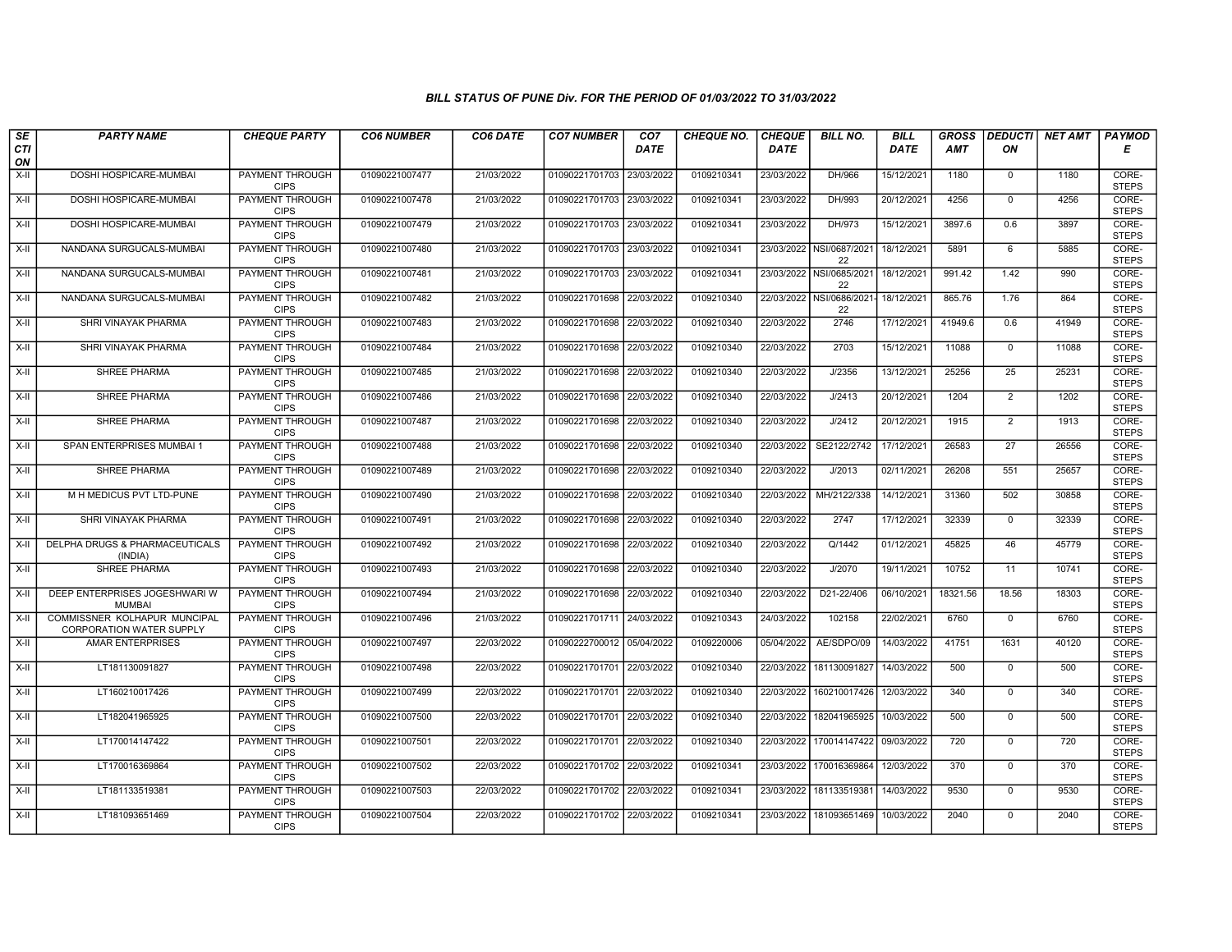| SE                 | <b>PARTY NAME</b>                                               | <b>CHEQUE PARTY</b>                   | <b>CO6 NUMBER</b> | CO6 DATE   | <b>CO7 NUMBER</b>         | CO <sub>7</sub> | <b>CHEQUE NO.</b> | <b>CHEQUE</b> | <b>BILL NO.</b>                 | <b>BILL</b> | <b>GROSS</b> | <b>DEDUCTI</b> | NET AMT | <b>PAYMOD</b>         |
|--------------------|-----------------------------------------------------------------|---------------------------------------|-------------------|------------|---------------------------|-----------------|-------------------|---------------|---------------------------------|-------------|--------------|----------------|---------|-----------------------|
| <b>CTI</b><br>ON   |                                                                 |                                       |                   |            |                           | <b>DATE</b>     |                   | <b>DATE</b>   |                                 | <b>DATE</b> | <b>AMT</b>   | ON             |         | Е                     |
| X-II               | DOSHI HOSPICARE-MUMBAI                                          | PAYMENT THROUGH<br><b>CIPS</b>        | 01090221007477    | 21/03/2022 | 01090221701703            | 23/03/2022      | 0109210341        | 23/03/2022    | DH/966                          | 15/12/2021  | 1180         | $\mathbf 0$    | 1180    | CORE-<br><b>STEPS</b> |
| X-II               | DOSHI HOSPICARE-MUMBAI                                          | <b>PAYMENT THROUGH</b><br><b>CIPS</b> | 01090221007478    | 21/03/2022 | 01090221701703 23/03/2022 |                 | 0109210341        | 23/03/2022    | DH/993                          | 20/12/2021  | 4256         | $\Omega$       | 4256    | CORE-<br><b>STEPS</b> |
| X-II               | DOSHI HOSPICARE-MUMBAI                                          | PAYMENT THROUGH<br><b>CIPS</b>        | 01090221007479    | 21/03/2022 | 01090221701703            | 23/03/2022      | 0109210341        | 23/03/2022    | DH/973                          | 15/12/2021  | 3897.6       | 0.6            | 3897    | CORE-<br><b>STEPS</b> |
| $X-H$              | NANDANA SURGUCALS-MUMBAI                                        | <b>PAYMENT THROUGH</b><br><b>CIPS</b> | 01090221007480    | 21/03/2022 | 01090221701703            | 23/03/2022      | 0109210341        |               | 23/03/2022 NSI/0687/2021<br>22  | 18/12/2021  | 5891         | 6              | 5885    | CORE-<br><b>STEPS</b> |
| X-II               | NANDANA SURGUCALS-MUMBAI                                        | <b>PAYMENT THROUGH</b><br><b>CIPS</b> | 01090221007481    | 21/03/2022 | 01090221701703 23/03/2022 |                 | 0109210341        |               | 23/03/2022 NSI/0685/2021<br>22  | 18/12/2021  | 991.42       | 1.42           | 990     | CORE-<br><b>STEPS</b> |
| $X-II$             | NANDANA SURGUCALS-MUMBAI                                        | PAYMENT THROUGH<br><b>CIPS</b>        | 01090221007482    | 21/03/2022 | 01090221701698 22/03/2022 |                 | 0109210340        |               | 22/03/2022 NSI/0686/2021-<br>22 | 18/12/2021  | 865.76       | 1.76           | 864     | CORE-<br><b>STEPS</b> |
| X-II               | <b>SHRI VINAYAK PHARMA</b>                                      | PAYMENT THROUGH<br><b>CIPS</b>        | 01090221007483    | 21/03/2022 | 01090221701698            | 22/03/2022      | 0109210340        | 22/03/2022    | 2746                            | 17/12/2021  | 41949.6      | 0.6            | 41949   | CORE-<br><b>STEPS</b> |
| X-II               | SHRI VINAYAK PHARMA                                             | PAYMENT THROUGH<br><b>CIPS</b>        | 01090221007484    | 21/03/2022 | 01090221701698            | 22/03/2022      | 0109210340        | 22/03/2022    | 2703                            | 15/12/2021  | 11088        | $\mathbf 0$    | 11088   | CORE-<br><b>STEPS</b> |
| $X-H$              | <b>SHREE PHARMA</b>                                             | <b>PAYMENT THROUGH</b><br><b>CIPS</b> | 01090221007485    | 21/03/2022 | 01090221701698            | 22/03/2022      | 0109210340        | 22/03/2022    | J/2356                          | 13/12/2021  | 25256        | 25             | 25231   | CORE-<br><b>STEPS</b> |
| $\overline{x}$ -II | <b>SHREE PHARMA</b>                                             | <b>PAYMENT THROUGH</b><br><b>CIPS</b> | 01090221007486    | 21/03/2022 | 01090221701698 22/03/2022 |                 | 0109210340        | 22/03/2022    | J/2413                          | 20/12/2021  | 1204         | $\overline{2}$ | 1202    | CORE-<br><b>STEPS</b> |
| X-II               | SHREE PHARMA                                                    | PAYMENT THROUGH<br><b>CIPS</b>        | 01090221007487    | 21/03/2022 | 01090221701698            | 22/03/2022      | 0109210340        | 22/03/2022    | J/2412                          | 20/12/2021  | 1915         | $\overline{2}$ | 1913    | CORE-<br><b>STEPS</b> |
| X-II               | SPAN ENTERPRISES MUMBAI 1                                       | PAYMENT THROUGH<br><b>CIPS</b>        | 01090221007488    | 21/03/2022 | 01090221701698            | 22/03/2022      | 0109210340        | 22/03/2022    | SE2122/2742                     | 17/12/2021  | 26583        | 27             | 26556   | CORE-<br><b>STEPS</b> |
| X-II               | SHREE PHARMA                                                    | <b>PAYMENT THROUGH</b><br><b>CIPS</b> | 01090221007489    | 21/03/2022 | 01090221701698            | 22/03/2022      | 0109210340        | 22/03/2022    | J/2013                          | 02/11/2021  | 26208        | 551            | 25657   | CORE-<br><b>STEPS</b> |
| $X-H$              | M H MEDICUS PVT LTD-PUNE                                        | <b>PAYMENT THROUGH</b><br><b>CIPS</b> | 01090221007490    | 21/03/2022 | 01090221701698            | 22/03/2022      | 0109210340        | 22/03/2022    | MH/2122/338                     | 14/12/2021  | 31360        | 502            | 30858   | CORE-<br><b>STEPS</b> |
| X-II               | SHRI VINAYAK PHARMA                                             | <b>PAYMENT THROUGH</b><br><b>CIPS</b> | 01090221007491    | 21/03/2022 | 01090221701698            | 22/03/2022      | 0109210340        | 22/03/2022    | 2747                            | 17/12/2021  | 32339        | $\Omega$       | 32339   | CORE-<br><b>STEPS</b> |
| $X-H$              | DELPHA DRUGS & PHARMACEUTICALS<br>(INDIA)                       | PAYMENT THROUGH<br><b>CIPS</b>        | 01090221007492    | 21/03/2022 | 01090221701698            | 22/03/2022      | 0109210340        | 22/03/2022    | Q/1442                          | 01/12/2021  | 45825        | 46             | 45779   | CORE-<br><b>STEPS</b> |
| X-II               | SHREE PHARMA                                                    | <b>PAYMENT THROUGH</b><br><b>CIPS</b> | 01090221007493    | 21/03/2022 | 01090221701698            | 22/03/2022      | 0109210340        | 22/03/2022    | J/2070                          | 19/11/2021  | 10752        | 11             | 10741   | CORE-<br><b>STEPS</b> |
| X-II               | DEEP ENTERPRISES JOGESHWARI W<br><b>MUMBAI</b>                  | <b>PAYMENT THROUGH</b><br><b>CIPS</b> | 01090221007494    | 21/03/2022 | 01090221701698            | 22/03/2022      | 0109210340        | 22/03/2022    | D21-22/406                      | 06/10/2021  | 18321.56     | 18.56          | 18303   | CORE-<br><b>STEPS</b> |
| $X-II$             | COMMISSNER KOLHAPUR MUNCIPAL<br><b>CORPORATION WATER SUPPLY</b> | PAYMENT THROUGH<br><b>CIPS</b>        | 01090221007496    | 21/03/2022 | 01090221701711 24/03/2022 |                 | 0109210343        | 24/03/2022    | 102158                          | 22/02/2021  | 6760         | $\Omega$       | 6760    | CORE-<br><b>STEPS</b> |
| X-II               | <b>AMAR ENTERPRISES</b>                                         | <b>PAYMENT THROUGH</b><br><b>CIPS</b> | 01090221007497    | 22/03/2022 | 01090222700012            | 05/04/2022      | 0109220006        | 05/04/2022    | AE/SDPO/09                      | 14/03/2022  | 41751        | 1631           | 40120   | CORE-<br><b>STEPS</b> |
| $X-H$              | LT181130091827                                                  | <b>PAYMENT THROUGH</b><br><b>CIPS</b> | 01090221007498    | 22/03/2022 | 01090221701701 22/03/2022 |                 | 0109210340        | 22/03/2022    | 181130091827                    | 14/03/2022  | 500          | $\mathbf 0$    | 500     | CORE-<br><b>STEPS</b> |
| X-II               | LT160210017426                                                  | PAYMENT THROUGH<br><b>CIPS</b>        | 01090221007499    | 22/03/2022 | 01090221701701 22/03/2022 |                 | 0109210340        | 22/03/2022    | 160210017426                    | 12/03/2022  | 340          | $\Omega$       | 340     | CORE-<br><b>STEPS</b> |
| X-II               | LT182041965925                                                  | PAYMENT THROUGH<br><b>CIPS</b>        | 01090221007500    | 22/03/2022 | 01090221701701 22/03/2022 |                 | 0109210340        | 22/03/2022    | 182041965925                    | 10/03/2022  | 500          | $\mathbf 0$    | 500     | CORE-<br><b>STEPS</b> |
| $X-H$              | LT170014147422                                                  | PAYMENT THROUGH<br><b>CIPS</b>        | 01090221007501    | 22/03/2022 | 01090221701701            | 22/03/2022      | 0109210340        | 22/03/2022    | 170014147422                    | 09/03/2022  | 720          | $\mathbf 0$    | 720     | CORE-<br><b>STEPS</b> |
| X-II               | LT170016369864                                                  | <b>PAYMENT THROUGH</b><br><b>CIPS</b> | 01090221007502    | 22/03/2022 | 01090221701702            | 22/03/2022      | 0109210341        | 23/03/2022    | 170016369864                    | 12/03/2022  | 370          | $\Omega$       | 370     | CORE-<br><b>STEPS</b> |
| $X-H$              | LT181133519381                                                  | <b>PAYMENT THROUGH</b><br><b>CIPS</b> | 01090221007503    | 22/03/2022 | 01090221701702 22/03/2022 |                 | 0109210341        |               | 23/03/2022 181133519381         | 14/03/2022  | 9530         | 0              | 9530    | CORE-<br><b>STEPS</b> |
| X-II               | LT181093651469                                                  | PAYMENT THROUGH<br><b>CIPS</b>        | 01090221007504    | 22/03/2022 | 01090221701702 22/03/2022 |                 | 0109210341        |               | 23/03/2022 181093651469         | 10/03/2022  | 2040         | $\mathbf 0$    | 2040    | CORE-<br><b>STEPS</b> |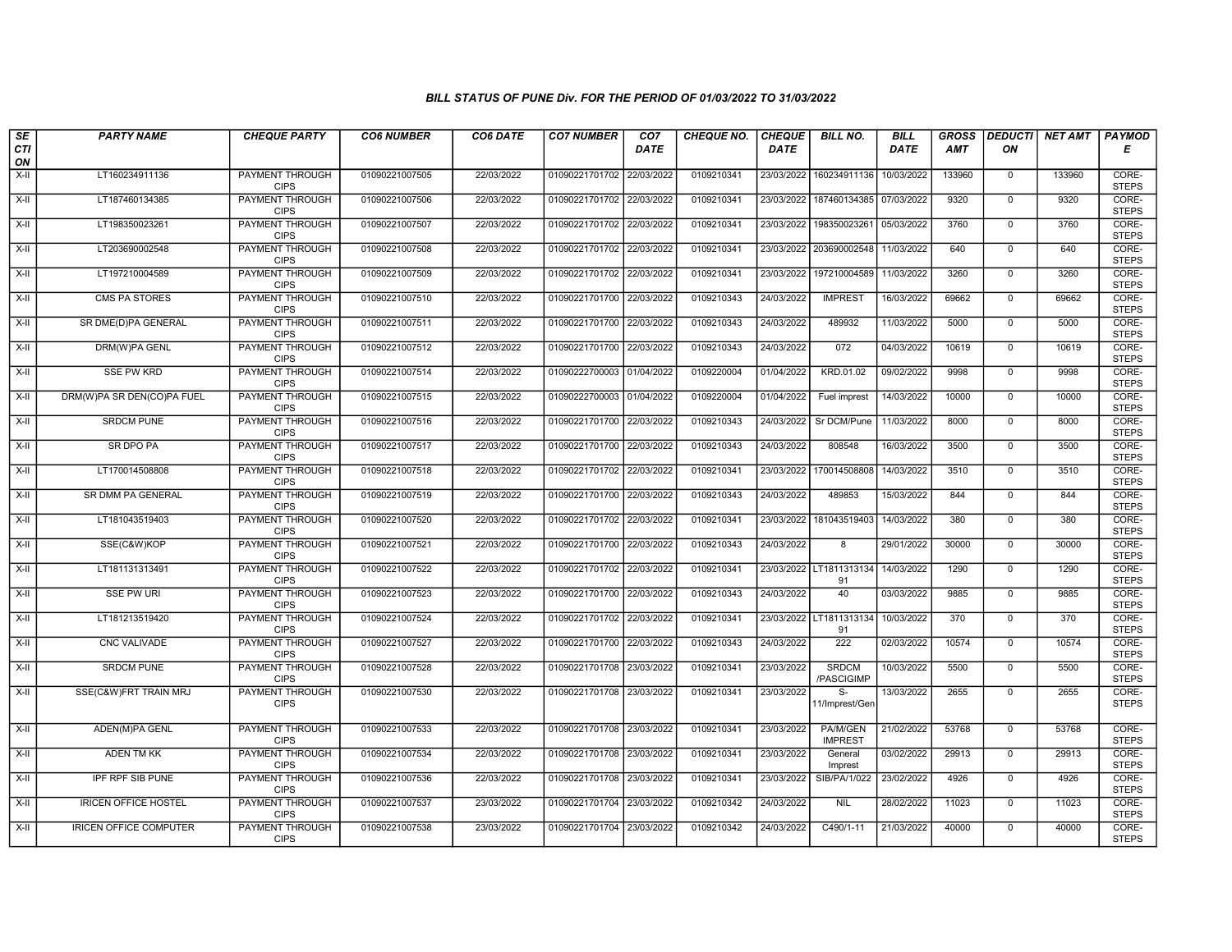| SE<br><b>CTI</b>   | <b>PARTY NAME</b>             | <b>CHEQUE PARTY</b>                   | <b>CO6 NUMBER</b> | CO6 DATE   | <b>CO7 NUMBER</b>         | CO <sub>7</sub><br><b>DATE</b> | CHEQUE NO. | <b>CHEQUE</b><br><b>DATE</b> | <b>BILL NO.</b>                  | <b>BILL</b><br><b>DATE</b> | <b>GROSS</b><br><b>AMT</b> | ON             | <b>DEDUCTI NET AMT</b> | <b>PAYMOD</b><br>Е    |
|--------------------|-------------------------------|---------------------------------------|-------------------|------------|---------------------------|--------------------------------|------------|------------------------------|----------------------------------|----------------------------|----------------------------|----------------|------------------------|-----------------------|
| ON                 |                               |                                       |                   |            |                           |                                |            |                              |                                  |                            |                            |                |                        |                       |
| $X-H$              | LT160234911136                | <b>PAYMENT THROUGH</b><br><b>CIPS</b> | 01090221007505    | 22/03/2022 | 01090221701702 22/03/2022 |                                | 0109210341 | 23/03/2022                   | 160234911136                     | 10/03/2022                 | 133960                     | $\mathbf 0$    | 133960                 | CORE-<br><b>STEPS</b> |
| $\overline{x}$ -II | LT187460134385                | PAYMENT THROUGH<br><b>CIPS</b>        | 01090221007506    | 22/03/2022 | 01090221701702 22/03/2022 |                                | 0109210341 | 23/03/2022                   | 187460134385                     | 07/03/2022                 | 9320                       | $\Omega$       | 9320                   | CORE-<br><b>STEPS</b> |
| X-II               | LT198350023261                | PAYMENT THROUGH<br><b>CIPS</b>        | 01090221007507    | 22/03/2022 | 01090221701702            | 22/03/2022                     | 0109210341 | 23/03/2022                   | 198350023261                     | 05/03/2022                 | 3760                       | $\mathbf 0$    | 3760                   | CORE-<br><b>STEPS</b> |
| $X-I$              | LT203690002548                | PAYMENT THROUGH<br><b>CIPS</b>        | 01090221007508    | 22/03/2022 | 01090221701702            | 22/03/2022                     | 0109210341 | 23/03/2022                   | 203690002548                     | 11/03/2022                 | 640                        | $\mathbf{0}$   | 640                    | CORE-<br><b>STEPS</b> |
| $X-II$             | LT197210004589                | <b>PAYMENT THROUGH</b><br><b>CIPS</b> | 01090221007509    | 22/03/2022 | 01090221701702            | 22/03/2022                     | 0109210341 | 23/03/2022                   | 197210004589                     | 11/03/2022                 | 3260                       | $\mathbf 0$    | 3260                   | CORE-<br><b>STEPS</b> |
| X-II               | <b>CMS PA STORES</b>          | <b>PAYMENT THROUGH</b><br><b>CIPS</b> | 01090221007510    | 22/03/2022 | 01090221701700 22/03/2022 |                                | 0109210343 | 24/03/2022                   | <b>IMPREST</b>                   | 16/03/2022                 | 69662                      | $\mathbf 0$    | 69662                  | CORE-<br><b>STEPS</b> |
| X-II               | SR DME(D)PA GENERAL           | PAYMENT THROUGH<br><b>CIPS</b>        | 01090221007511    | 22/03/2022 | 01090221701700            | 22/03/2022                     | 0109210343 | 24/03/2022                   | 489932                           | 11/03/2022                 | 5000                       | $\mathbf 0$    | 5000                   | CORE-<br><b>STEPS</b> |
| X-II               | DRM(W)PA GENL                 | PAYMENT THROUGH<br><b>CIPS</b>        | 01090221007512    | 22/03/2022 | 01090221701700            | 22/03/2022                     | 0109210343 | 24/03/2022                   | 072                              | 04/03/2022                 | 10619                      | $\mathbf 0$    | 10619                  | CORE-<br><b>STEPS</b> |
| $X-H$              | <b>SSE PW KRD</b>             | <b>PAYMENT THROUGH</b><br><b>CIPS</b> | 01090221007514    | 22/03/2022 | 01090222700003 01/04/2022 |                                | 0109220004 | 01/04/2022                   | KRD.01.02                        | 09/02/2022                 | 9998                       | $\mathbf{0}$   | 9998                   | CORE-<br><b>STEPS</b> |
| X-II               | DRM(W)PA SR DEN(CO)PA FUEL    | PAYMENT THROUGH<br><b>CIPS</b>        | 01090221007515    | 22/03/2022 | 01090222700003 01/04/2022 |                                | 0109220004 | 01/04/2022                   | Fuel imprest                     | 14/03/2022                 | 10000                      | $\Omega$       | 10000                  | CORE-<br><b>STEPS</b> |
| X-II               | <b>SRDCM PUNE</b>             | PAYMENT THROUGH<br><b>CIPS</b>        | 01090221007516    | 22/03/2022 | 01090221701700            | 22/03/2022                     | 0109210343 | 24/03/2022                   | Sr DCM/Pune                      | 11/03/2022                 | 8000                       | $\mathbf 0$    | 8000                   | CORE-<br><b>STEPS</b> |
| X-II               | SR DPO PA                     | <b>PAYMENT THROUGH</b><br><b>CIPS</b> | 01090221007517    | 22/03/2022 | 01090221701700            | 22/03/2022                     | 0109210343 | 24/03/2022                   | 808548                           | 16/03/2022                 | 3500                       | $\mathbf{0}$   | 3500                   | CORE-<br><b>STEPS</b> |
| X-II               | LT170014508808                | PAYMENT THROUGH<br><b>CIPS</b>        | 01090221007518    | 22/03/2022 | 01090221701702            | 22/03/2022                     | 0109210341 | 23/03/2022                   | 170014508808                     | 14/03/2022                 | 3510                       | $\mathbf 0$    | 3510                   | CORE-<br><b>STEPS</b> |
| X-II               | SR DMM PA GENERAL             | <b>PAYMENT THROUGH</b><br><b>CIPS</b> | 01090221007519    | 22/03/2022 | 01090221701700 22/03/2022 |                                | 0109210343 | 24/03/2022                   | 489853                           | 15/03/2022                 | 844                        | $\mathbf 0$    | 844                    | CORE-<br><b>STEPS</b> |
| X-II               | LT181043519403                | <b>PAYMENT THROUGH</b><br><b>CIPS</b> | 01090221007520    | 22/03/2022 | 01090221701702            | 22/03/2022                     | 0109210341 | 23/03/2022                   | 181043519403                     | 14/03/2022                 | 380                        | $\mathbf 0$    | 380                    | CORE-<br><b>STEPS</b> |
| $X-H$              | SSE(C&W)KOP                   | PAYMENT THROUGH<br><b>CIPS</b>        | 01090221007521    | 22/03/2022 | 01090221701700            | 22/03/2022                     | 0109210343 | 24/03/2022                   | 8                                | 29/01/2022                 | 30000                      | $\mathbf 0$    | 30000                  | CORE-<br><b>STEPS</b> |
| $X-H$              | LT181131313491                | <b>PAYMENT THROUGH</b><br><b>CIPS</b> | 01090221007522    | 22/03/2022 | 01090221701702 22/03/2022 |                                | 0109210341 |                              | 23/03/2022 LT1811313134<br>91    | 14/03/2022                 | 1290                       | $\mathbf 0$    | 1290                   | CORE-<br><b>STEPS</b> |
| $X-H$              | <b>SSE PW URI</b>             | PAYMENT THROUGH<br><b>CIPS</b>        | 01090221007523    | 22/03/2022 | 01090221701700 22/03/2022 |                                | 0109210343 | 24/03/2022                   | 40                               | 03/03/2022                 | 9885                       | $\mathsf{O}$   | 9885                   | CORE-<br><b>STEPS</b> |
| X-II               | LT181213519420                | PAYMENT THROUGH<br><b>CIPS</b>        | 01090221007524    | 22/03/2022 | 01090221701702            | 22/03/2022                     | 0109210341 | 23/03/2022                   | LT1811313134<br>91               | 10/03/2022                 | 370                        | $\mathbf 0$    | 370                    | CORE-<br><b>STEPS</b> |
| X-II               | <b>CNC VALIVADE</b>           | PAYMENT THROUGH<br><b>CIPS</b>        | 01090221007527    | 22/03/2022 | 01090221701700            | 22/03/2022                     | 0109210343 | 24/03/2022                   | 222                              | 02/03/2022                 | 10574                      | $\mathbf{0}$   | 10574                  | CORE-<br><b>STEPS</b> |
| $X-H$              | <b>SRDCM PUNE</b>             | <b>PAYMENT THROUGH</b><br><b>CIPS</b> | 01090221007528    | 22/03/2022 | 01090221701708 23/03/2022 |                                | 0109210341 | 23/03/2022                   | <b>SRDCM</b><br>/PASCIGIMP       | 10/03/2022                 | 5500                       | $\mathbf 0$    | 5500                   | CORE-<br><b>STEPS</b> |
| $X-H$              | SSE(C&W)FRT TRAIN MRJ         | PAYMENT THROUGH<br><b>CIPS</b>        | 01090221007530    | 22/03/2022 | 01090221701708 23/03/2022 |                                | 0109210341 | 23/03/2022                   | $\overline{s}$<br>11/Imprest/Gen | 13/03/2022                 | 2655                       | $\mathbf 0$    | 2655                   | CORE-<br><b>STEPS</b> |
| $X-H$              | ADEN(M)PA GENL                | PAYMENT THROUGH<br><b>CIPS</b>        | 01090221007533    | 22/03/2022 | 01090221701708 23/03/2022 |                                | 0109210341 | 23/03/2022                   | PA/M/GEN<br><b>IMPREST</b>       | 21/02/2022                 | 53768                      | $\overline{0}$ | 53768                  | CORE-<br><b>STEPS</b> |
| $X-H$              | <b>ADEN TM KK</b>             | <b>PAYMENT THROUGH</b><br><b>CIPS</b> | 01090221007534    | 22/03/2022 | 01090221701708 23/03/2022 |                                | 0109210341 | 23/03/2022                   | General<br>Imprest               | 03/02/2022                 | 29913                      | $\overline{0}$ | 29913                  | CORE-<br><b>STEPS</b> |
| X-II               | <b>IPF RPF SIB PUNE</b>       | <b>PAYMENT THROUGH</b><br><b>CIPS</b> | 01090221007536    | 22/03/2022 | 01090221701708            | 23/03/2022                     | 0109210341 | 23/03/2022                   | SIB/PA/1/022                     | 23/02/2022                 | 4926                       | $\mathbf 0$    | 4926                   | CORE-<br><b>STEPS</b> |
| X-II               | <b>IRICEN OFFICE HOSTEL</b>   | PAYMENT THROUGH<br><b>CIPS</b>        | 01090221007537    | 23/03/2022 | 01090221701704 23/03/2022 |                                | 0109210342 | 24/03/2022                   | <b>NIL</b>                       | 28/02/2022                 | 11023                      | $\mathbf 0$    | 11023                  | CORE-<br><b>STEPS</b> |
| $X-H$              | <b>IRICEN OFFICE COMPUTER</b> | <b>PAYMENT THROUGH</b><br><b>CIPS</b> | 01090221007538    | 23/03/2022 | 01090221701704 23/03/2022 |                                | 0109210342 | 24/03/2022                   | C490/1-11                        | 21/03/2022                 | 40000                      | $\mathsf{O}$   | 40000                  | CORE-<br><b>STEPS</b> |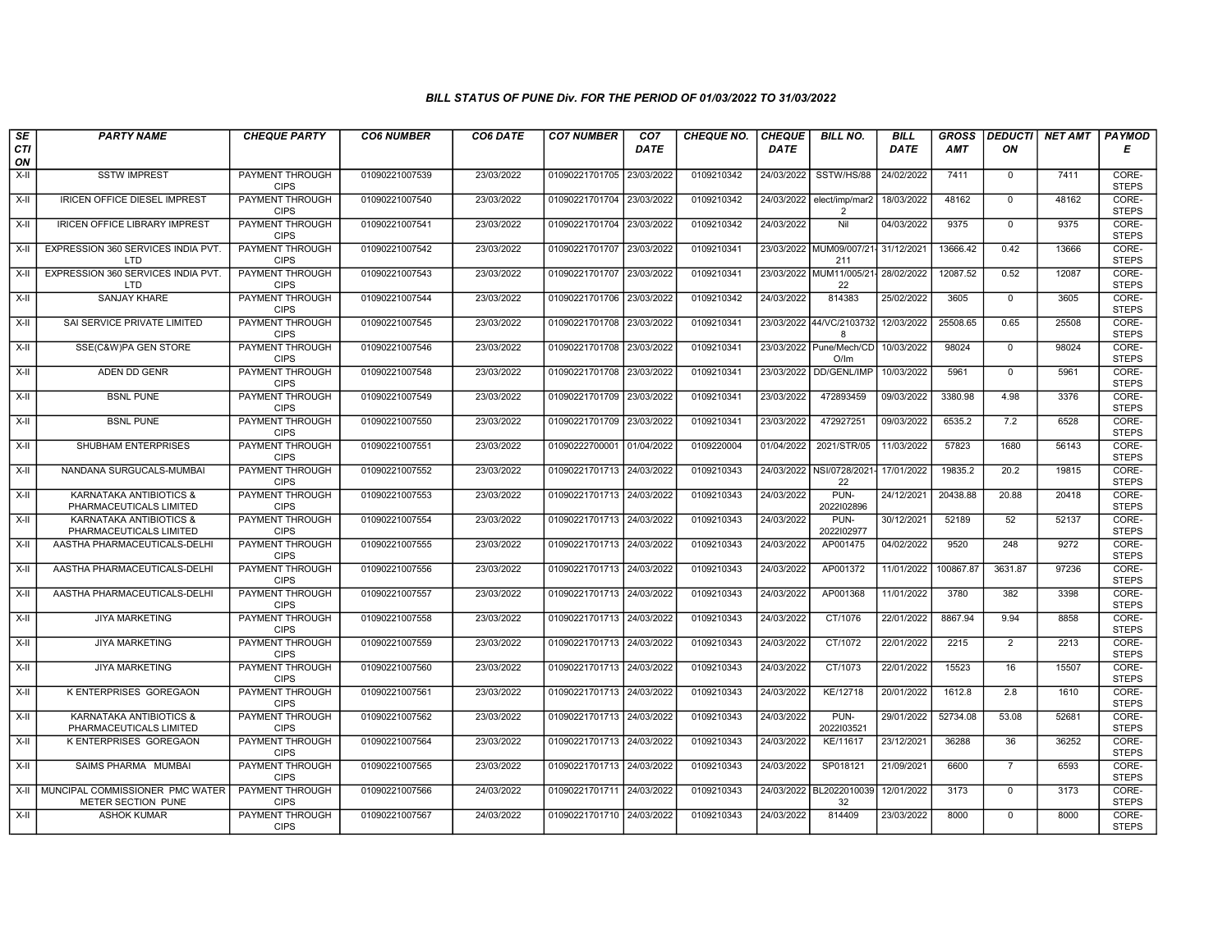| SE        | <b>PARTY NAME</b>                                     | <b>CHEQUE PARTY</b>                   | <b>CO6 NUMBER</b> | CO6 DATE   | <b>CO7 NUMBER</b>         | CO <sub>7</sub> | <b>CHEQUE NO.</b> | <b>CHEQUE</b> | <b>BILL NO.</b>                  | <b>BILL</b> | <b>GROSS</b> |                | <b>DEDUCTI NET AMT</b> | <b>PAYMOD</b>         |
|-----------|-------------------------------------------------------|---------------------------------------|-------------------|------------|---------------------------|-----------------|-------------------|---------------|----------------------------------|-------------|--------------|----------------|------------------------|-----------------------|
| CTI<br>ON |                                                       |                                       |                   |            |                           | <b>DATE</b>     |                   | <b>DATE</b>   |                                  | <b>DATE</b> | <b>AMT</b>   | ON             |                        | Е                     |
| $X-H$     | <b>SSTW IMPREST</b>                                   | <b>PAYMENT THROUGH</b><br><b>CIPS</b> | 01090221007539    | 23/03/2022 | 01090221701705 23/03/2022 |                 | 0109210342        | 24/03/2022    | SSTW/HS/88                       | 24/02/2022  | 7411         | $\mathbf 0$    | 7411                   | CORE-<br><b>STEPS</b> |
| $X-H$     | <b>IRICEN OFFICE DIESEL IMPREST</b>                   | <b>PAYMENT THROUGH</b><br><b>CIPS</b> | 01090221007540    | 23/03/2022 | 01090221701704 23/03/2022 |                 | 0109210342        | 24/03/2022    | elect/imp/mar2<br>$\overline{2}$ | 18/03/2022  | 48162        | $\Omega$       | 48162                  | CORE-<br><b>STEPS</b> |
| X-II      | <b>IRICEN OFFICE LIBRARY IMPREST</b>                  | PAYMENT THROUGH<br><b>CIPS</b>        | 01090221007541    | 23/03/2022 | 01090221701704            | 23/03/2022      | 0109210342        | 24/03/2022    | Nil                              | 04/03/2022  | 9375         | $\mathbf 0$    | 9375                   | CORE-<br><b>STEPS</b> |
| X-II      | EXPRESSION 360 SERVICES INDIA PVT.<br>LTD             | PAYMENT THROUGH<br><b>CIPS</b>        | 01090221007542    | 23/03/2022 | 01090221701707            | 23/03/2022      | 0109210341        | 23/03/2022    | MUM09/007/21<br>211              | 31/12/2021  | 13666.42     | 0.42           | 13666                  | CORE-<br><b>STEPS</b> |
| $X-H$     | EXPRESSION 360 SERVICES INDIA PVT.<br>LTD             | <b>PAYMENT THROUGH</b><br><b>CIPS</b> | 01090221007543    | 23/03/2022 | 01090221701707 23/03/2022 |                 | 0109210341        |               | 23/03/2022 MUM11/005/21<br>22    | 28/02/2022  | 12087.52     | 0.52           | 12087                  | CORE-<br><b>STEPS</b> |
| $X-H$     | <b>SANJAY KHARE</b>                                   | <b>PAYMENT THROUGH</b><br><b>CIPS</b> | 01090221007544    | 23/03/2022 | 01090221701706            | 23/03/2022      | 0109210342        | 24/03/2022    | 814383                           | 25/02/2022  | 3605         | $\Omega$       | 3605                   | CORE-<br><b>STEPS</b> |
| X-II      | SAI SERVICE PRIVATE LIMITED                           | PAYMENT THROUGH<br><b>CIPS</b>        | 01090221007545    | 23/03/2022 | 01090221701708 23/03/2022 |                 | 0109210341        | 23/03/2022    | 44/VC/2103732<br>8               | 12/03/2022  | 25508.65     | 0.65           | 25508                  | CORE-<br><b>STEPS</b> |
| $X-H$     | SSE(C&W)PA GEN STORE                                  | <b>PAYMENT THROUGH</b><br><b>CIPS</b> | 01090221007546    | 23/03/2022 | 01090221701708            | 23/03/2022      | 0109210341        | 23/03/2022    | Pune/Mech/CD<br>O/Im             | 10/03/2022  | 98024        | $\mathbf 0$    | 98024                  | CORE-<br><b>STEPS</b> |
| $X-H$     | ADEN DD GENR                                          | <b>PAYMENT THROUGH</b><br><b>CIPS</b> | 01090221007548    | 23/03/2022 | 01090221701708            | 23/03/2022      | 0109210341        | 23/03/2022    | <b>DD/GENL/IMP</b>               | 10/03/2022  | 5961         | $\mathbf 0$    | 5961                   | CORE-<br><b>STEPS</b> |
| $X-H$     | <b>BSNL PUNE</b>                                      | <b>PAYMENT THROUGH</b><br><b>CIPS</b> | 01090221007549    | 23/03/2022 | 01090221701709 23/03/2022 |                 | 0109210341        | 23/03/2022    | 472893459                        | 09/03/2022  | 3380.98      | 4.98           | 3376                   | CORE-<br><b>STEPS</b> |
| X-II      | <b>BSNL PUNE</b>                                      | <b>PAYMENT THROUGH</b><br><b>CIPS</b> | 01090221007550    | 23/03/2022 | 01090221701709            | 23/03/2022      | 0109210341        | 23/03/2022    | 472927251                        | 09/03/2022  | 6535.2       | 7.2            | 6528                   | CORE-<br><b>STEPS</b> |
| X-II      | SHUBHAM ENTERPRISES                                   | PAYMENT THROUGH<br><b>CIPS</b>        | 01090221007551    | 23/03/2022 | 01090222700001 01/04/2022 |                 | 0109220004        | 01/04/2022    | 2021/STR/05                      | 11/03/2022  | 57823        | 1680           | 56143                  | CORE-<br><b>STEPS</b> |
| $X-H$     | NANDANA SURGUCALS-MUMBAI                              | <b>PAYMENT THROUGH</b><br><b>CIPS</b> | 01090221007552    | 23/03/2022 | 01090221701713 24/03/2022 |                 | 0109210343        | 24/03/2022    | NSI/0728/2021<br>22              | 17/01/2022  | 19835.2      | 20.2           | 19815                  | CORE-<br><b>STEPS</b> |
| $X-H$     | KARNATAKA ANTIBIOTICS &<br>PHARMACEUTICALS LIMITED    | <b>PAYMENT THROUGH</b><br><b>CIPS</b> | 01090221007553    | 23/03/2022 | 01090221701713 24/03/2022 |                 | 0109210343        | 24/03/2022    | PUN-<br>2022102896               | 24/12/2021  | 20438.88     | 20.88          | 20418                  | CORE-<br><b>STEPS</b> |
| X-II      | KARNATAKA ANTIBIOTICS &<br>PHARMACEUTICALS LIMITED    | PAYMENT THROUGH<br><b>CIPS</b>        | 01090221007554    | 23/03/2022 | 01090221701713            | 24/03/2022      | 0109210343        | 24/03/2022    | PUN-<br>2022102977               | 30/12/2021  | 52189        | 52             | 52137                  | CORE-<br><b>STEPS</b> |
| X-II      | AASTHA PHARMACEUTICALS-DELHI                          | PAYMENT THROUGH<br><b>CIPS</b>        | 01090221007555    | 23/03/2022 | 01090221701713 24/03/2022 |                 | 0109210343        | 24/03/2022    | AP001475                         | 04/02/2022  | 9520         | 248            | 9272                   | CORE-<br><b>STEPS</b> |
| X-II      | AASTHA PHARMACEUTICALS-DELHI                          | <b>PAYMENT THROUGH</b><br><b>CIPS</b> | 01090221007556    | 23/03/2022 | 01090221701713 24/03/2022 |                 | 0109210343        | 24/03/2022    | AP001372                         | 11/01/2022  | 100867.87    | 3631.87        | 97236                  | CORE-<br><b>STEPS</b> |
| $X-H$     | AASTHA PHARMACEUTICALS-DELHI                          | <b>PAYMENT THROUGH</b><br><b>CIPS</b> | 01090221007557    | 23/03/2022 | 01090221701713            | 24/03/2022      | 0109210343        | 24/03/2022    | AP001368                         | 11/01/2022  | 3780         | 382            | 3398                   | CORE-<br><b>STEPS</b> |
| X-II      | <b>JIYA MARKETING</b>                                 | <b>PAYMENT THROUGH</b><br><b>CIPS</b> | 01090221007558    | 23/03/2022 | 01090221701713 24/03/2022 |                 | 0109210343        | 24/03/2022    | CT/1076                          | 22/01/2022  | 8867.94      | 9.94           | 8858                   | CORE-<br><b>STEPS</b> |
| X-II      | <b>JIYA MARKETING</b>                                 | PAYMENT THROUGH<br><b>CIPS</b>        | 01090221007559    | 23/03/2022 | 01090221701713            | 24/03/2022      | 0109210343        | 24/03/2022    | CT/1072                          | 22/01/2022  | 2215         | $\overline{2}$ | 2213                   | CORE-<br><b>STEPS</b> |
| X-II      | <b>JIYA MARKETING</b>                                 | <b>PAYMENT THROUGH</b><br><b>CIPS</b> | 01090221007560    | 23/03/2022 | 01090221701713            | 24/03/2022      | 0109210343        | 24/03/2022    | CT/1073                          | 22/01/2022  | 15523        | 16             | 15507                  | CORE-<br><b>STEPS</b> |
| $X-H$     | <b>K ENTERPRISES GOREGAON</b>                         | <b>PAYMENT THROUGH</b><br><b>CIPS</b> | 01090221007561    | 23/03/2022 | 01090221701713 24/03/2022 |                 | 0109210343        | 24/03/2022    | KE/12718                         | 20/01/2022  | 1612.8       | 2.8            | 1610                   | CORE-<br><b>STEPS</b> |
| $X-H$     | KARNATAKA ANTIBIOTICS &<br>PHARMACEUTICALS LIMITED    | PAYMENT THROUGH<br><b>CIPS</b>        | 01090221007562    | 23/03/2022 | 01090221701713            | 24/03/2022      | 0109210343        | 24/03/2022    | PUN-<br>2022103521               | 29/01/2022  | 52734.08     | 53.08          | 52681                  | CORE-<br><b>STEPS</b> |
| $X-II$    | K ENTERPRISES GOREGAON                                | <b>PAYMENT THROUGH</b><br><b>CIPS</b> | 01090221007564    | 23/03/2022 | 01090221701713            | 24/03/2022      | 0109210343        | 24/03/2022    | KE/11617                         | 23/12/2021  | 36288        | 36             | 36252                  | CORE-<br><b>STEPS</b> |
| X-II      | SAIMS PHARMA MUMBAI                                   | PAYMENT THROUGH<br><b>CIPS</b>        | 01090221007565    | 23/03/2022 | 01090221701713            | 24/03/2022      | 0109210343        | 24/03/2022    | SP018121                         | 21/09/2021  | 6600         | $\overline{7}$ | 6593                   | CORE-<br><b>STEPS</b> |
| X-II      | MUNCIPAL COMMISSIONER PMC WATER<br>METER SECTION PUNE | <b>PAYMENT THROUGH</b><br><b>CIPS</b> | 01090221007566    | 24/03/2022 | 01090221701711 24/03/2022 |                 | 0109210343        |               | 24/03/2022 BL2022010039<br>32    | 12/01/2022  | 3173         | $\mathbf 0$    | 3173                   | CORE-<br><b>STEPS</b> |
| X-II      | <b>ASHOK KUMAR</b>                                    | PAYMENT THROUGH<br><b>CIPS</b>        | 01090221007567    | 24/03/2022 | 01090221701710 24/03/2022 |                 | 0109210343        | 24/03/2022    | 814409                           | 23/03/2022  | 8000         | $\mathbf 0$    | 8000                   | CORE-<br><b>STEPS</b> |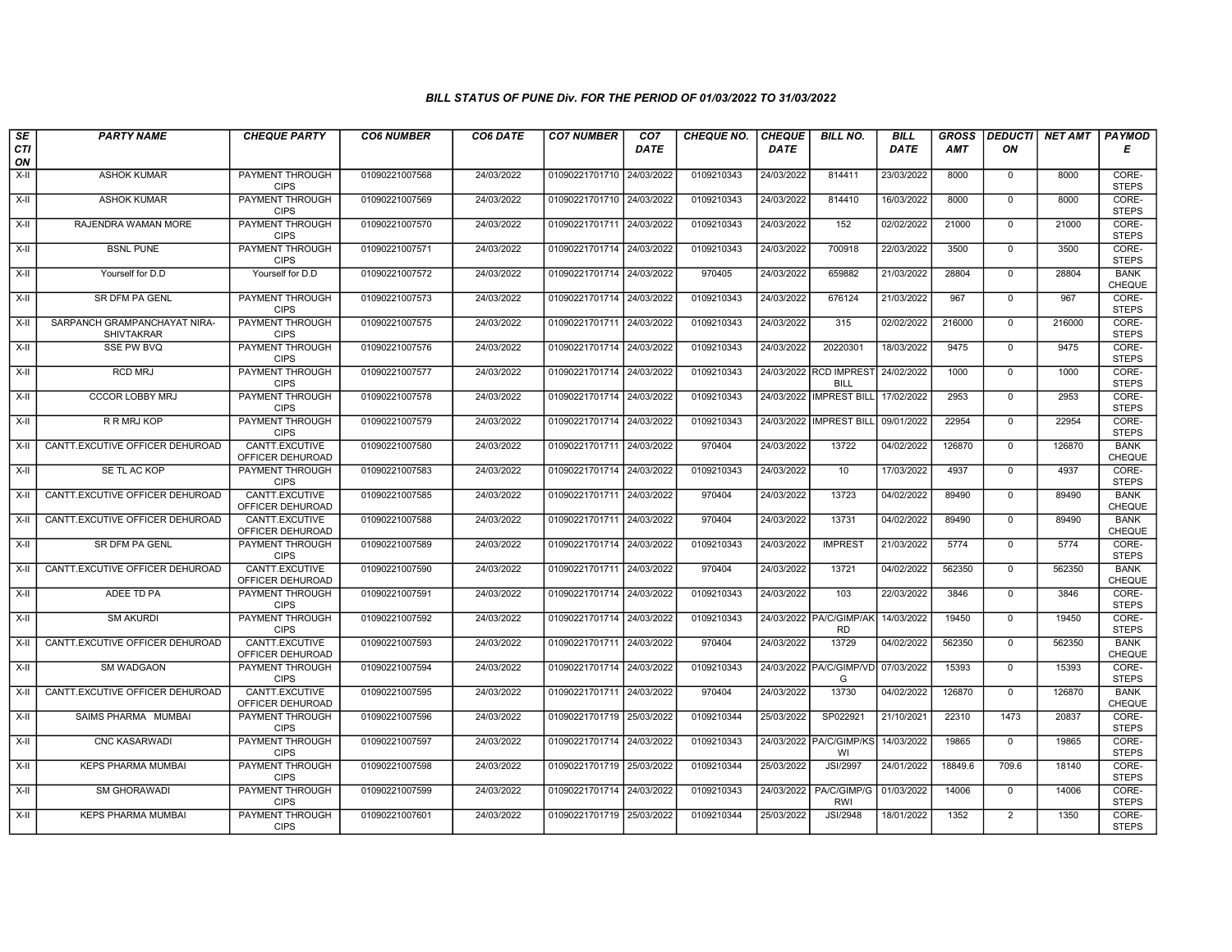| SE        | <b>PARTY NAME</b>                                 | <b>CHEQUE PARTY</b>                   | <b>CO6 NUMBER</b> | CO6 DATE   | <b>CO7 NUMBER</b>         | CO <sub>7</sub> | <b>CHEQUE NO.</b> | <b>CHEQUE</b> | <b>BILL NO.</b>                       | <b>BILL</b> | <b>GROSS</b> |              | <b>DEDUCTI</b> NET AMT | <b>PAYMOD</b>                |
|-----------|---------------------------------------------------|---------------------------------------|-------------------|------------|---------------------------|-----------------|-------------------|---------------|---------------------------------------|-------------|--------------|--------------|------------------------|------------------------------|
| CTI<br>ON |                                                   |                                       |                   |            |                           | <b>DATE</b>     |                   | <b>DATE</b>   |                                       | <b>DATE</b> | <b>AMT</b>   | ON           |                        | Е                            |
| $X-H$     | <b>ASHOK KUMAR</b>                                | <b>PAYMENT THROUGH</b><br><b>CIPS</b> | 01090221007568    | 24/03/2022 | 01090221701710 24/03/2022 |                 | 0109210343        | 24/03/2022    | 814411                                | 23/03/2022  | 8000         | 0            | 8000                   | CORE-<br><b>STEPS</b>        |
| X-II      | <b>ASHOK KUMAR</b>                                | <b>PAYMENT THROUGH</b><br><b>CIPS</b> | 01090221007569    | 24/03/2022 | 01090221701710 24/03/2022 |                 | 0109210343        | 24/03/2022    | 814410                                | 16/03/2022  | 8000         | $\mathbf{0}$ | 8000                   | CORE-<br><b>STEPS</b>        |
| X-II      | RAJENDRA WAMAN MORE                               | PAYMENT THROUGH<br><b>CIPS</b>        | 01090221007570    | 24/03/2022 | 01090221701711 24/03/2022 |                 | 0109210343        | 24/03/2022    | 152                                   | 02/02/2022  | 21000        | $\mathbf 0$  | 21000                  | CORE-<br><b>STEPS</b>        |
| $X-II$    | <b>BSNL PUNE</b>                                  | PAYMENT THROUGH<br><b>CIPS</b>        | 01090221007571    | 24/03/2022 | 01090221701714 24/03/2022 |                 | 0109210343        | 24/03/2022    | 700918                                | 22/03/2022  | 3500         | $\mathbf 0$  | 3500                   | CORE-<br><b>STEPS</b>        |
| X-II      | Yourself for D.D                                  | Yourself for D.D                      | 01090221007572    | 24/03/2022 | 01090221701714 24/03/2022 |                 | 970405            | 24/03/2022    | 659882                                | 21/03/2022  | 28804        | $\mathbf 0$  | 28804                  | <b>BANK</b><br><b>CHEQUE</b> |
| X-II      | <b>SR DFM PA GENL</b>                             | <b>PAYMENT THROUGH</b><br><b>CIPS</b> | 01090221007573    | 24/03/2022 | 01090221701714 24/03/2022 |                 | 0109210343        | 24/03/2022    | 676124                                | 21/03/2022  | 967          | $\Omega$     | 967                    | CORE-<br><b>STEPS</b>        |
| $X-H$     | SARPANCH GRAMPANCHAYAT NIRA-<br><b>SHIVTAKRAR</b> | PAYMENT THROUGH<br><b>CIPS</b>        | 01090221007575    | 24/03/2022 | 01090221701711 24/03/2022 |                 | 0109210343        | 24/03/2022    | 315                                   | 02/02/2022  | 216000       | $\mathbf{0}$ | 216000                 | CORE-<br><b>STEPS</b>        |
| $X-H$     | <b>SSE PW BVQ</b>                                 | PAYMENT THROUGH<br><b>CIPS</b>        | 01090221007576    | 24/03/2022 | 01090221701714 24/03/2022 |                 | 0109210343        | 24/03/2022    | 2022030                               | 18/03/2022  | 9475         | $\mathbf 0$  | 9475                   | CORE-<br><b>STEPS</b>        |
| X-II      | <b>RCD MRJ</b>                                    | PAYMENT THROUGH<br><b>CIPS</b>        | 01090221007577    | 24/03/2022 | 01090221701714 24/03/2022 |                 | 0109210343        |               | 24/03/2022 RCD IMPREST<br><b>BILL</b> | 24/02/2022  | 1000         | $\mathbf{0}$ | 1000                   | CORE-<br><b>STEPS</b>        |
| $X-H$     | <b>CCCOR LOBBY MRJ</b>                            | <b>PAYMENT THROUGH</b><br><b>CIPS</b> | 01090221007578    | 24/03/2022 | 01090221701714 24/03/2022 |                 | 0109210343        |               | 24/03/2022   IMPREST BILL             | 17/02/2022  | 2953         | $\mathbf 0$  | 2953                   | CORE-<br><b>STEPS</b>        |
| X-II      | R R MRJ KOP                                       | PAYMENT THROUGH<br><b>CIPS</b>        | 01090221007579    | 24/03/2022 | 01090221701714 24/03/2022 |                 | 0109210343        | 24/03/2022    | <b>IMPREST BILL</b>                   | 09/01/2022  | 22954        | $\mathbf{0}$ | 22954                  | CORE-<br><b>STEPS</b>        |
| X-II      | CANTT.EXCUTIVE OFFICER DEHUROAD                   | CANTT.EXCUTIVE<br>OFFICER DEHUROAD    | 01090221007580    | 24/03/2022 | 01090221701711 24/03/2022 |                 | 970404            | 24/03/2022    | 13722                                 | 04/02/2022  | 126870       | $\mathbf 0$  | 126870                 | <b>BANK</b><br><b>CHEQUE</b> |
| $X-H$     | SE TL AC KOP                                      | <b>PAYMENT THROUGH</b><br><b>CIPS</b> | 01090221007583    | 24/03/2022 | 01090221701714 24/03/2022 |                 | 0109210343        | 24/03/2022    | 10                                    | 17/03/2022  | 4937         | $\Omega$     | 4937                   | CORE-<br><b>STEPS</b>        |
| X-II      | CANTT.EXCUTIVE OFFICER DEHUROAD                   | CANTT.EXCUTIVE<br>OFFICER DEHUROAD    | 01090221007585    | 24/03/2022 | 01090221701711 24/03/2022 |                 | 970404            | 24/03/2022    | 13723                                 | 04/02/2022  | 89490        | $\mathbf{0}$ | 89490                  | <b>BANK</b><br><b>CHEQUE</b> |
| X-II      | CANTT.EXCUTIVE OFFICER DEHUROAD                   | CANTT.EXCUTIVE<br>OFFICER DEHUROAD    | 01090221007588    | 24/03/2022 | 01090221701711 24/03/2022 |                 | 970404            | 24/03/2022    | 13731                                 | 04/02/2022  | 89490        | $\Omega$     | 89490                  | <b>BANK</b><br><b>CHEQUE</b> |
| X-II      | SR DFM PA GENL                                    | PAYMENT THROUGH<br><b>CIPS</b>        | 01090221007589    | 24/03/2022 | 01090221701714 24/03/2022 |                 | 0109210343        | 24/03/2022    | <b>IMPREST</b>                        | 21/03/2022  | 5774         | $\mathbf{0}$ | 5774                   | CORE-<br><b>STEPS</b>        |
| X-II      | CANTT.EXCUTIVE OFFICER DEHUROAD                   | CANTT.EXCUTIVE<br>OFFICER DEHUROAD    | 01090221007590    | 24/03/2022 | 01090221701711 24/03/2022 |                 | 970404            | 24/03/2022    | 13721                                 | 04/02/2022  | 562350       | $\mathbf 0$  | 562350                 | <b>BANK</b><br><b>CHEQUE</b> |
| X-II      | ADEE TD PA                                        | PAYMENT THROUGH<br><b>CIPS</b>        | 01090221007591    | 24/03/2022 | 01090221701714 24/03/2022 |                 | 0109210343        | 24/03/2022    | 103                                   | 22/03/2022  | 3846         | $\mathbf 0$  | 3846                   | CORE-<br><b>STEPS</b>        |
| X-II      | <b>SM AKURDI</b>                                  | PAYMENT THROUGH<br><b>CIPS</b>        | 01090221007592    | 24/03/2022 | 01090221701714 24/03/2022 |                 | 0109210343        |               | 24/03/2022 PA/C/GIMP/AK<br><b>RD</b>  | 14/03/2022  | 19450        | $\mathbf 0$  | 19450                  | CORE-<br><b>STEPS</b>        |
| X-II      | CANTT.EXCUTIVE OFFICER DEHUROAD                   | CANTT.EXCUTIVE<br>OFFICER DEHUROAD    | 01090221007593    | 24/03/2022 | 01090221701711 24/03/2022 |                 | 970404            | 24/03/2022    | 13729                                 | 04/02/2022  | 562350       | $\Omega$     | 562350                 | <b>BANK</b><br>CHEQUE        |
| X-II      | <b>SM WADGAON</b>                                 | PAYMENT THROUGH<br><b>CIPS</b>        | 01090221007594    | 24/03/2022 | 01090221701714 24/03/2022 |                 | 0109210343        |               | 24/03/2022 PA/C/GIMP/VD<br>G          | 07/03/2022  | 15393        | $\mathbf{0}$ | 15393                  | CORE-<br><b>STEPS</b>        |
| $X-H$     | CANTT.EXCUTIVE OFFICER DEHUROAD                   | CANTT.EXCUTIVE<br>OFFICER DEHUROAD    | 01090221007595    | 24/03/2022 | 01090221701711 24/03/2022 |                 | 970404            | 24/03/2022    | 13730                                 | 04/02/2022  | 126870       | $\Omega$     | 126870                 | <b>BANK</b><br>CHEQUE        |
| X-II      | SAIMS PHARMA MUMBAI                               | PAYMENT THROUGH<br><b>CIPS</b>        | 01090221007596    | 24/03/2022 | 01090221701719 25/03/2022 |                 | 0109210344        | 25/03/2022    | SP022921                              | 21/10/2021  | 22310        | 1473         | 20837                  | CORE-<br><b>STEPS</b>        |
| $X-H$     | <b>CNC KASARWADI</b>                              | <b>PAYMENT THROUGH</b><br><b>CIPS</b> | 01090221007597    | 24/03/2022 | 01090221701714 24/03/2022 |                 | 0109210343        |               | 24/03/2022 PA/C/GIMP/KS<br>WI         | 14/03/2022  | 19865        | $\Omega$     | 19865                  | CORE-<br><b>STEPS</b>        |
| X-II      | <b>KEPS PHARMA MUMBAI</b>                         | <b>PAYMENT THROUGH</b><br><b>CIPS</b> | 01090221007598    | 24/03/2022 | 01090221701719 25/03/2022 |                 | 0109210344        | 25/03/2022    | <b>JSI/2997</b>                       | 24/01/2022  | 18849.6      | 709.6        | 18140                  | CORE-<br><b>STEPS</b>        |
| X-II      | <b>SM GHORAWADI</b>                               | <b>PAYMENT THROUGH</b><br><b>CIPS</b> | 01090221007599    | 24/03/2022 | 01090221701714 24/03/2022 |                 | 0109210343        | 24/03/2022    | PA/C/GIMP/G<br>RWI                    | 01/03/2022  | 14006        | 0            | 14006                  | CORE-<br><b>STEPS</b>        |
| X-II      | <b>KEPS PHARMA MUMBAI</b>                         | PAYMENT THROUGH<br><b>CIPS</b>        | 01090221007601    | 24/03/2022 | 01090221701719 25/03/2022 |                 | 0109210344        | 25/03/2022    | <b>JSI/2948</b>                       | 18/01/2022  | 1352         | 2            | 1350                   | CORE-<br><b>STEPS</b>        |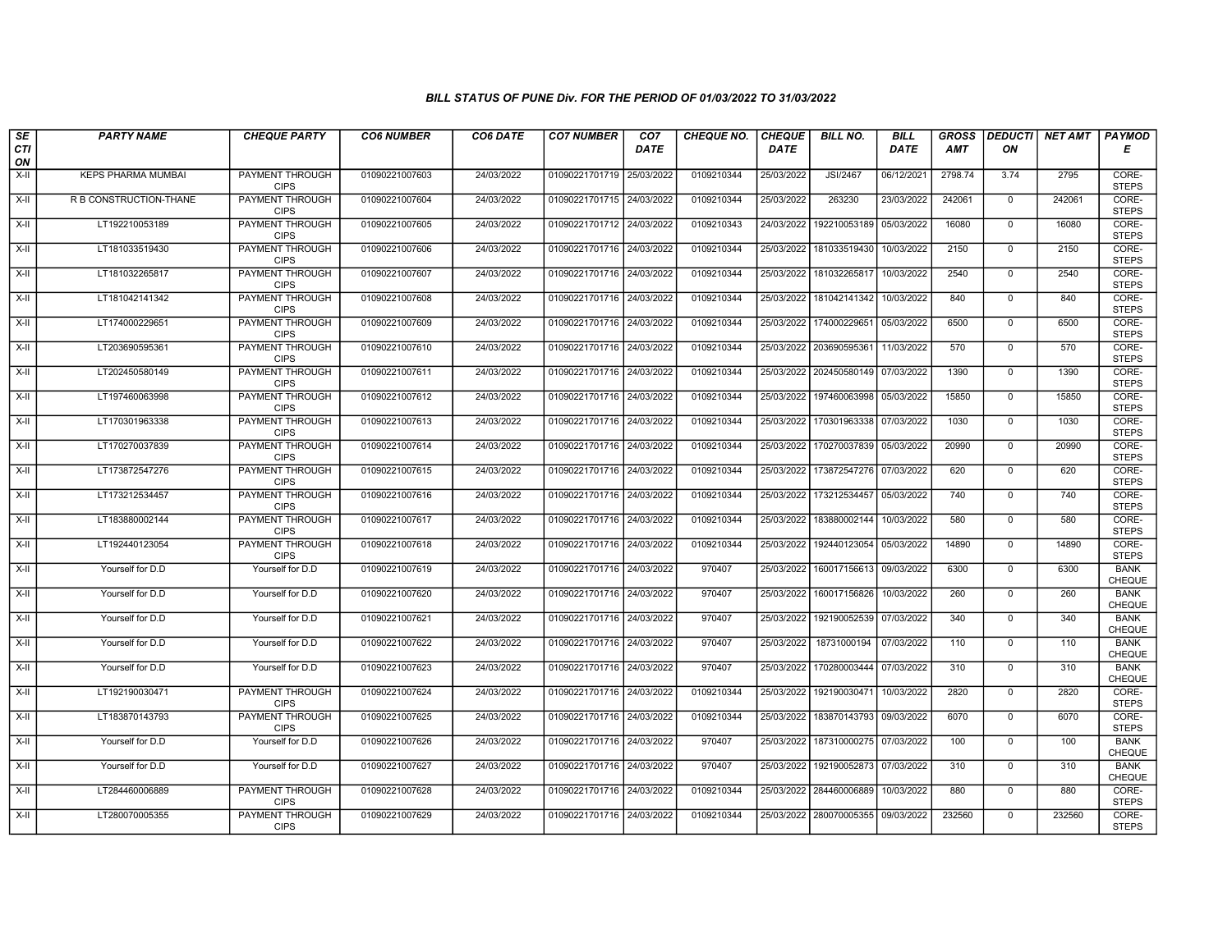| $s_E$            | <b>PARTY NAME</b>         | <b>CHEQUE PARTY</b>                   | <b>CO6 NUMBER</b> | CO6 DATE   | <b>CO7 NUMBER</b>         | CO <sub>7</sub> | <b>CHEQUE NO.</b> | <b>CHEQUE</b> | <b>BILL NO.</b>         | <b>BILL</b> | <b>GROSS</b> |                | DEDUCTI  NET AMT | <b>PAYMOD</b>                |
|------------------|---------------------------|---------------------------------------|-------------------|------------|---------------------------|-----------------|-------------------|---------------|-------------------------|-------------|--------------|----------------|------------------|------------------------------|
| <b>CTI</b><br>ON |                           |                                       |                   |            |                           | <b>DATE</b>     |                   | <b>DATE</b>   |                         | <b>DATE</b> | <b>AMT</b>   | ON             |                  | Е                            |
| X-II             | <b>KEPS PHARMA MUMBAI</b> | <b>PAYMENT THROUGH</b><br><b>CIPS</b> | 01090221007603    | 24/03/2022 | 01090221701719            | 25/03/2022      | 0109210344        | 25/03/2022    | <b>JSI/2467</b>         | 06/12/2021  | 2798.74      | 3.74           | 2795             | CORE-<br><b>STEPS</b>        |
| $X-H$            | R B CONSTRUCTION-THANE    | <b>PAYMENT THROUGH</b><br><b>CIPS</b> | 01090221007604    | 24/03/2022 | 01090221701715 24/03/2022 |                 | 0109210344        | 25/03/2022    | 263230                  | 23/03/2022  | 242061       | $\mathbf{0}$   | 242061           | CORE-<br><b>STEPS</b>        |
| $X-II$           | LT192210053189            | PAYMENT THROUGH<br><b>CIPS</b>        | 01090221007605    | 24/03/2022 | 01090221701712 24/03/2022 |                 | 0109210343        | 24/03/2022    | 192210053189            | 05/03/2022  | 16080        | $\mathbf 0$    | 16080            | CORE-<br><b>STEPS</b>        |
| $X-H$            | LT181033519430            | <b>PAYMENT THROUGH</b><br><b>CIPS</b> | 01090221007606    | 24/03/2022 | 01090221701716 24/03/2022 |                 | 0109210344        | 25/03/2022    | 181033519430            | 10/03/2022  | 2150         | $\overline{0}$ | 2150             | CORE-<br><b>STEPS</b>        |
| $X-H$            | LT181032265817            | <b>PAYMENT THROUGH</b><br><b>CIPS</b> | 01090221007607    | 24/03/2022 | 01090221701716 24/03/2022 |                 | 0109210344        | 25/03/2022    | 181032265817            | 10/03/2022  | 2540         | $\mathbf{0}$   | 2540             | CORE-<br><b>STEPS</b>        |
| $X-II$           | LT181042141342            | <b>PAYMENT THROUGH</b><br><b>CIPS</b> | 01090221007608    | 24/03/2022 | 01090221701716 24/03/2022 |                 | 0109210344        | 25/03/2022    | 181042141342            | 10/03/2022  | 840          | $\mathbf{0}$   | 840              | CORE-<br><b>STEPS</b>        |
| $X-II$           | LT174000229651            | PAYMENT THROUGH<br><b>CIPS</b>        | 01090221007609    | 24/03/2022 | 01090221701716            | 24/03/2022      | 0109210344        | 25/03/2022    | 174000229651            | 05/03/2022  | 6500         | $\mathbf 0$    | 6500             | CORE-<br><b>STEPS</b>        |
| $X-H$            | LT203690595361            | <b>PAYMENT THROUGH</b><br><b>CIPS</b> | 01090221007610    | 24/03/2022 | 01090221701716            | 24/03/2022      | 0109210344        | 25/03/2022    | 203690595361            | 11/03/2022  | 570          | $\mathbf 0$    | 570              | CORE-<br><b>STEPS</b>        |
| $X-H$            | LT202450580149            | <b>PAYMENT THROUGH</b><br><b>CIPS</b> | 01090221007611    | 24/03/2022 | 01090221701716 24/03/2022 |                 | 0109210344        |               | 25/03/2022 202450580149 | 07/03/2022  | 1390         | $\overline{0}$ | 1390             | CORE-<br><b>STEPS</b>        |
| $X-H$            | LT197460063998            | <b>PAYMENT THROUGH</b><br><b>CIPS</b> | 01090221007612    | 24/03/2022 | 01090221701716 24/03/2022 |                 | 0109210344        | 25/03/2022    | 197460063998            | 05/03/2022  | 15850        | $\mathbf 0$    | 15850            | CORE-<br><b>STEPS</b>        |
| $X-II$           | LT170301963338            | PAYMENT THROUGH<br><b>CIPS</b>        | 01090221007613    | 24/03/2022 | 01090221701716 24/03/2022 |                 | 0109210344        | 25/03/2022    | 170301963338            | 07/03/2022  | 1030         | $\mathbf 0$    | 1030             | CORE-<br><b>STEPS</b>        |
| $X-II$           | LT170270037839            | PAYMENT THROUGH<br><b>CIPS</b>        | 01090221007614    | 24/03/2022 | 01090221701716 24/03/2022 |                 | 0109210344        | 25/03/2022    | 170270037839            | 05/03/2022  | 20990        | $\mathbf 0$    | 20990            | CORE-<br><b>STEPS</b>        |
| $X-H$            | LT173872547276            | <b>PAYMENT THROUGH</b><br><b>CIPS</b> | 01090221007615    | 24/03/2022 | 01090221701716 24/03/2022 |                 | 0109210344        | 25/03/2022    | 173872547276            | 07/03/2022  | 620          | $\mathbf 0$    | 620              | CORE-<br><b>STEPS</b>        |
| $X-H$            | LT173212534457            | <b>PAYMENT THROUGH</b><br><b>CIPS</b> | 01090221007616    | 24/03/2022 | 01090221701716 24/03/2022 |                 | 0109210344        | 25/03/2022    | 173212534457            | 05/03/2022  | 740          | $\mathbf{0}$   | 740              | CORE-<br><b>STEPS</b>        |
| $X-H$            | LT183880002144            | PAYMENT THROUGH<br><b>CIPS</b>        | 01090221007617    | 24/03/2022 | 01090221701716 24/03/2022 |                 | 0109210344        | 25/03/2022    | 183880002144            | 10/03/2022  | 580          | $\mathbf 0$    | 580              | CORE-<br><b>STEPS</b>        |
| $X-II$           | LT192440123054            | PAYMENT THROUGH<br><b>CIPS</b>        | 01090221007618    | 24/03/2022 | 01090221701716 24/03/2022 |                 | 0109210344        | 25/03/2022    | 192440123054            | 05/03/2022  | 14890        | $\overline{0}$ | 14890            | CORE-<br><b>STEPS</b>        |
| $X-H$            | Yourself for D.D          | Yourself for D.D                      | 01090221007619    | 24/03/2022 | 01090221701716 24/03/2022 |                 | 970407            | 25/03/2022    | 160017156613            | 09/03/2022  | 6300         | $\mathbf 0$    | 6300             | <b>BANK</b><br><b>CHEQUE</b> |
| $X-H$            | Yourself for D.D          | Yourself for D.D                      | 01090221007620    | 24/03/2022 | 01090221701716 24/03/2022 |                 | 970407            | 25/03/2022    | 160017156826            | 10/03/2022  | 260          | $\mathbf 0$    | 260              | <b>BANK</b><br>CHEQUE        |
| $X-II$           | Yourself for D.D          | Yourself for D.D                      | 01090221007621    | 24/03/2022 | 01090221701716 24/03/2022 |                 | 970407            | 25/03/2022    | 192190052539            | 07/03/2022  | 340          | $\Omega$       | 340              | <b>BANK</b><br>CHEQUE        |
| X-II             | Yourself for D.D          | Yourself for D.D                      | 01090221007622    | 24/03/2022 | 01090221701716 24/03/2022 |                 | 970407            | 25/03/2022    | 18731000194             | 07/03/2022  | 110          | $\mathbf 0$    | 110              | <b>BANK</b><br>CHEQUE        |
| $X-H$            | Yourself for D.D          | Yourself for D.D                      | 01090221007623    | 24/03/2022 | 01090221701716 24/03/2022 |                 | 970407            | 25/03/2022    | 170280003444            | 07/03/2022  | 310          | $\overline{0}$ | 310              | <b>BANK</b><br>CHEQUE        |
| X-II             | LT192190030471            | <b>PAYMENT THROUGH</b><br><b>CIPS</b> | 01090221007624    | 24/03/2022 | 01090221701716 24/03/2022 |                 | 0109210344        | 25/03/2022    | 192190030471            | 10/03/2022  | 2820         | $\mathbf 0$    | 2820             | CORE-<br><b>STEPS</b>        |
| $X-II$           | LT183870143793            | PAYMENT THROUGH<br><b>CIPS</b>        | 01090221007625    | 24/03/2022 | 01090221701716 24/03/2022 |                 | 0109210344        | 25/03/2022    | 183870143793            | 09/03/2022  | 6070         | 0              | 6070             | CORE-<br><b>STEPS</b>        |
| $X-II$           | Yourself for D.D          | Yourself for D.D                      | 01090221007626    | 24/03/2022 | 01090221701716 24/03/2022 |                 | 970407            | 25/03/2022    | 187310000275            | 07/03/2022  | 100          | $\mathbf{0}$   | 100              | <b>BANK</b><br>CHEQUE        |
| $X-H$            | Yourself for D.D          | Yourself for D.D                      | 01090221007627    | 24/03/2022 | 01090221701716 24/03/2022 |                 | 970407            | 25/03/2022    | 192190052873            | 07/03/2022  | 310          | $\mathbf 0$    | 310              | <b>BANK</b><br>CHEQUE        |
| $X-H$            | LT284460006889            | <b>PAYMENT THROUGH</b><br><b>CIPS</b> | 01090221007628    | 24/03/2022 | 01090221701716 24/03/2022 |                 | 0109210344        |               | 25/03/2022 284460006889 | 10/03/2022  | 880          | $\mathbf 0$    | 880              | CORE-<br><b>STEPS</b>        |
| $X-H$            | LT280070005355            | <b>PAYMENT THROUGH</b><br><b>CIPS</b> | 01090221007629    | 24/03/2022 | 01090221701716 24/03/2022 |                 | 0109210344        |               | 25/03/2022 280070005355 | 09/03/2022  | 232560       | $\mathsf{O}$   | 232560           | CORE-<br><b>STEPS</b>        |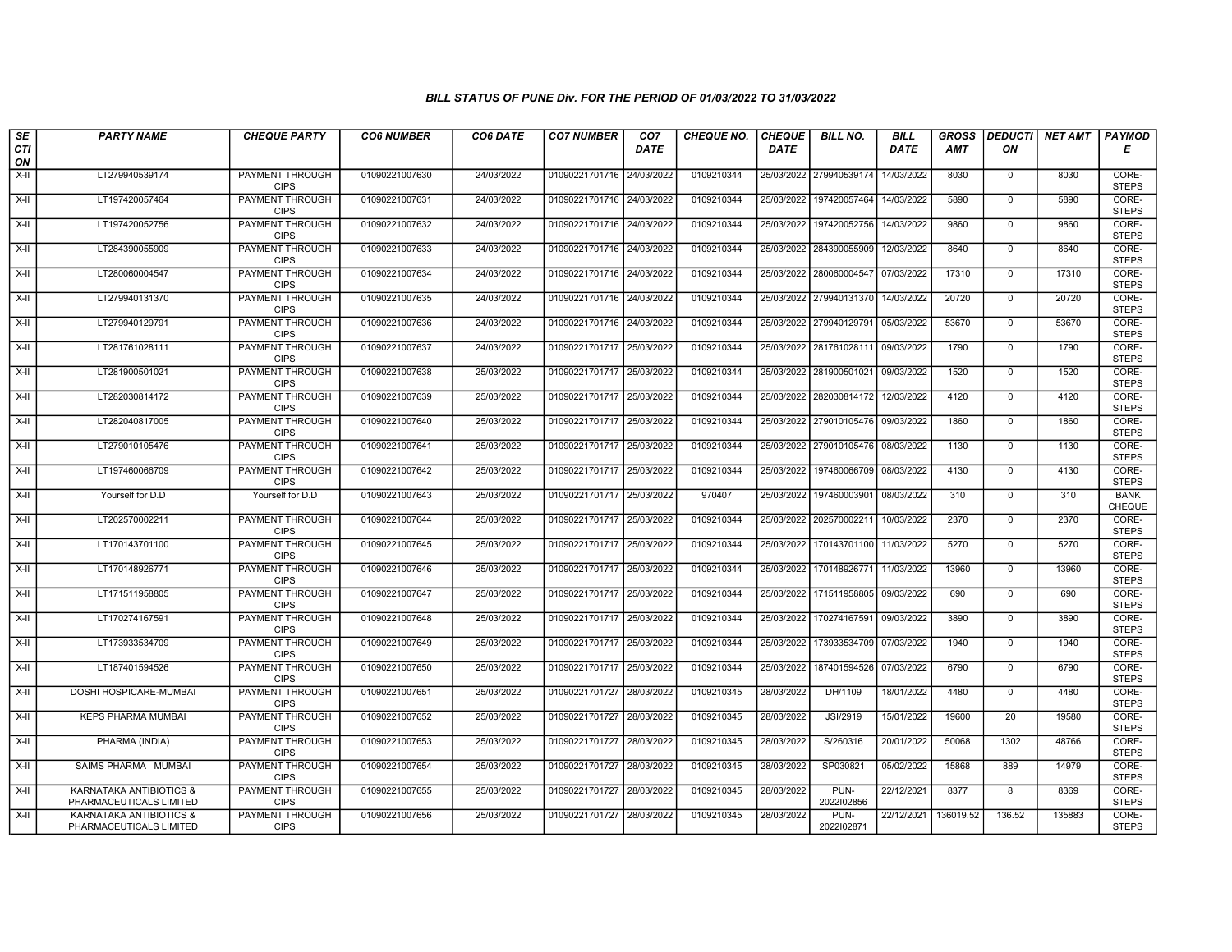| SE<br><b>CTI</b>   | <b>PARTY NAME</b>                                             | <b>CHEQUE PARTY</b>                   | <b>CO6 NUMBER</b> | CO6 DATE   | <b>CO7 NUMBER</b>         | CO <sub>7</sub><br><b>DATE</b> | <b>CHEQUE NO.</b> | <b>CHEQUE</b><br><b>DATE</b> | <b>BILL NO.</b>         | <b>BILL</b><br><b>DATE</b> | <b>GROSS</b><br><b>AMT</b> | ON             | <b>DEDUCTI</b> NET AMT | <b>PAYMOD</b><br>Е           |
|--------------------|---------------------------------------------------------------|---------------------------------------|-------------------|------------|---------------------------|--------------------------------|-------------------|------------------------------|-------------------------|----------------------------|----------------------------|----------------|------------------------|------------------------------|
| ON                 |                                                               |                                       |                   |            |                           |                                |                   |                              |                         |                            |                            |                |                        |                              |
| $X-H$              | LT279940539174                                                | PAYMENT THROUGH<br><b>CIPS</b>        | 01090221007630    | 24/03/2022 | 01090221701716 24/03/2022 |                                | 0109210344        |                              | 25/03/2022 279940539174 | 14/03/2022                 | 8030                       | 0              | 8030                   | CORE-<br><b>STEPS</b>        |
| $X-H$              | LT197420057464                                                | <b>PAYMENT THROUGH</b><br><b>CIPS</b> | 01090221007631    | 24/03/2022 | 01090221701716 24/03/2022 |                                | 0109210344        | 25/03/2022                   | 197420057464            | 14/03/2022                 | 5890                       | $\mathbf{0}$   | 5890                   | CORE-<br><b>STEPS</b>        |
| $X-II$             | LT197420052756                                                | PAYMENT THROUGH<br><b>CIPS</b>        | 01090221007632    | 24/03/2022 | 01090221701716            | 24/03/2022                     | 0109210344        | 25/03/2022                   | 197420052756            | 14/03/2022                 | 9860                       | $\mathbf 0$    | 9860                   | CORE-<br><b>STEPS</b>        |
| $X-H$              | LT284390055909                                                | PAYMENT THROUGH<br><b>CIPS</b>        | 01090221007633    | 24/03/2022 | 01090221701716            | 24/03/2022                     | 0109210344        | 25/03/2022                   | 284390055909            | 12/03/2022                 | 8640                       | $\mathbf 0$    | 8640                   | CORE-<br><b>STEPS</b>        |
| $X-H$              | LT280060004547                                                | <b>PAYMENT THROUGH</b><br><b>CIPS</b> | 01090221007634    | 24/03/2022 | 01090221701716 24/03/2022 |                                | 0109210344        |                              | 25/03/2022 280060004547 | 07/03/2022                 | 17310                      | $\mathbf 0$    | 17310                  | CORE-<br><b>STEPS</b>        |
| X-II               | LT279940131370                                                | <b>PAYMENT THROUGH</b><br><b>CIPS</b> | 01090221007635    | 24/03/2022 | 01090221701716 24/03/2022 |                                | 0109210344        |                              | 25/03/2022 279940131370 | 14/03/2022                 | 20720                      | $\mathbf 0$    | 20720                  | CORE-<br><b>STEPS</b>        |
| $X-H$              | LT279940129791                                                | PAYMENT THROUGH<br><b>CIPS</b>        | 01090221007636    | 24/03/2022 | 01090221701716 24/03/2022 |                                | 0109210344        |                              | 25/03/2022 279940129791 | 05/03/2022                 | 53670                      | $\mathbf 0$    | 53670                  | CORE-<br><b>STEPS</b>        |
| $X-H$              | LT281761028111                                                | <b>PAYMENT THROUGH</b><br><b>CIPS</b> | 01090221007637    | 24/03/2022 | 01090221701717 25/03/2022 |                                | 0109210344        |                              | 25/03/2022 281761028111 | 09/03/2022                 | 1790                       | $\mathbf 0$    | 1790                   | CORE-<br><b>STEPS</b>        |
| X-II               | LT281900501021                                                | <b>PAYMENT THROUGH</b><br><b>CIPS</b> | 01090221007638    | 25/03/2022 | 01090221701717 25/03/2022 |                                | 0109210344        | 25/03/2022                   | 281900501021            | 09/03/2022                 | 1520                       | $\mathbf 0$    | 1520                   | CORE-<br><b>STEPS</b>        |
| $\overline{x}$ -II | LT282030814172                                                | <b>PAYMENT THROUGH</b><br><b>CIPS</b> | 01090221007639    | 25/03/2022 | 01090221701717 25/03/2022 |                                | 0109210344        |                              | 25/03/2022 282030814172 | 12/03/2022                 | 4120                       | $\mathbf 0$    | 4120                   | CORE-<br><b>STEPS</b>        |
| X-II               | LT282040817005                                                | PAYMENT THROUGH<br><b>CIPS</b>        | 01090221007640    | 25/03/2022 | 01090221701717 25/03/2022 |                                | 0109210344        |                              | 25/03/2022 279010105476 | 09/03/2022                 | 1860                       | $\mathbf 0$    | 1860                   | CORE-<br><b>STEPS</b>        |
| $X-H$              | LT279010105476                                                | <b>PAYMENT THROUGH</b><br><b>CIPS</b> | 01090221007641    | 25/03/2022 | 01090221701717 25/03/2022 |                                | 0109210344        |                              | 25/03/2022 279010105476 | 08/03/2022                 | 1130                       | $\overline{0}$ | 1130                   | CORE-<br><b>STEPS</b>        |
| $X-II$             | LT197460066709                                                | <b>PAYMENT THROUGH</b><br><b>CIPS</b> | 01090221007642    | 25/03/2022 | 01090221701717 25/03/2022 |                                | 0109210344        | 25/03/2022                   | 197460066709            | 08/03/2022                 | 4130                       | $\mathbf 0$    | 4130                   | CORE-<br><b>STEPS</b>        |
| X-II               | Yourself for D.D                                              | Yourself for D.D                      | 01090221007643    | 25/03/2022 | 01090221701717 25/03/2022 |                                | 970407            | 25/03/2022                   | 197460003901            | 08/03/2022                 | 310                        | $\mathbf 0$    | 310                    | <b>BANK</b><br><b>CHEQUE</b> |
| $X-H$              | LT202570002211                                                | PAYMENT THROUGH<br><b>CIPS</b>        | 01090221007644    | 25/03/2022 | 01090221701717 25/03/2022 |                                | 0109210344        | 25/03/2022                   | 202570002211            | 10/03/2022                 | 2370                       | $\mathbf 0$    | 2370                   | CORE-<br><b>STEPS</b>        |
| X-II               | LT170143701100                                                | PAYMENT THROUGH<br><b>CIPS</b>        | 01090221007645    | 25/03/2022 | 01090221701717 25/03/2022 |                                | 0109210344        |                              | 25/03/2022 170143701100 | 11/03/2022                 | 5270                       | $\mathbf 0$    | 5270                   | CORE-<br><b>STEPS</b>        |
| $X-H$              | LT170148926771                                                | PAYMENT THROUGH<br><b>CIPS</b>        | 01090221007646    | 25/03/2022 | 01090221701717 25/03/2022 |                                | 0109210344        | 25/03/2022                   | 170148926771            | 11/03/2022                 | 13960                      | $\mathbf{0}$   | 13960                  | CORE-<br><b>STEPS</b>        |
| $X-II$             | LT171511958805                                                | <b>PAYMENT THROUGH</b><br><b>CIPS</b> | 01090221007647    | 25/03/2022 | 01090221701717 25/03/2022 |                                | 0109210344        | 25/03/2022                   | 171511958805            | 09/03/2022                 | 690                        | $\mathbf 0$    | 690                    | CORE-<br><b>STEPS</b>        |
| X-II               | LT170274167591                                                | PAYMENT THROUGH<br><b>CIPS</b>        | 01090221007648    | 25/03/2022 | 01090221701717 25/03/2022 |                                | 0109210344        | 25/03/2022                   | 170274167591            | 09/03/2022                 | 3890                       | $\mathbf 0$    | 3890                   | CORE-<br><b>STEPS</b>        |
| $\overline{x}$ -II | LT173933534709                                                | PAYMENT THROUGH<br><b>CIPS</b>        | 01090221007649    | 25/03/2022 | 01090221701717 25/03/2022 |                                | 0109210344        | 25/03/2022                   | 173933534709            | 07/03/2022                 | 1940                       | $\mathsf 0$    | 1940                   | CORE-<br><b>STEPS</b>        |
| X-II               | LT187401594526                                                | PAYMENT THROUGH<br><b>CIPS</b>        | 01090221007650    | 25/03/2022 | 01090221701717 25/03/2022 |                                | 0109210344        | 25/03/2022                   | 187401594526            | 07/03/2022                 | 6790                       | $\mathbf 0$    | 6790                   | CORE-<br><b>STEPS</b>        |
| X-II               | DOSHI HOSPICARE-MUMBAI                                        | <b>PAYMENT THROUGH</b><br><b>CIPS</b> | 01090221007651    | 25/03/2022 | 01090221701727 28/03/2022 |                                | 0109210345        | 28/03/2022                   | DH/1109                 | 18/01/2022                 | 4480                       | $\mathbf{0}$   | 4480                   | CORE-<br><b>STEPS</b>        |
| X-II               | KEPS PHARMA MUMBAI                                            | <b>PAYMENT THROUGH</b><br><b>CIPS</b> | 01090221007652    | 25/03/2022 | 01090221701727 28/03/2022 |                                | 0109210345        | 28/03/2022                   | JSI/2919                | 15/01/2022                 | 19600                      | 20             | 19580                  | CORE-<br><b>STEPS</b>        |
| X-II               | PHARMA (INDIA)                                                | PAYMENT THROUGH<br><b>CIPS</b>        | 01090221007653    | 25/03/2022 | 01090221701727            | 28/03/2022                     | 0109210345        | 28/03/2022                   | S/260316                | 20/01/2022                 | 50068                      | 1302           | 48766                  | CORE-<br><b>STEPS</b>        |
| $X-H$              | SAIMS PHARMA MUMBAI                                           | PAYMENT THROUGH<br><b>CIPS</b>        | 01090221007654    | 25/03/2022 | 01090221701727 28/03/2022 |                                | 0109210345        | 28/03/2022                   | SP030821                | 05/02/2022                 | 15868                      | 889            | 14979                  | CORE-<br><b>STEPS</b>        |
| $X-H$              | <b>KARNATAKA ANTIBIOTICS &amp;</b><br>PHARMACEUTICALS LIMITED | <b>PAYMENT THROUGH</b><br><b>CIPS</b> | 01090221007655    | 25/03/2022 | 01090221701727 28/03/2022 |                                | 0109210345        | 28/03/2022                   | PUN-<br>2022102856      | 22/12/2021                 | 8377                       | $\overline{8}$ | 8369                   | CORE-<br><b>STEPS</b>        |
| X-II               | KARNATAKA ANTIBIOTICS &<br>PHARMACEUTICALS LIMITED            | <b>PAYMENT THROUGH</b><br><b>CIPS</b> | 01090221007656    | 25/03/2022 | 01090221701727 28/03/2022 |                                | 0109210345        | 28/03/2022                   | PUN-<br>2022102871      | 22/12/2021                 | 136019.52                  | 136.52         | 135883                 | CORE-<br><b>STEPS</b>        |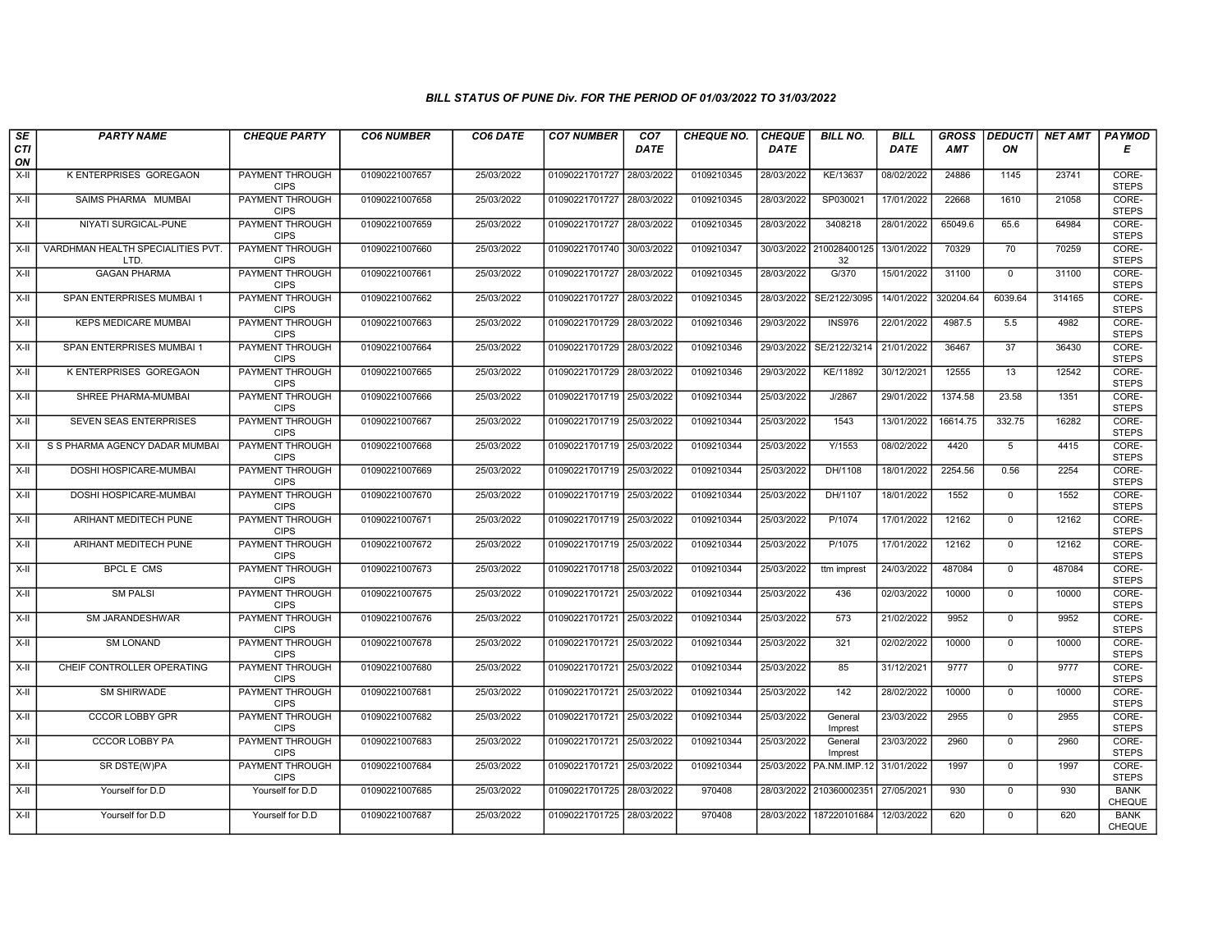| $\sqrt{SE}$ | <b>PARTY NAME</b>                         | <b>CHEQUE PARTY</b>                   | <b>CO6 NUMBER</b> | CO6 DATE   | <b>CO7 NUMBER</b>         | CO <sub>7</sub> | <b>CHEQUE NO.</b> | <b>CHEQUE</b> | <b>BILL NO.</b>               | <b>BILL</b> | <b>GROSS</b> | <b>DEDUCTI</b>  | NET AMT | <b>PAYMOD</b>         |
|-------------|-------------------------------------------|---------------------------------------|-------------------|------------|---------------------------|-----------------|-------------------|---------------|-------------------------------|-------------|--------------|-----------------|---------|-----------------------|
| CTI<br>ON   |                                           |                                       |                   |            |                           | DATE            |                   | <b>DATE</b>   |                               | DATE        | AMT          | ΟN              |         | Е                     |
| X-II        | K ENTERPRISES GOREGAON                    | <b>PAYMENT THROUGH</b><br><b>CIPS</b> | 01090221007657    | 25/03/2022 | 01090221701727            | 28/03/2022      | 0109210345        | 28/03/2022    | KE/13637                      | 08/02/2022  | 24886        | 1145            | 23741   | CORE-<br><b>STEPS</b> |
| X-II        | SAIMS PHARMA MUMBAI                       | <b>PAYMENT THROUGH</b><br><b>CIPS</b> | 01090221007658    | 25/03/2022 | 01090221701727 28/03/2022 |                 | 0109210345        | 28/03/2022    | SP030021                      | 17/01/2022  | 22668        | 1610            | 21058   | CORE-<br><b>STEPS</b> |
| X-II        | NIYATI SURGICAL-PUNE                      | PAYMENT THROUGH<br><b>CIPS</b>        | 01090221007659    | 25/03/2022 | 01090221701727 28/03/2022 |                 | 0109210345        | 28/03/2022    | 3408218                       | 28/01/2022  | 65049.6      | 65.6            | 64984   | CORE-<br><b>STEPS</b> |
| $X-H$       | VARDHMAN HEALTH SPECIALITIES PVT.<br>LTD. | <b>PAYMENT THROUGH</b><br><b>CIPS</b> | 01090221007660    | 25/03/2022 | 01090221701740 30/03/2022 |                 | 0109210347        |               | 30/03/2022 210028400125<br>32 | 13/01/2022  | 70329        | 70              | 70259   | CORE-<br><b>STEPS</b> |
| X-II        | <b>GAGAN PHARMA</b>                       | <b>PAYMENT THROUGH</b><br><b>CIPS</b> | 01090221007661    | 25/03/2022 | 01090221701727 28/03/2022 |                 | 0109210345        | 28/03/2022    | G/370                         | 15/01/2022  | 31100        | $\mathbf 0$     | 31100   | CORE-<br><b>STEPS</b> |
| X-II        | SPAN ENTERPRISES MUMBAI 1                 | <b>PAYMENT THROUGH</b><br><b>CIPS</b> | 01090221007662    | 25/03/2022 | 01090221701727 28/03/2022 |                 | 0109210345        | 28/03/2022    | SE/2122/3095                  | 14/01/2022  | 320204.64    | 6039.64         | 314165  | CORE-<br><b>STEPS</b> |
| X-II        | <b>KEPS MEDICARE MUMBAI</b>               | PAYMENT THROUGH<br><b>CIPS</b>        | 01090221007663    | 25/03/2022 | 01090221701729            | 28/03/2022      | 0109210346        | 29/03/2022    | <b>INS976</b>                 | 22/01/2022  | 4987.5       | 5.5             | 4982    | CORE-<br><b>STEPS</b> |
| $X-H$       | SPAN ENTERPRISES MUMBAI 1                 | <b>PAYMENT THROUGH</b><br><b>CIPS</b> | 01090221007664    | 25/03/2022 | 01090221701729            | 28/03/2022      | 0109210346        | 29/03/2022    | SE/2122/3214                  | 21/01/2022  | 36467        | 37              | 36430   | CORE-<br><b>STEPS</b> |
| X-II        | <b>K ENTERPRISES GOREGAON</b>             | <b>PAYMENT THROUGH</b><br><b>CIPS</b> | 01090221007665    | 25/03/2022 | 01090221701729 28/03/2022 |                 | 0109210346        | 29/03/2022    | KE/11892                      | 30/12/2021  | 12555        | 13              | 12542   | CORE-<br><b>STEPS</b> |
| X-II        | SHREE PHARMA-MUMBAI                       | <b>PAYMENT THROUGH</b><br><b>CIPS</b> | 01090221007666    | 25/03/2022 | 01090221701719 25/03/2022 |                 | 0109210344        | 25/03/2022    | J/2867                        | 29/01/2022  | 1374.58      | 23.58           | 1351    | CORE-<br><b>STEPS</b> |
| X-II        | <b>SEVEN SEAS ENTERPRISES</b>             | <b>PAYMENT THROUGH</b><br><b>CIPS</b> | 01090221007667    | 25/03/2022 | 01090221701719 25/03/2022 |                 | 0109210344        | 25/03/2022    | 1543                          | 13/01/2022  | 16614.75     | 332.75          | 16282   | CORE-<br><b>STEPS</b> |
| X-II        | S S PHARMA AGENCY DADAR MUMBAI            | PAYMENT THROUGH<br><b>CIPS</b>        | 01090221007668    | 25/03/2022 | 01090221701719 25/03/2022 |                 | 0109210344        | 25/03/2022    | Y/1553                        | 08/02/2022  | 4420         | $5\overline{5}$ | 4415    | CORE-<br><b>STEPS</b> |
| X-II        | DOSHI HOSPICARE-MUMBAI                    | <b>PAYMENT THROUGH</b><br><b>CIPS</b> | 01090221007669    | 25/03/2022 | 01090221701719 25/03/2022 |                 | 0109210344        | 25/03/2022    | DH/1108                       | 18/01/2022  | 2254.56      | 0.56            | 2254    | CORE-<br><b>STEPS</b> |
| X-II        | DOSHI HOSPICARE-MUMBAI                    | <b>PAYMENT THROUGH</b><br><b>CIPS</b> | 01090221007670    | 25/03/2022 | 01090221701719 25/03/2022 |                 | 0109210344        | 25/03/2022    | DH/1107                       | 18/01/2022  | 1552         | $\mathbf{0}$    | 1552    | CORE-<br><b>STEPS</b> |
| X-II        | ARIHANT MEDITECH PUNE                     | <b>PAYMENT THROUGH</b><br><b>CIPS</b> | 01090221007671    | 25/03/2022 | 01090221701719 25/03/2022 |                 | 0109210344        | 25/03/2022    | P/1074                        | 17/01/2022  | 12162        | $\Omega$        | 12162   | CORE-<br><b>STEPS</b> |
| X-II        | ARIHANT MEDITECH PUNE                     | <b>PAYMENT THROUGH</b><br><b>CIPS</b> | 01090221007672    | 25/03/2022 | 01090221701719 25/03/2022 |                 | 0109210344        | 25/03/2022    | P/1075                        | 17/01/2022  | 12162        | $\mathbf{0}$    | 12162   | CORE-<br><b>STEPS</b> |
| $X-H$       | <b>BPCLE CMS</b>                          | <b>PAYMENT THROUGH</b><br><b>CIPS</b> | 01090221007673    | 25/03/2022 | 01090221701718 25/03/2022 |                 | 0109210344        | 25/03/2022    | ttm imprest                   | 24/03/2022  | 487084       | $\overline{0}$  | 487084  | CORE-<br><b>STEPS</b> |
| X-II        | <b>SM PALSI</b>                           | <b>PAYMENT THROUGH</b><br><b>CIPS</b> | 01090221007675    | 25/03/2022 | 01090221701721 25/03/2022 |                 | 0109210344        | 25/03/2022    | 436                           | 02/03/2022  | 10000        | $\mathbf{0}$    | 10000   | CORE-<br><b>STEPS</b> |
| X-II        | SM JARANDESHWAR                           | PAYMENT THROUGH<br><b>CIPS</b>        | 01090221007676    | 25/03/2022 | 01090221701721 25/03/2022 |                 | 0109210344        | 25/03/2022    | 573                           | 21/02/2022  | 9952         | $\mathbf 0$     | 9952    | CORE-<br><b>STEPS</b> |
| X-II        | <b>SM LONAND</b>                          | PAYMENT THROUGH<br><b>CIPS</b>        | 01090221007678    | 25/03/2022 | 01090221701721 25/03/2022 |                 | 0109210344        | 25/03/2022    | 321                           | 02/02/2022  | 10000        | $\mathbf{0}$    | 10000   | CORE-<br><b>STEPS</b> |
| X-II        | CHEIF CONTROLLER OPERATING                | <b>PAYMENT THROUGH</b><br><b>CIPS</b> | 01090221007680    | 25/03/2022 | 01090221701721 25/03/2022 |                 | 0109210344        | 25/03/2022    | 85                            | 31/12/2021  | 9777         | $\mathbf 0$     | 9777    | CORE-<br><b>STEPS</b> |
| X-II        | <b>SM SHIRWADE</b>                        | PAYMENT THROUGH<br><b>CIPS</b>        | 01090221007681    | 25/03/2022 | 01090221701721 25/03/2022 |                 | 0109210344        | 25/03/2022    | 142                           | 28/02/2022  | 10000        | $\Omega$        | 10000   | CORE-<br><b>STEPS</b> |
| X-II        | CCCOR LOBBY GPR                           | <b>PAYMENT THROUGH</b><br><b>CIPS</b> | 01090221007682    | 25/03/2022 | 01090221701721 25/03/2022 |                 | 0109210344        | 25/03/2022    | General<br>Imprest            | 23/03/2022  | 2955         | $\mathbf 0$     | 2955    | CORE-<br><b>STEPS</b> |
| X-II        | <b>CCCOR LOBBY PA</b>                     | PAYMENT THROUGH<br><b>CIPS</b>        | 01090221007683    | 25/03/2022 | 01090221701721 25/03/2022 |                 | 0109210344        | 25/03/2022    | General<br>Imprest            | 23/03/2022  | 2960         | $\Omega$        | 2960    | CORE-<br><b>STEPS</b> |
| X-II        | SR DSTE(W)PA                              | PAYMENT THROUGH<br><b>CIPS</b>        | 01090221007684    | 25/03/2022 | 01090221701721 25/03/2022 |                 | 0109210344        |               | 25/03/2022   PA.NM.IMP.12     | 31/01/2022  | 1997         | $\mathbf{0}$    | 1997    | CORE-<br><b>STEPS</b> |
| X-II        | Yourself for D.D                          | Yourself for D.D                      | 01090221007685    | 25/03/2022 | 01090221701725 28/03/2022 |                 | 970408            |               | 28/03/2022 210360002351       | 27/05/2021  | 930          | $\mathbf 0$     | 930     | <b>BANK</b><br>CHEQUE |
| X-II        | Yourself for D.D                          | Yourself for D.D                      | 01090221007687    | 25/03/2022 | 01090221701725 28/03/2022 |                 | 970408            |               | 28/03/2022 187220101684       | 12/03/2022  | 620          | $\mathbf{0}$    | 620     | <b>BANK</b><br>CHEQUE |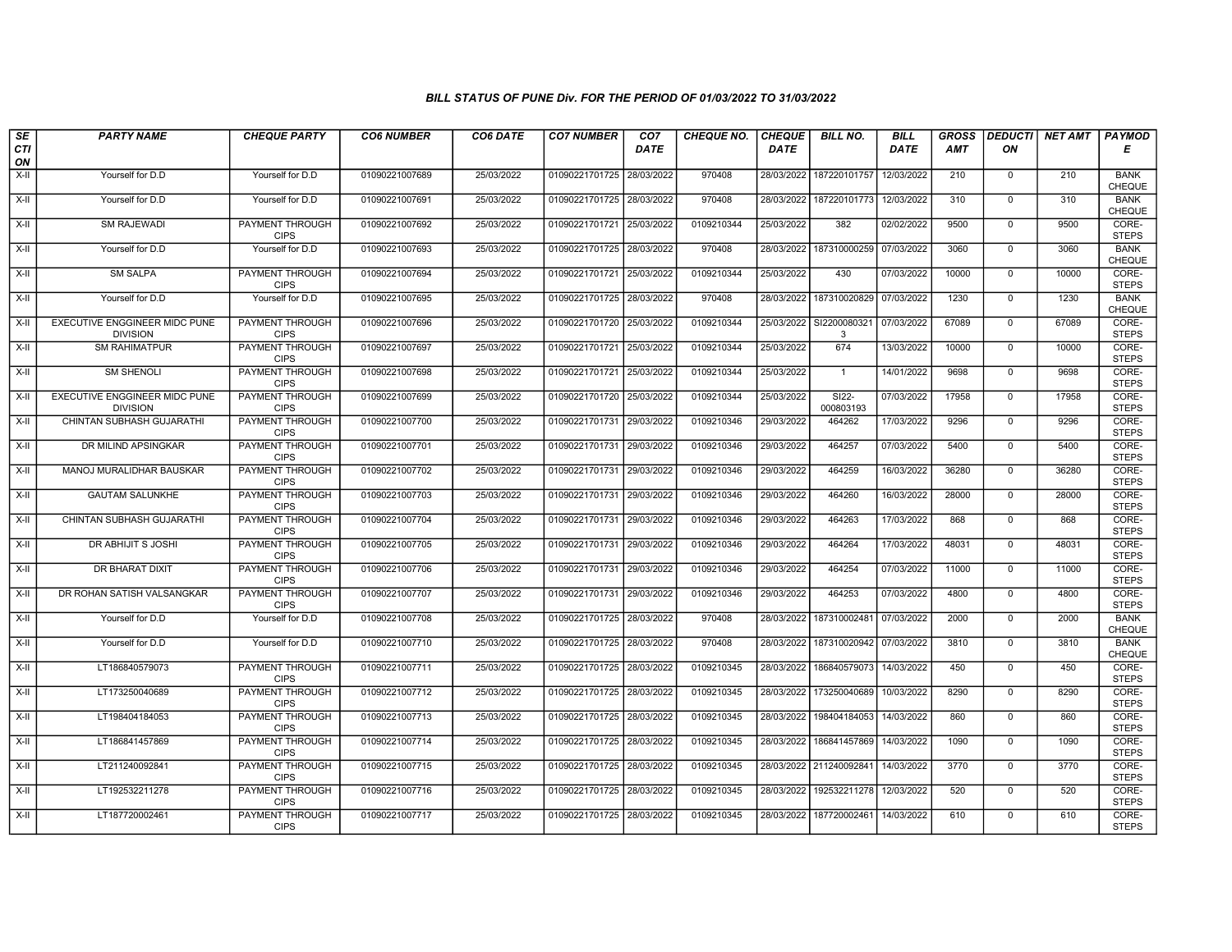| SE        | <b>PARTY NAME</b>                                       | <b>CHEQUE PARTY</b>                   | <b>CO6 NUMBER</b> | CO6 DATE   | <b>CO7 NUMBER</b>         | CO <sub>7</sub> | <b>CHEQUE NO.</b> | <b>CHEQUE</b> | <b>BILL NO.</b>      | <b>BILL</b> | <b>GROSS</b> | <b>DEDUCTI</b> | NET AMT | <b>PAYMOD</b>                |
|-----------|---------------------------------------------------------|---------------------------------------|-------------------|------------|---------------------------|-----------------|-------------------|---------------|----------------------|-------------|--------------|----------------|---------|------------------------------|
| CTI<br>ON |                                                         |                                       |                   |            |                           | <b>DATE</b>     |                   | <b>DATE</b>   |                      | DATE        | <b>AMT</b>   | ON             |         | Е                            |
| X-II      | Yourself for D.D                                        | Yourself for D.D                      | 01090221007689    | 25/03/2022 | 01090221701725 28/03/2022 |                 | 970408            | 28/03/2022    | 187220101757         | 12/03/2022  | 210          | $\mathsf{O}$   | 210     | <b>BANK</b><br><b>CHEQUE</b> |
| X-II      | Yourself for D.D                                        | Yourself for D.D                      | 01090221007691    | 25/03/2022 | 01090221701725 28/03/2022 |                 | 970408            | 28/03/2022    | 187220101773         | 12/03/2022  | 310          | $\mathbf 0$    | 310     | <b>BANK</b><br>CHEQUE        |
| X-II      | SM RAJEWADI                                             | PAYMENT THROUGH<br><b>CIPS</b>        | 01090221007692    | 25/03/2022 | 01090221701721 25/03/2022 |                 | 0109210344        | 25/03/2022    | 382                  | 02/02/2022  | 9500         | $\mathbf 0$    | 9500    | CORE-<br><b>STEPS</b>        |
| $X-H$     | Yourself for D.D                                        | Yourself for D.D                      | 01090221007693    | 25/03/2022 | 01090221701725 28/03/2022 |                 | 970408            | 28/03/2022    | 187310000259         | 07/03/2022  | 3060         | $\overline{0}$ | 3060    | <b>BANK</b><br><b>CHEQUE</b> |
| $X-H$     | <b>SM SALPA</b>                                         | <b>PAYMENT THROUGH</b><br><b>CIPS</b> | 01090221007694    | 25/03/2022 | 01090221701721 25/03/2022 |                 | 0109210344        | 25/03/2022    | 430                  | 07/03/2022  | 10000        | $\mathbf 0$    | 10000   | CORE-<br><b>STEPS</b>        |
| X-II      | Yourself for D.D                                        | Yourself for D.D                      | 01090221007695    | 25/03/2022 | 01090221701725 28/03/2022 |                 | 970408            | 28/03/2022    | 187310020829         | 07/03/2022  | 1230         | $\mathbf 0$    | 1230    | <b>BANK</b><br><b>CHEQUE</b> |
| X-II      | EXECUTIVE ENGGINEER MIDC PUNE<br><b>DIVISION</b>        | PAYMENT THROUGH<br><b>CIPS</b>        | 01090221007696    | 25/03/2022 | 01090221701720 25/03/2022 |                 | 0109210344        | 25/03/2022    | SI2200080321<br>3    | 07/03/2022  | 67089        | $\mathbf 0$    | 67089   | CORE-<br><b>STEPS</b>        |
| $X-II$    | <b>SM RAHIMATPUR</b>                                    | PAYMENT THROUGH<br><b>CIPS</b>        | 01090221007697    | 25/03/2022 | 01090221701721 25/03/2022 |                 | 0109210344        | 25/03/2022    | 674                  | 13/03/2022  | 10000        | $\mathbf 0$    | 10000   | CORE-<br><b>STEPS</b>        |
| $X-H$     | <b>SM SHENOLI</b>                                       | <b>PAYMENT THROUGH</b><br><b>CIPS</b> | 01090221007698    | 25/03/2022 | 01090221701721 25/03/2022 |                 | 0109210344        | 25/03/2022    | $\mathbf{1}$         | 14/01/2022  | 9698         | $\mathbf 0$    | 9698    | CORE-<br><b>STEPS</b>        |
| $X-H$     | <b>EXECUTIVE ENGGINEER MIDC PUNE</b><br><b>DIVISION</b> | <b>PAYMENT THROUGH</b><br><b>CIPS</b> | 01090221007699    | 25/03/2022 | 01090221701720 25/03/2022 |                 | 0109210344        | 25/03/2022    | $S122-$<br>000803193 | 07/03/2022  | 17958        | $\mathbf 0$    | 17958   | CORE-<br><b>STEPS</b>        |
| $X-H$     | CHINTAN SUBHASH GUJARATHI                               | PAYMENT THROUGH<br><b>CIPS</b>        | 01090221007700    | 25/03/2022 | 01090221701731 29/03/2022 |                 | 0109210346        | 29/03/2022    | 464262               | 17/03/2022  | 9296         | $\mathbf 0$    | 9296    | CORE-<br><b>STEPS</b>        |
| X-II      | DR MILIND APSINGKAR                                     | PAYMENT THROUGH<br><b>CIPS</b>        | 01090221007701    | 25/03/2022 | 01090221701731 29/03/2022 |                 | 0109210346        | 29/03/2022    | 464257               | 07/03/2022  | 5400         | $\Omega$       | 5400    | CORE-<br><b>STEPS</b>        |
| X-II      | MANOJ MURALIDHAR BAUSKAR                                | <b>PAYMENT THROUGH</b><br><b>CIPS</b> | 01090221007702    | 25/03/2022 | 01090221701731 29/03/2022 |                 | 0109210346        | 29/03/2022    | 464259               | 16/03/2022  | 36280        | $\mathbf 0$    | 36280   | CORE-<br><b>STEPS</b>        |
| $X-H$     | <b>GAUTAM SALUNKHE</b>                                  | <b>PAYMENT THROUGH</b><br><b>CIPS</b> | 01090221007703    | 25/03/2022 | 01090221701731 29/03/2022 |                 | 0109210346        | 29/03/2022    | 464260               | 16/03/2022  | 28000        | $\mathbf 0$    | 28000   | CORE-<br><b>STEPS</b>        |
| X-II      | CHINTAN SUBHASH GUJARATHI                               | PAYMENT THROUGH<br><b>CIPS</b>        | 01090221007704    | 25/03/2022 | 01090221701731 29/03/2022 |                 | 0109210346        | 29/03/2022    | 464263               | 17/03/2022  | 868          | $\Omega$       | 868     | CORE-<br><b>STEPS</b>        |
| X-II      | DR ABHIJIT S JOSHI                                      | <b>PAYMENT THROUGH</b><br><b>CIPS</b> | 01090221007705    | 25/03/2022 | 01090221701731 29/03/2022 |                 | 0109210346        | 29/03/2022    | 464264               | 17/03/2022  | 48031        | $\overline{0}$ | 48031   | CORE-<br><b>STEPS</b>        |
| X-II      | <b>DR BHARAT DIXIT</b>                                  | <b>PAYMENT THROUGH</b><br><b>CIPS</b> | 01090221007706    | 25/03/2022 | 01090221701731 29/03/2022 |                 | 0109210346        | 29/03/2022    | 464254               | 07/03/2022  | 11000        | $\mathbf 0$    | 11000   | CORE-<br><b>STEPS</b>        |
| X-II      | DR ROHAN SATISH VALSANGKAR                              | <b>PAYMENT THROUGH</b><br><b>CIPS</b> | 01090221007707    | 25/03/2022 | 01090221701731 29/03/2022 |                 | 0109210346        | 29/03/2022    | 464253               | 07/03/2022  | 4800         | $\mathbf 0$    | 4800    | CORE-<br><b>STEPS</b>        |
| $X-II$    | Yourself for D.D                                        | Yourself for D.D                      | 01090221007708    | 25/03/2022 | 01090221701725 28/03/2022 |                 | 970408            | 28/03/2022    | 187310002481         | 07/03/2022  | 2000         | $\Omega$       | 2000    | <b>BANK</b><br>CHEQUE        |
| X-II      | Yourself for D.D                                        | Yourself for D.D                      | 01090221007710    | 25/03/2022 | 01090221701725 28/03/2022 |                 | 970408            | 28/03/2022    | 187310020942         | 07/03/2022  | 3810         | $\mathbf 0$    | 3810    | <b>BANK</b><br>CHEQUE        |
| $X-H$     | LT186840579073                                          | <b>PAYMENT THROUGH</b><br><b>CIPS</b> | 01090221007711    | 25/03/2022 | 01090221701725 28/03/2022 |                 | 0109210345        | 28/03/2022    | 186840579073         | 14/03/2022  | 450          | $\overline{0}$ | 450     | CORE-<br><b>STEPS</b>        |
| X-II      | LT173250040689                                          | <b>PAYMENT THROUGH</b><br><b>CIPS</b> | 01090221007712    | 25/03/2022 | 01090221701725 28/03/2022 |                 | 0109210345        | 28/03/2022    | 173250040689         | 10/03/2022  | 8290         | $\mathbf 0$    | 8290    | CORE-<br><b>STEPS</b>        |
| X-II      | LT198404184053                                          | PAYMENT THROUGH<br><b>CIPS</b>        | 01090221007713    | 25/03/2022 | 01090221701725 28/03/2022 |                 | 0109210345        | 28/03/2022    | 198404184053         | 14/03/2022  | 860          | 0              | 860     | CORE-<br><b>STEPS</b>        |
| X-II      | LT186841457869                                          | PAYMENT THROUGH<br><b>CIPS</b>        | 01090221007714    | 25/03/2022 | 01090221701725 28/03/2022 |                 | 0109210345        | 28/03/2022    | 186841457869         | 14/03/2022  | 1090         | $\mathbf 0$    | 1090    | CORE-<br><b>STEPS</b>        |
| X-II      | LT211240092841                                          | PAYMENT THROUGH<br><b>CIPS</b>        | 01090221007715    | 25/03/2022 | 01090221701725 28/03/2022 |                 | 0109210345        | 28/03/2022    | 211240092841         | 14/03/2022  | 3770         | $\mathbf 0$    | 3770    | CORE-<br><b>STEPS</b>        |
| $X-H$     | LT192532211278                                          | <b>PAYMENT THROUGH</b><br><b>CIPS</b> | 01090221007716    | 25/03/2022 | 01090221701725 28/03/2022 |                 | 0109210345        | 28/03/2022    | 192532211278         | 12/03/2022  | 520          | $\mathbf 0$    | 520     | CORE-<br><b>STEPS</b>        |
| X-II      | LT187720002461                                          | PAYMENT THROUGH<br><b>CIPS</b>        | 01090221007717    | 25/03/2022 | 01090221701725 28/03/2022 |                 | 0109210345        | 28/03/2022    | 187720002461         | 14/03/2022  | 610          | $\mathbf 0$    | 610     | CORE-<br><b>STEPS</b>        |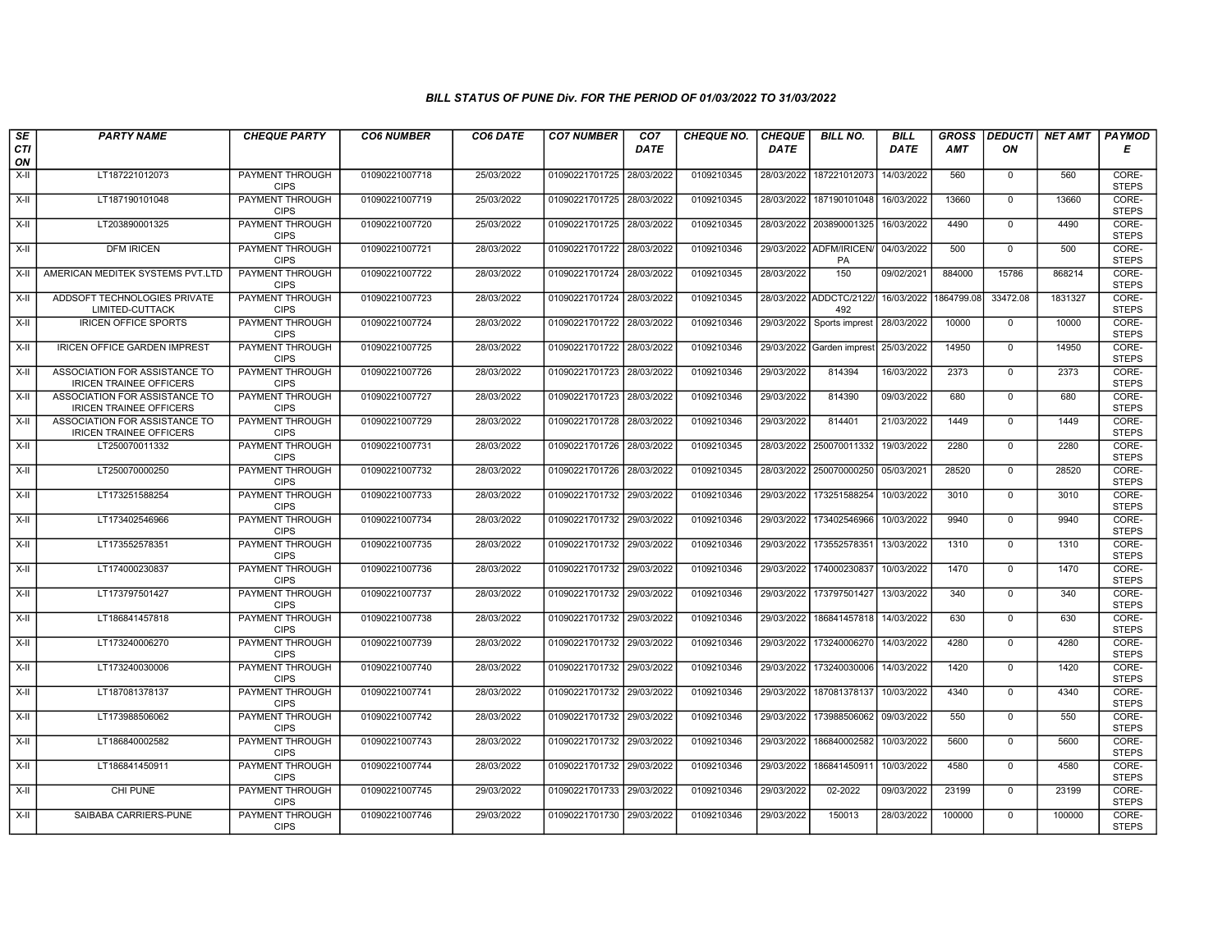| SE        | <b>PARTY NAME</b>                                               | <b>CHEQUE PARTY</b>                   | <b>CO6 NUMBER</b> | CO6 DATE   | <b>CO7 NUMBER</b>         | CO <sub>7</sub> | <b>CHEQUE NO.</b> | <b>CHEQUE</b> | <b>BILL NO.</b>                | <b>BILL</b>           | <b>GROSS</b> |                | <b>DEDUCTI NET AMT   PAYMOD</b> |                       |
|-----------|-----------------------------------------------------------------|---------------------------------------|-------------------|------------|---------------------------|-----------------|-------------------|---------------|--------------------------------|-----------------------|--------------|----------------|---------------------------------|-----------------------|
| CTI<br>ON |                                                                 |                                       |                   |            |                           | <b>DATE</b>     |                   | DATE          |                                | <b>DATE</b>           | <b>AMT</b>   | ON             |                                 | Е                     |
| $X-II$    | LT187221012073                                                  | <b>PAYMENT THROUGH</b><br><b>CIPS</b> | 01090221007718    | 25/03/2022 | 01090221701725 28/03/2022 |                 | 0109210345        |               | 28/03/2022 187221012073        | 14/03/2022            | 560          | $\overline{0}$ | 560                             | CORE-<br><b>STEPS</b> |
| $X-H$     | LT187190101048                                                  | <b>PAYMENT THROUGH</b><br><b>CIPS</b> | 01090221007719    | 25/03/2022 | 01090221701725 28/03/2022 |                 | 0109210345        |               | 28/03/2022 187190101048        | 16/03/2022            | 13660        | $\mathbf{0}$   | 13660                           | CORE-<br><b>STEPS</b> |
| $X-II$    | LT203890001325                                                  | PAYMENT THROUGH<br><b>CIPS</b>        | 01090221007720    | 25/03/2022 | 01090221701725 28/03/2022 |                 | 0109210345        |               | 28/03/2022 203890001325        | 16/03/2022            | 4490         | $\Omega$       | 4490                            | CORE-<br><b>STEPS</b> |
| X-II      | <b>DFM IRICEN</b>                                               | PAYMENT THROUGH<br><b>CIPS</b>        | 01090221007721    | 28/03/2022 | 01090221701722            | 28/03/2022      | 0109210346        |               | 29/03/2022 ADFM/IRICEN/<br>PA  | 04/03/2022            | 500          | $\mathbf 0$    | 500                             | CORE-<br><b>STEPS</b> |
| $X-H$     | AMERICAN MEDITEK SYSTEMS PVT.LTD                                | <b>PAYMENT THROUGH</b><br><b>CIPS</b> | 01090221007722    | 28/03/2022 | 01090221701724 28/03/2022 |                 | 0109210345        | 28/03/2022    | 150                            | 09/02/2021            | 884000       | 15786          | 868214                          | CORE-<br><b>STEPS</b> |
| X-II      | ADDSOFT TECHNOLOGIES PRIVATE<br>LIMITED-CUTTACK                 | <b>PAYMENT THROUGH</b><br><b>CIPS</b> | 01090221007723    | 28/03/2022 | 01090221701724 28/03/2022 |                 | 0109210345        |               | 28/03/2022 ADDCTC/2122/<br>492 | 16/03/2022 1864799.08 |              | 33472.08       | 1831327                         | CORE-<br><b>STEPS</b> |
| X-II      | <b>IRICEN OFFICE SPORTS</b>                                     | PAYMENT THROUGH<br><b>CIPS</b>        | 01090221007724    | 28/03/2022 | 01090221701722 28/03/2022 |                 | 0109210346        | 29/03/2022    | Sports imprest                 | 28/03/2022            | 10000        | $\mathbf{0}$   | 10000                           | CORE-<br><b>STEPS</b> |
| X-II      | <b>IRICEN OFFICE GARDEN IMPREST</b>                             | PAYMENT THROUGH<br><b>CIPS</b>        | 01090221007725    | 28/03/2022 | 01090221701722 28/03/2022 |                 | 0109210346        |               | 29/03/2022 Garden imprest      | 25/03/2022            | 14950        | $\mathbf{0}$   | 14950                           | CORE-<br><b>STEPS</b> |
| $X-H$     | ASSOCIATION FOR ASSISTANCE TO<br><b>IRICEN TRAINEE OFFICERS</b> | <b>PAYMENT THROUGH</b><br><b>CIPS</b> | 01090221007726    | 28/03/2022 | 01090221701723 28/03/2022 |                 | 0109210346        | 29/03/2022    | 814394                         | 16/03/2022            | 2373         | $\Omega$       | 2373                            | CORE-<br><b>STEPS</b> |
| X-II      | ASSOCIATION FOR ASSISTANCE TO<br><b>IRICEN TRAINEE OFFICERS</b> | <b>PAYMENT THROUGH</b><br><b>CIPS</b> | 01090221007727    | 28/03/2022 | 01090221701723 28/03/2022 |                 | 0109210346        | 29/03/2022    | 814390                         | 09/03/2022            | 680          | $\mathbf 0$    | 680                             | CORE-<br><b>STEPS</b> |
| $X-II$    | ASSOCIATION FOR ASSISTANCE TO<br><b>IRICEN TRAINEE OFFICERS</b> | PAYMENT THROUGH<br><b>CIPS</b>        | 01090221007729    | 28/03/2022 | 01090221701728            | 28/03/2022      | 0109210346        | 29/03/2022    | 814401                         | 21/03/2022            | 1449         | $\mathbf 0$    | 1449                            | CORE-<br><b>STEPS</b> |
| $X-II$    | LT250070011332                                                  | PAYMENT THROUGH<br><b>CIPS</b>        | 01090221007731    | 28/03/2022 | 01090221701726 28/03/2022 |                 | 0109210345        |               | 28/03/2022 250070011332        | 19/03/2022            | 2280         | $\mathbf 0$    | 2280                            | CORE-<br><b>STEPS</b> |
| X-II      | LT250070000250                                                  | PAYMENT THROUGH<br><b>CIPS</b>        | 01090221007732    | 28/03/2022 | 01090221701726 28/03/2022 |                 | 0109210345        |               | 28/03/2022 250070000250        | 05/03/2021            | 28520        | $\mathbf{0}$   | 28520                           | CORE-<br><b>STEPS</b> |
| X-II      | LT173251588254                                                  | <b>PAYMENT THROUGH</b><br><b>CIPS</b> | 01090221007733    | 28/03/2022 | 01090221701732            | 29/03/2022      | 0109210346        | 29/03/2022    | 173251588254                   | 10/03/2022            | 3010         | $\mathbf 0$    | 3010                            | CORE-<br><b>STEPS</b> |
| $X-H$     | LT173402546966                                                  | PAYMENT THROUGH<br><b>CIPS</b>        | 01090221007734    | 28/03/2022 | 01090221701732 29/03/2022 |                 | 0109210346        |               | 29/03/2022 173402546966        | 10/03/2022            | 9940         | $\Omega$       | 9940                            | CORE-<br><b>STEPS</b> |
| X-II      | LT173552578351                                                  | PAYMENT THROUGH<br><b>CIPS</b>        | 01090221007735    | 28/03/2022 | 01090221701732 29/03/2022 |                 | 0109210346        |               | 29/03/2022 173552578351        | 13/03/2022            | 1310         | $\mathbf 0$    | 1310                            | CORE-<br><b>STEPS</b> |
| $X-H$     | LT174000230837                                                  | PAYMENT THROUGH<br><b>CIPS</b>        | 01090221007736    | 28/03/2022 | 01090221701732 29/03/2022 |                 | 0109210346        |               | 29/03/2022 174000230837        | 10/03/2022            | 1470         | $\mathbf 0$    | 1470                            | CORE-<br><b>STEPS</b> |
| X-II      | LT173797501427                                                  | <b>PAYMENT THROUGH</b><br><b>CIPS</b> | 01090221007737    | 28/03/2022 | 01090221701732            | 29/03/2022      | 0109210346        | 29/03/2022    | 173797501427                   | 13/03/2022            | 340          | $\mathbf 0$    | 340                             | CORE-<br><b>STEPS</b> |
| $X-II$    | LT186841457818                                                  | PAYMENT THROUGH<br><b>CIPS</b>        | 01090221007738    | 28/03/2022 | 01090221701732 29/03/2022 |                 | 0109210346        |               | 29/03/2022 186841457818        | 14/03/2022            | 630          | $\mathbf 0$    | 630                             | CORE-<br><b>STEPS</b> |
| X-II      | LT173240006270                                                  | <b>PAYMENT THROUGH</b><br><b>CIPS</b> | 01090221007739    | 28/03/2022 | 01090221701732 29/03/2022 |                 | 0109210346        |               | 29/03/2022 173240006270        | 14/03/2022            | 4280         | $\mathbf{0}$   | 4280                            | CORE-<br><b>STEPS</b> |
| X-II      | LT173240030006                                                  | PAYMENT THROUGH<br><b>CIPS</b>        | 01090221007740    | 28/03/2022 | 01090221701732 29/03/2022 |                 | 0109210346        | 29/03/2022    | 173240030006                   | 14/03/2022            | 1420         | $\mathbf{0}$   | 1420                            | CORE-<br><b>STEPS</b> |
| X-II      | LT187081378137                                                  | <b>PAYMENT THROUGH</b><br><b>CIPS</b> | 01090221007741    | 28/03/2022 | 01090221701732 29/03/2022 |                 | 0109210346        | 29/03/2022    | 187081378137                   | 10/03/2022            | 4340         | $\mathbf{0}$   | 4340                            | CORE-<br><b>STEPS</b> |
| X-II      | LT173988506062                                                  | PAYMENT THROUGH<br><b>CIPS</b>        | 01090221007742    | 28/03/2022 | 01090221701732 29/03/2022 |                 | 0109210346        | 29/03/2022    | 173988506062                   | 09/03/2022            | 550          | $\mathbf 0$    | 550                             | CORE-<br><b>STEPS</b> |
| X-II      | LT186840002582                                                  | <b>PAYMENT THROUGH</b><br><b>CIPS</b> | 01090221007743    | 28/03/2022 | 01090221701732 29/03/2022 |                 | 0109210346        |               | 29/03/2022 186840002582        | 10/03/2022            | 5600         | $\mathbf 0$    | 5600                            | CORE-<br><b>STEPS</b> |
| $X-II$    | LT186841450911                                                  | PAYMENT THROUGH<br><b>CIPS</b>        | 01090221007744    | 28/03/2022 | 01090221701732 29/03/2022 |                 | 0109210346        | 29/03/2022    | 186841450911                   | 10/03/2022            | 4580         | $\Omega$       | 4580                            | CORE-<br><b>STEPS</b> |
| X-II      | CHI PUNE                                                        | <b>PAYMENT THROUGH</b><br><b>CIPS</b> | 01090221007745    | 29/03/2022 | 01090221701733 29/03/2022 |                 | 0109210346        | 29/03/2022    | 02-2022                        | 09/03/2022            | 23199        | 0              | 23199                           | CORE-<br><b>STEPS</b> |
| X-II      | SAIBABA CARRIERS-PUNE                                           | PAYMENT THROUGH<br><b>CIPS</b>        | 01090221007746    | 29/03/2022 | 01090221701730 29/03/2022 |                 | 0109210346        | 29/03/2022    | 150013                         | 28/03/2022            | 100000       | $\mathbf 0$    | 100000                          | CORE-<br><b>STEPS</b> |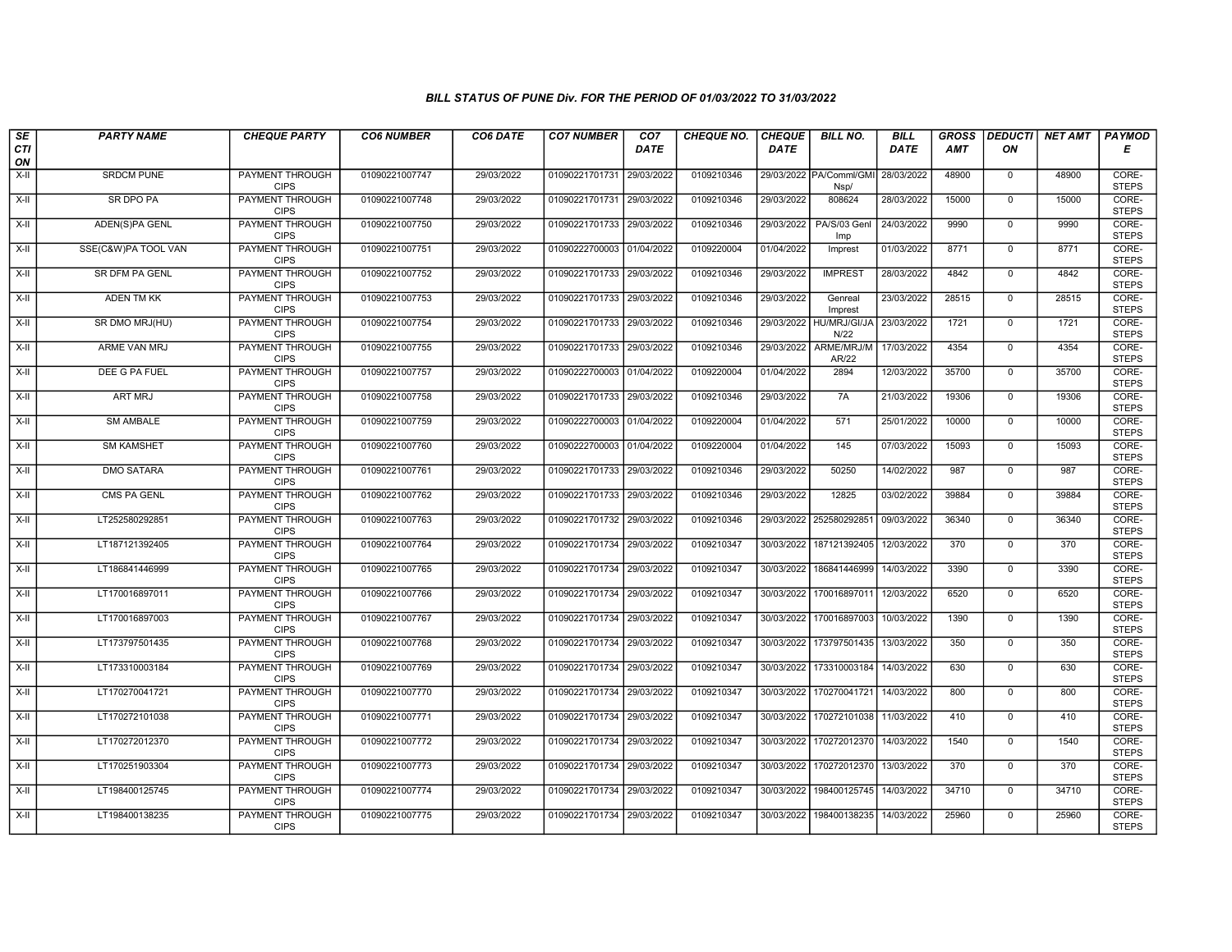| $s_E$            | <b>PARTY NAME</b>   | <b>CHEQUE PARTY</b>                   | <b>CO6 NUMBER</b> | CO6 DATE   | <b>CO7 NUMBER</b>         | CO <sub>7</sub> | <b>CHEQUE NO.</b> | <b>CHEQUE</b> | <b>BILL NO.</b>                 | <b>BILL</b> | <b>GROSS</b> |                | DEDUCTI  NET AMT | <b>PAYMOD</b>         |
|------------------|---------------------|---------------------------------------|-------------------|------------|---------------------------|-----------------|-------------------|---------------|---------------------------------|-------------|--------------|----------------|------------------|-----------------------|
| <b>CTI</b><br>ON |                     |                                       |                   |            |                           | <b>DATE</b>     |                   | <b>DATE</b>   |                                 | <b>DATE</b> | <b>AMT</b>   | ON             |                  | Е                     |
| $X-H$            | <b>SRDCM PUNE</b>   | <b>PAYMENT THROUGH</b><br><b>CIPS</b> | 01090221007747    | 29/03/2022 | 01090221701731 29/03/2022 |                 | 0109210346        |               | 29/03/2022 PA/Comml/GMI<br>Nsp/ | 28/03/2022  | 48900        | $\mathbf 0$    | 48900            | CORE-<br><b>STEPS</b> |
| $X-H$            | <b>SR DPO PA</b>    | <b>PAYMENT THROUGH</b><br><b>CIPS</b> | 01090221007748    | 29/03/2022 | 01090221701731 29/03/2022 |                 | 0109210346        | 29/03/2022    | 808624                          | 28/03/2022  | 15000        | $\mathbf 0$    | 15000            | CORE-<br><b>STEPS</b> |
| X-II             | ADEN(S)PA GENL      | PAYMENT THROUGH<br><b>CIPS</b>        | 01090221007750    | 29/03/2022 | 01090221701733 29/03/2022 |                 | 0109210346        | 29/03/2022    | PA/S/03 Genl<br>Imp             | 24/03/2022  | 9990         | $\mathbf 0$    | 9990             | CORE-<br><b>STEPS</b> |
| $X-H$            | SSE(C&W)PA TOOL VAN | <b>PAYMENT THROUGH</b><br><b>CIPS</b> | 01090221007751    | 29/03/2022 | 01090222700003            | 01/04/2022      | 0109220004        | 01/04/2022    | Imprest                         | 01/03/2022  | 8771         | $\overline{0}$ | 8771             | CORE-<br><b>STEPS</b> |
| $X-H$            | SR DFM PA GENL      | <b>PAYMENT THROUGH</b><br><b>CIPS</b> | 01090221007752    | 29/03/2022 | 01090221701733 29/03/2022 |                 | 0109210346        | 29/03/2022    | <b>IMPREST</b>                  | 28/03/2022  | 4842         | $\mathbf{0}$   | 4842             | CORE-<br><b>STEPS</b> |
| $X-II$           | <b>ADEN TM KK</b>   | <b>PAYMENT THROUGH</b><br><b>CIPS</b> | 01090221007753    | 29/03/2022 | 01090221701733 29/03/2022 |                 | 0109210346        | 29/03/2022    | Genreal<br>Imprest              | 23/03/2022  | 28515        | $\mathbf 0$    | 28515            | CORE-<br><b>STEPS</b> |
| $X-II$           | SR DMO MRJ(HU)      | PAYMENT THROUGH<br><b>CIPS</b>        | 01090221007754    | 29/03/2022 | 01090221701733            | 29/03/2022      | 0109210346        | 29/03/2022    | HU/MRJ/GI/JA<br>N/22            | 23/03/2022  | 1721         | $\mathbf 0$    | 1721             | CORE-<br><b>STEPS</b> |
| $X-H$            | ARME VAN MRJ        | PAYMENT THROUGH<br><b>CIPS</b>        | 01090221007755    | 29/03/2022 | 01090221701733            | 29/03/2022      | 0109210346        | 29/03/2022    | ARME/MRJ/M<br>AR/22             | 17/03/2022  | 4354         | $\mathbf 0$    | 4354             | CORE-<br><b>STEPS</b> |
| $X-H$            | DEE G PA FUEL       | <b>PAYMENT THROUGH</b><br><b>CIPS</b> | 01090221007757    | 29/03/2022 | 01090222700003 01/04/2022 |                 | 0109220004        | 01/04/2022    | 2894                            | 12/03/2022  | 35700        | $\overline{0}$ | 35700            | CORE-<br><b>STEPS</b> |
| $X-H$            | <b>ART MRJ</b>      | PAYMENT THROUGH<br><b>CIPS</b>        | 01090221007758    | 29/03/2022 | 01090221701733 29/03/2022 |                 | 0109210346        | 29/03/2022    | 7A                              | 21/03/2022  | 19306        | $\mathbf 0$    | 19306            | CORE-<br><b>STEPS</b> |
| $X-H$            | <b>SM AMBALE</b>    | PAYMENT THROUGH<br><b>CIPS</b>        | 01090221007759    | 29/03/2022 | 01090222700003 01/04/2022 |                 | 0109220004        | 01/04/2022    | 571                             | 25/01/2022  | 10000        | $\mathbf 0$    | 10000            | CORE-<br><b>STEPS</b> |
| X-II             | <b>SM KAMSHET</b>   | PAYMENT THROUGH<br><b>CIPS</b>        | 01090221007760    | 29/03/2022 | 01090222700003 01/04/2022 |                 | 0109220004        | 01/04/2022    | 145                             | 07/03/2022  | 15093        | $\mathbf 0$    | 15093            | CORE-<br><b>STEPS</b> |
| $X-H$            | <b>DMO SATARA</b>   | PAYMENT THROUGH<br><b>CIPS</b>        | 01090221007761    | 29/03/2022 | 01090221701733            | 29/03/2022      | 0109210346        | 29/03/2022    | 50250                           | 14/02/2022  | 987          | $\mathbf 0$    | 987              | CORE-<br><b>STEPS</b> |
| $X-H$            | <b>CMS PA GENL</b>  | <b>PAYMENT THROUGH</b><br><b>CIPS</b> | 01090221007762    | 29/03/2022 | 01090221701733 29/03/2022 |                 | 0109210346        | 29/03/2022    | 12825                           | 03/02/2022  | 39884        | $\mathbf{0}$   | 39884            | CORE-<br><b>STEPS</b> |
| $X-H$            | LT252580292851      | PAYMENT THROUGH<br><b>CIPS</b>        | 01090221007763    | 29/03/2022 | 01090221701732 29/03/2022 |                 | 0109210346        | 29/03/2022    | 252580292851                    | 09/03/2022  | 36340        | $\mathbf 0$    | 36340            | CORE-<br><b>STEPS</b> |
| X-II             | LT187121392405      | PAYMENT THROUGH<br><b>CIPS</b>        | 01090221007764    | 29/03/2022 | 01090221701734 29/03/2022 |                 | 0109210347        | 30/03/2022    | 187121392405                    | 12/03/2022  | 370          | $\overline{0}$ | 370              | CORE-<br><b>STEPS</b> |
| X-II             | LT186841446999      | PAYMENT THROUGH<br><b>CIPS</b>        | 01090221007765    | 29/03/2022 | 01090221701734 29/03/2022 |                 | 0109210347        | 30/03/2022    | 186841446999                    | 14/03/2022  | 3390         | $\mathbf 0$    | 3390             | CORE-<br><b>STEPS</b> |
| $X-H$            | LT170016897011      | PAYMENT THROUGH<br><b>CIPS</b>        | 01090221007766    | 29/03/2022 | 01090221701734 29/03/2022 |                 | 0109210347        | 30/03/2022    | 170016897011                    | 12/03/2022  | 6520         | $\mathbf 0$    | 6520             | CORE-<br><b>STEPS</b> |
| $X-II$           | LT170016897003      | PAYMENT THROUGH<br><b>CIPS</b>        | 01090221007767    | 29/03/2022 | 01090221701734 29/03/2022 |                 | 0109210347        | 30/03/2022    | 170016897003                    | 10/03/2022  | 1390         | $\Omega$       | 1390             | CORE-<br><b>STEPS</b> |
| X-II             | LT173797501435      | PAYMENT THROUGH<br><b>CIPS</b>        | 01090221007768    | 29/03/2022 | 01090221701734            | 29/03/2022      | 0109210347        | 30/03/2022    | 173797501435                    | 13/03/2022  | 350          | $\mathbf 0$    | 350              | CORE-<br><b>STEPS</b> |
| $X-H$            | LT173310003184      | <b>PAYMENT THROUGH</b><br><b>CIPS</b> | 01090221007769    | 29/03/2022 | 01090221701734            | 29/03/2022      | 0109210347        | 30/03/2022    | 173310003184                    | 14/03/2022  | 630          | $\overline{0}$ | 630              | CORE-<br><b>STEPS</b> |
| X-II             | LT170270041721      | <b>PAYMENT THROUGH</b><br><b>CIPS</b> | 01090221007770    | 29/03/2022 | 01090221701734 29/03/2022 |                 | 0109210347        | 30/03/2022    | 170270041721                    | 14/03/2022  | 800          | $\mathbf 0$    | 800              | CORE-<br><b>STEPS</b> |
| $X-II$           | LT170272101038      | PAYMENT THROUGH<br><b>CIPS</b>        | 01090221007771    | 29/03/2022 | 01090221701734            | 29/03/2022      | 0109210347        | 30/03/2022    | 170272101038                    | 11/03/2022  | 410          | 0              | 410              | CORE-<br><b>STEPS</b> |
| $X-H$            | LT170272012370      | PAYMENT THROUGH<br><b>CIPS</b>        | 01090221007772    | 29/03/2022 | 01090221701734            | 29/03/2022      | 0109210347        | 30/03/2022    | 170272012370                    | 14/03/2022  | 1540         | $\mathbf{0}$   | 1540             | CORE-<br><b>STEPS</b> |
| $X-H$            | LT170251903304      | PAYMENT THROUGH<br><b>CIPS</b>        | 01090221007773    | 29/03/2022 | 01090221701734            | 29/03/2022      | 0109210347        | 30/03/2022    | 170272012370                    | 13/03/2022  | 370          | $\mathbf 0$    | 370              | CORE-<br><b>STEPS</b> |
| $X-H$            | LT198400125745      | <b>PAYMENT THROUGH</b><br><b>CIPS</b> | 01090221007774    | 29/03/2022 | 01090221701734 29/03/2022 |                 | 0109210347        | 30/03/2022    | 198400125745                    | 14/03/2022  | 34710        | $\mathbf 0$    | 34710            | CORE-<br><b>STEPS</b> |
| X-II             | LT198400138235      | PAYMENT THROUGH<br><b>CIPS</b>        | 01090221007775    | 29/03/2022 | 01090221701734 29/03/2022 |                 | 0109210347        | 30/03/2022    | 198400138235                    | 14/03/2022  | 25960        | $\mathbf 0$    | 25960            | CORE-<br><b>STEPS</b> |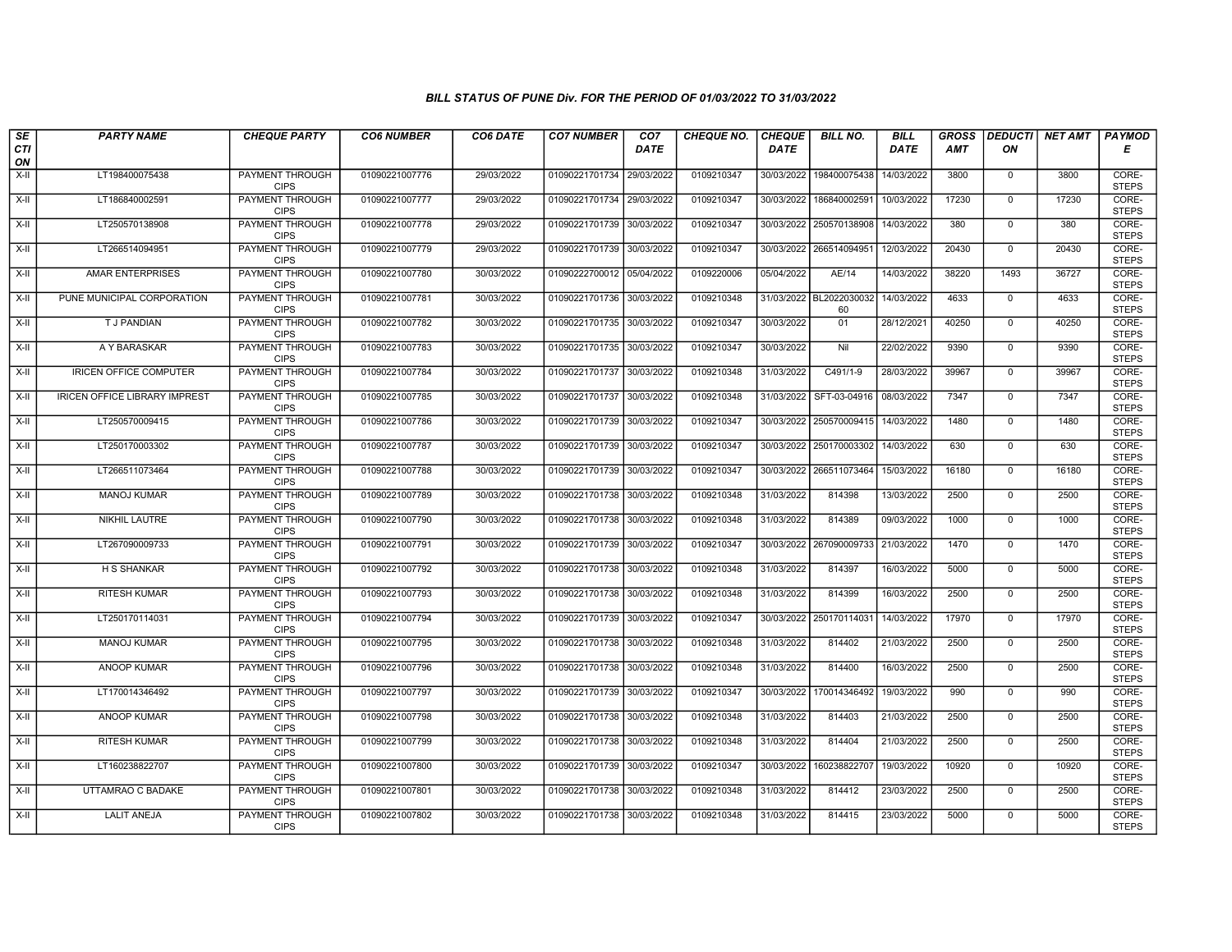| SE<br><b>CTI</b> | <b>PARTY NAME</b>                    | <b>CHEQUE PARTY</b>                   | <b>CO6 NUMBER</b> | CO6 DATE   | <b>CO7 NUMBER</b>         | CO <sub>7</sub><br><b>DATE</b> | <b>CHEQUE NO.</b> | <b>CHEQUE</b><br><b>DATE</b> | <b>BILL NO.</b>               | <b>BILL</b><br><b>DATE</b> | <b>GROSS</b><br><b>AMT</b> | ON             | <b>DEDUCTI</b> NET AMT | <b>PAYMOD</b><br>Е    |
|------------------|--------------------------------------|---------------------------------------|-------------------|------------|---------------------------|--------------------------------|-------------------|------------------------------|-------------------------------|----------------------------|----------------------------|----------------|------------------------|-----------------------|
| ON               |                                      |                                       |                   |            |                           |                                |                   |                              |                               |                            |                            |                |                        |                       |
| $X-H$            | LT198400075438                       | PAYMENT THROUGH<br><b>CIPS</b>        | 01090221007776    | 29/03/2022 | 01090221701734 29/03/2022 |                                | 0109210347        | 30/03/2022                   | 198400075438                  | 14/03/2022                 | 3800                       | 0              | 3800                   | CORE-<br><b>STEPS</b> |
| $X-H$            | LT186840002591                       | <b>PAYMENT THROUGH</b><br><b>CIPS</b> | 01090221007777    | 29/03/2022 | 01090221701734 29/03/2022 |                                | 0109210347        | 30/03/2022                   | 186840002591                  | 10/03/2022                 | 17230                      | $\mathbf{0}$   | 17230                  | CORE-<br><b>STEPS</b> |
| $X-II$           | LT250570138908                       | PAYMENT THROUGH<br><b>CIPS</b>        | 01090221007778    | 29/03/2022 | 01090221701739            | 30/03/2022                     | 0109210347        |                              | 30/03/2022 250570138908       | 14/03/2022                 | 380                        | $\mathbf 0$    | 380                    | CORE-<br><b>STEPS</b> |
| $X-H$            | LT266514094951                       | PAYMENT THROUGH<br><b>CIPS</b>        | 01090221007779    | 29/03/2022 | 01090221701739 30/03/2022 |                                | 0109210347        | 30/03/2022                   | 266514094951                  | 12/03/2022                 | 20430                      | $\mathbf 0$    | 20430                  | CORE-<br><b>STEPS</b> |
| $X-H$            | <b>AMAR ENTERPRISES</b>              | <b>PAYMENT THROUGH</b><br><b>CIPS</b> | 01090221007780    | 30/03/2022 | 01090222700012 05/04/2022 |                                | 0109220006        | 05/04/2022                   | AE/14                         | 14/03/2022                 | 38220                      | 1493           | 36727                  | CORE-<br><b>STEPS</b> |
| $X-H$            | PUNE MUNICIPAL CORPORATION           | <b>PAYMENT THROUGH</b><br><b>CIPS</b> | 01090221007781    | 30/03/2022 | 01090221701736 30/03/2022 |                                | 0109210348        |                              | 31/03/2022 BL2022030032<br>60 | 14/03/2022                 | 4633                       | $\overline{0}$ | 4633                   | CORE-<br><b>STEPS</b> |
| $X-H$            | T J PANDIAN                          | PAYMENT THROUGH<br><b>CIPS</b>        | 01090221007782    | 30/03/2022 | 01090221701735 30/03/2022 |                                | 0109210347        | 30/03/2022                   | 01                            | 28/12/2021                 | 40250                      | $\mathbf{0}$   | 40250                  | CORE-<br><b>STEPS</b> |
| X-II             | A Y BARASKAR                         | PAYMENT THROUGH<br><b>CIPS</b>        | 01090221007783    | 30/03/2022 | 01090221701735 30/03/2022 |                                | 0109210347        | 30/03/2022                   | Nil                           | 22/02/2022                 | 9390                       | $\mathbf 0$    | 9390                   | CORE-<br><b>STEPS</b> |
| X-II             | <b>IRICEN OFFICE COMPUTER</b>        | <b>PAYMENT THROUGH</b><br><b>CIPS</b> | 01090221007784    | 30/03/2022 | 01090221701737 30/03/2022 |                                | 0109210348        | 31/03/2022                   | C491/1-9                      | 28/03/2022                 | 39967                      | $\mathbf 0$    | 39967                  | CORE-<br><b>STEPS</b> |
| $X-H$            | <b>IRICEN OFFICE LIBRARY IMPREST</b> | <b>PAYMENT THROUGH</b><br><b>CIPS</b> | 01090221007785    | 30/03/2022 | 01090221701737 30/03/2022 |                                | 0109210348        | 31/03/2022                   | SFT-03-04916                  | 08/03/2022                 | 7347                       | $\mathbf 0$    | 7347                   | CORE-<br><b>STEPS</b> |
| X-II             | LT250570009415                       | PAYMENT THROUGH<br><b>CIPS</b>        | 01090221007786    | 30/03/2022 | 01090221701739            | 30/03/2022                     | 0109210347        |                              | 30/03/2022 250570009415       | 14/03/2022                 | 1480                       | $\mathsf 0$    | 1480                   | CORE-<br><b>STEPS</b> |
| $X-H$            | LT250170003302                       | PAYMENT THROUGH<br><b>CIPS</b>        | 01090221007787    | 30/03/2022 | 01090221701739 30/03/2022 |                                | 0109210347        |                              | 30/03/2022 250170003302       | 14/03/2022                 | 630                        | $\mathbf{0}$   | 630                    | CORE-<br><b>STEPS</b> |
| $X-H$            | LT266511073464                       | <b>PAYMENT THROUGH</b><br><b>CIPS</b> | 01090221007788    | 30/03/2022 | 01090221701739 30/03/2022 |                                | 0109210347        |                              | 30/03/2022 266511073464       | 15/03/2022                 | 16180                      | $\mathbf 0$    | 16180                  | CORE-<br><b>STEPS</b> |
| X-II             | <b>MANOJ KUMAR</b>                   | <b>PAYMENT THROUGH</b><br><b>CIPS</b> | 01090221007789    | 30/03/2022 | 01090221701738 30/03/2022 |                                | 0109210348        | 31/03/2022                   | 814398                        | 13/03/2022                 | 2500                       | $\mathbf{0}$   | 2500                   | CORE-<br><b>STEPS</b> |
| $X-H$            | NIKHIL LAUTRE                        | PAYMENT THROUGH<br><b>CIPS</b>        | 01090221007790    | 30/03/2022 | 01090221701738 30/03/2022 |                                | 0109210348        | 31/03/2022                   | 814389                        | 09/03/2022                 | 1000                       | $\mathbf 0$    | 1000                   | CORE-<br><b>STEPS</b> |
| X-II             | LT267090009733                       | PAYMENT THROUGH<br><b>CIPS</b>        | 01090221007791    | 30/03/2022 | 01090221701739 30/03/2022 |                                | 0109210347        |                              | 30/03/2022 267090009733       | 21/03/2022                 | 1470                       | $\overline{0}$ | 1470                   | CORE-<br><b>STEPS</b> |
| $X-H$            | <b>H S SHANKAR</b>                   | PAYMENT THROUGH<br><b>CIPS</b>        | 01090221007792    | 30/03/2022 | 01090221701738            | 30/03/2022                     | 0109210348        | 31/03/2022                   | 814397                        | 16/03/2022                 | 5000                       | $\mathbf{0}$   | 5000                   | CORE-<br><b>STEPS</b> |
| $X-H$            | RITESH KUMAR                         | <b>PAYMENT THROUGH</b><br><b>CIPS</b> | 01090221007793    | 30/03/2022 | 01090221701738 30/03/2022 |                                | 0109210348        | 31/03/2022                   | 814399                        | 16/03/2022                 | 2500                       | $\mathbf 0$    | 2500                   | CORE-<br><b>STEPS</b> |
| X-II             | LT250170114031                       | PAYMENT THROUGH<br><b>CIPS</b>        | 01090221007794    | 30/03/2022 | 01090221701739 30/03/2022 |                                | 0109210347        | 30/03/2022                   | 250170114031                  | 14/03/2022                 | 17970                      | $\mathbf 0$    | 17970                  | CORE-<br><b>STEPS</b> |
| $X-H$            | MANOJ KUMAR                          | PAYMENT THROUGH<br><b>CIPS</b>        | 01090221007795    | 30/03/2022 | 01090221701738 30/03/2022 |                                | 0109210348        | 31/03/2022                   | 814402                        | 21/03/2022                 | 2500                       | $\mathbf 0$    | 2500                   | CORE-<br><b>STEPS</b> |
| $X-H$            | <b>ANOOP KUMAR</b>                   | <b>PAYMENT THROUGH</b><br><b>CIPS</b> | 01090221007796    | 30/03/2022 | 01090221701738            | 30/03/2022                     | 0109210348        | 31/03/2022                   | 814400                        | 16/03/2022                 | 2500                       | $\mathbf 0$    | 2500                   | CORE-<br><b>STEPS</b> |
| $X-H$            | LT170014346492                       | <b>PAYMENT THROUGH</b><br><b>CIPS</b> | 01090221007797    | 30/03/2022 | 01090221701739 30/03/2022 |                                | 0109210347        | 30/03/2022                   | 170014346492                  | 19/03/2022                 | 990                        | $\mathbf{0}$   | 990                    | CORE-<br><b>STEPS</b> |
| $X-II$           | ANOOP KUMAR                          | PAYMENT THROUGH<br><b>CIPS</b>        | 01090221007798    | 30/03/2022 | 01090221701738            | 30/03/2022                     | 0109210348        | 31/03/2022                   | 814403                        | 21/03/2022                 | 2500                       | $\mathbf 0$    | 2500                   | CORE-<br><b>STEPS</b> |
| $X-II$           | <b>RITESH KUMAR</b>                  | PAYMENT THROUGH<br><b>CIPS</b>        | 01090221007799    | 30/03/2022 | 01090221701738 30/03/2022 |                                | 0109210348        | 31/03/2022                   | 814404                        | 21/03/2022                 | 2500                       | $\mathbf{0}$   | 2500                   | CORE-<br><b>STEPS</b> |
| $X-H$            | LT160238822707                       | <b>PAYMENT THROUGH</b><br><b>CIPS</b> | 01090221007800    | 30/03/2022 | 01090221701739 30/03/2022 |                                | 0109210347        | 30/03/2022                   | 160238822707                  | 19/03/2022                 | 10920                      | $\mathbf 0$    | 10920                  | CORE-<br><b>STEPS</b> |
| X-II             | UTTAMRAO C BADAKE                    | PAYMENT THROUGH<br><b>CIPS</b>        | 01090221007801    | 30/03/2022 | 01090221701738 30/03/2022 |                                | 0109210348        | 31/03/2022                   | 814412                        | 23/03/2022                 | 2500                       | $\mathbf{0}$   | 2500                   | CORE-<br><b>STEPS</b> |
| $X-H$            | <b>LALIT ANEJA</b>                   | PAYMENT THROUGH<br><b>CIPS</b>        | 01090221007802    | 30/03/2022 | 01090221701738 30/03/2022 |                                | 0109210348        | 31/03/2022                   | 814415                        | 23/03/2022                 | 5000                       | $\mathbf 0$    | 5000                   | CORE-<br><b>STEPS</b> |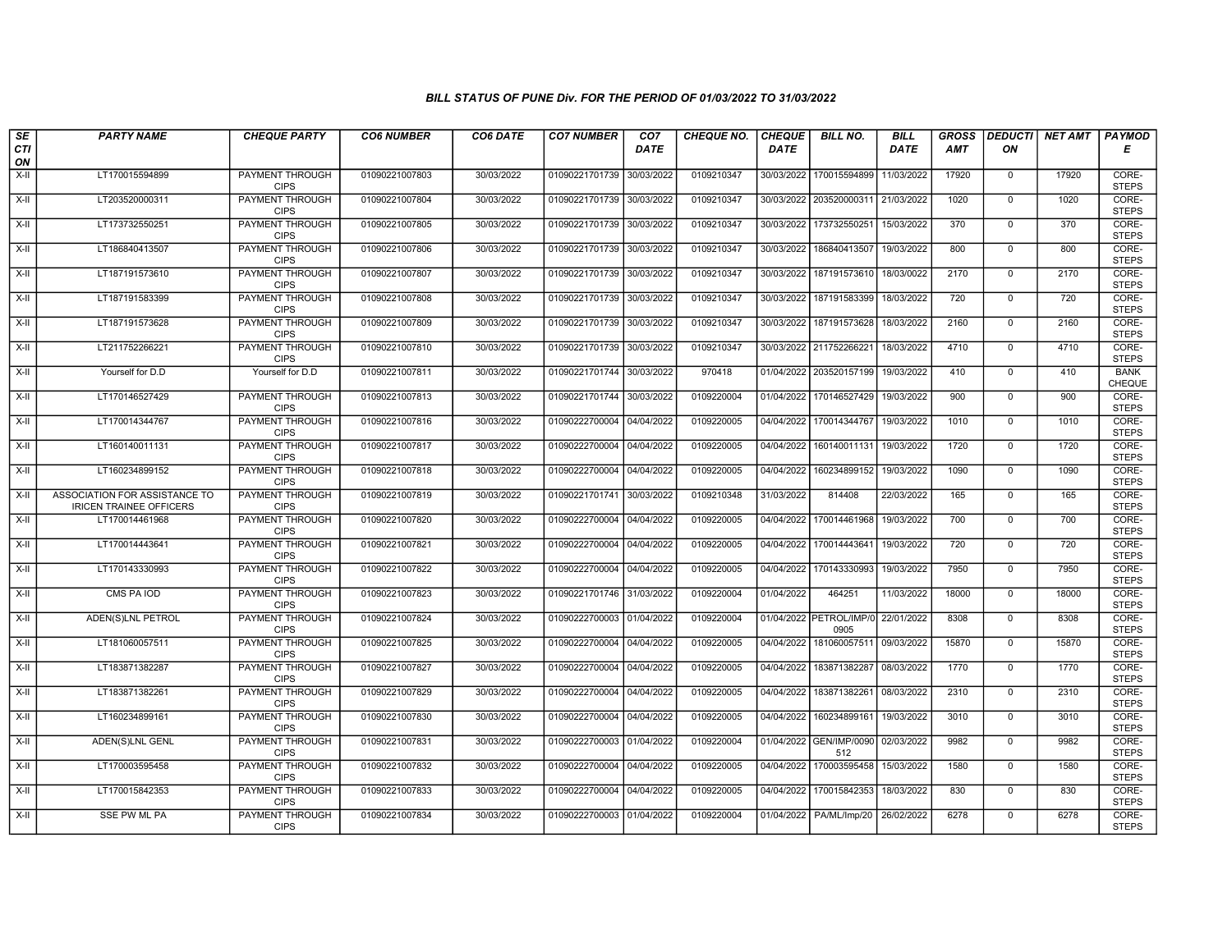| SE               | <b>PARTY NAME</b>                                               | <b>CHEQUE PARTY</b>                   | <b>CO6 NUMBER</b> | CO6 DATE   | <b>CO7 NUMBER</b>         | CO <sub>7</sub> | CHEQUE NO. | <b>CHEQUE</b> | <b>BILL NO.</b>                 | <b>BILL</b> | <b>GROSS</b> |                | DEDUCTI NET AMT | <b>PAYMOD</b>         |
|------------------|-----------------------------------------------------------------|---------------------------------------|-------------------|------------|---------------------------|-----------------|------------|---------------|---------------------------------|-------------|--------------|----------------|-----------------|-----------------------|
| <b>CTI</b><br>ON |                                                                 |                                       |                   |            |                           | <b>DATE</b>     |            | <b>DATE</b>   |                                 | <b>DATE</b> | <b>AMT</b>   | ON             |                 | Е                     |
| $X-H$            | LT170015594899                                                  | <b>PAYMENT THROUGH</b><br><b>CIPS</b> | 01090221007803    | 30/03/2022 | 01090221701739 30/03/2022 |                 | 0109210347 | 30/03/2022    | 170015594899                    | 11/03/2022  | 17920        | $\overline{0}$ | 17920           | CORE-<br><b>STEPS</b> |
| $X-H$            | LT203520000311                                                  | <b>PAYMENT THROUGH</b><br><b>CIPS</b> | 01090221007804    | 30/03/2022 | 01090221701739 30/03/2022 |                 | 0109210347 |               | 30/03/2022 203520000311         | 21/03/2022  | 1020         | $\mathbf{0}$   | 1020            | CORE-<br><b>STEPS</b> |
| $X-II$           | LT173732550251                                                  | PAYMENT THROUGH<br><b>CIPS</b>        | 01090221007805    | 30/03/2022 | 01090221701739 30/03/2022 |                 | 0109210347 | 30/03/2022    | 173732550251                    | 15/03/2022  | 370          | $\mathbf 0$    | 370             | CORE-<br><b>STEPS</b> |
| $X-H$            | LT186840413507                                                  | PAYMENT THROUGH<br><b>CIPS</b>        | 01090221007806    | 30/03/2022 | 01090221701739 30/03/2022 |                 | 0109210347 | 30/03/2022    | 186840413507                    | 19/03/2022  | 800          | $\mathbf 0$    | 800             | CORE-<br><b>STEPS</b> |
| $X-H$            | LT187191573610                                                  | <b>PAYMENT THROUGH</b><br><b>CIPS</b> | 01090221007807    | 30/03/2022 | 01090221701739 30/03/2022 |                 | 0109210347 | 30/03/2022    | 187191573610                    | 18/03/0022  | 2170         | $\mathbf{0}$   | 2170            | CORE-<br><b>STEPS</b> |
| $X-H$            | LT187191583399                                                  | <b>PAYMENT THROUGH</b><br><b>CIPS</b> | 01090221007808    | 30/03/2022 | 01090221701739 30/03/2022 |                 | 0109210347 | 30/03/2022    | 187191583399                    | 18/03/2022  | 720          | $\Omega$       | 720             | CORE-<br><b>STEPS</b> |
| $X-II$           | LT187191573628                                                  | PAYMENT THROUGH<br><b>CIPS</b>        | 01090221007809    | 30/03/2022 | 01090221701739 30/03/2022 |                 | 0109210347 | 30/03/2022    | 187191573628                    | 18/03/2022  | 2160         | $\mathbf 0$    | 2160            | CORE-<br><b>STEPS</b> |
| $X-H$            | LT211752266221                                                  | <b>PAYMENT THROUGH</b><br><b>CIPS</b> | 01090221007810    | 30/03/2022 | 01090221701739 30/03/2022 |                 | 0109210347 |               | 30/03/2022 211752266221         | 18/03/2022  | 4710         | $\overline{0}$ | 4710            | CORE-<br><b>STEPS</b> |
| X-II             | Yourself for D.D                                                | Yourself for D.D                      | 01090221007811    | 30/03/2022 | 01090221701744 30/03/2022 |                 | 970418     |               | 01/04/2022 203520157199         | 19/03/2022  | 410          | $\mathbf{0}$   | 410             | <b>BANK</b><br>CHEQUE |
| $X-H$            | LT170146527429                                                  | <b>PAYMENT THROUGH</b><br><b>CIPS</b> | 01090221007813    | 30/03/2022 | 01090221701744 30/03/2022 |                 | 0109220004 |               | 01/04/2022 170146527429         | 19/03/2022  | 900          | $\overline{0}$ | 900             | CORE-<br><b>STEPS</b> |
| X-II             | LT170014344767                                                  | PAYMENT THROUGH<br><b>CIPS</b>        | 01090221007816    | 30/03/2022 | 01090222700004            | 04/04/2022      | 0109220005 | 04/04/2022    | 170014344767                    | 19/03/2022  | 1010         | $\mathbf 0$    | 1010            | CORE-<br><b>STEPS</b> |
| X-II             | LT160140011131                                                  | PAYMENT THROUGH<br><b>CIPS</b>        | 01090221007817    | 30/03/2022 | 01090222700004 04/04/2022 |                 | 0109220005 | 04/04/2022    | 160140011131                    | 19/03/2022  | 1720         | $\mathbf 0$    | 1720            | CORE-<br><b>STEPS</b> |
| $X-H$            | LT160234899152                                                  | <b>PAYMENT THROUGH</b><br><b>CIPS</b> | 01090221007818    | 30/03/2022 | 01090222700004 04/04/2022 |                 | 0109220005 | 04/04/2022    | 160234899152                    | 19/03/2022  | 1090         | $\overline{0}$ | 1090            | CORE-<br><b>STEPS</b> |
| X-II             | ASSOCIATION FOR ASSISTANCE TO<br><b>IRICEN TRAINEE OFFICERS</b> | <b>PAYMENT THROUGH</b><br><b>CIPS</b> | 01090221007819    | 30/03/2022 | 01090221701741 30/03/2022 |                 | 0109210348 | 31/03/2022    | 814408                          | 22/03/2022  | 165          | $\mathbf 0$    | 165             | CORE-<br><b>STEPS</b> |
| $X-H$            | LT170014461968                                                  | PAYMENT THROUGH<br><b>CIPS</b>        | 01090221007820    | 30/03/2022 | 01090222700004 04/04/2022 |                 | 0109220005 | 04/04/2022    | 170014461968                    | 19/03/2022  | 700          | $\Omega$       | 700             | CORE-<br><b>STEPS</b> |
| $X-H$            | LT170014443641                                                  | PAYMENT THROUGH<br><b>CIPS</b>        | 01090221007821    | 30/03/2022 | 01090222700004 04/04/2022 |                 | 0109220005 | 04/04/2022    | 170014443641                    | 19/03/2022  | 720          | $\mathbf 0$    | 720             | CORE-<br><b>STEPS</b> |
| X-II             | LT170143330993                                                  | PAYMENT THROUGH<br><b>CIPS</b>        | 01090221007822    | 30/03/2022 | 01090222700004 04/04/2022 |                 | 0109220005 | 04/04/2022    | 170143330993                    | 19/03/2022  | 7950         | $\mathbf 0$    | 7950            | CORE-<br><b>STEPS</b> |
| $X-H$            | CMS PA IOD                                                      | <b>PAYMENT THROUGH</b><br><b>CIPS</b> | 01090221007823    | 30/03/2022 | 01090221701746 31/03/2022 |                 | 0109220004 | 01/04/2022    | 464251                          | 11/03/2022  | 18000        | $\mathbf 0$    | 18000           | CORE-<br><b>STEPS</b> |
| $X-II$           | ADEN(S)LNL PETROL                                               | PAYMENT THROUGH<br><b>CIPS</b>        | 01090221007824    | 30/03/2022 | 01090222700003            | 01/04/2022      | 0109220004 |               | 01/04/2022 PETROL/IMP/0<br>0905 | 22/01/2022  | 8308         | $\mathbf 0$    | 8308            | CORE-<br><b>STEPS</b> |
| $X-H$            | LT181060057511                                                  | PAYMENT THROUGH<br><b>CIPS</b>        | 01090221007825    | 30/03/2022 | 01090222700004 04/04/2022 |                 | 0109220005 | 04/04/2022    | 181060057511                    | 09/03/2022  | 15870        | $\overline{0}$ | 15870           | CORE-<br><b>STEPS</b> |
| $X-H$            | LT183871382287                                                  | <b>PAYMENT THROUGH</b><br><b>CIPS</b> | 01090221007827    | 30/03/2022 | 01090222700004 04/04/2022 |                 | 0109220005 | 04/04/2022    | 183871382287                    | 08/03/2022  | 1770         | $\mathsf{O}$   | 1770            | CORE-<br><b>STEPS</b> |
| X-II             | LT183871382261                                                  | <b>PAYMENT THROUGH</b><br><b>CIPS</b> | 01090221007829    | 30/03/2022 | 01090222700004 04/04/2022 |                 | 0109220005 | 04/04/2022    | 183871382261                    | 08/03/2022  | 2310         | $\mathbf 0$    | 2310            | CORE-<br><b>STEPS</b> |
| X-II             | LT160234899161                                                  | PAYMENT THROUGH<br><b>CIPS</b>        | 01090221007830    | 30/03/2022 | 01090222700004            | 04/04/2022      | 0109220005 | 04/04/2022    | 160234899161                    | 19/03/2022  | 3010         | $\mathbf 0$    | 3010            | CORE-<br><b>STEPS</b> |
| $X-II$           | ADEN(S)LNL GENL                                                 | PAYMENT THROUGH<br><b>CIPS</b>        | 01090221007831    | 30/03/2022 | 01090222700003            | 01/04/2022      | 0109220004 |               | 01/04/2022 GEN/IMP/0090<br>512  | 02/03/2022  | 9982         | $\mathbf{0}$   | 9982            | CORE-<br><b>STEPS</b> |
| $X-H$            | LT170003595458                                                  | PAYMENT THROUGH<br><b>CIPS</b>        | 01090221007832    | 30/03/2022 | 01090222700004 04/04/2022 |                 | 0109220005 | 04/04/2022    | 170003595458                    | 15/03/2022  | 1580         | $\mathbf 0$    | 1580            | CORE-<br><b>STEPS</b> |
| $X-H$            | LT170015842353                                                  | <b>PAYMENT THROUGH</b><br><b>CIPS</b> | 01090221007833    | 30/03/2022 | 01090222700004 04/04/2022 |                 | 0109220005 | 04/04/2022    | 170015842353                    | 18/03/2022  | 830          | $\mathsf{O}$   | 830             | CORE-<br><b>STEPS</b> |
| X-II             | <b>SSE PW ML PA</b>                                             | PAYMENT THROUGH<br><b>CIPS</b>        | 01090221007834    | 30/03/2022 | 01090222700003 01/04/2022 |                 | 0109220004 |               | 01/04/2022   PA/ML/Imp/20       | 26/02/2022  | 6278         | $\mathbf 0$    | 6278            | CORE-<br><b>STEPS</b> |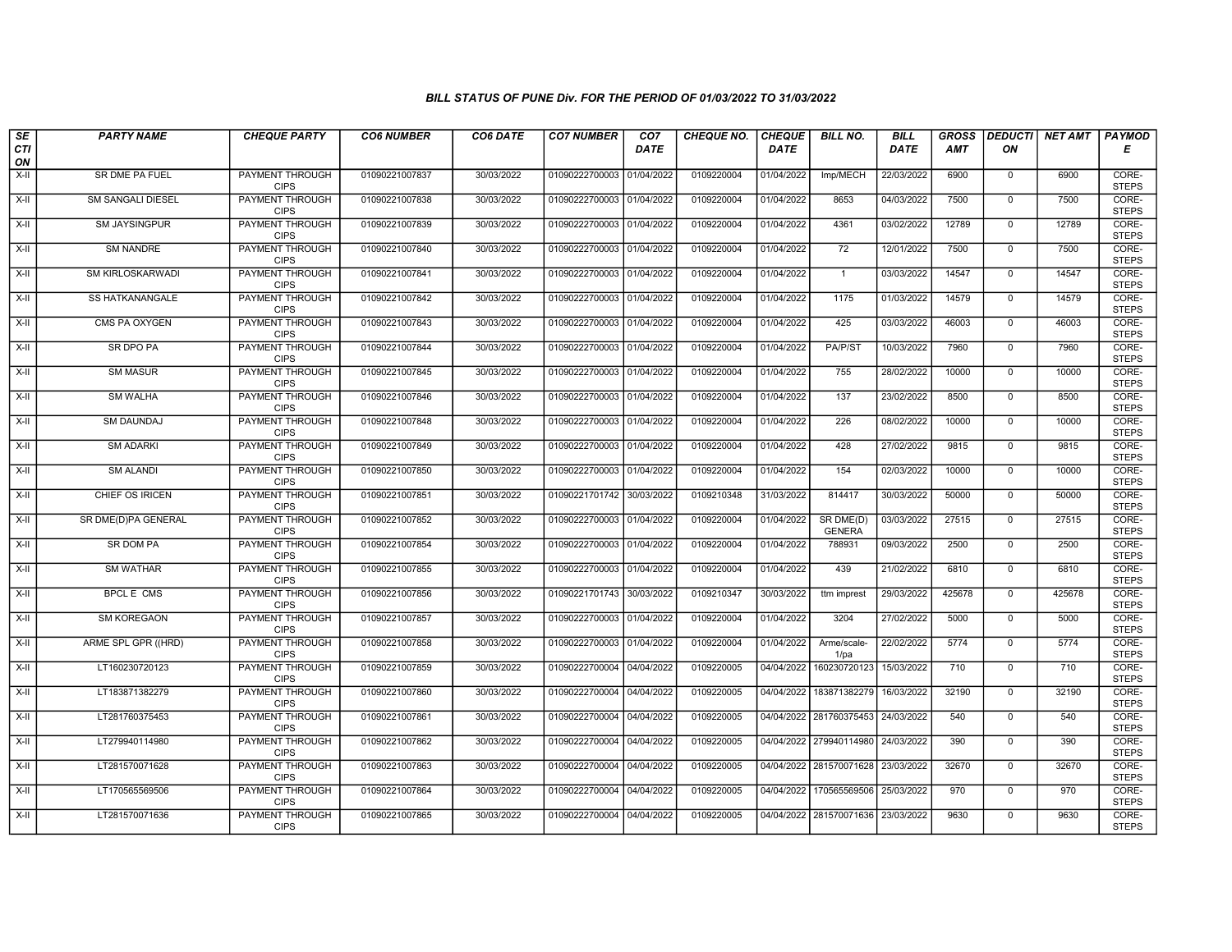| $s_E$            | <b>PARTY NAME</b>        | <b>CHEQUE PARTY</b>                   | <b>CO6 NUMBER</b> | CO6 DATE   | <b>CO7 NUMBER</b>         | CO <sub>7</sub> | <b>CHEQUE NO.</b> | <b>CHEQUE</b> | <b>BILL NO.</b>            | <b>BILL</b> | <b>GROSS</b> |                | DEDUCTI  NET AMT | <b>PAYMOD</b>         |
|------------------|--------------------------|---------------------------------------|-------------------|------------|---------------------------|-----------------|-------------------|---------------|----------------------------|-------------|--------------|----------------|------------------|-----------------------|
| <b>CTI</b><br>ON |                          |                                       |                   |            |                           | <b>DATE</b>     |                   | DATE          |                            | <b>DATE</b> | <b>AMT</b>   | ON             |                  | Е                     |
| $X-H$            | SR DME PA FUEL           | <b>PAYMENT THROUGH</b><br><b>CIPS</b> | 01090221007837    | 30/03/2022 | 01090222700003 01/04/2022 |                 | 0109220004        | 01/04/2022    | Imp/MECH                   | 22/03/2022  | 6900         | $\mathbf 0$    | 6900             | CORE-<br><b>STEPS</b> |
| $X-H$            | <b>SM SANGALI DIESEL</b> | <b>PAYMENT THROUGH</b><br><b>CIPS</b> | 01090221007838    | 30/03/2022 | 01090222700003 01/04/2022 |                 | 0109220004        | 01/04/2022    | 8653                       | 04/03/2022  | 7500         | $\mathbf 0$    | 7500             | CORE-<br><b>STEPS</b> |
| $X-II$           | SM JAYSINGPUR            | PAYMENT THROUGH<br><b>CIPS</b>        | 01090221007839    | 30/03/2022 | 01090222700003 01/04/2022 |                 | 0109220004        | 01/04/2022    | 4361                       | 03/02/2022  | 12789        | $\mathbf 0$    | 12789            | CORE-<br><b>STEPS</b> |
| $X-H$            | <b>SM NANDRE</b>         | <b>PAYMENT THROUGH</b><br><b>CIPS</b> | 01090221007840    | 30/03/2022 | 01090222700003 01/04/2022 |                 | 0109220004        | 01/04/2022    | 72                         | 12/01/2022  | 7500         | $\overline{0}$ | 7500             | CORE-<br><b>STEPS</b> |
| $X-H$            | SM KIRLOSKARWADI         | <b>PAYMENT THROUGH</b><br><b>CIPS</b> | 01090221007841    | 30/03/2022 | 01090222700003 01/04/2022 |                 | 0109220004        | 01/04/2022    | $\mathbf{1}$               | 03/03/2022  | 14547        | $\mathbf{0}$   | 14547            | CORE-<br><b>STEPS</b> |
| $X-II$           | <b>SS HATKANANGALE</b>   | <b>PAYMENT THROUGH</b><br><b>CIPS</b> | 01090221007842    | 30/03/2022 | 01090222700003 01/04/2022 |                 | 0109220004        | 01/04/2022    | 1175                       | 01/03/2022  | 14579        | $\mathbf{0}$   | 14579            | CORE-<br><b>STEPS</b> |
| X-II             | CMS PA OXYGEN            | PAYMENT THROUGH<br><b>CIPS</b>        | 01090221007843    | 30/03/2022 | 01090222700003            | 01/04/2022      | 0109220004        | 01/04/2022    | 425                        | 03/03/2022  | 46003        | $\mathbf 0$    | 46003            | CORE-<br><b>STEPS</b> |
| $X-H$            | SR DPO PA                | <b>PAYMENT THROUGH</b><br><b>CIPS</b> | 01090221007844    | 30/03/2022 | 01090222700003            | 01/04/2022      | 0109220004        | 01/04/2022    | PA/P/ST                    | 10/03/2022  | 7960         | $\mathbf 0$    | 7960             | CORE-<br><b>STEPS</b> |
| $X-H$            | <b>SM MASUR</b>          | <b>PAYMENT THROUGH</b><br><b>CIPS</b> | 01090221007845    | 30/03/2022 | 01090222700003 01/04/2022 |                 | 0109220004        | 01/04/2022    | 755                        | 28/02/2022  | 10000        | $\overline{0}$ | 10000            | CORE-<br><b>STEPS</b> |
| $X-H$            | <b>SM WALHA</b>          | <b>PAYMENT THROUGH</b><br><b>CIPS</b> | 01090221007846    | 30/03/2022 | 01090222700003 01/04/2022 |                 | 0109220004        | 01/04/2022    | 137                        | 23/02/2022  | 8500         | $\mathbf 0$    | 8500             | CORE-<br><b>STEPS</b> |
| $X-II$           | <b>SM DAUNDAJ</b>        | PAYMENT THROUGH<br><b>CIPS</b>        | 01090221007848    | 30/03/2022 | 01090222700003 01/04/2022 |                 | 0109220004        | 01/04/2022    | 226                        | 08/02/2022  | 10000        | $\mathbf 0$    | 10000            | CORE-<br><b>STEPS</b> |
| X-II             | <b>SM ADARKI</b>         | PAYMENT THROUGH<br><b>CIPS</b>        | 01090221007849    | 30/03/2022 | 01090222700003 01/04/2022 |                 | 0109220004        | 01/04/2022    | 428                        | 27/02/2022  | 9815         | $\mathbf 0$    | 9815             | CORE-<br><b>STEPS</b> |
| X-II             | <b>SM ALANDI</b>         | <b>PAYMENT THROUGH</b><br><b>CIPS</b> | 01090221007850    | 30/03/2022 | 01090222700003            | 01/04/2022      | 0109220004        | 01/04/2022    | 154                        | 02/03/2022  | 10000        | $\mathbf 0$    | 10000            | CORE-<br><b>STEPS</b> |
| $X-H$            | CHIEF OS IRICEN          | <b>PAYMENT THROUGH</b><br><b>CIPS</b> | 01090221007851    | 30/03/2022 | 01090221701742 30/03/2022 |                 | 0109210348        | 31/03/2022    | 814417                     | 30/03/2022  | 50000        | $\overline{0}$ | 50000            | CORE-<br><b>STEPS</b> |
| X-II             | SR DME(D)PA GENERAL      | PAYMENT THROUGH<br><b>CIPS</b>        | 01090221007852    | 30/03/2022 | 01090222700003 01/04/2022 |                 | 0109220004        | 01/04/2022    | SR DME(D)<br><b>GENERA</b> | 03/03/2022  | 27515        | $\mathbf{0}$   | 27515            | CORE-<br><b>STEPS</b> |
| $X-II$           | <b>SR DOM PA</b>         | <b>PAYMENT THROUGH</b><br><b>CIPS</b> | 01090221007854    | 30/03/2022 | 01090222700003 01/04/2022 |                 | 0109220004        | 01/04/2022    | 788931                     | 09/03/2022  | 2500         | $\mathbf 0$    | 2500             | CORE-<br><b>STEPS</b> |
| X-II             | <b>SM WATHAR</b>         | PAYMENT THROUGH<br><b>CIPS</b>        | 01090221007855    | 30/03/2022 | 01090222700003 01/04/2022 |                 | 0109220004        | 01/04/2022    | 439                        | 21/02/2022  | 6810         | $\mathbf 0$    | 6810             | CORE-<br><b>STEPS</b> |
| $X-II$           | <b>BPCL E CMS</b>        | <b>PAYMENT THROUGH</b><br><b>CIPS</b> | 01090221007856    | 30/03/2022 | 01090221701743 30/03/2022 |                 | 0109210347        | 30/03/2022    | ttm imprest                | 29/03/2022  | 425678       | $\mathbf 0$    | 425678           | CORE-<br><b>STEPS</b> |
| $X-II$           | <b>SM KOREGAON</b>       | PAYMENT THROUGH<br><b>CIPS</b>        | 01090221007857    | 30/03/2022 | 01090222700003 01/04/2022 |                 | 0109220004        | 01/04/2022    | 3204                       | 27/02/2022  | 5000         | $\Omega$       | 5000             | CORE-<br><b>STEPS</b> |
| X-II             | ARME SPL GPR ((HRD)      | PAYMENT THROUGH<br><b>CIPS</b>        | 01090221007858    | 30/03/2022 | 01090222700003 01/04/2022 |                 | 0109220004        | 01/04/2022    | Arme/scale-<br>$1$ /pa     | 22/02/2022  | 5774         | $\overline{0}$ | 5774             | CORE-<br><b>STEPS</b> |
| $X-H$            | LT160230720123           | PAYMENT THROUGH<br><b>CIPS</b>        | 01090221007859    | 30/03/2022 | 01090222700004 04/04/2022 |                 | 0109220005        | 04/04/2022    | 160230720123               | 15/03/2022  | 710          | $\overline{0}$ | 710              | CORE-<br><b>STEPS</b> |
| X-II             | LT183871382279           | <b>PAYMENT THROUGH</b><br><b>CIPS</b> | 01090221007860    | 30/03/2022 | 01090222700004 04/04/2022 |                 | 0109220005        | 04/04/2022    | 183871382279               | 16/03/2022  | 32190        | $\mathbf 0$    | 32190            | CORE-<br><b>STEPS</b> |
| X-II             | LT281760375453           | PAYMENT THROUGH<br><b>CIPS</b>        | 01090221007861    | 30/03/2022 | 01090222700004            | 04/04/2022      | 0109220005        |               | 04/04/2022 281760375453    | 24/03/2022  | 540          | $\mathbf 0$    | 540              | CORE-<br><b>STEPS</b> |
| $X-II$           | LT279940114980           | PAYMENT THROUGH<br><b>CIPS</b>        | 01090221007862    | 30/03/2022 | 01090222700004            | 04/04/2022      | 0109220005        |               | 04/04/2022 279940114980    | 24/03/2022  | 390          | $\mathbf{0}$   | 390              | CORE-<br><b>STEPS</b> |
| X-II             | LT281570071628           | PAYMENT THROUGH<br><b>CIPS</b>        | 01090221007863    | 30/03/2022 | 01090222700004 04/04/2022 |                 | 0109220005        | 04/04/2022    | 281570071628               | 23/03/2022  | 32670        | $\mathbf 0$    | 32670            | CORE-<br><b>STEPS</b> |
| $X-H$            | LT170565569506           | PAYMENT THROUGH<br><b>CIPS</b>        | 01090221007864    | 30/03/2022 | 01090222700004 04/04/2022 |                 | 0109220005        | 04/04/2022    | 170565569506               | 25/03/2022  | 970          | $\mathbf 0$    | 970              | CORE-<br><b>STEPS</b> |
| X-II             | LT281570071636           | <b>PAYMENT THROUGH</b><br><b>CIPS</b> | 01090221007865    | 30/03/2022 | 01090222700004 04/04/2022 |                 | 0109220005        |               | 04/04/2022 281570071636    | 23/03/2022  | 9630         | $\mathbf 0$    | 9630             | CORE-<br><b>STEPS</b> |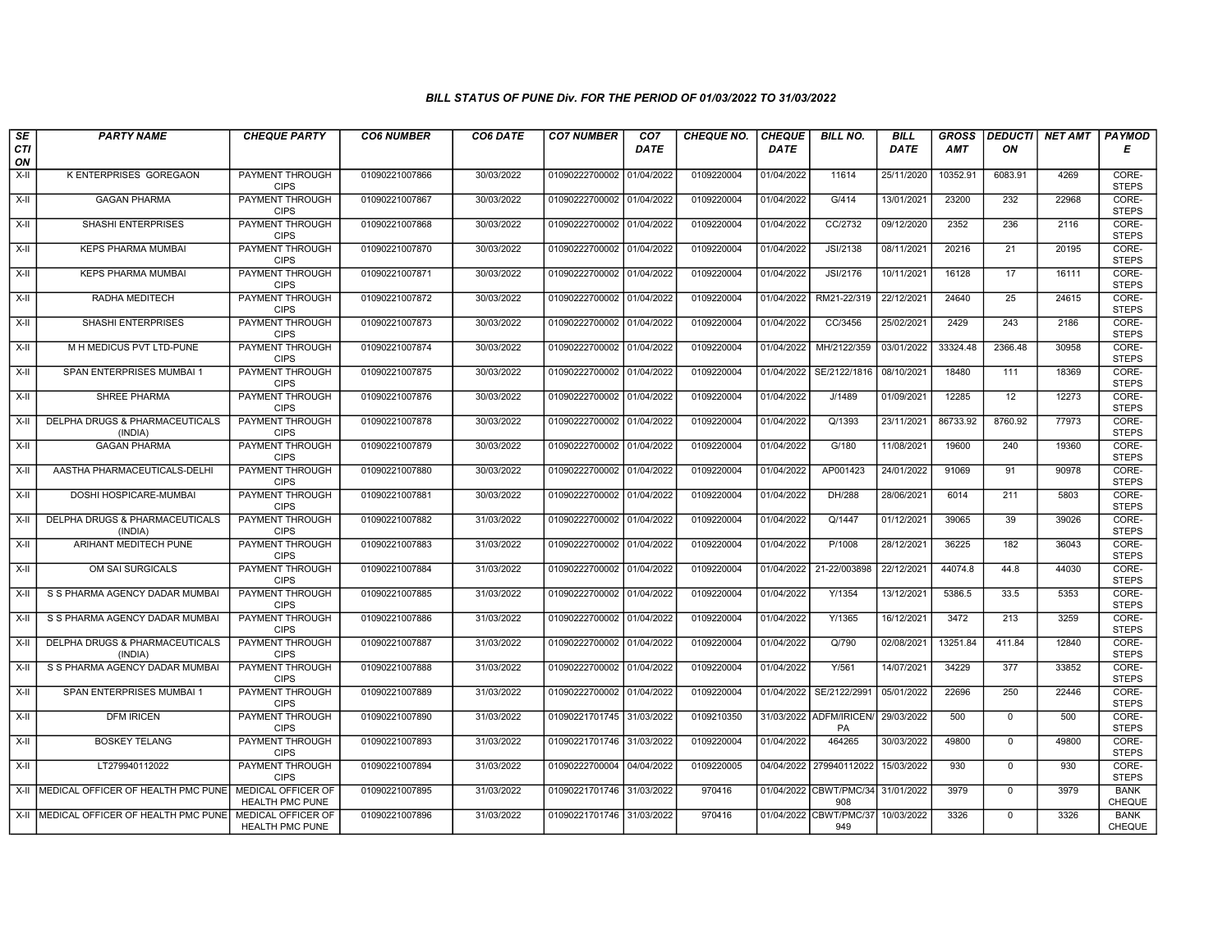| SE<br><b>CTI</b>   | <b>PARTY NAME</b>                         | <b>CHEQUE PARTY</b>                                 | <b>CO6 NUMBER</b> | CO6 DATE   | <b>CO7 NUMBER</b>         | CO <sub>7</sub><br><b>DATE</b> | <b>CHEQUE NO.</b> | <b>CHEQUE</b><br><b>DATE</b> | <b>BILL NO.</b>                          | <b>BILL</b><br><b>DATE</b> | <b>GROSS</b><br><b>AMT</b> | ON          | <b>DEDUCTI NET AMT</b> | <b>PAYMOD</b><br>Е           |
|--------------------|-------------------------------------------|-----------------------------------------------------|-------------------|------------|---------------------------|--------------------------------|-------------------|------------------------------|------------------------------------------|----------------------------|----------------------------|-------------|------------------------|------------------------------|
| ON                 |                                           |                                                     |                   |            |                           |                                |                   |                              |                                          |                            |                            |             |                        |                              |
| $X-H$              | <b>K ENTERPRISES GOREGAON</b>             | <b>PAYMENT THROUGH</b><br><b>CIPS</b>               | 01090221007866    | 30/03/2022 | 01090222700002 01/04/2022 |                                | 0109220004        | 01/04/2022                   | 11614                                    | 25/11/2020                 | 10352.91                   | 6083.91     | 4269                   | CORE-<br><b>STEPS</b>        |
| $X-H$              | <b>GAGAN PHARMA</b>                       | <b>PAYMENT THROUGH</b><br><b>CIPS</b>               | 01090221007867    | 30/03/2022 | 01090222700002 01/04/2022 |                                | 0109220004        | 01/04/2022                   | G/414                                    | 13/01/2021                 | 23200                      | 232         | 22968                  | CORE-<br><b>STEPS</b>        |
| X-II               | SHASHI ENTERPRISES                        | PAYMENT THROUGH<br><b>CIPS</b>                      | 01090221007868    | 30/03/2022 | 01090222700002 01/04/2022 |                                | 0109220004        | 01/04/2022                   | CC/2732                                  | 09/12/2020                 | 2352                       | 236         | 2116                   | CORE-<br><b>STEPS</b>        |
| X-II               | <b>KEPS PHARMA MUMBAI</b>                 | PAYMENT THROUGH<br><b>CIPS</b>                      | 01090221007870    | 30/03/2022 | 01090222700002 01/04/2022 |                                | 0109220004        | 01/04/2022                   | <b>JSI/2138</b>                          | 08/11/2021                 | 20216                      | 21          | 20195                  | CORE-<br><b>STEPS</b>        |
| $X-H$              | <b>KEPS PHARMA MUMBAI</b>                 | <b>PAYMENT THROUGH</b><br><b>CIPS</b>               | 01090221007871    | 30/03/2022 | 01090222700002 01/04/2022 |                                | 0109220004        | 01/04/2022                   | <b>JSI/2176</b>                          | 10/11/2021                 | 16128                      | 17          | 16111                  | CORE-<br><b>STEPS</b>        |
| X-II               | RADHA MEDITECH                            | <b>PAYMENT THROUGH</b><br><b>CIPS</b>               | 01090221007872    | 30/03/2022 | 01090222700002 01/04/2022 |                                | 0109220004        | 01/04/2022                   | RM21-22/319                              | 22/12/2021                 | 24640                      | 25          | 24615                  | CORE-<br><b>STEPS</b>        |
| X-II               | SHASHI ENTERPRISES                        | PAYMENT THROUGH<br><b>CIPS</b>                      | 01090221007873    | 30/03/2022 | 01090222700002 01/04/2022 |                                | 0109220004        | 01/04/2022                   | CC/3456                                  | 25/02/2021                 | 2429                       | 243         | 2186                   | CORE-<br><b>STEPS</b>        |
| $X-H$              | M H MEDICUS PVT LTD-PUNE                  | <b>PAYMENT THROUGH</b><br><b>CIPS</b>               | 01090221007874    | 30/03/2022 | 01090222700002 01/04/2022 |                                | 0109220004        | 01/04/2022                   | MH/2122/359                              | 03/01/2022                 | 33324.48                   | 2366.48     | 30958                  | CORE-<br><b>STEPS</b>        |
| X-II               | SPAN ENTERPRISES MUMBAI 1                 | <b>PAYMENT THROUGH</b><br><b>CIPS</b>               | 01090221007875    | 30/03/2022 | 01090222700002 01/04/2022 |                                | 0109220004        | 01/04/2022                   | SE/2122/1816                             | 08/10/2021                 | 18480                      | 111         | 18369                  | CORE-<br><b>STEPS</b>        |
| $\overline{X}$ -II | <b>SHREE PHARMA</b>                       | <b>PAYMENT THROUGH</b><br><b>CIPS</b>               | 01090221007876    | 30/03/2022 | 01090222700002 01/04/2022 |                                | 0109220004        | 01/04/2022                   | J/1489                                   | 01/09/2021                 | 12285                      | 12          | 12273                  | CORE-<br><b>STEPS</b>        |
| X-II               | DELPHA DRUGS & PHARMACEUTICALS<br>(INDIA) | PAYMENT THROUGH<br><b>CIPS</b>                      | 01090221007878    | 30/03/2022 | 01090222700002 01/04/2022 |                                | 0109220004        | 01/04/2022                   | Q/1393                                   | 23/11/2021                 | 86733.92                   | 8760.92     | 77973                  | CORE-<br><b>STEPS</b>        |
| X-II               | <b>GAGAN PHARMA</b>                       | <b>PAYMENT THROUGH</b><br><b>CIPS</b>               | 01090221007879    | 30/03/2022 | 01090222700002 01/04/2022 |                                | 0109220004        | 01/04/2022                   | G/180                                    | 11/08/2021                 | 19600                      | 240         | 19360                  | CORE-<br><b>STEPS</b>        |
| X-II               | AASTHA PHARMACEUTICALS-DELHI              | <b>PAYMENT THROUGH</b><br><b>CIPS</b>               | 01090221007880    | 30/03/2022 | 01090222700002 01/04/2022 |                                | 0109220004        | 01/04/2022                   | AP001423                                 | 24/01/2022                 | 91069                      | 91          | 90978                  | CORE-<br><b>STEPS</b>        |
| $X-H$              | DOSHI HOSPICARE-MUMBAI                    | <b>PAYMENT THROUGH</b><br><b>CIPS</b>               | 01090221007881    | 30/03/2022 | 01090222700002 01/04/2022 |                                | 0109220004        | 01/04/2022                   | DH/288                                   | 28/06/2021                 | 6014                       | 211         | 5803                   | CORE-<br><b>STEPS</b>        |
| X-II               | DELPHA DRUGS & PHARMACEUTICALS<br>(INDIA) | <b>PAYMENT THROUGH</b><br><b>CIPS</b>               | 01090221007882    | 31/03/2022 | 01090222700002 01/04/2022 |                                | 0109220004        | 01/04/2022                   | Q/1447                                   | 01/12/2021                 | 39065                      | 39          | 39026                  | CORE-<br><b>STEPS</b>        |
| X-II               | ARIHANT MEDITECH PUNE                     | PAYMENT THROUGH<br><b>CIPS</b>                      | 01090221007883    | 31/03/2022 | 01090222700002 01/04/2022 |                                | 0109220004        | 01/04/2022                   | P/1008                                   | 28/12/2021                 | 36225                      | 182         | 36043                  | CORE-<br><b>STEPS</b>        |
| X-II               | OM SAI SURGICALS                          | PAYMENT THROUGH<br><b>CIPS</b>                      | 01090221007884    | 31/03/2022 | 01090222700002 01/04/2022 |                                | 0109220004        | 01/04/2022                   | 21-22/003898                             | 22/12/2021                 | 44074.8                    | 44.8        | 44030                  | CORE-<br><b>STEPS</b>        |
| X-II               | S S PHARMA AGENCY DADAR MUMBAI            | <b>PAYMENT THROUGH</b><br><b>CIPS</b>               | 01090221007885    | 31/03/2022 | 01090222700002            | 01/04/2022                     | 0109220004        | 01/04/2022                   | Y/1354                                   | 13/12/2021                 | 5386.5                     | 33.5        | 5353                   | CORE-<br><b>STEPS</b>        |
| X-II               | S S PHARMA AGENCY DADAR MUMBAI            | PAYMENT THROUGH<br><b>CIPS</b>                      | 01090221007886    | 31/03/2022 | 01090222700002 01/04/2022 |                                | 0109220004        | 01/04/2022                   | Y/1365                                   | 16/12/2021                 | 3472                       | 213         | 3259                   | CORE-<br><b>STEPS</b>        |
| $X-H$              | DELPHA DRUGS & PHARMACEUTICALS<br>(INDIA) | PAYMENT THROUGH<br><b>CIPS</b>                      | 01090221007887    | 31/03/2022 | 01090222700002 01/04/2022 |                                | 0109220004        | 01/04/2022                   | Q/790                                    | 02/08/2021                 | 13251.84                   | 411.84      | 12840                  | CORE-<br><b>STEPS</b>        |
| X-II               | S S PHARMA AGENCY DADAR MUMBAI            | PAYMENT THROUGH<br><b>CIPS</b>                      | 01090221007888    | 31/03/2022 | 01090222700002 01/04/2022 |                                | 0109220004        | 01/04/2022                   | Y/561                                    | 14/07/2021                 | 34229                      | 377         | 33852                  | CORE-<br><b>STEPS</b>        |
| X-II               | SPAN ENTERPRISES MUMBAI 1                 | PAYMENT THROUGH<br><b>CIPS</b>                      | 01090221007889    | 31/03/2022 | 01090222700002 01/04/2022 |                                | 0109220004        | 01/04/2022                   | SE/2122/2991                             | 05/01/2022                 | 22696                      | 250         | 22446                  | CORE-<br><b>STEPS</b>        |
| X-II               | <b>DFM IRICEN</b>                         | PAYMENT THROUGH<br><b>CIPS</b>                      | 01090221007890    | 31/03/2022 | 01090221701745 31/03/2022 |                                | 0109210350        |                              | 31/03/2022 ADFM/IRICEN/<br>PA            | 29/03/2022                 | 500                        | 0           | 500                    | CORE-<br><b>STEPS</b>        |
| $X-H$              | <b>BOSKEY TELANG</b>                      | PAYMENT THROUGH<br><b>CIPS</b>                      | 01090221007893    | 31/03/2022 | 01090221701746 31/03/2022 |                                | 0109220004        | 01/04/2022                   | 464265                                   | 30/03/2022                 | 49800                      | $\mathbf 0$ | 49800                  | CORE-<br><b>STEPS</b>        |
| $X-II$             | LT279940112022                            | PAYMENT THROUGH<br><b>CIPS</b>                      | 01090221007894    | 31/03/2022 | 01090222700004            | 04/04/2022                     | 0109220005        | 04/04/2022                   | 279940112022                             | 15/03/2022                 | 930                        | $\Omega$    | 930                    | CORE-<br><b>STEPS</b>        |
|                    | X-II MEDICAL OFFICER OF HEALTH PMC PUNE   | <b>MEDICAL OFFICER OF</b><br><b>HEALTH PMC PUNE</b> | 01090221007895    | 31/03/2022 | 01090221701746 31/03/2022 |                                | 970416            |                              | 01/04/2022 CBWT/PMC/34 31/01/2022<br>908 |                            | 3979                       | $\mathbf 0$ | 3979                   | <b>BANK</b><br>CHEQUE        |
|                    | X-II   MEDICAL OFFICER OF HEALTH PMC PUNE | MEDICAL OFFICER OF<br>HEALTH PMC PUNE               | 01090221007896    | 31/03/2022 | 01090221701746 31/03/2022 |                                | 970416            | 01/04/2022                   | CBWT/PMC/37<br>949                       | 10/03/2022                 | 3326                       | $\mathbf 0$ | 3326                   | <b>BANK</b><br><b>CHEQUE</b> |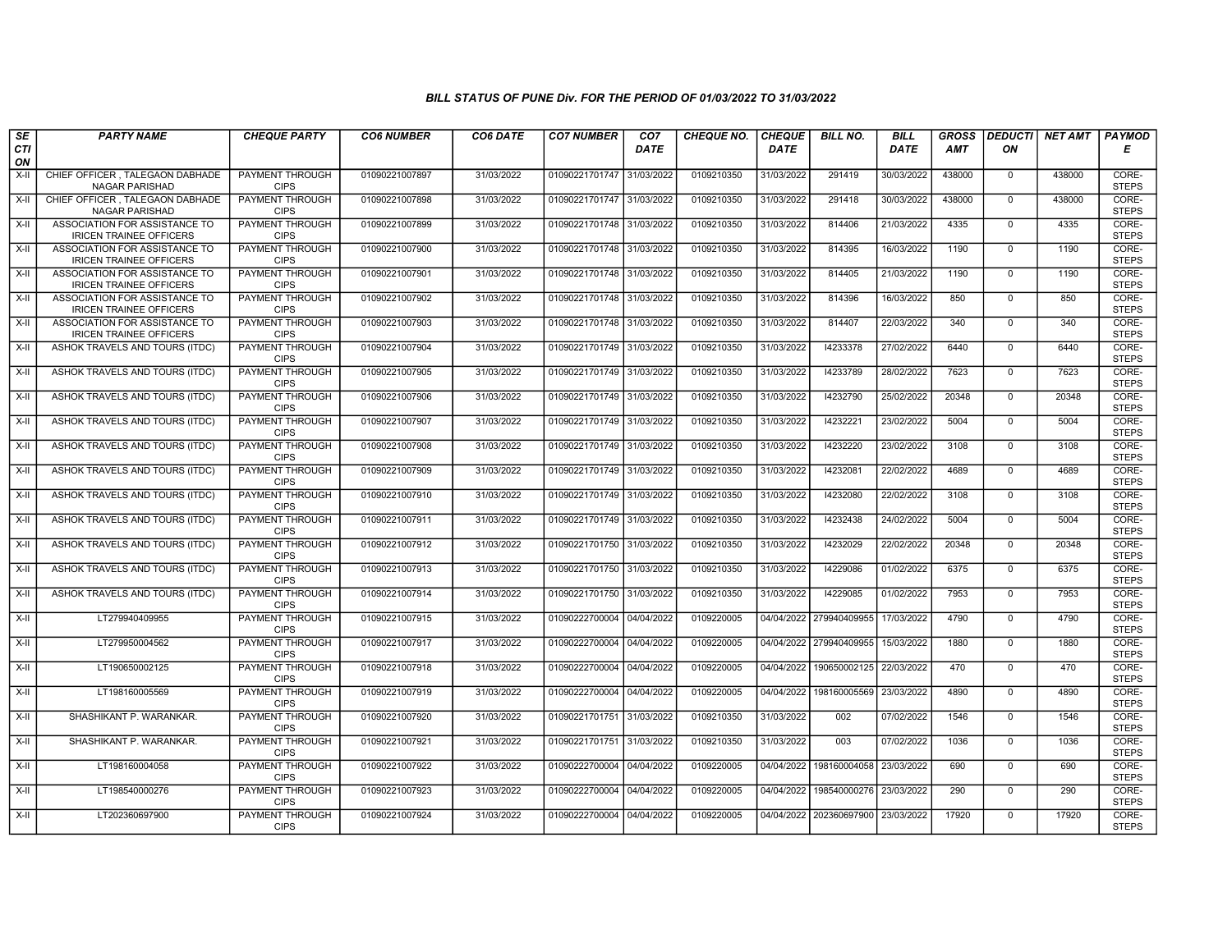| SE               | <b>PARTY NAME</b>                                               | <b>CHEQUE PARTY</b>                   | <b>CO6 NUMBER</b> | CO6 DATE   | <b>CO7 NUMBER</b>         | CO <sub>7</sub> | <b>CHEQUE NO.</b> | <b>CHEQUE</b> | <b>BILL NO.</b>         | <b>BILL</b> | <b>GROSS</b> |              | <b>DEDUCTI</b> NET AMT | <b>PAYMOD</b>         |
|------------------|-----------------------------------------------------------------|---------------------------------------|-------------------|------------|---------------------------|-----------------|-------------------|---------------|-------------------------|-------------|--------------|--------------|------------------------|-----------------------|
| <b>CTI</b><br>ON |                                                                 |                                       |                   |            |                           | <b>DATE</b>     |                   | <b>DATE</b>   |                         | <b>DATE</b> | <b>AMT</b>   | ON           |                        | Е                     |
| $X-H$            | CHIEF OFFICER, TALEGAON DABHADE<br><b>NAGAR PARISHAD</b>        | <b>PAYMENT THROUGH</b><br><b>CIPS</b> | 01090221007897    | 31/03/2022 | 01090221701747 31/03/2022 |                 | 0109210350        | 31/03/2022    | 291419                  | 30/03/2022  | 438000       | $\mathbf 0$  | 438000                 | CORE-<br><b>STEPS</b> |
| X-II             | CHIEF OFFICER . TALEGAON DABHADE<br><b>NAGAR PARISHAD</b>       | <b>PAYMENT THROUGH</b><br><b>CIPS</b> | 01090221007898    | 31/03/2022 | 01090221701747 31/03/2022 |                 | 0109210350        | 31/03/2022    | 291418                  | 30/03/2022  | 438000       | $\mathbf 0$  | 438000                 | CORE-<br><b>STEPS</b> |
| X-II             | ASSOCIATION FOR ASSISTANCE TO<br><b>IRICEN TRAINEE OFFICERS</b> | PAYMENT THROUGH<br><b>CIPS</b>        | 01090221007899    | 31/03/2022 | 01090221701748 31/03/2022 |                 | 0109210350        | 31/03/2022    | 814406                  | 21/03/2022  | 4335         | $\mathbf 0$  | 4335                   | CORE-<br><b>STEPS</b> |
| X-II             | ASSOCIATION FOR ASSISTANCE TO<br><b>IRICEN TRAINEE OFFICERS</b> | <b>PAYMENT THROUGH</b><br><b>CIPS</b> | 01090221007900    | 31/03/2022 | 01090221701748 31/03/2022 |                 | 0109210350        | 31/03/2022    | 814395                  | 16/03/2022  | 1190         | $^{\circ}$   | 1190                   | CORE-<br><b>STEPS</b> |
| X-II             | ASSOCIATION FOR ASSISTANCE TO<br><b>IRICEN TRAINEE OFFICERS</b> | <b>PAYMENT THROUGH</b><br><b>CIPS</b> | 01090221007901    | 31/03/2022 | 01090221701748 31/03/2022 |                 | 0109210350        | 31/03/2022    | 814405                  | 21/03/2022  | 1190         | $\mathbf 0$  | 1190                   | CORE-<br><b>STEPS</b> |
| $X-H$            | ASSOCIATION FOR ASSISTANCE TO<br><b>IRICEN TRAINEE OFFICERS</b> | <b>PAYMENT THROUGH</b><br><b>CIPS</b> | 01090221007902    | 31/03/2022 | 01090221701748 31/03/2022 |                 | 0109210350        | 31/03/2022    | 814396                  | 16/03/2022  | 850          | $\mathbf 0$  | 850                    | CORE-<br><b>STEPS</b> |
| X-II             | ASSOCIATION FOR ASSISTANCE TO<br><b>IRICEN TRAINEE OFFICERS</b> | <b>PAYMENT THROUGH</b><br><b>CIPS</b> | 01090221007903    | 31/03/2022 | 01090221701748 31/03/2022 |                 | 0109210350        | 31/03/2022    | 814407                  | 22/03/2022  | 340          | $\mathbf 0$  | 340                    | CORE-<br><b>STEPS</b> |
| $X-II$           | ASHOK TRAVELS AND TOURS (ITDC)                                  | <b>PAYMENT THROUGH</b><br><b>CIPS</b> | 01090221007904    | 31/03/2022 | 01090221701749 31/03/2022 |                 | 0109210350        | 31/03/2022    | 14233378                | 27/02/2022  | 6440         | $\mathbf 0$  | 6440                   | CORE-<br><b>STEPS</b> |
| X-II             | ASHOK TRAVELS AND TOURS (ITDC)                                  | PAYMENT THROUGH<br><b>CIPS</b>        | 01090221007905    | 31/03/2022 | 01090221701749 31/03/2022 |                 | 0109210350        | 31/03/2022    | 14233789                | 28/02/2022  | 7623         | $^{\circ}$   | 7623                   | CORE-<br><b>STEPS</b> |
| X-II             | ASHOK TRAVELS AND TOURS (ITDC)                                  | <b>PAYMENT THROUGH</b><br><b>CIPS</b> | 01090221007906    | 31/03/2022 | 01090221701749 31/03/2022 |                 | 0109210350        | 31/03/2022    | 14232790                | 25/02/2022  | 20348        | $\mathbf 0$  | 20348                  | CORE-<br><b>STEPS</b> |
| X-II             | ASHOK TRAVELS AND TOURS (ITDC)                                  | PAYMENT THROUGH<br><b>CIPS</b>        | 01090221007907    | 31/03/2022 | 01090221701749 31/03/2022 |                 | 0109210350        | 31/03/2022    | 14232221                | 23/02/2022  | 5004         | $\mathbf{0}$ | 5004                   | CORE-<br><b>STEPS</b> |
| X-II             | ASHOK TRAVELS AND TOURS (ITDC)                                  | <b>PAYMENT THROUGH</b><br><b>CIPS</b> | 01090221007908    | 31/03/2022 | 01090221701749 31/03/2022 |                 | 0109210350        | 31/03/2022    | 14232220                | 23/02/2022  | 3108         | $\Omega$     | 3108                   | CORE-<br><b>STEPS</b> |
| X-II             | ASHOK TRAVELS AND TOURS (ITDC)                                  | <b>PAYMENT THROUGH</b><br><b>CIPS</b> | 01090221007909    | 31/03/2022 | 01090221701749 31/03/2022 |                 | 0109210350        | 31/03/2022    | 14232081                | 22/02/2022  | 4689         | $\mathbf 0$  | 4689                   | CORE-<br><b>STEPS</b> |
| $X-H$            | ASHOK TRAVELS AND TOURS (ITDC)                                  | <b>PAYMENT THROUGH</b><br><b>CIPS</b> | 01090221007910    | 31/03/2022 | 01090221701749 31/03/2022 |                 | 0109210350        | 31/03/2022    | 14232080                | 22/02/2022  | 3108         | $\mathbf 0$  | 3108                   | CORE-<br><b>STEPS</b> |
| X-II             | ASHOK TRAVELS AND TOURS (ITDC)                                  | <b>PAYMENT THROUGH</b><br><b>CIPS</b> | 01090221007911    | 31/03/2022 | 01090221701749 31/03/2022 |                 | 0109210350        | 31/03/2022    | 14232438                | 24/02/2022  | 5004         | $\mathbf 0$  | 5004                   | CORE-<br><b>STEPS</b> |
| $X-II$           | ASHOK TRAVELS AND TOURS (ITDC)                                  | <b>PAYMENT THROUGH</b><br><b>CIPS</b> | 01090221007912    | 31/03/2022 | 01090221701750 31/03/2022 |                 | 0109210350        | 31/03/2022    | 14232029                | 22/02/2022  | 20348        | $\mathbf 0$  | 20348                  | CORE-<br><b>STEPS</b> |
| X-II             | ASHOK TRAVELS AND TOURS (ITDC)                                  | PAYMENT THROUGH<br><b>CIPS</b>        | 01090221007913    | 31/03/2022 | 01090221701750 31/03/2022 |                 | 0109210350        | 31/03/2022    | 14229086                | 01/02/2022  | 6375         | $\mathbf 0$  | 6375                   | CORE-<br><b>STEPS</b> |
| $X-H$            | ASHOK TRAVELS AND TOURS (ITDC)                                  | <b>PAYMENT THROUGH</b><br><b>CIPS</b> | 01090221007914    | 31/03/2022 | 01090221701750 31/03/2022 |                 | 0109210350        | 31/03/2022    | 14229085                | 01/02/2022  | 7953         | $\mathbf 0$  | 7953                   | CORE-<br><b>STEPS</b> |
| X-II             | LT279940409955                                                  | <b>PAYMENT THROUGH</b><br><b>CIPS</b> | 01090221007915    | 31/03/2022 | 01090222700004 04/04/2022 |                 | 0109220005        | 04/04/2022    | 279940409955            | 17/03/2022  | 4790         | $\mathbf{0}$ | 4790                   | CORE-<br><b>STEPS</b> |
| $X-H$            | LT279950004562                                                  | PAYMENT THROUGH<br><b>CIPS</b>        | 01090221007917    | 31/03/2022 | 01090222700004            | 04/04/2022      | 0109220005        | 04/04/2022    | 279940409955            | 15/03/2022  | 1880         | $\mathsf 0$  | 1880                   | CORE-<br><b>STEPS</b> |
| X-II             | LT190650002125                                                  | PAYMENT THROUGH<br><b>CIPS</b>        | 01090221007918    | 31/03/2022 | 01090222700004 04/04/2022 |                 | 0109220005        | 04/04/2022    | 190650002125            | 22/03/2022  | 470          | $\mathbf 0$  | 470                    | CORE-<br><b>STEPS</b> |
| X-II             | LT198160005569                                                  | <b>PAYMENT THROUGH</b><br><b>CIPS</b> | 01090221007919    | 31/03/2022 | 01090222700004 04/04/2022 |                 | 0109220005        |               | 04/04/2022 198160005569 | 23/03/2022  | 4890         | $\mathbf 0$  | 4890                   | CORE-<br><b>STEPS</b> |
| X-II             | SHASHIKANT P. WARANKAR.                                         | <b>PAYMENT THROUGH</b><br><b>CIPS</b> | 01090221007920    | 31/03/2022 | 01090221701751            | 31/03/2022      | 0109210350        | 31/03/2022    | 002                     | 07/02/2022  | 1546         | $\mathbf 0$  | 1546                   | CORE-<br><b>STEPS</b> |
| $X-H$            | SHASHIKANT P. WARANKAR.                                         | PAYMENT THROUGH<br><b>CIPS</b>        | 01090221007921    | 31/03/2022 | 01090221701751 31/03/2022 |                 | 0109210350        | 31/03/2022    | 003                     | 07/02/2022  | 1036         | $\mathbf{0}$ | 1036                   | CORE-<br><b>STEPS</b> |
| X-II             | LT198160004058                                                  | PAYMENT THROUGH<br><b>CIPS</b>        | 01090221007922    | 31/03/2022 | 01090222700004 04/04/2022 |                 | 0109220005        | 04/04/2022    | 198160004058            | 23/03/2022  | 690          | $\mathbf 0$  | 690                    | CORE-<br><b>STEPS</b> |
| X-II             | LT198540000276                                                  | <b>PAYMENT THROUGH</b><br><b>CIPS</b> | 01090221007923    | 31/03/2022 | 01090222700004 04/04/2022 |                 | 0109220005        | 04/04/2022    | 198540000276            | 23/03/2022  | 290          | $\mathbf 0$  | 290                    | CORE-<br><b>STEPS</b> |
| X-II             | LT202360697900                                                  | <b>PAYMENT THROUGH</b><br><b>CIPS</b> | 01090221007924    | 31/03/2022 | 01090222700004 04/04/2022 |                 | 0109220005        |               | 04/04/2022 202360697900 | 23/03/2022  | 17920        | $\mathbf 0$  | 17920                  | CORE-<br><b>STEPS</b> |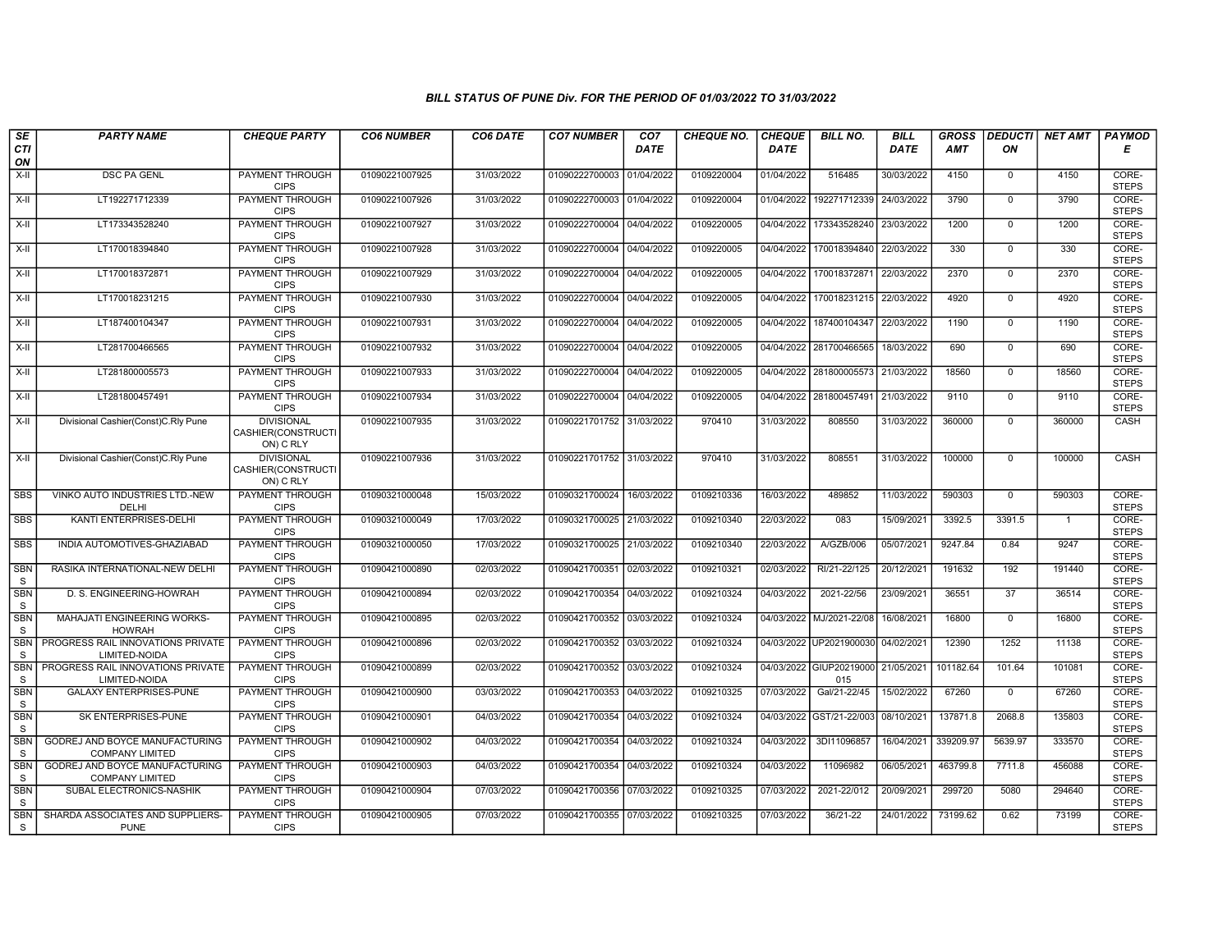| SE<br><b>CTI</b>           | <b>PARTY NAME</b>                                        | <b>CHEQUE PARTY</b>                                  | <b>CO6 NUMBER</b> | CO6 DATE   | <b>CO7 NUMBER</b>         | CO <sub>7</sub><br><b>DATE</b> | <b>CHEQUE NO.</b> | <b>CHEQUE</b><br><b>DATE</b> | <b>BILL NO.</b>                | <b>BILL</b><br><b>DATE</b> | <b>GROSS</b><br><b>AMT</b> | <b>DEDUCTI</b><br>ON | NET AMT        | <b>PAYMOD</b><br>Е    |
|----------------------------|----------------------------------------------------------|------------------------------------------------------|-------------------|------------|---------------------------|--------------------------------|-------------------|------------------------------|--------------------------------|----------------------------|----------------------------|----------------------|----------------|-----------------------|
| ON                         |                                                          |                                                      |                   |            |                           |                                |                   |                              |                                |                            |                            |                      |                |                       |
| X-II                       | <b>DSC PA GENL</b>                                       | PAYMENT THROUGH<br><b>CIPS</b>                       | 01090221007925    | 31/03/2022 | 01090222700003 01/04/2022 |                                | 0109220004        | 01/04/2022                   | 516485                         | 30/03/2022                 | 4150                       | $\mathbf 0$          | 4150           | CORE-<br><b>STEPS</b> |
| $X-H$                      | LT192271712339                                           | PAYMENT THROUGH<br><b>CIPS</b>                       | 01090221007926    | 31/03/2022 | 01090222700003 01/04/2022 |                                | 0109220004        | 01/04/2022                   | 192271712339                   | 24/03/2022                 | 3790                       | $\Omega$             | 3790           | CORE-<br><b>STEPS</b> |
| X-II                       | LT173343528240                                           | PAYMENT THROUGH<br><b>CIPS</b>                       | 01090221007927    | 31/03/2022 | 01090222700004            | 04/04/2022                     | 0109220005        | 04/04/2022                   | 173343528240                   | 23/03/2022                 | 1200                       | $\mathbf 0$          | 1200           | CORE-<br><b>STEPS</b> |
| $X-H$                      | LT170018394840                                           | PAYMENT THROUGH<br><b>CIPS</b>                       | 01090221007928    | 31/03/2022 | 01090222700004            | 04/04/2022                     | 0109220005        | 04/04/2022                   | 170018394840                   | 22/03/2022                 | 330                        | $\mathbf 0$          | 330            | CORE-<br><b>STEPS</b> |
| $X-H$                      | LT170018372871                                           | <b>PAYMENT THROUGH</b><br><b>CIPS</b>                | 01090221007929    | 31/03/2022 | 01090222700004            | 04/04/2022                     | 0109220005        | 04/04/2022                   | 170018372871                   | 22/03/2022                 | 2370                       | $\mathbf 0$          | 2370           | CORE-<br><b>STEPS</b> |
| $X-H$                      | LT170018231215                                           | <b>PAYMENT THROUGH</b><br><b>CIPS</b>                | 01090221007930    | 31/03/2022 | 01090222700004 04/04/2022 |                                | 0109220005        | 04/04/2022                   | 170018231215                   | 22/03/2022                 | 4920                       | $\mathbf 0$          | 4920           | CORE-<br><b>STEPS</b> |
| $X-II$                     | LT187400104347                                           | PAYMENT THROUGH<br><b>CIPS</b>                       | 01090221007931    | 31/03/2022 | 01090222700004 04/04/2022 |                                | 0109220005        | 04/04/2022                   | 187400104347                   | 22/03/2022                 | 1190                       | $\mathbf{0}$         | 1190           | CORE-<br><b>STEPS</b> |
| X-II                       | LT281700466565                                           | <b>PAYMENT THROUGH</b><br><b>CIPS</b>                | 01090221007932    | 31/03/2022 | 01090222700004 04/04/2022 |                                | 0109220005        |                              | 04/04/2022 281700466565        | 18/03/2022                 | 690                        | $\mathbf 0$          | 690            | CORE-<br><b>STEPS</b> |
| X-II                       | LT281800005573                                           | PAYMENT THROUGH<br><b>CIPS</b>                       | 01090221007933    | 31/03/2022 | 01090222700004            | 04/04/2022                     | 0109220005        |                              | 04/04/2022 281800005573        | 21/03/2022                 | 18560                      | $\mathbf 0$          | 18560          | CORE-<br><b>STEPS</b> |
| $X-H$                      | LT281800457491                                           | PAYMENT THROUGH<br><b>CIPS</b>                       | 01090221007934    | 31/03/2022 | 01090222700004 04/04/2022 |                                | 0109220005        |                              | 04/04/2022 281800457491        | 21/03/2022                 | 9110                       | $\mathbf 0$          | 9110           | CORE-<br><b>STEPS</b> |
| X-II                       | Divisional Cashier(Const)C.Rly Pune                      | <b>DIVISIONAL</b><br>CASHIER(CONSTRUCTI<br>ON) C RLY | 01090221007935    | 31/03/2022 | 01090221701752            | 31/03/2022                     | 970410            | 31/03/2022                   | 808550                         | 31/03/2022                 | 360000                     | $\mathbf 0$          | 360000         | CASH                  |
| $X-H$                      | Divisional Cashier(Const)C.Rly Pune                      | <b>DIVISIONAL</b><br>CASHIER(CONSTRUCTI<br>ON) C RLY | 01090221007936    | 31/03/2022 | 01090221701752 31/03/2022 |                                | 970410            | 31/03/2022                   | 808551                         | 31/03/2022                 | 100000                     | $\mathbf 0$          | 100000         | <b>CASH</b>           |
| <b>SBS</b>                 | VINKO AUTO INDUSTRIES LTD.-NEW<br>DELHI                  | PAYMENT THROUGH<br><b>CIPS</b>                       | 01090321000048    | 15/03/2022 | 01090321700024            | 16/03/2022                     | 0109210336        | 16/03/2022                   | 489852                         | 11/03/2022                 | 590303                     | $\mathbf 0$          | 590303         | CORE-<br><b>STEPS</b> |
| <b>SBS</b>                 | KANTI ENTERPRISES-DELHI                                  | <b>PAYMENT THROUGH</b><br><b>CIPS</b>                | 01090321000049    | 17/03/2022 | 01090321700025 21/03/2022 |                                | 0109210340        | 22/03/2022                   | 083                            | 15/09/2021                 | 3392.5                     | 3391.5               | $\overline{1}$ | CORE-<br><b>STEPS</b> |
| <b>SBS</b>                 | INDIA AUTOMOTIVES-GHAZIABAD                              | <b>PAYMENT THROUGH</b><br><b>CIPS</b>                | 01090321000050    | 17/03/2022 | 01090321700025 21/03/2022 |                                | 0109210340        | 22/03/2022                   | A/GZB/006                      | 05/07/2021                 | 9247.84                    | 0.84                 | 9247           | CORE-<br><b>STEPS</b> |
| SBN<br>S                   | RASIKA INTERNATIONAL-NEW DELHI                           | PAYMENT THROUGH<br><b>CIPS</b>                       | 01090421000890    | 02/03/2022 | 01090421700351 02/03/2022 |                                | 0109210321        | 02/03/2022                   | RI/21-22/125                   | 20/12/2021                 | 191632                     | 192                  | 191440         | CORE-<br><b>STEPS</b> |
| <b>SBN</b><br>S            | D. S. ENGINEERING-HOWRAH                                 | PAYMENT THROUGH<br><b>CIPS</b>                       | 01090421000894    | 02/03/2022 | 01090421700354            | 04/03/2022                     | 0109210324        | 04/03/2022                   | 2021-22/56                     | 23/09/2021                 | 36551                      | 37                   | 36514          | CORE-<br><b>STEPS</b> |
| <b>SBN</b><br>S            | MAHAJATI ENGINEERING WORKS-<br><b>HOWRAH</b>             | <b>PAYMENT THROUGH</b><br><b>CIPS</b>                | 01090421000895    | 02/03/2022 | 01090421700352 03/03/2022 |                                | 0109210324        |                              | 04/03/2022 MJ/2021-22/08       | 16/08/2021                 | 16800                      | $\mathbf 0$          | 16800          | CORE-<br><b>STEPS</b> |
| <b>SBN</b><br><sub>S</sub> | PROGRESS RAIL INNOVATIONS PRIVATE<br>LIMITED-NOIDA       | <b>PAYMENT THROUGH</b><br><b>CIPS</b>                | 01090421000896    | 02/03/2022 | 01090421700352 03/03/2022 |                                | 0109210324        |                              | 04/03/2022 UP2021900030        | 04/02/2021                 | 12390                      | 1252                 | 11138          | CORE-<br><b>STEPS</b> |
| <b>SBN</b><br>S            | PROGRESS RAIL INNOVATIONS PRIVATE<br>LIMITED-NOIDA       | PAYMENT THROUGH<br><b>CIPS</b>                       | 01090421000899    | 02/03/2022 | 01090421700352            | 03/03/2022                     | 0109210324        |                              | 04/03/2022 GIUP20219000<br>015 | 21/05/2021                 | 101182.64                  | 101.64               | 101081         | CORE-<br><b>STEPS</b> |
| <b>SBN</b><br>S            | <b>GALAXY ENTERPRISES-PUNE</b>                           | PAYMENT THROUGH<br><b>CIPS</b>                       | 01090421000900    | 03/03/2022 | 01090421700353 04/03/2022 |                                | 0109210325        | 07/03/2022                   | Gal/21-22/45                   | 15/02/2022                 | 67260                      | $\mathbf 0$          | 67260          | CORE-<br><b>STEPS</b> |
| <b>SBN</b><br>S            | SK ENTERPRISES-PUNE                                      | <b>PAYMENT THROUGH</b><br><b>CIPS</b>                | 01090421000901    | 04/03/2022 | 01090421700354            | 04/03/2022                     | 0109210324        | 04/03/2022                   | GST/21-22/003                  | 08/10/2021                 | 137871.8                   | 2068.8               | 135803         | CORE-<br><b>STEPS</b> |
| <b>SBN</b><br>S            | GODREJ AND BOYCE MANUFACTURING<br><b>COMPANY LIMITED</b> | <b>PAYMENT THROUGH</b><br><b>CIPS</b>                | 01090421000902    | 04/03/2022 | 01090421700354 04/03/2022 |                                | 0109210324        | 04/03/2022                   | 3DI11096857                    | 16/04/2021                 | 339209.97                  | 5639.97              | 333570         | CORE-<br><b>STEPS</b> |
| <b>SBN</b><br>S            | GODREJ AND BOYCE MANUFACTURING<br><b>COMPANY LIMITED</b> | PAYMENT THROUGH<br><b>CIPS</b>                       | 01090421000903    | 04/03/2022 | 01090421700354            | 04/03/2022                     | 0109210324        | 04/03/2022                   | 11096982                       | 06/05/2021                 | 463799.8                   | 7711.8               | 456088         | CORE-<br><b>STEPS</b> |
| <b>SBN</b><br>S            | SUBAL ELECTRONICS-NASHIK                                 | <b>PAYMENT THROUGH</b><br><b>CIPS</b>                | 01090421000904    | 07/03/2022 | 01090421700356 07/03/2022 |                                | 0109210325        | 07/03/2022                   | 2021-22/012                    | 20/09/2021                 | 299720                     | 5080                 | 294640         | CORE-<br><b>STEPS</b> |
| <b>SBN</b><br><sub>S</sub> | SHARDA ASSOCIATES AND SUPPLIERS-<br><b>PUNE</b>          | PAYMENT THROUGH<br><b>CIPS</b>                       | 01090421000905    | 07/03/2022 | 01090421700355 07/03/2022 |                                | 0109210325        | 07/03/2022                   | 36/21-22                       | 24/01/2022                 | 73199.62                   | 0.62                 | 73199          | CORE-<br><b>STEPS</b> |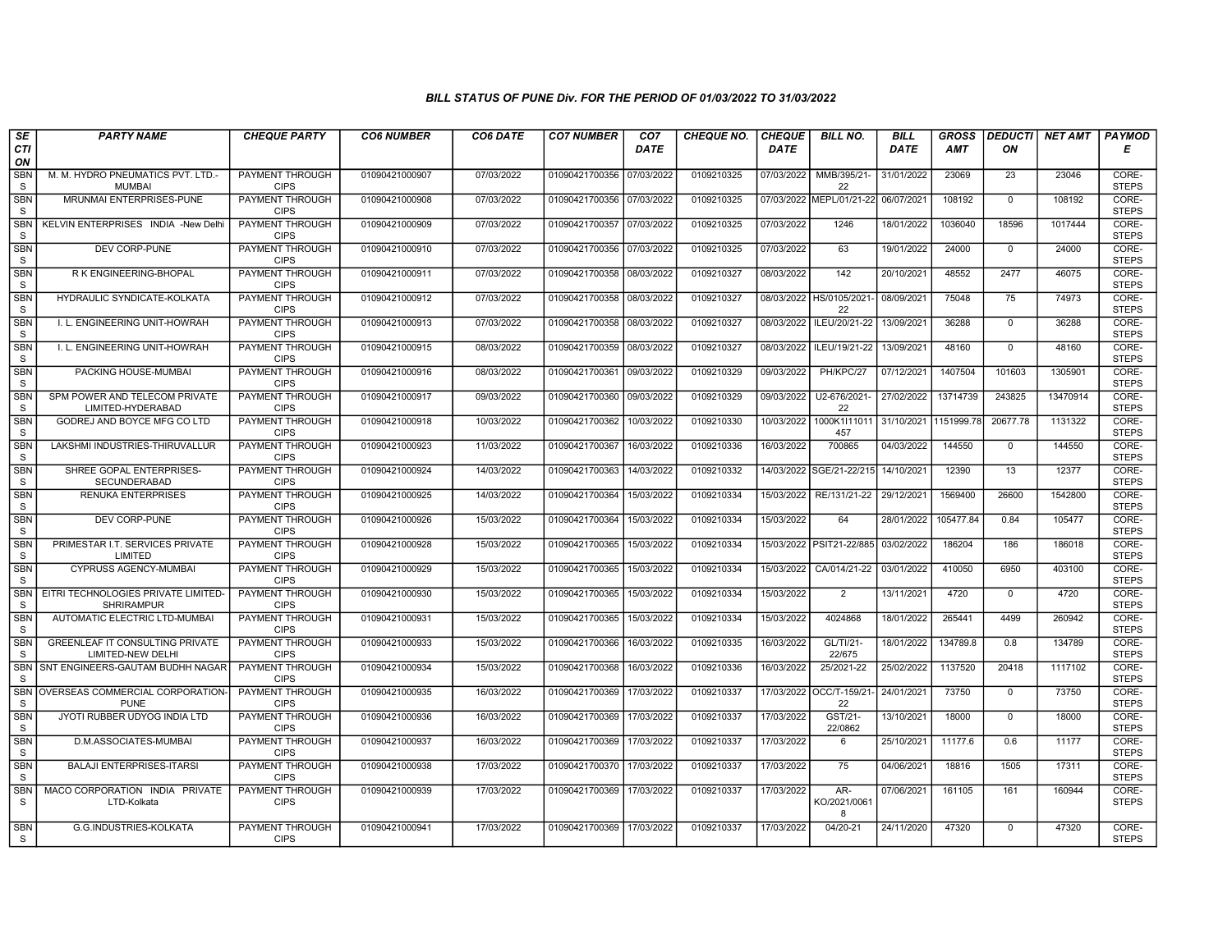| SE                         | <b>PARTY NAME</b>                                           | <b>CHEQUE PARTY</b>                   | <b>CO6 NUMBER</b> | CO6 DATE   | <b>CO7 NUMBER</b>         | CO <sub>7</sub> | <b>CHEQUE NO.</b> | <b>CHEQUE</b> | <b>BILL NO.</b>               | <b>BILL</b> | <b>GROSS</b> |                | <b>DEDUCTI NET AMT</b> | <b>PAYMOD</b>         |
|----------------------------|-------------------------------------------------------------|---------------------------------------|-------------------|------------|---------------------------|-----------------|-------------------|---------------|-------------------------------|-------------|--------------|----------------|------------------------|-----------------------|
| CTI<br>ON                  |                                                             |                                       |                   |            |                           | <b>DATE</b>     |                   | <b>DATE</b>   |                               | <b>DATE</b> | <b>AMT</b>   | ON             |                        | Е                     |
| <b>SBN</b><br>${\tt S}$    | M. M. HYDRO PNEUMATICS PVT. LTD.-<br><b>MUMBAI</b>          | PAYMENT THROUGH<br><b>CIPS</b>        | 01090421000907    | 07/03/2022 | 01090421700356            | 07/03/2022      | 0109210325        |               | 07/03/2022 MMB/395/21-<br>22  | 31/01/2022  | 23069        | 23             | 23046                  | CORE-<br><b>STEPS</b> |
| <b>SBN</b><br>S            | MRUNMAI ENTERPRISES-PUNE                                    | <b>PAYMENT THROUGH</b><br><b>CIPS</b> | 01090421000908    | 07/03/2022 | 01090421700356 07/03/2022 |                 | 0109210325        |               | 07/03/2022 MEPL/01/21-22      | 06/07/2021  | 108192       | $\Omega$       | 108192                 | CORE-<br><b>STEPS</b> |
| SBN<br>S                   | KELVIN ENTERPRISES INDIA -New Delhi                         | PAYMENT THROUGH<br><b>CIPS</b>        | 01090421000909    | 07/03/2022 | 01090421700357            | 07/03/2022      | 0109210325        | 07/03/2022    | 1246                          | 18/01/2022  | 1036040      | 18596          | 1017444                | CORE-<br><b>STEPS</b> |
| <b>SBN</b><br>S            | DEV CORP-PUNE                                               | PAYMENT THROUGH<br><b>CIPS</b>        | 01090421000910    | 07/03/2022 | 01090421700356            | 07/03/2022      | 0109210325        | 07/03/2022    | 63                            | 19/01/2022  | 24000        | $\overline{0}$ | 24000                  | CORE-<br><b>STEPS</b> |
| <b>SBN</b><br>S            | R K ENGINEERING-BHOPAL                                      | <b>PAYMENT THROUGH</b><br><b>CIPS</b> | 01090421000911    | 07/03/2022 | 01090421700358            | 08/03/2022      | 0109210327        | 08/03/2022    | 142                           | 20/10/2021  | 48552        | 2477           | 46075                  | CORE-<br><b>STEPS</b> |
| <b>SBN</b><br>S            | <b>HYDRAULIC SYNDICATE-KOLKATA</b>                          | PAYMENT THROUGH<br><b>CIPS</b>        | 01090421000912    | 07/03/2022 | 01090421700358            | 08/03/2022      | 0109210327        |               | 08/03/2022 HS/0105/2021<br>22 | 08/09/2021  | 75048        | 75             | 74973                  | CORE-<br><b>STEPS</b> |
| <b>SBN</b><br>S            | I. L. ENGINEERING UNIT-HOWRAH                               | PAYMENT THROUGH<br><b>CIPS</b>        | 01090421000913    | 07/03/2022 | 01090421700358            | 08/03/2022      | 0109210327        | 08/03/2022    | ILEU/20/21-22                 | 13/09/2021  | 36288        | $\mathbf 0$    | 36288                  | CORE-<br><b>STEPS</b> |
| <b>SBN</b><br>S            | I. L. ENGINEERING UNIT-HOWRAH                               | <b>PAYMENT THROUGH</b><br><b>CIPS</b> | 01090421000915    | 08/03/2022 | 01090421700359            | 08/03/2022      | 0109210327        | 08/03/2022    | ILEU/19/21-22                 | 13/09/2021  | 48160        | $\overline{0}$ | 48160                  | CORE-<br><b>STEPS</b> |
| <b>SBN</b><br>S            | PACKING HOUSE-MUMBAI                                        | <b>PAYMENT THROUGH</b><br><b>CIPS</b> | 01090421000916    | 08/03/2022 | 01090421700361            | 09/03/2022      | 0109210329        | 09/03/2022    | PH/KPC/27                     | 07/12/2021  | 1407504      | 101603         | 1305901                | CORE-<br><b>STEPS</b> |
| SBN<br>$\mathsf S$         | SPM POWER AND TELECOM PRIVATE<br>LIMITED-HYDERABAD          | <b>PAYMENT THROUGH</b><br><b>CIPS</b> | 01090421000917    | 09/03/2022 | 01090421700360 09/03/2022 |                 | 0109210329        | 09/03/2022    | U2-676/2021-<br>22            | 27/02/2022  | 13714739     | 243825         | 13470914               | CORE-<br><b>STEPS</b> |
| SBN<br>S                   | GODREJ AND BOYCE MFG CO LTD                                 | <b>PAYMENT THROUGH</b><br><b>CIPS</b> | 01090421000918    | 10/03/2022 | 01090421700362            | 10/03/2022      | 0109210330        | 10/03/2022    | 1000K1I11011<br>457           | 31/10/2021  | 1151999.78   | 20677.78       | 1131322                | CORE-<br><b>STEPS</b> |
| <b>SBN</b><br>S            | LAKSHMI INDUSTRIES-THIRUVALLUR                              | PAYMENT THROUGH<br><b>CIPS</b>        | 01090421000923    | 11/03/2022 | 01090421700367            | 16/03/2022      | 0109210336        | 16/03/2022    | 700865                        | 04/03/2022  | 144550       | $\mathbf{0}$   | 144550                 | CORE-<br><b>STEPS</b> |
| <b>SBN</b><br>S            | SHREE GOPAL ENTERPRISES-<br><b>SECUNDERABAD</b>             | <b>PAYMENT THROUGH</b><br><b>CIPS</b> | 01090421000924    | 14/03/2022 | 01090421700363            | 14/03/2022      | 0109210332        |               | 14/03/2022 SGE/21-22/215      | 14/10/2021  | 12390        | 13             | 12377                  | CORE-<br><b>STEPS</b> |
| <b>SBN</b><br>S            | <b>RENUKA ENTERPRISES</b>                                   | <b>PAYMENT THROUGH</b><br><b>CIPS</b> | 01090421000925    | 14/03/2022 | 01090421700364            | 15/03/2022      | 0109210334        | 15/03/2022    | RE/131/21-22                  | 29/12/2021  | 1569400      | 26600          | 1542800                | CORE-<br><b>STEPS</b> |
| <b>SBN</b><br>S            | DEV CORP-PUNE                                               | PAYMENT THROUGH<br><b>CIPS</b>        | 01090421000926    | 15/03/2022 | 01090421700364            | 15/03/2022      | 0109210334        | 15/03/2022    | 64                            | 28/01/2022  | 105477.84    | 0.84           | 105477                 | CORE-<br><b>STEPS</b> |
| <b>SBN</b><br>S            | PRIMESTAR I.T. SERVICES PRIVATE<br>LIMITED                  | <b>PAYMENT THROUGH</b><br><b>CIPS</b> | 01090421000928    | 15/03/2022 | 01090421700365            | 15/03/2022      | 0109210334        |               | 15/03/2022 PSIT21-22/885      | 03/02/2022  | 186204       | 186            | 186018                 | CORE-<br><b>STEPS</b> |
| <b>SBN</b><br><sub>S</sub> | <b>CYPRUSS AGENCY-MUMBAI</b>                                | <b>PAYMENT THROUGH</b><br><b>CIPS</b> | 01090421000929    | 15/03/2022 | 01090421700365            | 15/03/2022      | 0109210334        |               | 15/03/2022 CA/014/21-22       | 03/01/2022  | 410050       | 6950           | 403100                 | CORE-<br><b>STEPS</b> |
| SBN<br>S                   | EITRI TECHNOLOGIES PRIVATE LIMITED-<br><b>SHRIRAMPUR</b>    | PAYMENT THROUGH<br><b>CIPS</b>        | 01090421000930    | 15/03/2022 | 01090421700365            | 15/03/2022      | 0109210334        | 15/03/2022    | 2                             | 13/11/2021  | 4720         | $\mathbf 0$    | 4720                   | CORE-<br><b>STEPS</b> |
| SBN<br>S                   | AUTOMATIC ELECTRIC LTD-MUMBAI                               | PAYMENT THROUGH<br><b>CIPS</b>        | 01090421000931    | 15/03/2022 | 01090421700365            | 15/03/2022      | 0109210334        | 15/03/2022    | 4024868                       | 18/01/2022  | 265441       | 4499           | 260942                 | CORE-<br><b>STEPS</b> |
| <b>SBN</b><br>S            | <b>GREENLEAF IT CONSULTING PRIVATE</b><br>LIMITED-NEW DELHI | PAYMENT THROUGH<br><b>CIPS</b>        | 01090421000933    | 15/03/2022 | 01090421700366            | 16/03/2022      | 0109210335        | 16/03/2022    | GL/TI/21-<br>22/675           | 18/01/2022  | 134789.8     | 0.8            | 134789                 | CORE-<br><b>STEPS</b> |
| <b>SBN</b><br><sub>S</sub> | SNT ENGINEERS-GAUTAM BUDHH NAGAR                            | <b>PAYMENT THROUGH</b><br><b>CIPS</b> | 01090421000934    | 15/03/2022 | 01090421700368            | 16/03/2022      | 0109210336        | 16/03/2022    | 25/2021-22                    | 25/02/2022  | 1137520      | 20418          | 1117102                | CORE-<br><b>STEPS</b> |
| <b>SBN</b><br>S            | OVERSEAS COMMERCIAL CORPORATION<br><b>PUNE</b>              | PAYMENT THROUGH<br><b>CIPS</b>        | 01090421000935    | 16/03/2022 | 01090421700369            | 17/03/2022      | 0109210337        |               | 17/03/2022 OCC/T-159/21<br>22 | 24/01/2021  | 73750        | $\mathbf 0$    | 73750                  | CORE-<br><b>STEPS</b> |
| SBN<br>S                   | JYOTI RUBBER UDYOG INDIA LTD                                | PAYMENT THROUGH<br><b>CIPS</b>        | 01090421000936    | 16/03/2022 | 01090421700369            | 17/03/2022      | 0109210337        | 17/03/2022    | GST/21-<br>22/0862            | 13/10/2021  | 18000        | $\mathbf 0$    | 18000                  | CORE-<br><b>STEPS</b> |
| <b>SBN</b><br>S            | D.M.ASSOCIATES-MUMBAI                                       | PAYMENT THROUGH<br><b>CIPS</b>        | 01090421000937    | 16/03/2022 | 01090421700369            | 17/03/2022      | 0109210337        | 17/03/2022    | 6                             | 25/10/2021  | 11177.6      | 0.6            | 11177                  | CORE-<br><b>STEPS</b> |
| <b>SBN</b><br>S            | <b>BALAJI ENTERPRISES-ITARSI</b>                            | PAYMENT THROUGH<br><b>CIPS</b>        | 01090421000938    | 17/03/2022 | 01090421700370 17/03/2022 |                 | 0109210337        | 17/03/2022    | 75                            | 04/06/2021  | 18816        | 1505           | 17311                  | CORE-<br><b>STEPS</b> |
| <b>SBN</b><br><sub>S</sub> | MACO CORPORATION INDIA PRIVATE<br>LTD-Kolkata               | <b>PAYMENT THROUGH</b><br><b>CIPS</b> | 01090421000939    | 17/03/2022 | 01090421700369            | 17/03/2022      | 0109210337        | 17/03/2022    | AR-<br>KO/2021/0061<br>8      | 07/06/2021  | 161105       | 161            | 160944                 | CORE-<br><b>STEPS</b> |
| <b>SBN</b><br>S.           | G.G.INDUSTRIES-KOLKATA                                      | PAYMENT THROUGH<br><b>CIPS</b>        | 01090421000941    | 17/03/2022 | 01090421700369 17/03/2022 |                 | 0109210337        | 17/03/2022    | 04/20-21                      | 24/11/2020  | 47320        | $\mathbf 0$    | 47320                  | CORE-<br><b>STEPS</b> |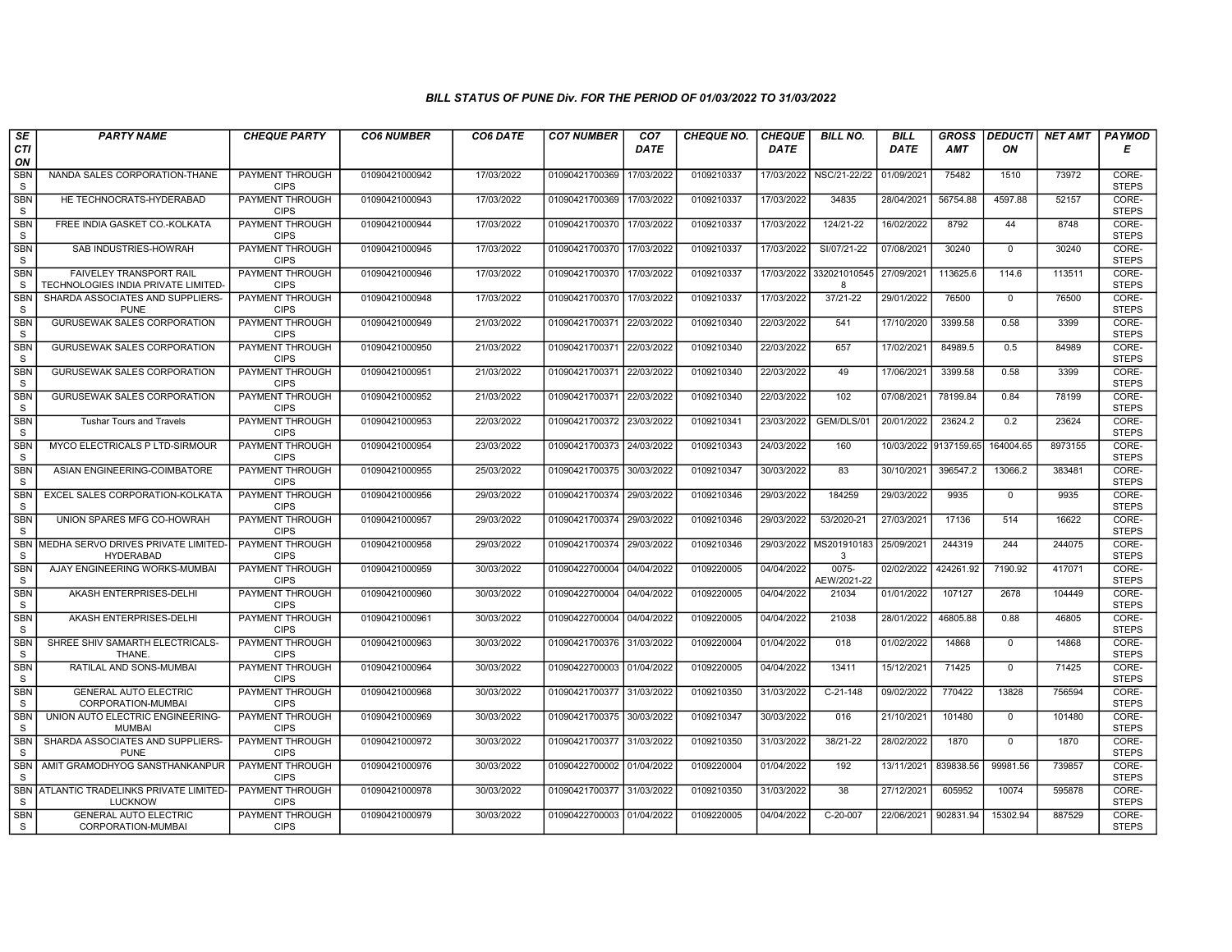| SE                         | <b>PARTY NAME</b>                                             | <b>CHEQUE PARTY</b>                   | <b>CO6 NUMBER</b> | CO6 DATE   | <b>CO7 NUMBER</b>         | CO <sub>7</sub> | <b>CHEQUE NO.</b> | <b>CHEQUE</b> | <b>BILL NO.</b>      | <b>BILL</b> | <b>GROSS</b> |              | <b>DEDUCTI NET AMT</b> | <b>PAYMOD</b>         |
|----------------------------|---------------------------------------------------------------|---------------------------------------|-------------------|------------|---------------------------|-----------------|-------------------|---------------|----------------------|-------------|--------------|--------------|------------------------|-----------------------|
| <b>CTI</b><br>ON           |                                                               |                                       |                   |            |                           | <b>DATE</b>     |                   | <b>DATE</b>   |                      | <b>DATE</b> | <b>AMT</b>   | ON           |                        | Е                     |
| <b>SBN</b><br><sub>S</sub> | NANDA SALES CORPORATION-THANE                                 | <b>PAYMENT THROUGH</b><br><b>CIPS</b> | 01090421000942    | 17/03/2022 | 01090421700369            | 17/03/2022      | 0109210337        | 17/03/2022    | NSC/21-22/22         | 01/09/2021  | 75482        | 1510         | 73972                  | CORE-<br><b>STEPS</b> |
| <b>SBN</b><br>$\mathbf S$  | HE TECHNOCRATS-HYDERABAD                                      | <b>PAYMENT THROUGH</b><br><b>CIPS</b> | 01090421000943    | 17/03/2022 | 01090421700369            | 17/03/2022      | 0109210337        | 17/03/2022    | 34835                | 28/04/2021  | 56754.88     | 4597.88      | 52157                  | CORE-<br><b>STEPS</b> |
| SBN<br>S                   | FREE INDIA GASKET CO.-KOLKATA                                 | PAYMENT THROUGH<br><b>CIPS</b>        | 01090421000944    | 17/03/2022 | 01090421700370            | 17/03/2022      | 0109210337        | 17/03/2022    | 124/21-22            | 16/02/2022  | 8792         | 44           | 8748                   | CORE-<br><b>STEPS</b> |
| <b>SBN</b><br>S            | SAB INDUSTRIES-HOWRAH                                         | PAYMENT THROUGH<br><b>CIPS</b>        | 01090421000945    | 17/03/2022 | 01090421700370            | 17/03/2022      | 0109210337        | 17/03/2022    | SI/07/21-22          | 07/08/2021  | 30240        | $\mathbf{0}$ | 30240                  | CORE-<br><b>STEPS</b> |
| <b>SBN</b><br>S            | FAIVELEY TRANSPORT RAIL<br>TECHNOLOGIES INDIA PRIVATE LIMITED | <b>PAYMENT THROUGH</b><br><b>CIPS</b> | 01090421000946    | 17/03/2022 | 01090421700370            | 17/03/2022      | 0109210337        | 17/03/2022    | 332021010545<br>8    | 27/09/2021  | 113625.6     | 114.6        | 113511                 | CORE-<br><b>STEPS</b> |
| <b>SBN</b><br><sub>S</sub> | SHARDA ASSOCIATES AND SUPPLIERS-<br><b>PUNE</b>               | <b>PAYMENT THROUGH</b><br><b>CIPS</b> | 01090421000948    | 17/03/2022 | 01090421700370            | 17/03/2022      | 0109210337        | 17/03/2022    | 37/21-22             | 29/01/2022  | 76500        | $\Omega$     | 76500                  | CORE-<br><b>STEPS</b> |
| <b>SBN</b><br>S            | <b>GURUSEWAK SALES CORPORATION</b>                            | PAYMENT THROUGH<br><b>CIPS</b>        | 01090421000949    | 21/03/2022 | 01090421700371 22/03/2022 |                 | 0109210340        | 22/03/2022    | 541                  | 17/10/2020  | 3399.58      | 0.58         | 3399                   | CORE-<br><b>STEPS</b> |
| <b>SBN</b><br>S            | <b>GURUSEWAK SALES CORPORATION</b>                            | <b>PAYMENT THROUGH</b><br><b>CIPS</b> | 01090421000950    | 21/03/2022 | 01090421700371 22/03/2022 |                 | 0109210340        | 22/03/2022    | 657                  | 17/02/2021  | 84989.5      | 0.5          | 84989                  | CORE-<br><b>STEPS</b> |
| <b>SBN</b><br><sub>S</sub> | <b>GURUSEWAK SALES CORPORATION</b>                            | <b>PAYMENT THROUGH</b><br><b>CIPS</b> | 01090421000951    | 21/03/2022 | 01090421700371 22/03/2022 |                 | 0109210340        | 22/03/2022    | 49                   | 17/06/2021  | 3399.58      | 0.58         | 3399                   | CORE-<br><b>STEPS</b> |
| <b>SBN</b><br>S            | <b>GURUSEWAK SALES CORPORATION</b>                            | <b>PAYMENT THROUGH</b><br><b>CIPS</b> | 01090421000952    | 21/03/2022 | 01090421700371 22/03/2022 |                 | 0109210340        | 22/03/2022    | 102                  | 07/08/2021  | 78199.84     | 0.84         | 78199                  | CORE-<br><b>STEPS</b> |
| SBN<br>S                   | <b>Tushar Tours and Travels</b>                               | PAYMENT THROUGH<br><b>CIPS</b>        | 01090421000953    | 22/03/2022 | 01090421700372 23/03/2022 |                 | 0109210341        | 23/03/2022    | GEM/DLS/01           | 20/01/2022  | 23624.2      | 0.2          | 23624                  | CORE-<br><b>STEPS</b> |
| <b>SBN</b><br>S            | MYCO ELECTRICALS P LTD-SIRMOUR                                | PAYMENT THROUGH<br><b>CIPS</b>        | 01090421000954    | 23/03/2022 | 01090421700373            | 24/03/2022      | 0109210343        | 24/03/2022    | 160                  | 10/03/2022  | 9137159.65   | 164004.65    | 8973155                | CORE-<br><b>STEPS</b> |
| <b>SBN</b><br>S            | ASIAN ENGINEERING-COIMBATORE                                  | <b>PAYMENT THROUGH</b><br><b>CIPS</b> | 01090421000955    | 25/03/2022 | 01090421700375            | 30/03/2022      | 0109210347        | 30/03/2022    | 83                   | 30/10/2021  | 396547.2     | 13066.2      | 383481                 | CORE-<br><b>STEPS</b> |
| <b>SBN</b><br>S            | EXCEL SALES CORPORATION-KOLKATA                               | <b>PAYMENT THROUGH</b><br><b>CIPS</b> | 01090421000956    | 29/03/2022 | 01090421700374 29/03/2022 |                 | 0109210346        | 29/03/2022    | 184259               | 29/03/2022  | 9935         | $\mathbf 0$  | 9935                   | CORE-<br><b>STEPS</b> |
| SBN<br>-S                  | UNION SPARES MFG CO-HOWRAH                                    | PAYMENT THROUGH<br><b>CIPS</b>        | 01090421000957    | 29/03/2022 | 01090421700374            | 29/03/2022      | 0109210346        | 29/03/2022    | 53/2020-21           | 27/03/2021  | 17136        | 514          | 16622                  | CORE-<br><b>STEPS</b> |
| <b>SBN</b><br><sub>S</sub> | MEDHA SERVO DRIVES PRIVATE LIMITED-<br><b>HYDERABAD</b>       | PAYMENT THROUGH<br><b>CIPS</b>        | 01090421000958    | 29/03/2022 | 01090421700374 29/03/2022 |                 | 0109210346        | 29/03/2022    | MS201910183<br>3     | 25/09/2021  | 244319       | 244          | 244075                 | CORE-<br><b>STEPS</b> |
| <b>SBN</b><br>S            | AJAY ENGINEERING WORKS-MUMBAI                                 | <b>PAYMENT THROUGH</b><br><b>CIPS</b> | 01090421000959    | 30/03/2022 | 01090422700004            | 04/04/2022      | 0109220005        | 04/04/2022    | 0075-<br>AEW/2021-22 | 02/02/2022  | 424261.92    | 7190.92      | 417071                 | CORE-<br><b>STEPS</b> |
| <b>SBN</b><br>S            | AKASH ENTERPRISES-DELHI                                       | <b>PAYMENT THROUGH</b><br><b>CIPS</b> | 01090421000960    | 30/03/2022 | 01090422700004            | 04/04/2022      | 0109220005        | 04/04/2022    | 21034                | 01/01/2022  | 107127       | 2678         | 104449                 | CORE-<br><b>STEPS</b> |
| <b>SBN</b><br>S            | AKASH ENTERPRISES-DELHI                                       | PAYMENT THROUGH<br><b>CIPS</b>        | 01090421000961    | 30/03/2022 | 01090422700004 04/04/2022 |                 | 0109220005        | 04/04/2022    | 21038                | 28/01/2022  | 46805.88     | 0.88         | 46805                  | CORE-<br><b>STEPS</b> |
| SBN<br>$\mathbf S$         | SHREE SHIV SAMARTH ELECTRICALS-<br>THANE.                     | PAYMENT THROUGH<br><b>CIPS</b>        | 01090421000963    | 30/03/2022 | 01090421700376 31/03/2022 |                 | 0109220004        | 01/04/2022    | 018                  | 01/02/2022  | 14868        | $\mathbf{0}$ | 14868                  | CORE-<br><b>STEPS</b> |
| <b>SBN</b><br>S            | RATILAL AND SONS-MUMBAI                                       | PAYMENT THROUGH<br><b>CIPS</b>        | 01090421000964    | 30/03/2022 | 01090422700003 01/04/2022 |                 | 0109220005        | 04/04/2022    | 13411                | 15/12/2021  | 71425        | $\mathbf{0}$ | 71425                  | CORE-<br><b>STEPS</b> |
| <b>SBN</b><br>S            | <b>GENERAL AUTO ELECTRIC</b><br>CORPORATION-MUMBAI            | <b>PAYMENT THROUGH</b><br><b>CIPS</b> | 01090421000968    | 30/03/2022 | 01090421700377 31/03/2022 |                 | 0109210350        | 31/03/2022    | $C-21-148$           | 09/02/2022  | 770422       | 13828        | 756594                 | CORE-<br><b>STEPS</b> |
| <b>SBN</b><br><sub>S</sub> | UNION AUTO ELECTRIC ENGINEERING-<br><b>MUMBAI</b>             | PAYMENT THROUGH<br><b>CIPS</b>        | 01090421000969    | 30/03/2022 | 01090421700375 30/03/2022 |                 | 0109210347        | 30/03/2022    | 016                  | 21/10/2021  | 101480       | $\mathbf 0$  | 101480                 | CORE-<br><b>STEPS</b> |
| <b>SBN</b><br><sub>S</sub> | SHARDA ASSOCIATES AND SUPPLIERS-<br><b>PUNE</b>               | PAYMENT THROUGH<br><b>CIPS</b>        | 01090421000972    | 30/03/2022 | 01090421700377            | 31/03/2022      | 0109210350        | 31/03/2022    | 38/21-22             | 28/02/2022  | 1870         | $\Omega$     | 1870                   | CORE-<br><b>STEPS</b> |
| <b>SBN</b><br><sub>S</sub> | AMIT GRAMODHYOG SANSTHANKANPUR                                | PAYMENT THROUGH<br><b>CIPS</b>        | 01090421000976    | 30/03/2022 | 01090422700002 01/04/2022 |                 | 0109220004        | 01/04/2022    | 192                  | 13/11/2021  | 839838.56    | 99981.56     | 739857                 | CORE-<br><b>STEPS</b> |
| <b>SBN</b><br>S            | ATLANTIC TRADELINKS PRIVATE LIMITED-<br><b>LUCKNOW</b>        | <b>PAYMENT THROUGH</b><br><b>CIPS</b> | 01090421000978    | 30/03/2022 | 01090421700377 31/03/2022 |                 | 0109210350        | 31/03/2022    | 38                   | 27/12/2021  | 605952       | 10074        | 595878                 | CORE-<br><b>STEPS</b> |
| <b>SBN</b><br>S            | <b>GENERAL AUTO ELECTRIC</b><br>CORPORATION-MUMBAI            | PAYMENT THROUGH<br><b>CIPS</b>        | 01090421000979    | 30/03/2022 | 01090422700003 01/04/2022 |                 | 0109220005        | 04/04/2022    | C-20-007             | 22/06/2021  | 902831.94    | 15302.94     | 887529                 | CORE-<br><b>STEPS</b> |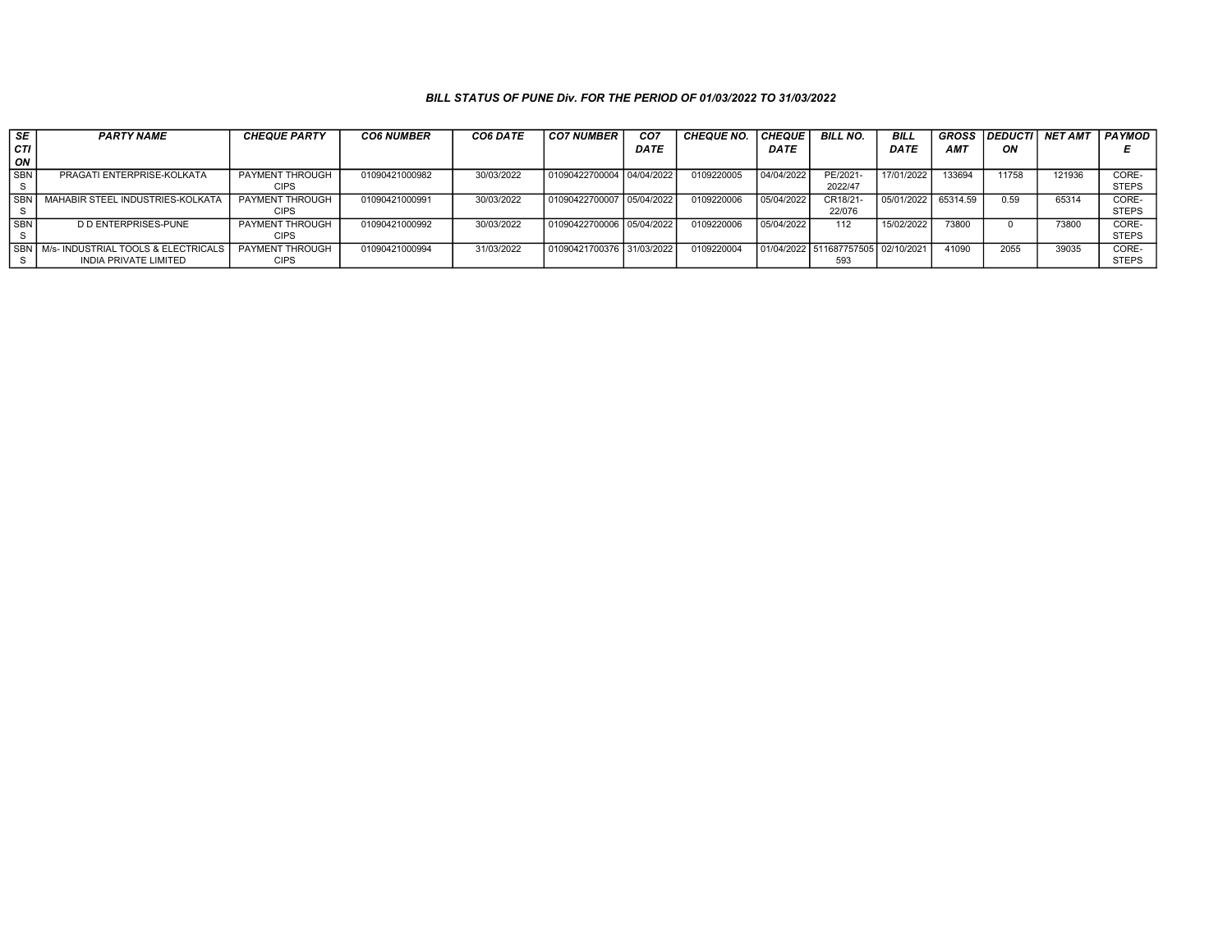| SE         | <b>PARTY NAME</b>                           | <b>CHEQUE PARTY</b> | <b>CO6 NUMBER</b> | CO6 DATE   | CO7 NUMBER                  | CO <sub>7</sub> | <b>CHEQUE NO.</b> | <b>CHEQUE</b> | <b>BILL NO.</b>                    | <b>BILL</b> | <b>GROSS</b> | <b>DEDUCTI</b> | <b>NET AMT</b> | <b>PAYMOD</b> |
|------------|---------------------------------------------|---------------------|-------------------|------------|-----------------------------|-----------------|-------------------|---------------|------------------------------------|-------------|--------------|----------------|----------------|---------------|
| l CTI      |                                             |                     |                   |            |                             | <b>DATE</b>     |                   | <b>DATE</b>   |                                    | <b>DATE</b> | <b>AMT</b>   | ON             |                |               |
| l on       |                                             |                     |                   |            |                             |                 |                   |               |                                    |             |              |                |                |               |
| l SBN      | PRAGATI ENTERPRISE-KOLKATA                  | PAYMENT THROUGH     | 01090421000982    | 30/03/2022 | 01090422700004 04/04/2022   |                 | 0109220005        | 04/04/2022    | PE/2021-                           | 17/01/2022  | 133694       | 11758          | 121936         | CORE-         |
|            |                                             | <b>CIPS</b>         |                   |            |                             |                 |                   |               | 2022/47                            |             |              |                |                | <b>STEPS</b>  |
| <b>SBN</b> | MAHABIR STEEL INDUSTRIES-KOLKATA            | PAYMENT THROUGH     | 01090421000991    | 30/03/2022 | 01090422700007 05/04/2022   |                 | 0109220006        | 05/04/2022    | CR18/21-                           | 05/01/2022  | 65314.59     | 0.59           | 65314          | CORE-         |
|            |                                             | <b>CIPS</b>         |                   |            |                             |                 |                   |               | 22/076                             |             |              |                |                | <b>STEPS</b>  |
| <b>SBN</b> | D D ENTERPRISES-PUNE                        | PAYMENT THROUGH     | 01090421000992    | 30/03/2022 | 01090422700006   05/04/2022 |                 | 0109220006        | 05/04/2022    | 112                                | 15/02/2022  | 73800        |                | 73800          | CORE-         |
|            |                                             | <b>CIPS</b>         |                   |            |                             |                 |                   |               |                                    |             |              |                |                | <b>STEPS</b>  |
|            | I SBN I M/s- INDUSTRIAL TOOLS & ELECTRICALS | PAYMENT THROUGH     | 01090421000994    | 31/03/2022 | 01090421700376 31/03/2022   |                 | 0109220004        |               | 01/04/2022 511687757505 02/10/2021 |             | 41090        | 2055           | 39035          | CORE-         |
|            | INDIA PRIVATE LIMITED                       | <b>CIPS</b>         |                   |            |                             |                 |                   |               | 593                                |             |              |                |                | <b>STEPS</b>  |